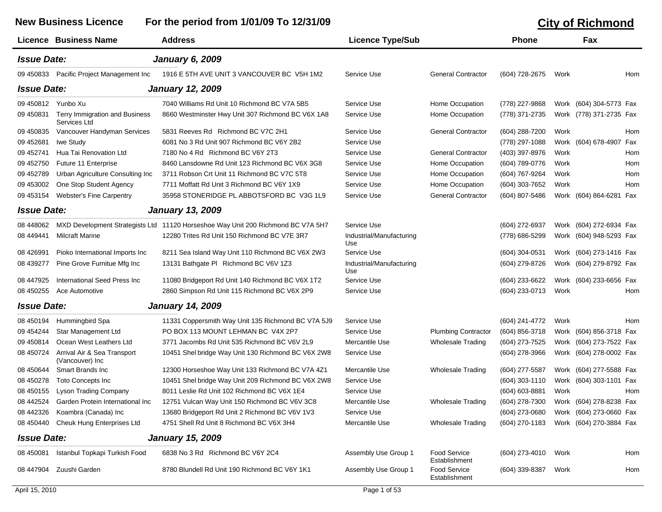## **New Business Licence For the period from 1/01/09 To 12/31/09 City of Richmond Licence Business Name Address Licence Type/Sub Phone Fax** *Issue Date: January 6, 2009* 09 450833 Pacific Project Management Inc 1916 E 5TH AVE UNIT 3 VANCOUVER BC V5H 1M2 Service Use General Contractor (604) 728-2675 Work Hom *Issue Date: January 12, 2009* 09 450812 Yunbo Xu 7040 Williams Rd Unit 10 Richmond BC V7A 5B5 Service Use Home Occupation (778) 227-9868 Work (604) 304-5773 Fax 09 450831 Terry Immigration and Business Services Ltd8660 Westminster Hwy Unit 307 Richmond BC V6X 1A8 Service Use Home Occupation (778) 371-2735 Work (778) 371-2735 Fax 09 450835 Vancouver Handyman Services 5831 Reeves Rd Richmond BC V7C 2H1 Service Use General Contractor (604) 288-7200 Work Hom 09 452681 Iwe Study 6081 No 3 Rd Unit 907 Richmond BC V6Y 2B2 Service Use (778) 297-1088 Work (604) 678-4907 Fax 09 452741 Hua Tai Renovation Ltd 7180 No 4 Rd Richmond BC V6Y 2T3 Service Use General Contractor (403) 397-8976 Work Hom 09 452750 Future 11 Enterprise 6460 Lansdowne Rd Unit 123 Richmond BC V6X 3G8 Service Use Home Occupation (604) 789-0776 Work Hom 09 452789 Urban Agriculture Consulting Inc 3711 Robson Crt Unit 11 Richmond BC V7C 5T8 Service Use Home Occupation (604) 767-9264 Work Hom 09 453002 One Stop Student Agency 7711 Moffatt Rd Unit 3 Richmond BC V6Y 1X9 Service Use Home Occupation (604) 303-7652 Work Hom 09 453154 Webster's Fine Carpentry 35958 STONERIDGE PL ABBOTSFORD BC V3G 1L9 Service Use General Contractor (604) 807-5486 Work (604) 864-6281 Fax *Issue Date: January 13, 2009* 08 448062 MXD Development Strategists Ltd 11120 Horseshoe Way Unit 200 Richmond BC V7A 5H7 Service Use COM COM COM SALL (604) 272-6937 Work (604) 272-6934 Fax 08 449441 Milcraft Marine Industrial/Manufacturing 12280 Trites Rd Unit 150 Richmond BC V7E 3R7Use (778) 686-5299 Work (604) 948-5293 Fax 08 426991 Pioko International Imports Inc 8211 Sea Island Way Unit 110 Richmond BC V6X 2W3 Service Use 604 CHA CHA (604) 304-0531 Work (604) 273-1416 Fax 08 439277 Pine Grove Furnitue Mfg Inc 13131 Bathgate Pl Richmond BC V6V 1Z3 Industrial/Manufacturing (604) 279-8726 Work (604) 279-8792 Fax Use08 447925 International Seed Press Inc 11080 Bridgeport Rd Unit 140 Richmond BC V6X 1T2 Service Use (604) 233-6622 Work (604) 233-6656 Fax 08 450255 Ace Automotive 2860 Simpson Rd Unit 115 Richmond BC V6X 2P9 Service Use (604) 233-0713 Work Hom *Issue Date: January 14, 2009* 08 450194 Hummingbird Spa 11331 Coppersmith Way Unit 135 Richmond BC V7A 5J9 Service Use (604) 241-4772 Work Hom 09 454244 Star Management Ltd PO BOX 113 MOUNT LEHMAN BC V4X 2P7 Service Use Plumbing Contractor (604) 856-3718 Work (604) 856-3718 Fax 09 450814 Ocean West Leathers Ltd 3771 Jacombs Rd Unit 535 Richmond BC V6V 2L9 Mercantile Use Wholesale Trading (604) 273-7525 Work (604) 273-7522 Fax 08 450724 Arrival Air & Sea Transport (Vancouver) Inc 10451 Shel bridge Way Unit 130 Richmond BC V6X 2W8 Service Use (604) 278-3966 Work (604) 278-0002 Fax 08 450644 Smart Brands Inc 12300 Horseshoe Way Unit 133 Richmond BC V7A 4Z1 Mercantile Use Wholesale Trading (604) 277-5587 Work (604) 277-5588 Fax 08 450278 Toto Concepts Inc 10451 Shel bridge Way Unit 209 Richmond BC V6X 2W8 Service Use (604) 303-1110 Work (604) 303-1101 Fax 08 450155 Lyson Trading Company 8011 Leslie Rd Unit 102 Richmond BC V6X 1E4 Service Use (604) 603-8881 Work Hom 08 442524 Garden Protein International Inc 12751 Vulcan Way Unit 150 Richmond BC V6V 3C8 Mercantile Use Wholesale Trading (604) 278-7300 Work (604) 278-8238 Fax 08 442326 Koambra (Canada) Inc 13680 Bridgeport Rd Unit 2 Richmond BC V6V 1V3 Service Use (604) 273-0680 Work (604) 273-0660 Fax 08 450440 Cheuk Hung Enterprises Ltd 4751 Shell Rd Unit 8 Richmond BC V6X 3H4 Mercantile Use Wholesale Trading (604) 270-1183 Work (604) 270-3884 Fax *Issue Date: January 15, 2009* 08 450081 Istanbul Topkapi Turkish Food 6838 No 3 Rd Richmond BC V6Y 2C4 Assembly Use Group 1 Food Service **Establishment** Assembly Use Group 1 Food Service (604) 273-4010 Work Hom 08 447904 Zuushi Gardenn 8780 Blundell Rd Unit 190 Richmond BC V6Y 1K1 Assembly Use Group 1 Food Service **Establishment** Assembly Use Group 1 Food Service (604) 339-8387 Work Hom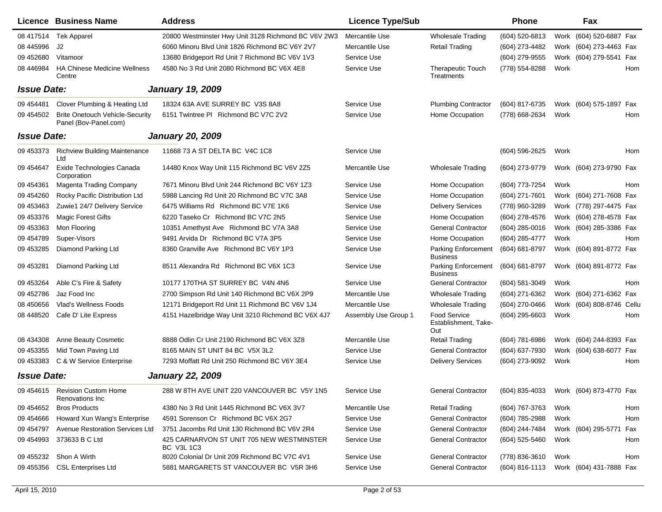|                    | <b>Licence Business Name</b>                                    | <b>Address</b>                                          | <b>Licence Type/Sub</b> |                                                    | <b>Phone</b>     |      | Fax                       |     |
|--------------------|-----------------------------------------------------------------|---------------------------------------------------------|-------------------------|----------------------------------------------------|------------------|------|---------------------------|-----|
| 08 417514          | <b>Tek Apparel</b>                                              | 20800 Westminster Hwy Unit 3128 Richmond BC V6V 2W3     | Mercantile Use          | <b>Wholesale Trading</b>                           | (604) 520-6813   |      | Work (604) 520-6887 Fax   |     |
| 08 445996          | J2                                                              | 6060 Minoru Blvd Unit 1826 Richmond BC V6Y 2V7          | Mercantile Use          | <b>Retail Trading</b>                              | (604) 273-4482   |      | Work (604) 273-4463 Fax   |     |
| 09 45 2680         | Vitamoor                                                        | 13680 Bridgeport Rd Unit 7 Richmond BC V6V 1V3          | Service Use             |                                                    | (604) 279-9555   |      | Work (604) 279-5541 Fax   |     |
| 08 44 6984         | <b>HA Chinese Medicine Wellness</b><br>Centre                   | 4580 No 3 Rd Unit 2080 Richmond BC V6X 4E8              | Service Use             | <b>Therapeutic Touch</b><br>Treatments             | (778) 554-8288   | Work |                           | Hom |
| <b>Issue Date:</b> |                                                                 | <b>January 19, 2009</b>                                 |                         |                                                    |                  |      |                           |     |
| 09 45 4481         | Clover Plumbing & Heating Ltd                                   | 18324 63A AVE SURREY BC V3S 8A8                         | Service Use             | <b>Plumbing Contractor</b>                         | (604) 817-6735   |      | Work (604) 575-1897 Fax   |     |
| 09 454502          | <b>Brite Onetouch Vehicle-Security</b><br>Panel (Bov-Panel.com) | 6151 Twintree PI Richmond BC V7C 2V2                    | Service Use             | Home Occupation                                    | (778) 668-2634   | Work |                           | Hom |
| <b>Issue Date:</b> |                                                                 | <b>January 20, 2009</b>                                 |                         |                                                    |                  |      |                           |     |
| 09 453373          | <b>Richview Building Maintenance</b><br>Ltd                     | 11668 73 A ST DELTA BC V4C 1C8                          | Service Use             |                                                    | (604) 596-2625   | Work |                           | Hom |
| 09 454647          | Exide Technologies Canada<br>Corporation                        | 14480 Knox Way Unit 115 Richmond BC V6V 2Z5             | Mercantile Use          | Wholesale Trading                                  | (604) 273-9779   |      | Work (604) 273-9790 Fax   |     |
| 09 454361          | Magenta Trading Company                                         | 7671 Minoru Blvd Unit 244 Richmond BC V6Y 1Z3           | Service Use             | Home Occupation                                    | (604) 773-7254   | Work |                           | Hom |
| 09 454260          | Rocky Pacific Distribution Ltd                                  | 5988 Lancing Rd Unit 20 Richmond BC V7C 3A8             | Service Use             | Home Occupation                                    | (604) 271-7601   |      | Work (604) 271-7608 Fax   |     |
| 09 453463          | Zuwie1 24/7 Delivery Service                                    | 6475 Williams Rd Richmond BC V7E 1K6                    | Service Use             | <b>Delivery Services</b>                           | (778) 960-3289   |      | Work (778) 297-4475 Fax   |     |
| 09 453376          | <b>Magic Forest Gifts</b>                                       | 6220 Taseko Cr Richmond BC V7C 2N5                      | Service Use             | Home Occupation                                    | (604) 278-4576   |      | Work (604) 278-4578 Fax   |     |
| 09 453363          | Mon Flooring                                                    | 10351 Amethyst Ave Richmond BC V7A 3A8                  | Service Use             | <b>General Contractor</b>                          | (604) 285-0016   |      | Work (604) 285-3386 Fax   |     |
| 09 454789          | Super-Visors                                                    | 9491 Arvida Dr Richmond BC V7A 3P5                      | Service Use             | Home Occupation                                    | (604) 285-4777   | Work |                           | Hom |
| 09 453285          | Diamond Parking Ltd                                             | 8360 Granville Ave Richmond BC V6Y 1P3                  | Service Use             | Parking Enforcement<br><b>Business</b>             | (604) 681-8797   |      | Work (604) 891-8772 Fax   |     |
| 09 453281          | Diamond Parking Ltd                                             | 8511 Alexandra Rd Richmond BC V6X 1C3                   | Service Use             | <b>Parking Enforcement</b><br><b>Business</b>      | (604) 681-8797   |      | Work (604) 891-8772 Fax   |     |
| 09 453264          | Able C's Fire & Safety                                          | 10177 170THA ST SURREY BC V4N 4N6                       | Service Use             | <b>General Contractor</b>                          | (604) 581-3049   | Work |                           | Hom |
| 09 452786          | Jaz Food Inc                                                    | 2700 Simpson Rd Unit 140 Richmond BC V6X 2P9            | Mercantile Use          | <b>Wholesale Trading</b>                           | (604) 271-6362   |      | Work (604) 271-6362 Fax   |     |
| 08 450 656         | <b>Vlad's Wellness Foods</b>                                    | 12171 Bridgeport Rd Unit 11 Richmond BC V6V 1J4         | Mercantile Use          | <b>Wholesale Trading</b>                           | (604) 270-0466   |      | Work (604) 808-8746 Cellu |     |
| 08 448520          | Cafe D' Lite Express                                            | 4151 Hazelbridge Way Unit 3210 Richmond BC V6X 4J7      | Assembly Use Group 1    | <b>Food Service</b><br>Establishment, Take-<br>Out | $(604)$ 295-6603 | Work |                           | Hom |
| 08 434308          | <b>Anne Beauty Cosmetic</b>                                     | 8888 Odlin Cr Unit 2190 Richmond BC V6X 3Z8             | Mercantile Use          | <b>Retail Trading</b>                              | (604) 781-6986   |      | Work (604) 244-8393 Fax   |     |
| 09 453355          | Mid Town Paving Ltd                                             | 8165 MAIN ST UNIT 84 BC V5X 3L2                         | Service Use             | <b>General Contractor</b>                          | (604) 637-7930   |      | Work (604) 638-6077 Fax   |     |
| 09 453383          | C & W Service Enterprise                                        | 7293 Moffatt Rd Unit 250 Richmond BC V6Y 3E4            | Service Use             | <b>Delivery Services</b>                           | (604) 273-9092   | Work |                           | Hom |
| <b>Issue Date:</b> |                                                                 | <b>January 22, 2009</b>                                 |                         |                                                    |                  |      |                           |     |
| 09 454615          | <b>Revision Custom Home</b><br>Renovations Inc                  | 288 W 8TH AVE UNIT 220 VANCOUVER BC V5Y 1N5             | Service Use             | <b>General Contractor</b>                          | (604) 835-4033   |      | Work (604) 873-4770 Fax   |     |
| 09 454 652         | <b>Bros Products</b>                                            | 4380 No 3 Rd Unit 1445 Richmond BC V6X 3V7              | Mercantile Use          | <b>Retail Trading</b>                              | (604) 767-3763   | Work |                           | Hom |
| 09 454 666         | Howard Xun Wang's Enterprise                                    | 4591 Sorenson Cr Richmond BC V6X 2G7                    | Service Use             | <b>General Contractor</b>                          | (604) 785-2988   | Work |                           | Hom |
| 09 454797          | <b>Avenue Restoration Services Ltd</b>                          | 3751 Jacombs Rd Unit 130 Richmond BC V6V 2R4            | Service Use             | <b>General Contractor</b>                          | (604) 244-7484   |      | Work (604) 295-5771 Fax   |     |
| 09 454993          | 373633 B C Ltd                                                  | 425 CARNARVON ST UNIT 705 NEW WESTMINSTER<br>BC V3L 1C3 | Service Use             | <b>General Contractor</b>                          | (604) 525-5460   | Work |                           | Hom |
| 09 455232          | Shon A Wirth                                                    | 8020 Colonial Dr Unit 209 Richmond BC V7C 4V1           | Service Use             | <b>General Contractor</b>                          | (778) 836-3610   | Work |                           | Hom |
| 09 455356          | <b>CSL Enterprises Ltd</b>                                      | 5881 MARGARETS ST VANCOUVER BC V5R 3H6                  | Service Use             | <b>General Contractor</b>                          | (604) 816-1113   |      | Work (604) 431-7888 Fax   |     |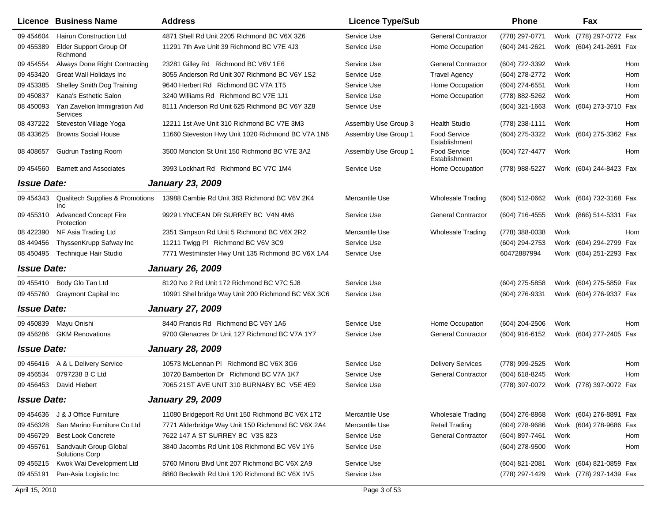|                    | Licence Business Name                             | <b>Address</b>                                     | <b>Licence Type/Sub</b> |                                      | <b>Phone</b>     |      | Fax                     |     |
|--------------------|---------------------------------------------------|----------------------------------------------------|-------------------------|--------------------------------------|------------------|------|-------------------------|-----|
| 09 454604          | <b>Hairun Construction Ltd</b>                    | 4871 Shell Rd Unit 2205 Richmond BC V6X 3Z6        | Service Use             | <b>General Contractor</b>            | (778) 297-0771   |      | Work (778) 297-0772 Fax |     |
| 09 455389          | Elder Support Group Of<br>Richmond                | 11291 7th Ave Unit 39 Richmond BC V7E 4J3          | Service Use             | Home Occupation                      | (604) 241-2621   |      | Work (604) 241-2691 Fax |     |
| 09 454554          | Always Done Right Contracting                     | 23281 Gilley Rd Richmond BC V6V 1E6                | Service Use             | <b>General Contractor</b>            | (604) 722-3392   | Work |                         | Hom |
| 09 453420          | Great Wall Holidays Inc                           | 8055 Anderson Rd Unit 307 Richmond BC V6Y 1S2      | Service Use             | <b>Travel Agency</b>                 | (604) 278-2772   | Work |                         | Hom |
| 09 453385          | Shelley Smith Dog Training                        | 9640 Herbert Rd Richmond BC V7A 1T5                | Service Use             | Home Occupation                      | (604) 274-6551   | Work |                         | Hom |
| 09 45 0837         | Kana's Esthetic Salon                             | 3240 Williams Rd Richmond BC V7E 1J1               | Service Use             | Home Occupation                      | (778) 882-5262   | Work |                         | Hom |
| 08 450093          | Yan Zavelion Immigration Aid<br>Services          | 8111 Anderson Rd Unit 625 Richmond BC V6Y 3Z8      | Service Use             |                                      | (604) 321-1663   |      | Work (604) 273-3710 Fax |     |
| 08 437222          | Steveston Village Yoga                            | 12211 1st Ave Unit 310 Richmond BC V7E 3M3         | Assembly Use Group 3    | <b>Health Studio</b>                 | (778) 238-1111   | Work |                         | Hom |
| 08 433625          | <b>Browns Social House</b>                        | 11660 Steveston Hwy Unit 1020 Richmond BC V7A 1N6  | Assembly Use Group 1    | <b>Food Service</b><br>Establishment | (604) 275-3322   |      | Work (604) 275-3362 Fax |     |
| 08 408 657         | <b>Gudrun Tasting Room</b>                        | 3500 Moncton St Unit 150 Richmond BC V7E 3A2       | Assembly Use Group 1    | Food Service<br>Establishment        | (604) 727-4477   | Work |                         | Hom |
| 09 454560          | <b>Barnett and Associates</b>                     | 3993 Lockhart Rd Richmond BC V7C 1M4               | Service Use             | Home Occupation                      | (778) 988-5227   |      | Work (604) 244-8423 Fax |     |
| <b>Issue Date:</b> |                                                   | <b>January 23, 2009</b>                            |                         |                                      |                  |      |                         |     |
| 09 454343          | <b>Qualitech Supplies &amp; Promotions</b><br>Inc | 13988 Cambie Rd Unit 383 Richmond BC V6V 2K4       | Mercantile Use          | <b>Wholesale Trading</b>             | (604) 512-0662   |      | Work (604) 732-3168 Fax |     |
| 09 455310          | <b>Advanced Concept Fire</b><br>Protection        | 9929 LYNCEAN DR SURREY BC V4N 4M6                  | Service Use             | <b>General Contractor</b>            | (604) 716-4555   |      | Work (866) 514-5331 Fax |     |
| 08 422390          | NF Asia Trading Ltd                               | 2351 Simpson Rd Unit 5 Richmond BC V6X 2R2         | Mercantile Use          | <b>Wholesale Trading</b>             | (778) 388-0038   | Work |                         | Hom |
| 08 449 456         | ThyssenKrupp Safway Inc                           | 11211 Twigg PI Richmond BC V6V 3C9                 | Service Use             |                                      | (604) 294-2753   |      | Work (604) 294-2799 Fax |     |
| 08 450495          | Technique Hair Studio                             | 7771 Westminster Hwy Unit 135 Richmond BC V6X 1A4  | Service Use             |                                      | 60472887994      |      | Work (604) 251-2293 Fax |     |
| <b>Issue Date:</b> |                                                   | <b>January 26, 2009</b>                            |                         |                                      |                  |      |                         |     |
| 09 455410          | Body Glo Tan Ltd                                  | 8120 No 2 Rd Unit 172 Richmond BC V7C 5J8          | Service Use             |                                      | (604) 275-5858   |      | Work (604) 275-5859 Fax |     |
| 09 455760          | <b>Graymont Capital Inc.</b>                      | 10991 Shel bridge Way Unit 200 Richmond BC V6X 3C6 | Service Use             |                                      | (604) 276-9331   |      | Work (604) 276-9337 Fax |     |
| <b>Issue Date:</b> |                                                   | <b>January 27, 2009</b>                            |                         |                                      |                  |      |                         |     |
| 09 45 08 39        | Mayu Onishi                                       | 8440 Francis Rd Richmond BC V6Y 1A6                | Service Use             | Home Occupation                      | $(604)$ 204-2506 | Work |                         | Hom |
| 09 45 6286         | <b>GKM Renovations</b>                            | 9700 Glenacres Dr Unit 127 Richmond BC V7A 1Y7     | Service Use             | <b>General Contractor</b>            | (604) 916-6152   |      | Work (604) 277-2405 Fax |     |
| <b>Issue Date:</b> |                                                   | <b>January 28, 2009</b>                            |                         |                                      |                  |      |                         |     |
| 09 45 6416         | A & L Delivery Service                            | 10573 McLennan PI Richmond BC V6X 3G6              | Service Use             | <b>Delivery Services</b>             | (778) 999-2525   | Work |                         | Hom |
| 09 456534          | 0797238 B C Ltd                                   | 10720 Bamberton Dr Richmond BC V7A 1K7             | Service Use             | <b>General Contractor</b>            | (604) 618-8245   | Work |                         | Hom |
| 09 456453          | David Hiebert                                     | 7065 21ST AVE UNIT 310 BURNABY BC V5E 4E9          | Service Use             |                                      | (778) 397-0072   |      | Work (778) 397-0072 Fax |     |
| <b>Issue Date:</b> |                                                   | <b>January 29, 2009</b>                            |                         |                                      |                  |      |                         |     |
|                    | 09 454636 J & J Office Furniture                  | 11080 Bridgeport Rd Unit 150 Richmond BC V6X 1T2   | <b>Mercantile Use</b>   | Wholesale Trading                    | (604) 276-8868   |      | Work (604) 276-8891 Fax |     |
| 09 45 6328         | San Marino Furniture Co Ltd                       | 7771 Alderbridge Way Unit 150 Richmond BC V6X 2A4  | Mercantile Use          | <b>Retail Trading</b>                | (604) 278-9686   |      | Work (604) 278-9686 Fax |     |
| 09 45 6729         | <b>Best Look Concrete</b>                         | 7622 147 A ST SURREY BC V3S 8Z3                    | Service Use             | <b>General Contractor</b>            | (604) 897-7461   | Work |                         | Hom |
| 09 455761          | Sandvault Group Global<br><b>Solutions Corp</b>   | 3840 Jacombs Rd Unit 108 Richmond BC V6V 1Y6       | Service Use             |                                      | (604) 278-9500   | Work |                         | Hom |
| 09 455215          | Kwok Wai Development Ltd                          | 5760 Minoru Blvd Unit 207 Richmond BC V6X 2A9      | Service Use             |                                      | $(604)$ 821-2081 |      | Work (604) 821-0859 Fax |     |
| 09 455191          | Pan-Asia Logistic Inc                             | 8860 Beckwith Rd Unit 120 Richmond BC V6X 1V5      | Service Use             |                                      | (778) 297-1429   |      | Work (778) 297-1439 Fax |     |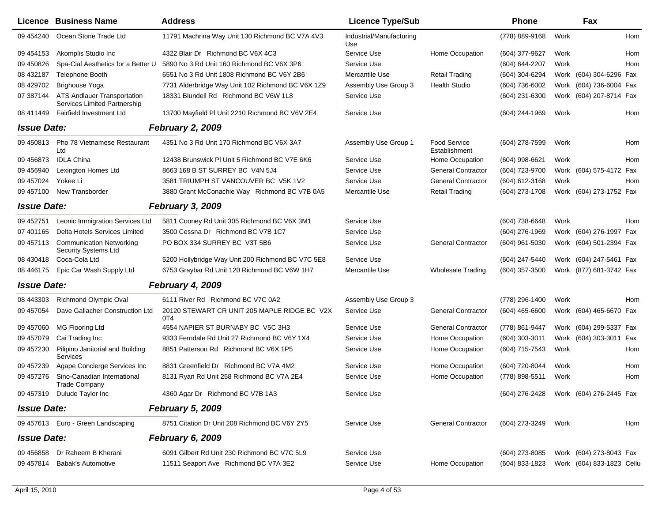|                    | Licence Business Name                                              | <b>Address</b>                                      | <b>Licence Type/Sub</b>         |                                      | <b>Phone</b>     |      | Fax                                    |     |
|--------------------|--------------------------------------------------------------------|-----------------------------------------------------|---------------------------------|--------------------------------------|------------------|------|----------------------------------------|-----|
| 09 454240          | Ocean Stone Trade Ltd                                              | 11791 Machrina Way Unit 130 Richmond BC V7A 4V3     | Industrial/Manufacturing<br>Use |                                      | (778) 889-9168   | Work |                                        | Hom |
| 09 454153          | Akomplis Studio Inc                                                | 4322 Blair Dr Richmond BC V6X 4C3                   | Service Use                     | Home Occupation                      | (604) 377-9627   | Work |                                        | Hom |
| 09 450826          | Spa-Cial Aesthetics for a Better U                                 | 5890 No 3 Rd Unit 160 Richmond BC V6X 3P6           | Service Use                     |                                      | (604) 644-2207   | Work |                                        | Hom |
| 08 432187          | Telephone Booth                                                    | 6551 No 3 Rd Unit 1808 Richmond BC V6Y 2B6          | Mercantile Use                  | <b>Retail Trading</b>                | (604) 304-6294   |      | Work (604) 304-6296 Fax                |     |
| 08 429702          | <b>Brighouse Yoga</b>                                              | 7731 Alderbridge Way Unit 102 Richmond BC V6X 1Z9   | Assembly Use Group 3            | <b>Health Studio</b>                 | (604) 736-6002   |      | Work (604) 736-6004 Fax                |     |
| 07 387144          | <b>ATS Andlauer Transportation</b><br>Services Limited Partnership | 18331 Blundell Rd Richmond BC V6W 1L8               | Service Use                     |                                      | (604) 231-6300   |      | Work (604) 207-8714 Fax                |     |
| 08 411449          | <b>Fairfield Investment Ltd</b>                                    | 13700 Mayfield PI Unit 2210 Richmond BC V6V 2E4     | Service Use                     |                                      | (604) 244-1969   | Work |                                        | Hom |
| <b>Issue Date:</b> |                                                                    | <b>February 2, 2009</b>                             |                                 |                                      |                  |      |                                        |     |
| 09 45 08 13        | Pho 78 Vietnamese Restaurant<br>Ltd                                | 4351 No 3 Rd Unit 170 Richmond BC V6X 3A7           | Assembly Use Group 1            | <b>Food Service</b><br>Establishment | (604) 278-7599   | Work |                                        | Hom |
| 09 45 6873         | <b>IDLA China</b>                                                  | 12438 Brunswick PI Unit 5 Richmond BC V7E 6K6       | Service Use                     | Home Occupation                      | (604) 998-6621   | Work |                                        | Hom |
| 09 45 6940         | Lexington Homes Ltd                                                | 8663 168 B ST SURREY BC V4N 5J4                     | Service Use                     | <b>General Contractor</b>            | (604) 723-9700   |      | Work (604) 575-4172 Fax                |     |
| 09 457024          | Yokee Li                                                           | 3581 TRIUMPH ST VANCOUVER BC V5K 1V2                | Service Use                     | <b>General Contractor</b>            | (604) 612-3168   | Work |                                        | Hom |
| 09 457100          | New Transborder                                                    | 3880 Grant McConachie Way Richmond BC V7B 0A5       | Mercantile Use                  | <b>Retail Trading</b>                | (604) 273-1708   |      | Work (604) 273-1752 Fax                |     |
| <b>Issue Date:</b> |                                                                    | <b>February 3, 2009</b>                             |                                 |                                      |                  |      |                                        |     |
| 09 452751          | Leonic Immigration Services Ltd                                    | 5811 Cooney Rd Unit 305 Richmond BC V6X 3M1         | Service Use                     |                                      | (604) 738-6648   | Work |                                        | Hom |
| 07 401165          | Delta Hotels Services Limited                                      | 3500 Cessna Dr Richmond BC V7B 1C7                  | Service Use                     |                                      | (604) 276-1969   |      | Work (604) 276-1997 Fax                |     |
| 09 457113          | <b>Communication Networking</b><br><b>Security Systems Ltd</b>     | PO BOX 334 SURREY BC V3T 5B6                        | Service Use                     | <b>General Contractor</b>            | (604) 961-5030   |      | Work (604) 501-2394 Fax                |     |
| 08 430418          | Coca-Cola Ltd                                                      | 5200 Hollybridge Way Unit 200 Richmond BC V7C 5E8   | Service Use                     |                                      | (604) 247-5440   |      | Work (604) 247-5461 Fax                |     |
| 08 44 6175         | Epic Car Wash Supply Ltd                                           | 6753 Graybar Rd Unit 120 Richmond BC V6W 1H7        | Mercantile Use                  | <b>Wholesale Trading</b>             | (604) 357-3500   |      | Work (877) 681-3742 Fax                |     |
| <b>Issue Date:</b> |                                                                    | February 4, 2009                                    |                                 |                                      |                  |      |                                        |     |
| 08 443303          | <b>Richmond Olympic Oval</b>                                       | 6111 River Rd Richmond BC V7C 0A2                   | Assembly Use Group 3            |                                      | (778) 296-1400   | Work |                                        | Hom |
| 09 457054          | Dave Gallacher Construction Ltd                                    | 20120 STEWART CR UNIT 205 MAPLE RIDGE BC V2X<br>0T4 | Service Use                     | <b>General Contractor</b>            | $(604)$ 465-6600 |      | Work (604) 465-6670 Fax                |     |
| 09 457060          | MG Flooring Ltd                                                    | 4554 NAPIER ST BURNABY BC V5C 3H3                   | Service Use                     | <b>General Contractor</b>            | (778) 861-9447   |      | Work (604) 299-5337 Fax                |     |
| 09 457079          | Cai Trading Inc                                                    | 9333 Ferndale Rd Unit 27 Richmond BC V6Y 1X4        | Service Use                     | Home Occupation                      | (604) 303-3011   |      | Work (604) 303-3011 Fax                |     |
| 09 457230          | Pilipino Janitorial and Building<br><b>Services</b>                | 8851 Patterson Rd Richmond BC V6X 1P5               | Service Use                     | Home Occupation                      | (604) 715-7543   | Work |                                        | Hom |
| 09 457239          | Agape Concierge Services Inc                                       | 8831 Greenfield Dr Richmond BC V7A 4M2              | Service Use                     | Home Occupation                      | (604) 720-8044   | Work |                                        | Hom |
| 09 457276          | Sino-Canadian International<br><b>Trade Company</b>                | 8131 Ryan Rd Unit 258 Richmond BC V7A 2E4           | Service Use                     | Home Occupation                      | (778) 898-5511   | Work |                                        | Hom |
|                    | 09 457319 Dulude Taylor Inc                                        | 4360 Agar Dr Richmond BC V7B 1A3                    | Service Use                     |                                      |                  |      | (604) 276-2428 Work (604) 276-2445 Fax |     |
| <b>Issue Date:</b> |                                                                    | <b>February 5, 2009</b>                             |                                 |                                      |                  |      |                                        |     |
|                    | 09 457613 Euro - Green Landscaping                                 | 8751 Citation Dr Unit 208 Richmond BC V6Y 2Y5       | Service Use                     | <b>General Contractor</b>            | (604) 273-3249   | Work |                                        | Hom |
| <b>Issue Date:</b> |                                                                    | <b>February 6, 2009</b>                             |                                 |                                      |                  |      |                                        |     |
| 09 45 6858         | Dr Raheem B Kherani                                                | 6091 Gilbert Rd Unit 230 Richmond BC V7C 5L9        | Service Use                     |                                      | (604) 273-8085   |      | Work (604) 273-8043 Fax                |     |
| 09 457814          | <b>Babak's Automotive</b>                                          | 11511 Seaport Ave Richmond BC V7A 3E2               | Service Use                     | Home Occupation                      | (604) 833-1823   |      | Work (604) 833-1823 Cellu              |     |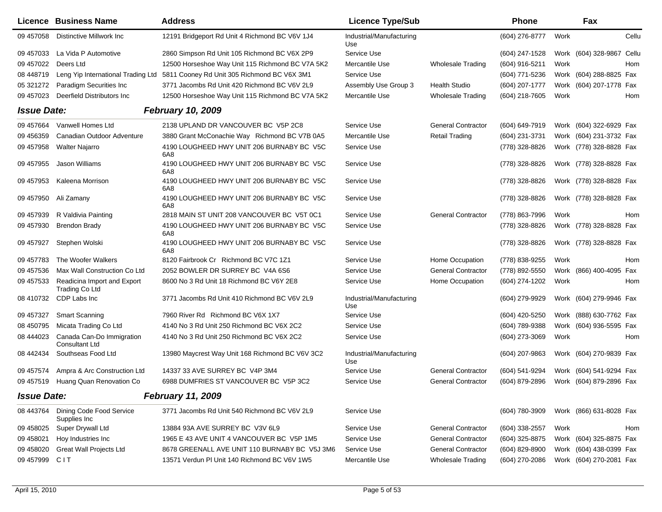|                    | <b>Licence Business Name</b>                         | <b>Address</b>                                   | <b>Licence Type/Sub</b>         |                           | <b>Phone</b>   |      | Fax                     |       |
|--------------------|------------------------------------------------------|--------------------------------------------------|---------------------------------|---------------------------|----------------|------|-------------------------|-------|
| 09 457058          | Distinctive Millwork Inc                             | 12191 Bridgeport Rd Unit 4 Richmond BC V6V 1J4   | Industrial/Manufacturing<br>Use |                           | (604) 276-8777 | Work |                         | Cellu |
| 09 457033          | La Vida P Automotive                                 | 2860 Simpson Rd Unit 105 Richmond BC V6X 2P9     | Service Use                     |                           | (604) 247-1528 |      | Work (604) 328-9867     | Cellu |
| 09 457022          | Deers Ltd                                            | 12500 Horseshoe Way Unit 115 Richmond BC V7A 5K2 | Mercantile Use                  | <b>Wholesale Trading</b>  | (604) 916-5211 | Work |                         | Hom   |
| 08 448719          | Leng Yip International Trading Ltd                   | 5811 Cooney Rd Unit 305 Richmond BC V6X 3M1      | Service Use                     |                           | (604) 771-5236 |      | Work (604) 288-8825 Fax |       |
| 05 321272          | Paradigm Securities Inc                              | 3771 Jacombs Rd Unit 420 Richmond BC V6V 2L9     | Assembly Use Group 3            | <b>Health Studio</b>      | (604) 207-1777 |      | Work (604) 207-1778 Fax |       |
| 09 457023          | Deerfield Distributors Inc                           | 12500 Horseshoe Way Unit 115 Richmond BC V7A 5K2 | Mercantile Use                  | <b>Wholesale Trading</b>  | (604) 218-7605 | Work |                         | Hom   |
| <b>Issue Date:</b> |                                                      | <b>February 10, 2009</b>                         |                                 |                           |                |      |                         |       |
| 09 457664          | Vanwell Homes Ltd                                    | 2138 UPLAND DR VANCOUVER BC V5P 2C8              | Service Use                     | <b>General Contractor</b> | (604) 649-7919 |      | Work (604) 322-6929 Fax |       |
| 09 45 6359         | Canadian Outdoor Adventure                           | 3880 Grant McConachie Way Richmond BC V7B 0A5    | Mercantile Use                  | <b>Retail Trading</b>     | (604) 231-3731 |      | Work (604) 231-3732 Fax |       |
| 09 457958          | <b>Walter Najarro</b>                                | 4190 LOUGHEED HWY UNIT 206 BURNABY BC V5C<br>6A8 | Service Use                     |                           | (778) 328-8826 |      | Work (778) 328-8828 Fax |       |
| 09 457955          | Jason Williams                                       | 4190 LOUGHEED HWY UNIT 206 BURNABY BC V5C<br>6A8 | Service Use                     |                           | (778) 328-8826 |      | Work (778) 328-8828 Fax |       |
| 09 457953          | Kaleena Morrison                                     | 4190 LOUGHEED HWY UNIT 206 BURNABY BC V5C<br>6A8 | Service Use                     |                           | (778) 328-8826 |      | Work (778) 328-8828 Fax |       |
| 09 457950          | Ali Zamany                                           | 4190 LOUGHEED HWY UNIT 206 BURNABY BC V5C<br>6A8 | Service Use                     |                           | (778) 328-8826 |      | Work (778) 328-8828 Fax |       |
| 09 457939          | R Valdivia Painting                                  | 2818 MAIN ST UNIT 208 VANCOUVER BC V5T 0C1       | Service Use                     | <b>General Contractor</b> | (778) 863-7996 | Work |                         | Hom   |
| 09 457930          | <b>Brendon Brady</b>                                 | 4190 LOUGHEED HWY UNIT 206 BURNABY BC V5C<br>6A8 | Service Use                     |                           | (778) 328-8826 |      | Work (778) 328-8828 Fax |       |
| 09 457927          | Stephen Wolski                                       | 4190 LOUGHEED HWY UNIT 206 BURNABY BC V5C<br>6A8 | Service Use                     |                           | (778) 328-8826 |      | Work (778) 328-8828 Fax |       |
| 09 457783          | The Woofer Walkers                                   | 8120 Fairbrook Cr Richmond BC V7C 1Z1            | Service Use                     | Home Occupation           | (778) 838-9255 | Work |                         | Hom   |
| 09 457536          | Max Wall Construction Co Ltd                         | 2052 BOWLER DR SURREY BC V4A 6S6                 | Service Use                     | <b>General Contractor</b> | (778) 892-5550 |      | Work (866) 400-4095 Fax |       |
| 09 457533          | Readicina Import and Export<br><b>Trading Co Ltd</b> | 8600 No 3 Rd Unit 18 Richmond BC V6Y 2E8         | Service Use                     | Home Occupation           | (604) 274-1202 | Work |                         | Hom   |
| 08 410732          | CDP Labs Inc                                         | 3771 Jacombs Rd Unit 410 Richmond BC V6V 2L9     | Industrial/Manufacturing<br>Use |                           | (604) 279-9929 |      | Work (604) 279-9946 Fax |       |
| 09 457327          | <b>Smart Scanning</b>                                | 7960 River Rd Richmond BC V6X 1X7                | Service Use                     |                           | (604) 420-5250 |      | Work (888) 630-7762 Fax |       |
| 08 450795          | Micata Trading Co Ltd                                | 4140 No 3 Rd Unit 250 Richmond BC V6X 2C2        | Service Use                     |                           | (604) 789-9388 |      | Work (604) 936-5595 Fax |       |
| 08 444023          | Canada Can-Do Immigration<br><b>Consultant Ltd</b>   | 4140 No 3 Rd Unit 250 Richmond BC V6X 2C2        | Service Use                     |                           | (604) 273-3069 | Work |                         | Hom   |
| 08 442434          | Southseas Food Ltd                                   | 13980 Maycrest Way Unit 168 Richmond BC V6V 3C2  | Industrial/Manufacturing<br>Use |                           | (604) 207-9863 |      | Work (604) 270-9839 Fax |       |
| 09 457574          | Ampra & Arc Construction Ltd                         | 14337 33 AVE SURREY BC V4P 3M4                   | Service Use                     | <b>General Contractor</b> | (604) 541-9294 |      | Work (604) 541-9294 Fax |       |
| 09 457519          | Huang Quan Renovation Co                             | 6988 DUMFRIES ST VANCOUVER BC V5P 3C2            | Service Use                     | <b>General Contractor</b> | (604) 879-2896 |      | Work (604) 879-2896 Fax |       |
| <b>Issue Date:</b> |                                                      | <b>February 11, 2009</b>                         |                                 |                           |                |      |                         |       |
| 08 443764          | Dining Code Food Service<br>Supplies Inc             | 3771 Jacombs Rd Unit 540 Richmond BC V6V 2L9     | Service Use                     |                           | (604) 780-3909 |      | Work (866) 631-8028 Fax |       |
| 09 458025          | Super Drywall Ltd                                    | 13884 93A AVE SURREY BC V3V 6L9                  | Service Use                     | <b>General Contractor</b> | (604) 338-2557 | Work |                         | Hom   |
| 09 458021          | Hoy Industries Inc                                   | 1965 E 43 AVE UNIT 4 VANCOUVER BC V5P 1M5        | Service Use                     | <b>General Contractor</b> | (604) 325-8875 |      | Work (604) 325-8875 Fax |       |
| 09 458020          | <b>Great Wall Projects Ltd</b>                       | 8678 GREENALL AVE UNIT 110 BURNABY BC V5J 3M6    | Service Use                     | <b>General Contractor</b> | (604) 829-8900 |      | Work (604) 438-0399 Fax |       |
| 09 457999          | <b>CIT</b>                                           | 13571 Verdun PI Unit 140 Richmond BC V6V 1W5     | Mercantile Use                  | <b>Wholesale Trading</b>  | (604) 270-2086 |      | Work (604) 270-2081 Fax |       |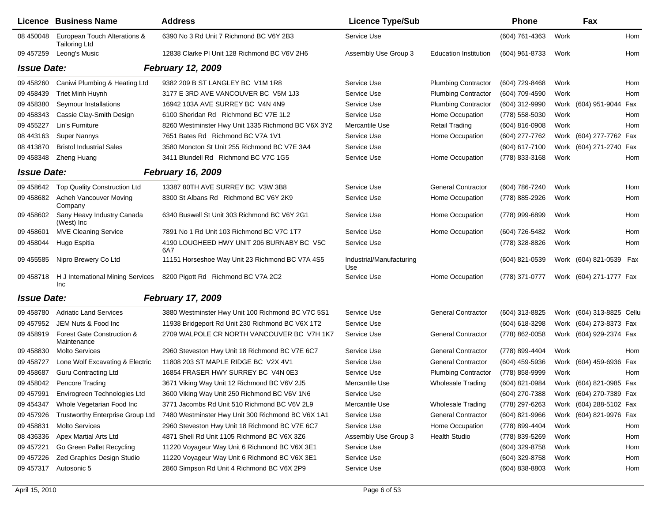|                    | <b>Licence Business Name</b>                         | <b>Address</b>                                     | <b>Licence Type/Sub</b>         |                              | <b>Phone</b>     |      | Fax                       |     |
|--------------------|------------------------------------------------------|----------------------------------------------------|---------------------------------|------------------------------|------------------|------|---------------------------|-----|
| 08 450048          | European Touch Alterations &<br><b>Tailoring Ltd</b> | 6390 No 3 Rd Unit 7 Richmond BC V6Y 2B3            | Service Use                     |                              | (604) 761-4363   | Work |                           | Hom |
| 09 457259          | Leong's Music                                        | 12838 Clarke PI Unit 128 Richmond BC V6V 2H6       | Assembly Use Group 3            | <b>Education Institution</b> | (604) 961-8733   | Work |                           | Hom |
| <b>Issue Date:</b> |                                                      | <b>February 12, 2009</b>                           |                                 |                              |                  |      |                           |     |
| 09 458260          | Caniwi Plumbing & Heating Ltd                        | 9382 209 B ST LANGLEY BC V1M 1R8                   | Service Use                     | <b>Plumbing Contractor</b>   | (604) 729-8468   | Work |                           | Hom |
| 09 45 84 39        | <b>Triet Minh Huynh</b>                              | 3177 E 3RD AVE VANCOUVER BC V5M 1J3                | Service Use                     | <b>Plumbing Contractor</b>   | (604) 709-4590   | Work |                           | Hom |
| 09 458380          | Seymour Installations                                | 16942 103A AVE SURREY BC V4N 4N9                   | Service Use                     | <b>Plumbing Contractor</b>   | (604) 312-9990   |      | Work (604) 951-9044 Fax   |     |
| 09 458343          | Cassie Clay-Smith Design                             | 6100 Sheridan Rd Richmond BC V7E 1L2               | Service Use                     | Home Occupation              | (778) 558-5030   | Work |                           | Hom |
| 09 455227          | Lin's Furniture                                      | 8260 Westminster Hwy Unit 1335 Richmond BC V6X 3Y2 | Mercantile Use                  | <b>Retail Trading</b>        | $(604)$ 816-0908 | Work |                           | Hom |
| 08 443163          | Super Nannys                                         | 7651 Bates Rd Richmond BC V7A 1V1                  | Service Use                     | Home Occupation              | (604) 277-7762   |      | Work (604) 277-7762 Fax   |     |
| 08 413870          | <b>Bristol Industrial Sales</b>                      | 3580 Moncton St Unit 255 Richmond BC V7E 3A4       | Service Use                     |                              | (604) 617-7100   |      | Work (604) 271-2740 Fax   |     |
| 09 458348          | Zheng Huang                                          | 3411 Blundell Rd Richmond BC V7C 1G5               | Service Use                     | Home Occupation              | (778) 833-3168   | Work |                           | Hom |
| <b>Issue Date:</b> |                                                      | <b>February 16, 2009</b>                           |                                 |                              |                  |      |                           |     |
| 09 458642          | Top Quality Construction Ltd                         | 13387 80TH AVE SURREY BC V3W 3B8                   | Service Use                     | <b>General Contractor</b>    | (604) 786-7240   | Work |                           | Hom |
| 09 458682          | Acheh Vancouver Moving<br>Company                    | 8300 St Albans Rd Richmond BC V6Y 2K9              | Service Use                     | Home Occupation              | (778) 885-2926   | Work |                           | Hom |
| 09 458602          | Sany Heavy Industry Canada<br>(West) Inc             | 6340 Buswell St Unit 303 Richmond BC V6Y 2G1       | Service Use                     | Home Occupation              | (778) 999-6899   | Work |                           | Hom |
| 09 458601          | <b>MVE Cleaning Service</b>                          | 7891 No 1 Rd Unit 103 Richmond BC V7C 1T7          | Service Use                     | Home Occupation              | (604) 726-5482   | Work |                           | Hom |
| 09 458044          | Hugo Espitia                                         | 4190 LOUGHEED HWY UNIT 206 BURNABY BC V5C<br>6A7   | Service Use                     |                              | (778) 328-8826   | Work |                           | Hom |
| 09 455585          | Nipro Brewery Co Ltd                                 | 11151 Horseshoe Way Unit 23 Richmond BC V7A 4S5    | Industrial/Manufacturing<br>Use |                              | (604) 821-0539   |      | Work (604) 821-0539 Fax   |     |
| 09 45 8718         | H J International Mining Services<br>Inc             | 8200 Pigott Rd Richmond BC V7A 2C2                 | Service Use                     | Home Occupation              | (778) 371-0777   |      | Work (604) 271-1777 Fax   |     |
| <b>Issue Date:</b> |                                                      | <b>February 17, 2009</b>                           |                                 |                              |                  |      |                           |     |
| 09 458780          | <b>Adriatic Land Services</b>                        | 3880 Westminster Hwy Unit 100 Richmond BC V7C 5S1  | Service Use                     | <b>General Contractor</b>    | (604) 313-8825   |      | Work (604) 313-8825 Cellu |     |
| 09 457952          | JEM Nuts & Food Inc                                  | 11938 Bridgeport Rd Unit 230 Richmond BC V6X 1T2   | Service Use                     |                              | (604) 618-3298   |      | Work (604) 273-8373 Fax   |     |
| 09 458919          | Forest Gate Construction &<br>Maintenance            | 2709 WALPOLE CR NORTH VANCOUVER BC V7H 1K7         | Service Use                     | <b>General Contractor</b>    | (778) 862-0058   |      | Work (604) 929-2374 Fax   |     |
| 09 458830          | <b>Molto Services</b>                                | 2960 Steveston Hwy Unit 18 Richmond BC V7E 6C7     | Service Use                     | <b>General Contractor</b>    | (778) 899-4404   | Work |                           | Hom |
| 09 45 8727         | Lone Wolf Excavating & Electric                      | 11808 203 ST MAPLE RIDGE BC V2X 4V1                | Service Use                     | <b>General Contractor</b>    | (604) 459-5936   |      | Work (604) 459-6936 Fax   |     |
| 09 458687          | <b>Guru Contracting Ltd</b>                          | 16854 FRASER HWY SURREY BC V4N 0E3                 | Service Use                     | <b>Plumbing Contractor</b>   | (778) 858-9999   | Work |                           | Hom |
| 09 458042          | Pencore Trading                                      | 3671 Viking Way Unit 12 Richmond BC V6V 2J5        | Mercantile Use                  | <b>Wholesale Trading</b>     | (604) 821-0984   |      | Work (604) 821-0985 Fax   |     |
| 09 457991          | Envirogreen Technologies Ltd                         | 3600 Viking Way Unit 250 Richmond BC V6V 1N6       | Service Use                     |                              | (604) 270-7388   |      | Work (604) 270-7389 Fax   |     |
| 09 454347          | Whole Vegetarian Food Inc                            | 3771 Jacombs Rd Unit 510 Richmond BC V6V 2L9       | Mercantile Use                  | <b>Wholesale Trading</b>     | (778) 297-6263   |      | Work (604) 288-5102 Fax   |     |
| 09 457926          | Trustworthy Enterprise Group Ltd                     | 7480 Westminster Hwy Unit 300 Richmond BC V6X 1A1  | Service Use                     | <b>General Contractor</b>    | (604) 821-9966   |      | Work (604) 821-9976 Fax   |     |
| 09 458831          | <b>Molto Services</b>                                | 2960 Steveston Hwy Unit 18 Richmond BC V7E 6C7     | Service Use                     | Home Occupation              | (778) 899-4404   | Work |                           | Hom |
| 08 436336          | Apex Martial Arts Ltd                                | 4871 Shell Rd Unit 1105 Richmond BC V6X 3Z6        | Assembly Use Group 3            | Health Studio                | (778) 839-5269   | Work |                           | Hom |
| 09 457221          | Go Green Pallet Recycling                            | 11220 Voyageur Way Unit 6 Richmond BC V6X 3E1      | Service Use                     |                              | (604) 329-8758   | Work |                           | Hom |
| 09 457226          | Zed Graphics Design Studio                           | 11220 Voyageur Way Unit 6 Richmond BC V6X 3E1      | Service Use                     |                              | (604) 329-8758   | Work |                           | Hom |
| 09 457317          | Autosonic 5                                          | 2860 Simpson Rd Unit 4 Richmond BC V6X 2P9         | Service Use                     |                              | (604) 838-8803   | Work |                           | Hom |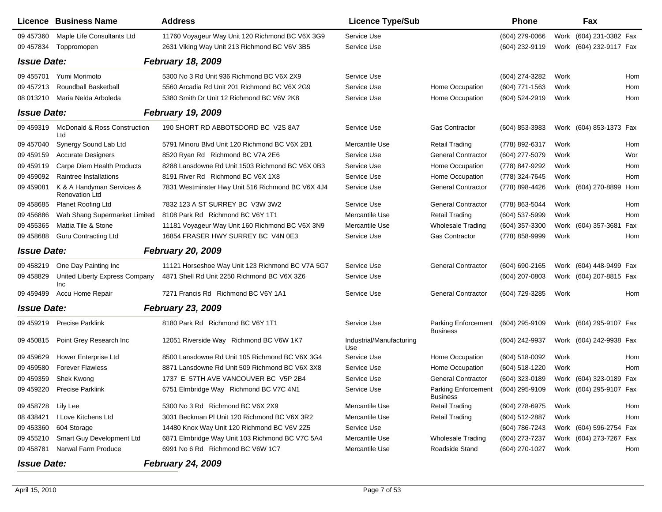|                    | <b>Licence Business Name</b>                       | <b>Address</b>                                    | <b>Licence Type/Sub</b>         |                                        | <b>Phone</b>     |      | Fax                     |     |
|--------------------|----------------------------------------------------|---------------------------------------------------|---------------------------------|----------------------------------------|------------------|------|-------------------------|-----|
| 09 457360          | Maple Life Consultants Ltd                         | 11760 Voyageur Way Unit 120 Richmond BC V6X 3G9   | Service Use                     |                                        | (604) 279-0066   |      | Work (604) 231-0382 Fax |     |
| 09 457834          | Toppromopen                                        | 2631 Viking Way Unit 213 Richmond BC V6V 3B5      | Service Use                     |                                        | (604) 232-9119   |      | Work (604) 232-9117 Fax |     |
| <b>Issue Date:</b> |                                                    | <b>February 18, 2009</b>                          |                                 |                                        |                  |      |                         |     |
| 09 455701          | Yumi Morimoto                                      | 5300 No 3 Rd Unit 936 Richmond BC V6X 2X9         | Service Use                     |                                        | (604) 274-3282   | Work |                         | Hom |
| 09 457213          | Roundball Basketball                               | 5560 Arcadia Rd Unit 201 Richmond BC V6X 2G9      | Service Use                     | Home Occupation                        | (604) 771-1563   | Work |                         | Hom |
| 08 013210          | Maria Nelda Arboleda                               | 5380 Smith Dr Unit 12 Richmond BC V6V 2K8         | Service Use                     | Home Occupation                        | (604) 524-2919   | Work |                         | Hom |
| <b>Issue Date:</b> |                                                    | <b>February 19, 2009</b>                          |                                 |                                        |                  |      |                         |     |
| 09 459319          | McDonald & Ross Construction<br>Ltd                | 190 SHORT RD ABBOTSDORD BC V2S 8A7                | Service Use                     | <b>Gas Contractor</b>                  | $(604)$ 853-3983 |      | Work (604) 853-1373 Fax |     |
| 09 457040          | Synergy Sound Lab Ltd                              | 5791 Minoru Blvd Unit 120 Richmond BC V6X 2B1     | Mercantile Use                  | <b>Retail Trading</b>                  | (778) 892-6317   | Work |                         | Hom |
| 09 45 915 9        | <b>Accurate Designers</b>                          | 8520 Ryan Rd Richmond BC V7A 2E6                  | Service Use                     | <b>General Contractor</b>              | (604) 277-5079   | Work |                         | Wor |
| 09 459119          | Carpe Diem Health Products                         | 8288 Lansdowne Rd Unit 1503 Richmond BC V6X 0B3   | Service Use                     | Home Occupation                        | (778) 847-9292   | Work |                         | Hom |
| 09 459092          | Raintree Installations                             | 8191 River Rd Richmond BC V6X 1X8                 | Service Use                     | Home Occupation                        | (778) 324-7645   | Work |                         | Hom |
| 09 459081          | K & A Handyman Services &<br><b>Renovation Ltd</b> | 7831 Westminster Hwy Unit 516 Richmond BC V6X 4J4 | Service Use                     | <b>General Contractor</b>              | (778) 898-4426   |      | Work (604) 270-8899 Hom |     |
| 09 458685          | <b>Planet Roofing Ltd</b>                          | 7832 123 A ST SURREY BC V3W 3W2                   | Service Use                     | <b>General Contractor</b>              | (778) 863-5044   | Work |                         | Hom |
| 09 45 6886         | Wah Shang Supermarket Limited                      | 8108 Park Rd Richmond BC V6Y 1T1                  | Mercantile Use                  | <b>Retail Trading</b>                  | (604) 537-5999   | Work |                         | Hom |
| 09 455365          | Mattia Tile & Stone                                | 11181 Voyageur Way Unit 160 Richmond BC V6X 3N9   | Mercantile Use                  | <b>Wholesale Trading</b>               | (604) 357-3300   |      | Work (604) 357-3681     | Fax |
| 09 458688          | <b>Guru Contracting Ltd</b>                        | 16854 FRASER HWY SURREY BC V4N 0E3                | Service Use                     | <b>Gas Contractor</b>                  | (778) 858-9999   | Work |                         | Hom |
| <b>Issue Date:</b> |                                                    | <b>February 20, 2009</b>                          |                                 |                                        |                  |      |                         |     |
| 09 45 8219         | One Day Painting Inc                               | 11121 Horseshoe Way Unit 123 Richmond BC V7A 5G7  | Service Use                     | <b>General Contractor</b>              | (604) 690-2165   |      | Work (604) 448-9499 Fax |     |
| 09 458829          | United Liberty Express Company<br>Inc              | 4871 Shell Rd Unit 2250 Richmond BC V6X 3Z6       | Service Use                     |                                        | (604) 207-0803   |      | Work (604) 207-8815 Fax |     |
| 09 45 94 99        | Accu Home Repair                                   | 7271 Francis Rd Richmond BC V6Y 1A1               | Service Use                     | <b>General Contractor</b>              | (604) 729-3285   | Work |                         | Hom |
| <b>Issue Date:</b> |                                                    | <b>February 23, 2009</b>                          |                                 |                                        |                  |      |                         |     |
| 09 459219          | <b>Precise Parklink</b>                            | 8180 Park Rd Richmond BC V6Y 1T1                  | Service Use                     | Parking Enforcement<br><b>Business</b> | (604) 295-9109   |      | Work (604) 295-9107 Fax |     |
| 09 450815          | Point Grey Research Inc                            | 12051 Riverside Way Richmond BC V6W 1K7           | Industrial/Manufacturing<br>Use |                                        | (604) 242-9937   |      | Work (604) 242-9938 Fax |     |
| 09 45 96 29        | Hower Enterprise Ltd                               | 8500 Lansdowne Rd Unit 105 Richmond BC V6X 3G4    | <b>Service Use</b>              | Home Occupation                        | (604) 518-0092   | Work |                         | Hom |
| 09 459580          | <b>Forever Flawless</b>                            | 8871 Lansdowne Rd Unit 509 Richmond BC V6X 3X8    | Service Use                     | Home Occupation                        | (604) 518-1220   | Work |                         | Hom |
| 09 459359          | Shek Kwong                                         | 1737 E 57TH AVE VANCOUVER BC V5P 2B4              | Service Use                     | <b>General Contractor</b>              | (604) 323-0189   |      | Work (604) 323-0189 Fax |     |
| 09 459220          | <b>Precise Parklink</b>                            | 6751 Elmbridge Way Richmond BC V7C 4N1            | Service Use                     | Parking Enforcement<br><b>Business</b> | (604) 295-9109   |      | Work (604) 295-9107 Fax |     |
| 09 458728 Lily Lee |                                                    | 5300 No 3 Rd Richmond BC V6X 2X9                  | Mercantile Use                  | <b>Retail Trading</b>                  | (604) 278-6975   | Work |                         | Hom |
| 08 438421          | I Love Kitchens Ltd                                | 3031 Beckman PI Unit 120 Richmond BC V6X 3R2      | Mercantile Use                  | <b>Retail Trading</b>                  | (604) 512-2887   | Work |                         | Hom |
| 09 453360          | 604 Storage                                        | 14480 Knox Way Unit 120 Richmond BC V6V 2Z5       | Service Use                     |                                        | (604) 786-7243   |      | Work (604) 596-2754 Fax |     |
| 09 455210          | Smart Guy Development Ltd                          | 6871 Elmbridge Way Unit 103 Richmond BC V7C 5A4   | Mercantile Use                  | <b>Wholesale Trading</b>               | (604) 273-7237   |      | Work (604) 273-7267 Fax |     |
| 09 458781          | Narwal Farm Produce                                | 6991 No 6 Rd Richmond BC V6W 1C7                  | Mercantile Use                  | Roadside Stand                         | (604) 270-1027   | Work |                         | Hom |
| <b>Issue Date:</b> |                                                    | <b>February 24, 2009</b>                          |                                 |                                        |                  |      |                         |     |

*Issue Date:*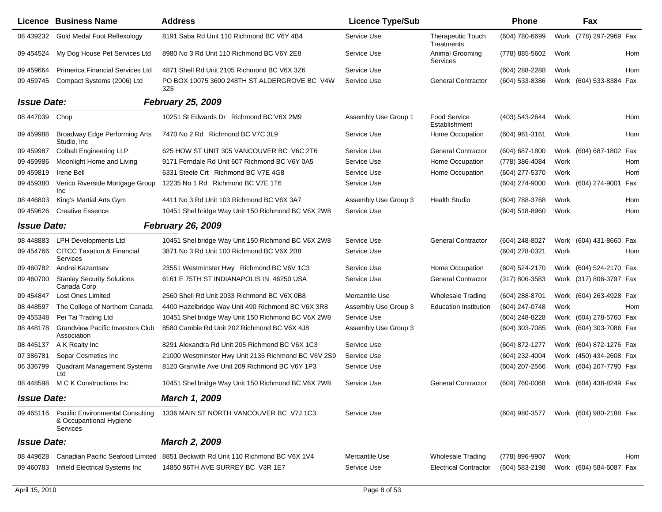|                    | <b>Licence Business Name</b>                                                   | <b>Address</b>                                      | <b>Licence Type/Sub</b> |                                        | <b>Phone</b>       |      | Fax                     |
|--------------------|--------------------------------------------------------------------------------|-----------------------------------------------------|-------------------------|----------------------------------------|--------------------|------|-------------------------|
| 08 439232          | Gold Medal Foot Reflexology                                                    | 8191 Saba Rd Unit 110 Richmond BC V6Y 4B4           | Service Use             | <b>Therapeutic Touch</b><br>Treatments | (604) 780-6699     |      | Work (778) 297-2969 Fax |
| 09 454524          | My Dog House Pet Services Ltd                                                  | 8980 No 3 Rd Unit 110 Richmond BC V6Y 2E8           | Service Use             | Animal Grooming<br>Services            | (778) 885-5602     | Work | Hom                     |
| 09 45 9664         | Primerica Financial Services Ltd                                               | 4871 Shell Rd Unit 2105 Richmond BC V6X 3Z6         | Service Use             |                                        | (604) 288-2288     | Work | Hom                     |
| 09 459745          | Compact Systems (2006) Ltd                                                     | PO BOX 10075 3600 248TH ST ALDERGROVE BC V4W<br>3Z5 | Service Use             | <b>General Contractor</b>              | (604) 533-8386     |      | Work (604) 533-8384 Fax |
| <b>Issue Date:</b> |                                                                                | <b>February 25, 2009</b>                            |                         |                                        |                    |      |                         |
| 08 447039          | Chop                                                                           | 10251 St Edwards Dr Richmond BC V6X 2M9             | Assembly Use Group 1    | Food Service<br>Establishment          | (403) 543-2644     | Work | Hom                     |
| 09 459988          | Broadway Edge Performing Arts<br>Studio, Inc.                                  | 7470 No 2 Rd Richmond BC V7C 3L9                    | Service Use             | Home Occupation                        | $(604)$ 961-3161   | Work | Hom                     |
| 09 459987          | <b>Colbalt Engineering LLP</b>                                                 | 625 HOW ST UNIT 305 VANCOUVER BC V6C 2T6            | Service Use             | <b>General Contractor</b>              | $(604)$ 687-1800   |      | Work (604) 687-1802 Fax |
| 09 459986          | Moonlight Home and Living                                                      | 9171 Ferndale Rd Unit 607 Richmond BC V6Y 0A5       | Service Use             | Home Occupation                        | (778) 386-4084     | Work | Hom                     |
| 09 45 98 19        | Irene Bell                                                                     | 6331 Steele Crt Richmond BC V7E 4G8                 | Service Use             | Home Occupation                        | (604) 277-5370     | Work | Hom                     |
| 09 459380          | Verico Riverside Mortgage Group<br>Inc                                         | 12235 No 1 Rd Richmond BC V7E 1T6                   | Service Use             |                                        | (604) 274-9000     |      | Work (604) 274-9001 Fax |
| 08 44 68 03        | King's Martial Arts Gym                                                        | 4411 No 3 Rd Unit 103 Richmond BC V6X 3A7           | Assembly Use Group 3    | <b>Health Studio</b>                   | (604) 788-3768     | Work | Hom                     |
| 09 459 626         | <b>Creative Essence</b>                                                        | 10451 Shel bridge Way Unit 150 Richmond BC V6X 2W8  | Service Use             |                                        | (604) 518-8960     | Work | Hom                     |
| <b>Issue Date:</b> |                                                                                | <b>February 26, 2009</b>                            |                         |                                        |                    |      |                         |
| 08 448883          | <b>LPH Developments Ltd</b>                                                    | 10451 Shel bridge Way Unit 150 Richmond BC V6X 2W8  | Service Use             | <b>General Contractor</b>              | (604) 248-8027     |      | Work (604) 431-8660 Fax |
| 09 454766          | <b>CITCC Taxation &amp; Financial</b><br><b>Services</b>                       | 3871 No 3 Rd Unit 100 Richmond BC V6X 2B8           | Service Use             |                                        | (604) 278-0321     | Work | Hom                     |
| 09 460782          | Andrei Kazantsev                                                               | 23551 Westminster Hwy Richmond BC V6V 1C3           | Service Use             | Home Occupation                        | (604) 524-2170     |      | Work (604) 524-2170 Fax |
| 09 460700          | <b>Stanley Security Solutions</b><br>Canada Corp                               | 6161 E 75TH ST INDIANAPOLIS IN 46250 USA            | Service Use             | <b>General Contractor</b>              | $(317) 806 - 3583$ |      | Work (317) 806-3797 Fax |
| 09 454847          | Lost Ones Limited                                                              | 2560 Shell Rd Unit 2033 Richmond BC V6X 0B8         | Mercantile Use          | <b>Wholesale Trading</b>               | (604) 288-8701     |      | Work (604) 263-4928 Fax |
| 08 448597          | The College of Northern Canada                                                 | 4400 Hazelbridge Way Unit 490 Richmond BC V6X 3R8   | Assembly Use Group 3    | <b>Education Institution</b>           | (604) 247-0748     | Work | Hom                     |
| 09 455348          | Pei Tai Trading Ltd                                                            | 10451 Shel bridge Way Unit 150 Richmond BC V6X 2W8  | Service Use             |                                        | (604) 248-8228     |      | Work (604) 278-5760 Fax |
| 08 448178          | <b>Grandview Pacific Investors Club</b><br>Association                         | 8580 Cambie Rd Unit 202 Richmond BC V6X 4J8         | Assembly Use Group 3    |                                        | (604) 303-7085     |      | Work (604) 303-7086 Fax |
| 08 445137          | A K Realty Inc                                                                 | 8291 Alexandra Rd Unit 205 Richmond BC V6X 1C3      | Service Use             |                                        | (604) 872-1277     |      | Work (604) 872-1276 Fax |
| 07 386781          | Sopar Cosmetics Inc                                                            | 21000 Westminster Hwy Unit 2135 Richmond BC V6V 2S9 | Service Use             |                                        | (604) 232-4004     |      | Work (450) 434-2608 Fax |
| 06 33 6799         | Quadrant Management Systems<br>Ltd                                             | 8120 Granville Ave Unit 209 Richmond BC V6Y 1P3     | Service Use             |                                        | (604) 207-2566     |      | Work (604) 207-7790 Fax |
| 08 448598          | M C K Constructions Inc.                                                       | 10451 Shel bridge Way Unit 150 Richmond BC V6X 2W8  | Service Use             | <b>General Contractor</b>              | (604) 760-0068     |      | Work (604) 438-8249 Fax |
| <b>Issue Date:</b> |                                                                                | March 1, 2009                                       |                         |                                        |                    |      |                         |
| 09 465116          | <b>Pacific Environmental Consulting</b><br>& Occupantional Hygiene<br>Services | 1336 MAIN ST NORTH VANCOUVER BC V7J 1C3             | Service Use             |                                        | (604) 980-3577     |      | Work (604) 980-2188 Fax |
| <b>Issue Date:</b> |                                                                                | <b>March 2, 2009</b>                                |                         |                                        |                    |      |                         |
| 08 449628          | Canadian Pacific Seafood Limited                                               | 8851 Beckwith Rd Unit 110 Richmond BC V6X 1V4       | Mercantile Use          | <b>Wholesale Trading</b>               | (778) 896-9907     | Work | Hom                     |
| 09 460783          | Infield Electrical Systems Inc                                                 | 14850 96TH AVE SURREY BC V3R 1E7                    | Service Use             | <b>Electrical Contractor</b>           | (604) 583-2198     |      | Work (604) 584-6087 Fax |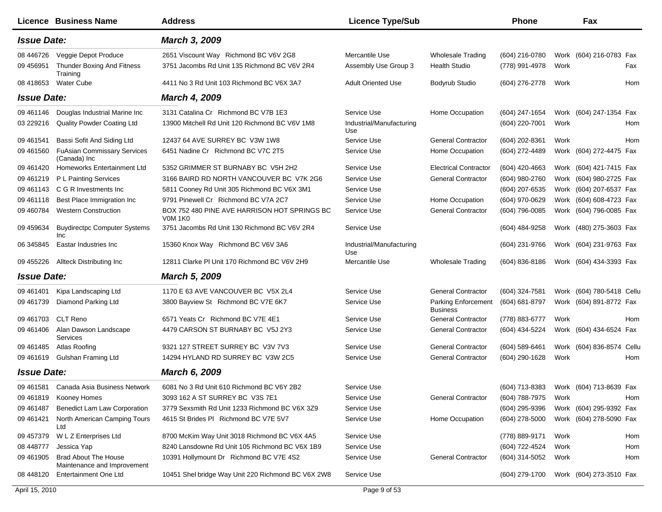|                    | Licence Business Name                                      | <b>Address</b>                                          | <b>Licence Type/Sub</b>         |                                        | <b>Phone</b>   |      | Fax                                    |
|--------------------|------------------------------------------------------------|---------------------------------------------------------|---------------------------------|----------------------------------------|----------------|------|----------------------------------------|
| <b>Issue Date:</b> |                                                            | March 3, 2009                                           |                                 |                                        |                |      |                                        |
| 08 446726          | Veggie Depot Produce                                       | 2651 Viscount Way Richmond BC V6V 2G8                   | Mercantile Use                  | <b>Wholesale Trading</b>               | (604) 216-0780 |      | Work (604) 216-0783 Fax                |
| 09 45 6951         | <b>Thunder Boxing And Fitness</b><br>Training              | 3751 Jacombs Rd Unit 135 Richmond BC V6V 2R4            | Assembly Use Group 3            | <b>Health Studio</b>                   | (778) 991-4978 | Work | Fax                                    |
| 08 418 653         | <b>Water Cube</b>                                          | 4411 No 3 Rd Unit 103 Richmond BC V6X 3A7               | <b>Adult Oriented Use</b>       | Bodyrub Studio                         | (604) 276-2778 | Work | Hom                                    |
| <b>Issue Date:</b> |                                                            | <b>March 4, 2009</b>                                    |                                 |                                        |                |      |                                        |
| 09 461146          | Douglas Industrial Marine Inc                              | 3131 Catalina Cr Richmond BC V7B 1E3                    | Service Use                     | Home Occupation                        | (604) 247-1654 |      | Work (604) 247-1354 Fax                |
| 03 229216          | <b>Quality Powder Coating Ltd</b>                          | 13900 Mitchell Rd Unit 120 Richmond BC V6V 1M8          | Industrial/Manufacturing<br>Use |                                        | (604) 220-7001 | Work | Hom                                    |
| 09 461541          | Bassi Sofit And Siding Ltd                                 | 12437 64 AVE SURREY BC V3W 1W8                          | Service Use                     | <b>General Contractor</b>              | (604) 202-8361 | Work | Hom                                    |
| 09 461560          | <b>FuAsian Commissary Services</b><br>(Canada) Inc         | 6451 Nadine Cr Richmond BC V7C 2T5                      | Service Use                     | Home Occupation                        | (604) 272-4489 |      | Work (604) 272-4475 Fax                |
| 09 461420          | Homeworks Entertainment Ltd                                | 5352 GRIMMER ST BURNABY BC V5H 2H2                      | Service Use                     | <b>Electrical Contractor</b>           | (604) 420-4663 |      | Work (604) 421-7415 Fax                |
| 09 461219          | P L Painting Services                                      | 3166 BAIRD RD NORTH VANCOUVER BC V7K 2G6                | Service Use                     | <b>General Contractor</b>              | (604) 980-2760 |      | Work (604) 980-2725 Fax                |
| 09 461143          | C G R Investments Inc.                                     | 5811 Cooney Rd Unit 305 Richmond BC V6X 3M1             | Service Use                     |                                        | (604) 207-6535 |      | Work (604) 207-6537 Fax                |
| 09 461118          | Best Place Immigration Inc                                 | 9791 Pinewell Cr Richmond BC V7A 2C7                    | Service Use                     | Home Occupation                        | (604) 970-0629 |      | Work (604) 608-4723 Fax                |
| 09 460784          | <b>Western Construction</b>                                | BOX 752 480 PINE AVE HARRISON HOT SPRINGS BC<br>VOM 1KO | Service Use                     | <b>General Contractor</b>              | (604) 796-0085 |      | Work (604) 796-0085 Fax                |
| 09 459 634         | <b>Buydirectpc Computer Systems</b><br>Inc                 | 3751 Jacombs Rd Unit 130 Richmond BC V6V 2R4            | Service Use                     |                                        | (604) 484-9258 |      | Work (480) 275-3603 Fax                |
| 06 345845          | Eastar Industries Inc                                      | 15360 Knox Way Richmond BC V6V 3A6                      | Industrial/Manufacturing<br>Use |                                        | (604) 231-9766 |      | Work (604) 231-9763 Fax                |
| 09 455226          | <b>Allteck Distributing Inc</b>                            | 12811 Clarke PI Unit 170 Richmond BC V6V 2H9            | Mercantile Use                  | <b>Wholesale Trading</b>               | (604) 836-8186 |      | Work (604) 434-3393 Fax                |
| <b>Issue Date:</b> |                                                            | <b>March 5, 2009</b>                                    |                                 |                                        |                |      |                                        |
| 09 461401          | Kipa Landscaping Ltd                                       | 1170 E 63 AVE VANCOUVER BC V5X 2L4                      | Service Use                     | <b>General Contractor</b>              | (604) 324-7581 |      | Work (604) 780-5418 Cellu              |
| 09 461739          | Diamond Parking Ltd                                        | 3800 Bayview St Richmond BC V7E 6K7                     | Service Use                     | Parking Enforcement<br><b>Business</b> | (604) 681-8797 |      | Work (604) 891-8772 Fax                |
| 09 461703          | CLT Reno                                                   | 6571 Yeats Cr Richmond BC V7E 4E1                       | Service Use                     | <b>General Contractor</b>              | (778) 883-6777 | Work | Hom                                    |
| 09 461406          | Alan Dawson Landscape<br>Services                          | 4479 CARSON ST BURNABY BC V5J 2Y3                       | Service Use                     | <b>General Contractor</b>              | (604) 434-5224 |      | Work (604) 434-6524 Fax                |
| 09 461 485         | Atlas Roofing                                              | 9321 127 STREET SURREY BC V3V 7V3                       | Service Use                     | <b>General Contractor</b>              | (604) 589-6461 |      | Work (604) 836-8574 Cellu              |
| 09 46 16 19        | Gulshan Framing Ltd                                        | 14294 HYLAND RD SURREY BC V3W 2C5                       | Service Use                     | <b>General Contractor</b>              | (604) 290-1628 | Work | Hom                                    |
| <b>Issue Date:</b> |                                                            | <b>March 6, 2009</b>                                    |                                 |                                        |                |      |                                        |
|                    | 09 461581 Canada Asia Business Network                     | 6081 No 3 Rd Unit 610 Richmond BC V6Y 2B2               | Service Use                     |                                        |                |      | (604) 713-8383 Work (604) 713-8639 Fax |
| 09 461819          | Kooney Homes                                               | 3093 162 A ST SURREY BC V3S 7E1                         | Service Use                     | <b>General Contractor</b>              | (604) 788-7975 | Work | Hom                                    |
| 09 461 487         | Benedict Lam Law Corporation                               | 3779 Sexsmith Rd Unit 1233 Richmond BC V6X 3Z9          | Service Use                     |                                        | (604) 295-9396 |      | Work (604) 295-9392 Fax                |
| 09 461421          | North American Camping Tours<br>Ltd                        | 4615 St Brides PI Richmond BC V7E 5V7                   | Service Use                     | Home Occupation                        | (604) 278-5000 |      | Work (604) 278-5090 Fax                |
| 09 457379          | W L Z Enterprises Ltd                                      | 8700 McKim Way Unit 3018 Richmond BC V6X 4A5            | Service Use                     |                                        | (778) 889-9171 | Work | Hom                                    |
| 08 448777          | Jessica Yap                                                | 8240 Lansdowne Rd Unit 105 Richmond BC V6X 1B9          | Service Use                     |                                        | (604) 722-4524 | Work | Hom                                    |
| 09 461905          | <b>Brad About The House</b><br>Maintenance and Improvement | 10391 Hollymount Dr Richmond BC V7E 4S2                 | Service Use                     | <b>General Contractor</b>              | (604) 314-5052 | Work | Hom                                    |
| 08 448120          | <b>Entertainment One Ltd</b>                               | 10451 Shel bridge Way Unit 220 Richmond BC V6X 2W8      | Service Use                     |                                        | (604) 279-1700 |      | Work (604) 273-3510 Fax                |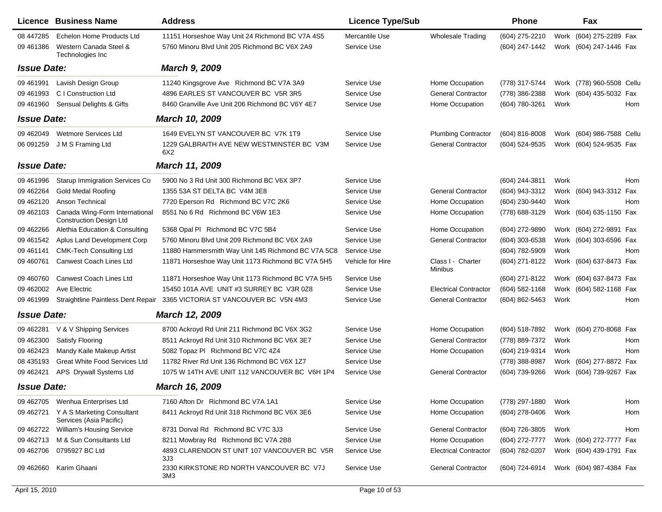|                        | <b>Licence Business Name</b>                                            | <b>Address</b>                                                                                   | <b>Licence Type/Sub</b>       |                              | <b>Phone</b>                     |      | Fax                                                |     |
|------------------------|-------------------------------------------------------------------------|--------------------------------------------------------------------------------------------------|-------------------------------|------------------------------|----------------------------------|------|----------------------------------------------------|-----|
| 08 447285<br>09 461386 | Echelon Home Products Ltd<br>Western Canada Steel &<br>Technologies Inc | 11151 Horseshoe Way Unit 24 Richmond BC V7A 4S5<br>5760 Minoru Blvd Unit 205 Richmond BC V6X 2A9 | Mercantile Use<br>Service Use | <b>Wholesale Trading</b>     | (604) 275-2210<br>(604) 247-1442 |      | Work (604) 275-2289 Fax<br>Work (604) 247-1446 Fax |     |
| <b>Issue Date:</b>     |                                                                         | <b>March 9, 2009</b>                                                                             |                               |                              |                                  |      |                                                    |     |
| 09 461991              | Lavish Design Group                                                     | 11240 Kingsgrove Ave Richmond BC V7A 3A9                                                         | Service Use                   | Home Occupation              | (778) 317-5744                   |      | Work (778) 960-5508 Cellu                          |     |
| 09 461993              | C I Construction Ltd                                                    | 4896 EARLES ST VANCOUVER BC V5R 3R5                                                              | Service Use                   | <b>General Contractor</b>    | (778) 386-2388                   |      | Work (604) 435-5032 Fax                            |     |
| 09 461 960             | Sensual Delights & Gifts                                                | 8460 Granville Ave Unit 206 Richmond BC V6Y 4E7                                                  | Service Use                   | Home Occupation              | (604) 780-3261                   | Work |                                                    | Hom |
| <b>Issue Date:</b>     |                                                                         | March 10, 2009                                                                                   |                               |                              |                                  |      |                                                    |     |
| 09 46 2049             | Wetmore Services Ltd                                                    | 1649 EVELYN ST VANCOUVER BC V7K 1T9                                                              | Service Use                   | <b>Plumbing Contractor</b>   | $(604)$ 816-8008                 |      | Work (604) 986-7588 Cellu                          |     |
| 06 091259              | J M S Framing Ltd                                                       | 1229 GALBRAITH AVE NEW WESTMINSTER BC V3M<br>6X2                                                 | Service Use                   | <b>General Contractor</b>    | (604) 524-9535                   |      | Work (604) 524-9535 Fax                            |     |
| <b>Issue Date:</b>     |                                                                         | March 11, 2009                                                                                   |                               |                              |                                  |      |                                                    |     |
| 09 461 996             | <b>Starup Immigration Services Co</b>                                   | 5900 No 3 Rd Unit 300 Richmond BC V6X 3P7                                                        | Service Use                   |                              | (604) 244-3811                   | Work |                                                    | Hom |
| 09 462264              | <b>Gold Medal Roofing</b>                                               | 1355 53A ST DELTA BC V4M 3E8                                                                     | Service Use                   | <b>General Contractor</b>    | (604) 943-3312                   |      | Work (604) 943-3312 Fax                            |     |
| 09 462120              | Anson Technical                                                         | 7720 Eperson Rd Richmond BC V7C 2K6                                                              | Service Use                   | Home Occupation              | (604) 230-9440                   | Work |                                                    | Hom |
| 09 462103              | Canada Wing-Form International<br><b>Construction Design Ltd</b>        | 8551 No 6 Rd Richmond BC V6W 1E3                                                                 | Service Use                   | Home Occupation              | (778) 688-3129                   |      | Work (604) 635-1150 Fax                            |     |
| 09 462266              | Alethia Education & Consulting                                          | 5368 Opal PI Richmond BC V7C 5B4                                                                 | Service Use                   | Home Occupation              | (604) 272-9890                   |      | Work (604) 272-9891 Fax                            |     |
| 09 461542              | Aplus Land Development Corp                                             | 5760 Minoru Blvd Unit 209 Richmond BC V6X 2A9                                                    | Service Use                   | <b>General Contractor</b>    | (604) 303-6538                   |      | Work (604) 303-6596 Fax                            |     |
| 09 461141              | <b>CMK-Tech Consulting Ltd</b>                                          | 11880 Hammersmith Way Unit 145 Richmond BC V7A 5C8                                               | Service Use                   |                              | (604) 782-5909                   | Work |                                                    | Hom |
| 09 460761              | Canwest Coach Lines Ltd                                                 | 11871 Horseshoe Way Unit 1173 Richmond BC V7A 5H5                                                | Vehicle for Hire              | Class I - Charter<br>Minibus | (604) 271-8122                   |      | Work (604) 637-8473 Fax                            |     |
| 09 460760              | Canwest Coach Lines Ltd                                                 | 11871 Horseshoe Way Unit 1173 Richmond BC V7A 5H5                                                | Service Use                   |                              | (604) 271-8122                   |      | Work (604) 637-8473 Fax                            |     |
| 09 462002              | Ave Electric                                                            | 15450 101A AVE UNIT #3 SURREY BC V3R 0Z8                                                         | Service Use                   | <b>Electrical Contractor</b> | (604) 582-1168                   |      | Work (604) 582-1168 Fax                            |     |
| 09 461999              | Straightline Paintless Dent Repair                                      | 3365 VICTORIA ST VANCOUVER BC V5N 4M3                                                            | Service Use                   | <b>General Contractor</b>    | (604) 862-5463                   | Work |                                                    | Hom |
| <b>Issue Date:</b>     |                                                                         | March 12, 2009                                                                                   |                               |                              |                                  |      |                                                    |     |
| 09 462281              | V & V Shipping Services                                                 | 8700 Ackroyd Rd Unit 211 Richmond BC V6X 3G2                                                     | Service Use                   | Home Occupation              | (604) 518-7892                   |      | Work (604) 270-8068 Fax                            |     |
| 09 462300              | Satisfy Flooring                                                        | 8511 Ackroyd Rd Unit 310 Richmond BC V6X 3E7                                                     | Service Use                   | <b>General Contractor</b>    | (778) 889-7372                   | Work |                                                    | Hom |
| 09 462423              | Mandy Kaile Makeup Artist                                               | 5082 Topaz PI Richmond BC V7C 4Z4                                                                | Service Use                   | Home Occupation              | (604) 219-9314                   | Work |                                                    | Hom |
| 08 435193              | <b>Great White Food Services Ltd</b>                                    | 11782 River Rd Unit 136 Richmond BC V6X 1Z7                                                      | Service Use                   |                              | (778) 388-8987                   |      | Work (604) 277-8872 Fax                            |     |
| 09 462421              | APS Drywall Systems Ltd                                                 | 1075 W 14TH AVE UNIT 112 VANCOUVER BC V6H 1P4                                                    | Service Use                   | <b>General Contractor</b>    | (604) 739-9266                   |      | Work (604) 739-9267 Fax                            |     |
| <b>Issue Date:</b>     |                                                                         | March 16, 2009                                                                                   |                               |                              |                                  |      |                                                    |     |
| 09 462705              | Wenhua Enterprises Ltd                                                  | 7160 Afton Dr Richmond BC V7A 1A1                                                                | Service Use                   | Home Occupation              | (778) 297-1880                   | Work |                                                    | Hom |
|                        | 09 462721 Y A S Marketing Consultant<br>Services (Asia Pacific)         | 8411 Ackroyd Rd Unit 318 Richmond BC V6X 3E6                                                     | Service Use                   | Home Occupation              | (604) 278-0406                   | Work |                                                    | Hom |
| 09 462722              | <b>William's Housing Service</b>                                        | 8731 Dorval Rd Richmond BC V7C 3J3                                                               | Service Use                   | <b>General Contractor</b>    | (604) 726-3805                   | Work |                                                    | Hom |
| 09 462713              | M & Sun Consultants Ltd                                                 | 8211 Mowbray Rd Richmond BC V7A 2B8                                                              | Service Use                   | Home Occupation              | (604) 272-7777                   |      | Work (604) 272-7777 Fax                            |     |
| 09 462706              | 0795927 BC Ltd                                                          | 4893 CLARENDON ST UNIT 107 VANCOUVER BC V5R<br>3J3                                               | Service Use                   | <b>Electrical Contractor</b> | (604) 782-0207                   |      | Work (604) 439-1791 Fax                            |     |
| 09 462660              | Karim Ghaani                                                            | 2330 KIRKSTONE RD NORTH VANCOUVER BC V7J<br>3M3                                                  | Service Use                   | <b>General Contractor</b>    | (604) 724-6914                   |      | Work (604) 987-4384 Fax                            |     |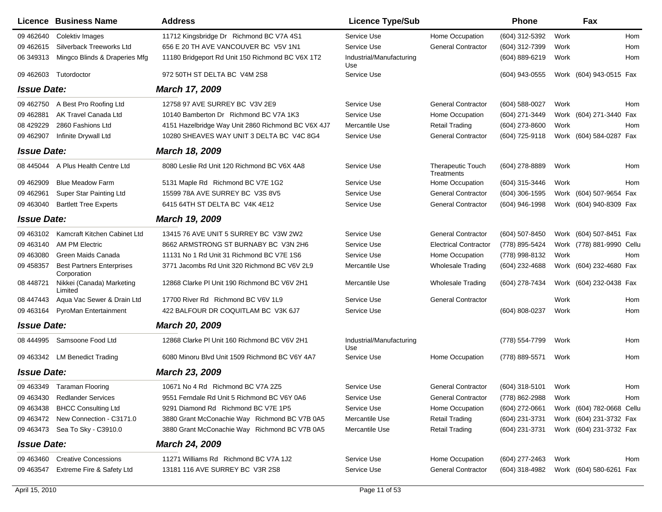|                    | Licence Business Name                           | <b>Address</b>                                     | <b>Licence Type/Sub</b>         |                                        | <b>Phone</b>     |      | Fax                       |     |
|--------------------|-------------------------------------------------|----------------------------------------------------|---------------------------------|----------------------------------------|------------------|------|---------------------------|-----|
| 09 46 2640         | Colektiv Images                                 | 11712 Kingsbridge Dr Richmond BC V7A 4S1           | Service Use                     | Home Occupation                        | (604) 312-5392   | Work |                           | Hom |
| 09 46 2615         | Silverback Treeworks Ltd                        | 656 E 20 TH AVE VANCOUVER BC V5V 1N1               | Service Use                     | <b>General Contractor</b>              | (604) 312-7399   | Work |                           | Hom |
| 06 34 9313         | Mingco Blinds & Draperies Mfg                   | 11180 Bridgeport Rd Unit 150 Richmond BC V6X 1T2   | Industrial/Manufacturing<br>Use |                                        | (604) 889-6219   | Work |                           | Hom |
| 09 46 260 3        | Tutordoctor                                     | 972 50TH ST DELTA BC V4M 2S8                       | Service Use                     |                                        | (604) 943-0555   |      | Work (604) 943-0515 Fax   |     |
| <b>Issue Date:</b> |                                                 | March 17, 2009                                     |                                 |                                        |                  |      |                           |     |
| 09 462750          | A Best Pro Roofing Ltd                          | 12758 97 AVE SURREY BC V3V 2E9                     | Service Use                     | <b>General Contractor</b>              | $(604)$ 588-0027 | Work |                           | Hom |
| 09 46 2881         | AK Travel Canada Ltd                            | 10140 Bamberton Dr Richmond BC V7A 1K3             | Service Use                     | Home Occupation                        | (604) 271-3449   |      | Work (604) 271-3440 Fax   |     |
| 08 429229          | 2860 Fashions Ltd                               | 4151 Hazelbridge Way Unit 2860 Richmond BC V6X 4J7 | Mercantile Use                  | <b>Retail Trading</b>                  | (604) 273-8600   | Work |                           | Hom |
| 09 462907          | Infinite Drywall Ltd                            | 10280 SHEAVES WAY UNIT 3 DELTA BC V4C 8G4          | Service Use                     | <b>General Contractor</b>              | (604) 725-9118   |      | Work (604) 584-0287 Fax   |     |
| <b>Issue Date:</b> |                                                 | March 18, 2009                                     |                                 |                                        |                  |      |                           |     |
| 08 445044          | A Plus Health Centre Ltd                        | 8080 Leslie Rd Unit 120 Richmond BC V6X 4A8        | Service Use                     | <b>Therapeutic Touch</b><br>Treatments | (604) 278-8889   | Work |                           | Hom |
| 09 462909          | <b>Blue Meadow Farm</b>                         | 5131 Maple Rd Richmond BC V7E 1G2                  | Service Use                     | Home Occupation                        | (604) 315-3446   | Work |                           | Hom |
| 09 462961          | Super Star Painting Ltd                         | 15599 78A AVE SURREY BC V3S 8V5                    | Service Use                     | <b>General Contractor</b>              | (604) 306-1595   |      | Work (604) 507-9654 Fax   |     |
| 09 463040          | <b>Bartlett Tree Experts</b>                    | 6415 64TH ST DELTA BC V4K 4E12                     | Service Use                     | <b>General Contractor</b>              | (604) 946-1998   |      | Work (604) 940-8309 Fax   |     |
| <b>Issue Date:</b> |                                                 | March 19, 2009                                     |                                 |                                        |                  |      |                           |     |
| 09 463102          | Kamcraft Kitchen Cabinet Ltd                    | 13415 76 AVE UNIT 5 SURREY BC V3W 2W2              | Service Use                     | <b>General Contractor</b>              | (604) 507-8450   |      | Work (604) 507-8451 Fax   |     |
| 09 463140          | <b>AM PM Electric</b>                           | 8662 ARMSTRONG ST BURNABY BC V3N 2H6               | Service Use                     | <b>Electrical Contractor</b>           | (778) 895-5424   |      | Work (778) 881-9990 Cellu |     |
| 09 463080          | Green Maids Canada                              | 11131 No 1 Rd Unit 31 Richmond BC V7E 1S6          | Service Use                     | Home Occupation                        | (778) 998-8132   | Work |                           | Hom |
| 09 45 8357         | <b>Best Partners Enterprises</b><br>Corporation | 3771 Jacombs Rd Unit 320 Richmond BC V6V 2L9       | Mercantile Use                  | <b>Wholesale Trading</b>               | (604) 232-4688   |      | Work (604) 232-4680 Fax   |     |
| 08 448721          | Nikkei (Canada) Marketing<br>Limited            | 12868 Clarke PI Unit 190 Richmond BC V6V 2H1       | Mercantile Use                  | <b>Wholesale Trading</b>               | (604) 278-7434   |      | Work (604) 232-0438 Fax   |     |
| 08 447443          | Aqua Vac Sewer & Drain Ltd                      | 17700 River Rd Richmond BC V6V 1L9                 | Service Use                     | <b>General Contractor</b>              |                  | Work |                           | Hom |
| 09 463164          | PyroMan Entertainment                           | 422 BALFOUR DR COQUITLAM BC V3K 6J7                | Service Use                     |                                        | (604) 808-0237   | Work |                           | Hom |
| <b>Issue Date:</b> |                                                 | <b>March 20, 2009</b>                              |                                 |                                        |                  |      |                           |     |
|                    | 08 444995 Samsoone Food Ltd                     | 12868 Clarke PI Unit 160 Richmond BC V6V 2H1       | Industrial/Manufacturing<br>Use |                                        | (778) 554-7799   | Work |                           | Hom |
|                    | 09 463342 LM Benedict Trading                   | 6080 Minoru Blvd Unit 1509 Richmond BC V6Y 4A7     | Service Use                     | Home Occupation                        | (778) 889-5571   | Work |                           | Hom |
| <b>Issue Date:</b> |                                                 | March 23, 2009                                     |                                 |                                        |                  |      |                           |     |
|                    | 09 463349 Taraman Flooring                      | 10671 No 4 Rd Richmond BC V7A 2Z5                  | Service Use                     | <b>General Contractor</b>              | $(604)$ 318-5101 | Work |                           | Hom |
| 09 463430          | <b>Redlander Services</b>                       | 9551 Ferndale Rd Unit 5 Richmond BC V6Y 0A6        | Service Use                     | <b>General Contractor</b>              | (778) 862-2988   | Work |                           | Hom |
| 09 463438          | <b>BHCC Consulting Ltd</b>                      | 9291 Diamond Rd Richmond BC V7E 1P5                | Service Use                     | Home Occupation                        | (604) 272-0661   |      | Work (604) 782-0668 Cellu |     |
| 09 463472          | New Connection - C3171.0                        | 3880 Grant McConachie Way Richmond BC V7B 0A5      | Mercantile Use                  | <b>Retail Trading</b>                  | (604) 231-3731   |      | Work (604) 231-3732 Fax   |     |
| 09 463473          | Sea To Sky - C3910.0                            | 3880 Grant McConachie Way Richmond BC V7B 0A5      | Mercantile Use                  | <b>Retail Trading</b>                  | (604) 231-3731   |      | Work (604) 231-3732 Fax   |     |
| <b>Issue Date:</b> |                                                 | <b>March 24, 2009</b>                              |                                 |                                        |                  |      |                           |     |
| 09 463460          | <b>Creative Concessions</b>                     | 11271 Williams Rd Richmond BC V7A 1J2              | Service Use                     | Home Occupation                        | (604) 277-2463   | Work |                           | Hom |
| 09 463547          | Extreme Fire & Safety Ltd                       | 13181 116 AVE SURREY BC V3R 2S8                    | Service Use                     | <b>General Contractor</b>              | (604) 318-4982   |      | Work (604) 580-6261 Fax   |     |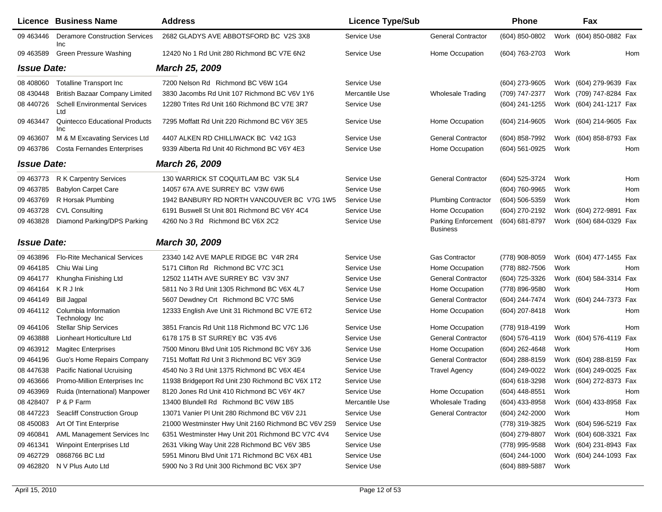|                    | Licence Business Name                        | <b>Address</b>                                      | <b>Licence Type/Sub</b> |                                        | Phone               |      | Fax                        |
|--------------------|----------------------------------------------|-----------------------------------------------------|-------------------------|----------------------------------------|---------------------|------|----------------------------|
| 09 463446          | <b>Deramore Construction Services</b><br>Inc | 2682 GLADYS AVE ABBOTSFORD BC V2S 3X8               | Service Use             | <b>General Contractor</b>              | (604) 850-0802      |      | Work (604) 850-0882 Fax    |
| 09 463589          | <b>Green Pressure Washing</b>                | 12420 No 1 Rd Unit 280 Richmond BC V7E 6N2          | Service Use             | Home Occupation                        | (604) 763-2703      | Work | Hom                        |
| <b>Issue Date:</b> |                                              | March 25, 2009                                      |                         |                                        |                     |      |                            |
| 08 408060          | Totalline Transport Inc                      | 7200 Nelson Rd Richmond BC V6W 1G4                  | Service Use             |                                        | (604) 273-9605      |      | Work (604) 279-9639 Fax    |
| 08 430 448         | <b>British Bazaar Company Limited</b>        | 3830 Jacombs Rd Unit 107 Richmond BC V6V 1Y6        | Mercantile Use          | <b>Wholesale Trading</b>               | (709) 747-2377      |      | Work (709) 747-8284 Fax    |
| 08 440726          | <b>Schell Environmental Services</b><br>Ltd  | 12280 Trites Rd Unit 160 Richmond BC V7E 3R7        | Service Use             |                                        | (604) 241-1255      |      | Work (604) 241-1217 Fax    |
| 09 463447          | <b>Quintecco Educational Products</b><br>Inc | 7295 Moffatt Rd Unit 220 Richmond BC V6Y 3E5        | Service Use             | Home Occupation                        | (604) 214-9605      |      | Work (604) 214-9605 Fax    |
| 09 463607          | M & M Excavating Services Ltd                | 4407 ALKEN RD CHILLIWACK BC V42 1G3                 | Service Use             | <b>General Contractor</b>              | (604) 858-7992      |      | Work (604) 858-8793 Fax    |
| 09 463786          | <b>Costa Fernandes Enterprises</b>           | 9339 Alberta Rd Unit 40 Richmond BC V6Y 4E3         | Service Use             | Home Occupation                        | (604) 561-0925      | Work | Hom                        |
| <b>Issue Date:</b> |                                              | <b>March 26, 2009</b>                               |                         |                                        |                     |      |                            |
| 09 463773          | R K Carpentry Services                       | 130 WARRICK ST COQUITLAM BC V3K 5L4                 | Service Use             | <b>General Contractor</b>              | (604) 525-3724      | Work | Hom                        |
| 09 463785          | <b>Babylon Carpet Care</b>                   | 14057 67A AVE SURREY BC V3W 6W6                     | Service Use             |                                        | (604) 760-9965      | Work | Hom                        |
| 09 463769          | R Horsak Plumbing                            | 1942 BANBURY RD NORTH VANCOUVER BC V7G 1W5          | Service Use             | <b>Plumbing Contractor</b>             | (604) 506-5359      | Work | Hom                        |
| 09 463728          | <b>CVL Consulting</b>                        | 6191 Buswell St Unit 801 Richmond BC V6Y 4C4        | Service Use             | Home Occupation                        | (604) 270-2192      |      | Work (604) 272-9891<br>Fax |
| 09 463828          | Diamond Parking/DPS Parking                  | 4260 No 3 Rd Richmond BC V6X 2C2                    | Service Use             | Parking Enforcement<br><b>Business</b> | (604) 681-8797      |      | Work (604) 684-0329 Fax    |
| <b>Issue Date:</b> |                                              | March 30, 2009                                      |                         |                                        |                     |      |                            |
| 09 463896          | <b>Flo-Rite Mechanical Services</b>          | 23340 142 AVE MAPLE RIDGE BC V4R 2R4                | Service Use             | <b>Gas Contractor</b>                  | (778) 908-8059      |      | Work (604) 477-1455 Fax    |
| 09 464185          | Chiu Wai Ling                                | 5171 Clifton Rd Richmond BC V7C 3C1                 | Service Use             | Home Occupation                        | (778) 882-7506      | Work | Hom                        |
| 09 464177          | Khungha Finishing Ltd                        | 12502 114TH AVE SURREY BC V3V 3N7                   | Service Use             | <b>General Contractor</b>              | (604) 725-3326      |      | Work (604) 584-3314<br>Fax |
| 09 464164          | KRJInk                                       | 5811 No 3 Rd Unit 1305 Richmond BC V6X 4L7          | Service Use             | Home Occupation                        | (778) 896-9580      | Work | Hom                        |
| 09 464149          | <b>Bill Jagpal</b>                           | 5607 Dewdney Crt Richmond BC V7C 5M6                | Service Use             | <b>General Contractor</b>              | (604) 244-7474      |      | Work (604) 244-7373<br>Fax |
| 09 464112          | Columbia Information<br>Technology Inc       | 12333 English Ave Unit 31 Richmond BC V7E 6T2       | Service Use             | Home Occupation                        | (604) 207-8418      | Work | Hom                        |
| 09 464106          | <b>Stellar Ship Services</b>                 | 3851 Francis Rd Unit 118 Richmond BC V7C 1J6        | Service Use             | Home Occupation                        | (778) 918-4199      | Work | Hom                        |
| 09 463888          | Lionheart Horticulture Ltd                   | 6178 175 B ST SURREY BC V35 4V6                     | Service Use             | <b>General Contractor</b>              | (604) 576-4119      |      | Work (604) 576-4119<br>Fax |
| 09 463912          | <b>Magitec Enterprises</b>                   | 7500 Minoru Blvd Unit 105 Richmond BC V6Y 3J6       | Service Use             | Home Occupation                        | $(604)$ 262-4648    | Work | Hom                        |
| 09 464196          | Guo's Home Repairs Company                   | 7151 Moffatt Rd Unit 3 Richmond BC V6Y 3G9          | Service Use             | <b>General Contractor</b>              | (604) 288-8159      |      | Work (604) 288-8159 Fax    |
| 08 447638          | <b>Pacific National Ucruising</b>            | 4540 No 3 Rd Unit 1375 Richmond BC V6X 4E4          | Service Use             | <b>Travel Agency</b>                   | (604) 249-0022      |      | Work (604) 249-0025 Fax    |
| 09 463 666         | Promo-Million Enterprises Inc                | 11938 Bridgeport Rd Unit 230 Richmond BC V6X 1T2    | Service Use             |                                        | (604) 618-3298      |      | Work (604) 272-8373 Fax    |
| 09 463969          | Ruida (International) Manpower               | 8120 Jones Rd Unit 410 Richmond BC V6Y 4K7          | Service Use             | Home Occupation                        | (604) 448-8551 Work |      | Hom                        |
| 08 428407          | P & P Farm                                   | 13400 Blundell Rd Richmond BC V6W 1B5               | Mercantile Use          | <b>Wholesale Trading</b>               | (604) 433-8958      |      | Work (604) 433-8958 Fax    |
| 08 447223          | <b>Seacliff Construction Group</b>           | 13071 Vanier PI Unit 280 Richmond BC V6V 2J1        | Service Use             | <b>General Contractor</b>              | (604) 242-2000      | Work | Hom                        |
| 08 450083          | Art Of Tint Enterprise                       | 21000 Westminster Hwy Unit 2160 Richmond BC V6V 2S9 | Service Use             |                                        | (778) 319-3825      |      | Work (604) 596-5219 Fax    |
| 09 460 841         | AML Management Services Inc                  | 6351 Westminster Hwy Unit 201 Richmond BC V7C 4V4   | Service Use             |                                        | (604) 279-8807      |      | Work (604) 608-3321 Fax    |
| 09 461341          | <b>Winpoint Enterprises Ltd</b>              | 2631 Viking Way Unit 228 Richmond BC V6V 3B5        | Service Use             |                                        | (778) 995-9588      |      | Work (604) 231-8943 Fax    |
| 09 462729          | 0868766 BC Ltd                               | 5951 Minoru Blvd Unit 171 Richmond BC V6X 4B1       | Service Use             |                                        | $(604)$ 244-1000    |      | Work (604) 244-1093 Fax    |
| 09 462820          | N V Plus Auto Ltd                            | 5900 No 3 Rd Unit 300 Richmond BC V6X 3P7           | Service Use             |                                        | (604) 889-5887      | Work |                            |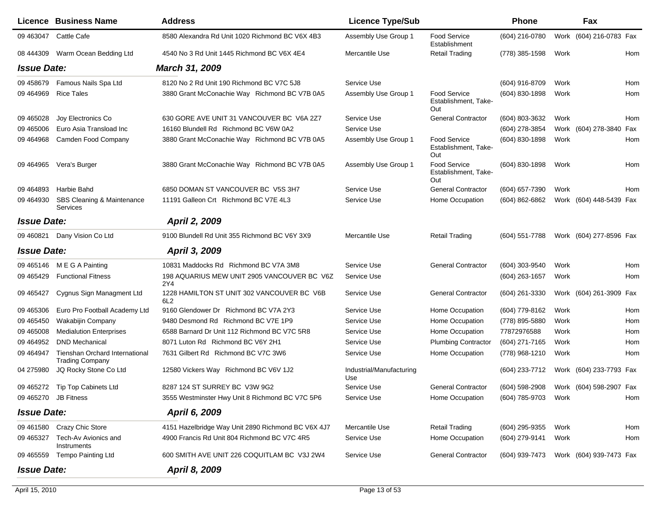|                    | <b>Licence Business Name</b>                             | <b>Address</b>                                                | <b>Licence Type/Sub</b>         |                                                    | <b>Phone</b>        |      | Fax                     |     |
|--------------------|----------------------------------------------------------|---------------------------------------------------------------|---------------------------------|----------------------------------------------------|---------------------|------|-------------------------|-----|
| 09 463047          | Cattle Cafe                                              | 8580 Alexandra Rd Unit 1020 Richmond BC V6X 4B3               | Assembly Use Group 1            | <b>Food Service</b><br>Establishment               | (604) 216-0780      |      | Work (604) 216-0783 Fax |     |
| 08 444309          | Warm Ocean Bedding Ltd                                   | 4540 No 3 Rd Unit 1445 Richmond BC V6X 4E4                    | Mercantile Use                  | <b>Retail Trading</b>                              | (778) 385-1598      | Work |                         | Hom |
| <b>Issue Date:</b> |                                                          | <b>March 31, 2009</b>                                         |                                 |                                                    |                     |      |                         |     |
| 09 458679          | Famous Nails Spa Ltd                                     | 8120 No 2 Rd Unit 190 Richmond BC V7C 5J8                     | Service Use                     |                                                    | (604) 916-8709      | Work |                         | Hom |
| 09 464 969         | <b>Rice Tales</b>                                        | 3880 Grant McConachie Way Richmond BC V7B 0A5                 | Assembly Use Group 1            | Food Service<br>Establishment, Take-<br>Out        | (604) 830-1898      | Work |                         | Hom |
| 09 465028          | Joy Electronics Co                                       | 630 GORE AVE UNIT 31 VANCOUVER BC V6A 2Z7                     | Service Use                     | <b>General Contractor</b>                          | (604) 803-3632      | Work |                         | Hom |
| 09 465006          | Euro Asia Transload Inc                                  | 16160 Blundell Rd Richmond BC V6W 0A2                         | Service Use                     |                                                    | (604) 278-3854      |      | Work (604) 278-3840 Fax |     |
| 09 464968          | Camden Food Company                                      | 3880 Grant McConachie Way Richmond BC V7B 0A5                 | Assembly Use Group 1            | Food Service<br>Establishment, Take-<br>Out        | (604) 830-1898      | Work |                         | Hom |
| 09 464 965         | Vera's Burger                                            | 3880 Grant McConachie Way Richmond BC V7B 0A5                 | Assembly Use Group 1            | <b>Food Service</b><br>Establishment, Take-<br>Out | (604) 830-1898      | Work |                         | Hom |
| 09 464893          | Harbie Bahd                                              | 6850 DOMAN ST VANCOUVER BC V5S 3H7                            | Service Use                     | <b>General Contractor</b>                          | (604) 657-7390      | Work |                         | Hom |
| 09 464930          | SBS Cleaning & Maintenance<br>Services                   | 11191 Galleon Crt Richmond BC V7E 4L3                         | Service Use                     | Home Occupation                                    | $(604) 862 - 6862$  |      | Work (604) 448-5439 Fax |     |
| <b>Issue Date:</b> |                                                          | April 2, 2009                                                 |                                 |                                                    |                     |      |                         |     |
| 09 460821          | Dany Vision Co Ltd                                       | 9100 Blundell Rd Unit 355 Richmond BC V6Y 3X9                 | Mercantile Use                  | <b>Retail Trading</b>                              | (604) 551-7788      |      | Work (604) 277-8596 Fax |     |
| <b>Issue Date:</b> |                                                          | April 3, 2009                                                 |                                 |                                                    |                     |      |                         |     |
| 09 465146          | M E G A Painting                                         | 10831 Maddocks Rd Richmond BC V7A 3M8                         | Service Use                     | <b>General Contractor</b>                          | (604) 303-9540      | Work |                         | Hom |
| 09 465429          | <b>Functional Fitness</b>                                | 198 AQUARIUS MEW UNIT 2905 VANCOUVER BC V6Z<br>2Y4            | Service Use                     |                                                    | (604) 263-1657      | Work |                         | Hom |
| 09 465427          | Cygnus Sign Managment Ltd                                | 1228 HAMILTON ST UNIT 302 VANCOUVER BC V6B<br>6L <sub>2</sub> | Service Use                     | <b>General Contractor</b>                          | (604) 261-3330      |      | Work (604) 261-3909 Fax |     |
| 09 465306          | Euro Pro Football Academy Ltd                            | 9160 Glendower Dr Richmond BC V7A 2Y3                         | Service Use                     | Home Occupation                                    | (604) 779-8162      | Work |                         | Hom |
| 09 465450          | Wakabijin Company                                        | 9480 Desmond Rd Richmond BC V7E 1P9                           | Service Use                     | Home Occupation                                    | (778) 895-5880      | Work |                         | Hom |
| 09 465008          | <b>Medialution Enterprises</b>                           | 6588 Barnard Dr Unit 112 Richmond BC V7C 5R8                  | Service Use                     | Home Occupation                                    | 77872976588         | Work |                         | Hom |
| 09 464952          | <b>DND Mechanical</b>                                    | 8071 Luton Rd Richmond BC V6Y 2H1                             | Service Use                     | <b>Plumbing Contractor</b>                         | (604) 271-7165      | Work |                         | Hom |
| 09 464947          | Tienshan Orchard International<br><b>Trading Company</b> | 7631 Gilbert Rd Richmond BC V7C 3W6                           | Service Use                     | Home Occupation                                    | (778) 968-1210      | Work |                         | Hom |
| 04 275980          | JQ Rocky Stone Co Ltd                                    | 12580 Vickers Way Richmond BC V6V 1J2                         | Industrial/Manufacturing<br>Use |                                                    | (604) 233-7712      |      | Work (604) 233-7793 Fax |     |
|                    | 09 465272 Tip Top Cabinets Ltd                           | 8287 124 ST SURREY BC V3W 9G2                                 | Service Use                     | <b>General Contractor</b>                          | (604) 598-2908      |      | Work (604) 598-2907 Fax |     |
|                    | 09 465270 JB Fitness                                     | 3555 Westminster Hwy Unit 8 Richmond BC V7C 5P6               | Service Use                     | Home Occupation                                    | (604) 785-9703 Work |      |                         | Hom |
| <b>Issue Date:</b> |                                                          | April 6, 2009                                                 |                                 |                                                    |                     |      |                         |     |
|                    | 09 461580 Crazy Chic Store                               | 4151 Hazelbridge Way Unit 2890 Richmond BC V6X 4J7            | Mercantile Use                  | <b>Retail Trading</b>                              | (604) 295-9355      | Work |                         | Hom |
| 09 465327          | Tech-Av Avionics and<br>Instruments                      | 4900 Francis Rd Unit 804 Richmond BC V7C 4R5                  | Service Use                     | Home Occupation                                    | (604) 279-9141      | Work |                         | Hom |
|                    | 09 465559 Tempo Painting Ltd                             | 600 SMITH AVE UNIT 226 COQUITLAM BC V3J 2W4                   | Service Use                     | <b>General Contractor</b>                          | (604) 939-7473      |      | Work (604) 939-7473 Fax |     |
| <b>Issue Date:</b> |                                                          | April 8, 2009                                                 |                                 |                                                    |                     |      |                         |     |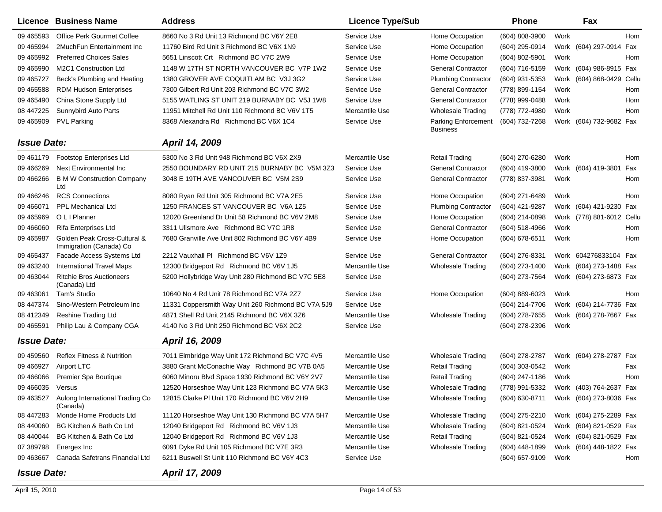|                    | Licence Business Name                                   | <b>Address</b>                                     | <b>Licence Type/Sub</b> |                                               | <b>Phone</b>                           |      | Fax                       |     |
|--------------------|---------------------------------------------------------|----------------------------------------------------|-------------------------|-----------------------------------------------|----------------------------------------|------|---------------------------|-----|
| 09 465593          | <b>Office Perk Gourmet Coffee</b>                       | 8660 No 3 Rd Unit 13 Richmond BC V6Y 2E8           | Service Use             | Home Occupation                               | (604) 808-3900                         | Work |                           | Hom |
| 09 465994          | 2MuchFun Entertainment Inc                              | 11760 Bird Rd Unit 3 Richmond BC V6X 1N9           | Service Use             | Home Occupation                               | (604) 295-0914                         |      | Work (604) 297-0914 Fax   |     |
| 09 465992          | <b>Preferred Choices Sales</b>                          | 5651 Linscott Crt Richmond BC V7C 2W9              | Service Use             | Home Occupation                               | (604) 802-5901                         | Work |                           | Hom |
| 09 465990          | M2C1 Construction Ltd                                   | 1148 W 17TH ST NORTH VANCOUVER BC V7P 1W2          | Service Use             | <b>General Contractor</b>                     | (604) 716-5159                         |      | Work (604) 986-8915 Fax   |     |
| 09 465727          | Beck's Plumbing and Heating                             | 1380 GROVER AVE COQUITLAM BC V3J 3G2               | Service Use             | <b>Plumbing Contractor</b>                    | (604) 931-5353                         |      | Work (604) 868-0429 Cellu |     |
| 09 465588          | <b>RDM Hudson Enterprises</b>                           | 7300 Gilbert Rd Unit 203 Richmond BC V7C 3W2       | Service Use             | <b>General Contractor</b>                     | (778) 899-1154                         | Work |                           | Hom |
| 09 465490          | China Stone Supply Ltd                                  | 5155 WATLING ST UNIT 219 BURNABY BC V5J 1W8        | Service Use             | <b>General Contractor</b>                     | (778) 999-0488                         | Work |                           | Hom |
| 08 447225          | Sunnybird Auto Parts                                    | 11951 Mitchell Rd Unit 110 Richmond BC V6V 1T5     | Mercantile Use          | <b>Wholesale Trading</b>                      | (778) 772-4980                         | Work |                           | Hom |
| 09 465909          | <b>PVL Parking</b>                                      | 8368 Alexandra Rd Richmond BC V6X 1C4              | Service Use             | <b>Parking Enforcement</b><br><b>Business</b> | (604) 732-7268                         |      | Work (604) 732-9682 Fax   |     |
| <b>Issue Date:</b> |                                                         | April 14, 2009                                     |                         |                                               |                                        |      |                           |     |
| 09 461179          | <b>Footstop Enterprises Ltd</b>                         | 5300 No 3 Rd Unit 948 Richmond BC V6X 2X9          | Mercantile Use          | <b>Retail Trading</b>                         | (604) 270-6280                         | Work |                           | Hom |
| 09 46 6269         | Next Environmental Inc                                  | 2550 BOUNDARY RD UNIT 215 BURNABY BC V5M 3Z3       | Service Use             | <b>General Contractor</b>                     | (604) 419-3800                         |      | Work (604) 419-3801       | Fax |
| 09 46 6266         | <b>B M W Construction Company</b><br>Ltd                | 3048 E 19TH AVE VANCOUVER BC V5M 2S9               | Service Use             | <b>General Contractor</b>                     | (778) 837-3981                         | Work |                           | Hom |
| 09 46 6246         | <b>RCS Connections</b>                                  | 8080 Ryan Rd Unit 305 Richmond BC V7A 2E5          | Service Use             | Home Occupation                               | (604) 271-6489                         | Work |                           | Hom |
| 09 46 6071         | <b>PPL Mechanical Ltd</b>                               | 1250 FRANCES ST VANCOUVER BC V6A 1Z5               | Service Use             | <b>Plumbing Contractor</b>                    | (604) 421-9287                         |      | Work (604) 421-9230 Fax   |     |
| 09 465969          | O L I Planner                                           | 12020 Greenland Dr Unit 58 Richmond BC V6V 2M8     | Service Use             | Home Occupation                               | (604) 214-0898                         |      | Work (778) 881-6012 Cellu |     |
| 09 46 60 60        | <b>Rifa Enterprises Ltd</b>                             | 3311 Ullsmore Ave Richmond BC V7C 1R8              | Service Use             | <b>General Contractor</b>                     | (604) 518-4966                         | Work |                           | Hom |
| 09 465987          | Golden Peak Cross-Cultural &<br>Immigration (Canada) Co | 7680 Granville Ave Unit 802 Richmond BC V6Y 4B9    | Service Use             | Home Occupation                               | (604) 678-6511                         | Work |                           | Hom |
| 09 465437          | Facade Access Systems Ltd                               | 2212 Vauxhall PI Richmond BC V6V 1Z9               | <b>Service Use</b>      | <b>General Contractor</b>                     | (604) 276-8331                         |      | Work 604276833104 Fax     |     |
| 09 463240          | <b>International Travel Maps</b>                        | 12300 Bridgeport Rd Richmond BC V6V 1J5            | Mercantile Use          | <b>Wholesale Trading</b>                      | (604) 273-1400                         |      | Work (604) 273-1488 Fax   |     |
| 09 463044          | <b>Ritchie Bros Auctioneers</b><br>(Canada) Ltd         | 5200 Hollybridge Way Unit 280 Richmond BC V7C 5E8  | Service Use             |                                               | (604) 273-7564                         |      | Work (604) 273-6873 Fax   |     |
| 09 463061          | Tam's Studio                                            | 10640 No 4 Rd Unit 78 Richmond BC V7A 2Z7          | Service Use             | Home Occupation                               | (604) 889-6023                         | Work |                           | Hom |
| 08 447374          | Sino-Western Petroleum Inc                              | 11331 Coppersmith Way Unit 260 Richmond BC V7A 5J9 | Service Use             |                                               | (604) 214-7706                         |      | Work (604) 214-7736 Fax   |     |
| 08 412349          | <b>Reshine Trading Ltd</b>                              | 4871 Shell Rd Unit 2145 Richmond BC V6X 3Z6        | Mercantile Use          | <b>Wholesale Trading</b>                      | (604) 278-7655                         |      | Work (604) 278-7667 Fax   |     |
| 09 465591          | Philip Lau & Company CGA                                | 4140 No 3 Rd Unit 250 Richmond BC V6X 2C2          | Service Use             |                                               | (604) 278-2396                         | Work |                           |     |
| <b>Issue Date:</b> |                                                         | April 16, 2009                                     |                         |                                               |                                        |      |                           |     |
| 09 45 95 60        | <b>Reflex Fitness &amp; Nutrition</b>                   | 7011 Elmbridge Way Unit 172 Richmond BC V7C 4V5    | Mercantile Use          | <b>Wholesale Trading</b>                      | (604) 278-2787                         |      | Work (604) 278-2787 Fax   |     |
| 09 46 6927         | <b>Airport LTC</b>                                      | 3880 Grant McConachie Way Richmond BC V7B 0A5      | Mercantile Use          | <b>Retail Trading</b>                         | (604) 303-0542                         | Work |                           | Fax |
| 09 46 60 66        | Premier Spa Boutique                                    | 6060 Minoru Blvd Space 1930 Richmond BC V6Y 2V7    | Mercantile Use          | <b>Retail Trading</b>                         | (604) 247-1186                         | Work |                           | Hom |
| 09 466035 Versus   |                                                         | 12520 Horseshoe Way Unit 123 Richmond BC V7A 5K3   | Mercantile Use          | <b>Wholesale Trading</b>                      | (778) 991-5332                         |      | Work (403) 764-2637 Fax   |     |
|                    | 09 463527 Aulong International Trading Co<br>(Canada)   | 12815 Clarke PI Unit 170 Richmond BC V6V 2H9       | Mercantile Use          | Wholesale Trading                             | (604) 630-8711 Work (604) 273-8036 Fax |      |                           |     |
| 08 447283          | Monde Home Products Ltd                                 | 11120 Horseshoe Way Unit 130 Richmond BC V7A 5H7   | Mercantile Use          | <b>Wholesale Trading</b>                      | (604) 275-2210                         |      | Work (604) 275-2289 Fax   |     |
| 08 440060          | BG Kitchen & Bath Co Ltd                                | 12040 Bridgeport Rd Richmond BC V6V 1J3            | Mercantile Use          | <b>Wholesale Trading</b>                      | (604) 821-0524                         |      | Work (604) 821-0529 Fax   |     |
| 08 440044          | BG Kitchen & Bath Co Ltd                                | 12040 Bridgeport Rd Richmond BC V6V 1J3            | Mercantile Use          | <b>Retail Trading</b>                         | (604) 821-0524                         |      | Work (604) 821-0529 Fax   |     |
| 07 389798          | Energex Inc                                             | 6091 Dyke Rd Unit 105 Richmond BC V7E 3R3          | Mercantile Use          | <b>Wholesale Trading</b>                      | (604) 448-1899                         |      | Work (604) 448-1822 Fax   |     |
| 09 463 667         | Canada Safetrans Financial Ltd                          | 6211 Buswell St Unit 110 Richmond BC V6Y 4C3       | Service Use             |                                               | (604) 657-9109                         | Work |                           | Hom |
| <b>Issue Date:</b> |                                                         | April 17, 2009                                     |                         |                                               |                                        |      |                           |     |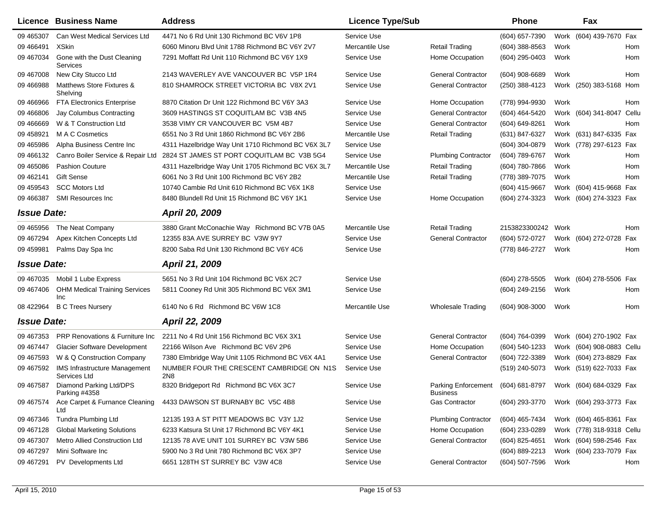|                    | <b>Licence Business Name</b>                         | <b>Address</b>                                               | <b>Licence Type/Sub</b> |                                        | Phone              |      | Fax                       |     |
|--------------------|------------------------------------------------------|--------------------------------------------------------------|-------------------------|----------------------------------------|--------------------|------|---------------------------|-----|
| 09 465307          | Can West Medical Services Ltd                        | 4471 No 6 Rd Unit 130 Richmond BC V6V 1P8                    | Service Use             |                                        | (604) 657-7390     |      | Work (604) 439-7670 Fax   |     |
| 09 46 64 91        | <b>XSkin</b>                                         | 6060 Minoru Blvd Unit 1788 Richmond BC V6Y 2V7               | Mercantile Use          | <b>Retail Trading</b>                  | $(604)$ 388-8563   | Work |                           | Hom |
| 09 467034          | Gone with the Dust Cleaning<br>Services              | 7291 Moffatt Rd Unit 110 Richmond BC V6Y 1X9                 | Service Use             | Home Occupation                        | (604) 295-0403     | Work |                           | Hom |
| 09 467008          | New City Stucco Ltd                                  | 2143 WAVERLEY AVE VANCOUVER BC V5P 1R4                       | Service Use             | <b>General Contractor</b>              | (604) 908-6689     | Work |                           | Hom |
| 09 46 6988         | Matthews Store Fixtures &<br>Shelving                | 810 SHAMROCK STREET VICTORIA BC V8X 2V1                      | Service Use             | <b>General Contractor</b>              | (250) 388-4123     |      | Work (250) 383-5168 Hom   |     |
| 09 46 69 66        | <b>FTA Electronics Enterprise</b>                    | 8870 Citation Dr Unit 122 Richmond BC V6Y 3A3                | Service Use             | Home Occupation                        | (778) 994-9930     | Work |                           | Hom |
| 09 46 680 6        | Jay Columbus Contracting                             | 3609 HASTINGS ST COQUITLAM BC V3B 4N5                        | Service Use             | <b>General Contractor</b>              | (604) 464-5420     |      | Work (604) 341-8047 Cellu |     |
| 09 46 66 69        | W & T Construction Ltd                               | 3538 VIMY CR VANCOUVER BC V5M 4B7                            | Service Use             | <b>General Contractor</b>              | (604) 649-8261     | Work |                           | Hom |
| 09 458921          | M A C Cosmetics                                      | 6551 No 3 Rd Unit 1860 Richmond BC V6Y 2B6                   | Mercantile Use          | <b>Retail Trading</b>                  | (631) 847-6327     |      | Work (631) 847-6335 Fax   |     |
| 09 465986          | Alpha Business Centre Inc                            | 4311 Hazelbridge Way Unit 1710 Richmond BC V6X 3L7           | Service Use             |                                        | (604) 304-0879     |      | Work (778) 297-6123 Fax   |     |
| 09 46 6132         | Canro Boiler Service & Repair Ltd                    | 2824 ST JAMES ST PORT COQUITLAM BC V3B 5G4                   | Service Use             | <b>Plumbing Contractor</b>             | (604) 789-6767     | Work |                           | Hom |
| 09 465086          | <b>Pashion Couture</b>                               | 4311 Hazelbridge Way Unit 1705 Richmond BC V6X 3L7           | Mercantile Use          | <b>Retail Trading</b>                  | (604) 780-7866     | Work |                           | Hom |
| 09 462141          | <b>Gift Sense</b>                                    | 6061 No 3 Rd Unit 100 Richmond BC V6Y 2B2                    | Mercantile Use          | <b>Retail Trading</b>                  | (778) 389-7075     | Work |                           | Hom |
| 09 45 9543         | <b>SCC Motors Ltd</b>                                | 10740 Cambie Rd Unit 610 Richmond BC V6X 1K8                 | Service Use             |                                        | (604) 415-9667     |      | Work (604) 415-9668 Fax   |     |
| 09 46 6387         | <b>SMI Resources Inc</b>                             | 8480 Blundell Rd Unit 15 Richmond BC V6Y 1K1                 | Service Use             | Home Occupation                        | (604) 274-3323     |      | Work (604) 274-3323 Fax   |     |
| <b>Issue Date:</b> |                                                      | April 20, 2009                                               |                         |                                        |                    |      |                           |     |
| 09 465956          | The Neat Company                                     | 3880 Grant McConachie Way Richmond BC V7B 0A5                | Mercantile Use          | <b>Retail Trading</b>                  | 2153823300242 Work |      |                           | Hom |
| 09 467294          | Apex Kitchen Concepts Ltd                            | 12355 83A AVE SURREY BC V3W 9Y7                              | Service Use             | <b>General Contractor</b>              | (604) 572-0727     |      | Work (604) 272-0728 Fax   |     |
| 09 459981          | Palms Day Spa Inc                                    | 8200 Saba Rd Unit 130 Richmond BC V6Y 4C6                    | Service Use             |                                        | (778) 846-2727     | Work |                           | Hom |
| <b>Issue Date:</b> |                                                      | April 21, 2009                                               |                         |                                        |                    |      |                           |     |
| 09 467035          | Mobil 1 Lube Express                                 | 5651 No 3 Rd Unit 104 Richmond BC V6X 2C7                    | Service Use             |                                        | (604) 278-5505     |      | Work (604) 278-5506 Fax   |     |
| 09 467406          | <b>OHM Medical Training Services</b>                 | 5811 Cooney Rd Unit 305 Richmond BC V6X 3M1                  | Service Use             |                                        | (604) 249-2156     | Work |                           | Hom |
| 08 422964          | Inc<br><b>B C Trees Nursery</b>                      | 6140 No 6 Rd Richmond BC V6W 1C8                             | Mercantile Use          | <b>Wholesale Trading</b>               | (604) 908-3000     | Work |                           | Hom |
| <b>Issue Date:</b> |                                                      | April 22, 2009                                               |                         |                                        |                    |      |                           |     |
| 09 467353          | <b>PRP Renovations &amp; Furniture Inc.</b>          | 2211 No 4 Rd Unit 156 Richmond BC V6X 3X1                    | Service Use             | <b>General Contractor</b>              | (604) 764-0399     |      | Work (604) 270-1902 Fax   |     |
| 09 467447          | <b>Glacier Software Development</b>                  | 22166 Wilson Ave Richmond BC V6V 2P6                         | Service Use             | Home Occupation                        | (604) 540-1233     |      | Work (604) 908-0883 Cellu |     |
| 09 467593          | W & Q Construction Company                           | 7380 Elmbridge Way Unit 1105 Richmond BC V6X 4A1             | Service Use             | <b>General Contractor</b>              | (604) 722-3389     |      | Work (604) 273-8829 Fax   |     |
| 09 467592          | <b>IMS Infrastructure Management</b><br>Services Ltd | NUMBER FOUR THE CRESCENT CAMBRIDGE ON N1S<br>2N <sub>8</sub> | Service Use             |                                        | (519) 240-5073     |      | Work (519) 622-7033 Fax   |     |
| 09 467587          | Diamond Parking Ltd/DPS<br>Parking #4358             | 8320 Bridgeport Rd Richmond BC V6X 3C7                       | Service Use             | Parking Enforcement<br><b>Business</b> | (604) 681-8797     |      | Work (604) 684-0329 Fax   |     |
| 09 467574          | Ace Carpet & Furnance Cleaning<br>Ltd                | 4433 DAWSON ST BURNABY BC V5C 4B8                            | Service Use             | <b>Gas Contractor</b>                  | (604) 293-3770     |      | Work (604) 293-3773 Fax   |     |
| 09 467346          | Tundra Plumbing Ltd                                  | 12135 193 A ST PITT MEADOWS BC V3Y 1J2                       | Service Use             | <b>Plumbing Contractor</b>             | (604) 465-7434     |      | Work (604) 465-8361 Fax   |     |
| 09 467128          | <b>Global Marketing Solutions</b>                    | 6233 Katsura St Unit 17 Richmond BC V6Y 4K1                  | Service Use             | Home Occupation                        | (604) 233-0289     |      | Work (778) 318-9318 Cellu |     |
| 09 467307          | Metro Allied Construction Ltd                        | 12135 78 AVE UNIT 101 SURREY BC V3W 5B6                      | Service Use             | <b>General Contractor</b>              | (604) 825-4651     |      | Work (604) 598-2546 Fax   |     |
| 09 467297          | Mini Software Inc                                    | 5900 No 3 Rd Unit 780 Richmond BC V6X 3P7                    | Service Use             |                                        | (604) 889-2213     |      | Work (604) 233-7079 Fax   |     |
| 09 467291          | PV Developments Ltd                                  | 6651 128TH ST SURREY BC V3W 4C8                              | Service Use             | <b>General Contractor</b>              | (604) 507-7596     | Work |                           | Hom |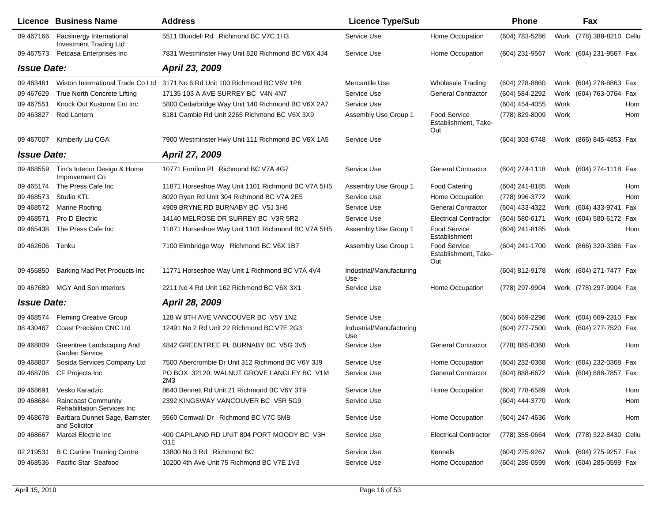|                    | <b>Licence Business Name</b>                                     | <b>Address</b>                                                 | <b>Licence Type/Sub</b>         |                                                    | <b>Phone</b>        |      | Fax                       |     |
|--------------------|------------------------------------------------------------------|----------------------------------------------------------------|---------------------------------|----------------------------------------------------|---------------------|------|---------------------------|-----|
| 09 467166          | Pacsinergy International<br>Investment Trading Ltd               | 5511 Blundell Rd Richmond BC V7C 1H3                           | Service Use                     | Home Occupation                                    | (604) 783-5286      |      | Work (778) 388-8210 Cellu |     |
| 09 467573          | Petcasa Enterprises Inc                                          | 7831 Westminster Hwy Unit 820 Richmond BC V6X 4J4              | Service Use                     | Home Occupation                                    | (604) 231-9567      |      | Work (604) 231-9567 Fax   |     |
| <b>Issue Date:</b> |                                                                  | April 23, 2009                                                 |                                 |                                                    |                     |      |                           |     |
| 09 463461          | Wiston International Trade Co Ltd                                | 3171 No 6 Rd Unit 100 Richmond BC V6V 1P6                      | Mercantile Use                  | <b>Wholesale Trading</b>                           | (604) 278-8860      |      | Work (604) 278-8863 Fax   |     |
| 09 467629          | True North Concrete Lifting                                      | 17135 103 A AVE SURREY BC V4N 4N7                              | Service Use                     | <b>General Contractor</b>                          | (604) 584-2292      |      | Work (604) 763-0764 Fax   |     |
| 09 467551          | Knock Out Kustoms Ent Inc                                        | 5800 Cedarbridge Way Unit 140 Richmond BC V6X 2A7              | Service Use                     |                                                    | (604) 454-4055      | Work |                           | Hom |
| 09 463827          | <b>Red Lantern</b>                                               | 8181 Cambie Rd Unit 2265 Richmond BC V6X 3X9                   | Assembly Use Group 1            | <b>Food Service</b><br>Establishment, Take-<br>Out | (778) 829-8009      | Work |                           | Hom |
| 09 467007          | Kimberly Liu CGA                                                 | 7900 Westminster Hwy Unit 111 Richmond BC V6X 1A5              | Service Use                     |                                                    | (604) 303-6748      |      | Work (866) 845-4853 Fax   |     |
| <b>Issue Date:</b> |                                                                  | April 27, 2009                                                 |                                 |                                                    |                     |      |                           |     |
| 09 468559          | Tim's Interior Design & Home<br>Improvement Co                   | 10771 Forrilon PI Richmond BC V7A 4G7                          | Service Use                     | <b>General Contractor</b>                          | $(604)$ 274-1118    |      | Work (604) 274-1118 Fax   |     |
| 09 465174          | The Press Cafe Inc                                               | 11871 Horseshoe Way Unit 1101 Richmond BC V7A 5H5              | Assembly Use Group 1            | <b>Food Catering</b>                               | (604) 241-8185      | Work |                           | Hom |
| 09 468573          | Studio KTL                                                       | 8020 Ryan Rd Unit 304 Richmond BC V7A 2E5                      | Service Use                     | Home Occupation                                    | (778) 996-3772      | Work |                           | Hom |
| 09 468572          | <b>Marine Roofing</b>                                            | 4909 BRYNE RD BURNABY BC V5J 3H6                               | Service Use                     | <b>General Contractor</b>                          | (604) 433-4322      |      | Work (604) 433-9741 Fax   |     |
| 09 468571          | Pro D Electric                                                   | 14140 MELROSE DR SURREY BC V3R 5R2                             | Service Use                     | <b>Electrical Contractor</b>                       | (604) 580-6171      |      | Work (604) 580-6172 Fax   |     |
| 09 465438          | The Press Cafe Inc                                               | 11871 Horseshoe Way Unit 1101 Richmond BC V7A 5H5              | Assembly Use Group 1            | Food Service<br>Establishment                      | (604) 241-8185      | Work |                           | Hom |
| 09 462606          | Tenku                                                            | 7100 Elmbridge Way Richmond BC V6X 1B7                         | Assembly Use Group 1            | Food Service<br>Establishment, Take-<br>Out        | (604) 241-1700      |      | Work (866) 320-3386 Fax   |     |
| 09 45 6850         | Barking Mad Pet Products Inc                                     | 11771 Horseshoe Way Unit 1 Richmond BC V7A 4V4                 | Industrial/Manufacturing<br>Use |                                                    | (604) 812-9178      |      | Work (604) 271-7477 Fax   |     |
| 09 467689          | <b>MGY And Son Interiors</b>                                     | 2211 No 4 Rd Unit 162 Richmond BC V6X 3X1                      | Service Use                     | Home Occupation                                    | (778) 297-9904      |      | Work (778) 297-9904 Fax   |     |
| <b>Issue Date:</b> |                                                                  | April 28, 2009                                                 |                                 |                                                    |                     |      |                           |     |
| 09 468574          | <b>Fleming Creative Group</b>                                    | 128 W 8TH AVE VANCOUVER BC V5Y 1N2                             | Service Use                     |                                                    | (604) 669-2296      |      | Work (604) 669-2310 Fax   |     |
| 08 430467          | Coast Precision CNC Ltd                                          | 12491 No 2 Rd Unit 22 Richmond BC V7E 2G3                      | Industrial/Manufacturing<br>Use |                                                    | (604) 277-7500      |      | Work (604) 277-7520 Fax   |     |
| 09 468809          | Greentree Landscaping And<br>Garden Service                      | 4842 GREENTREE PL BURNABY BC V5G 3V5                           | Service Use                     | <b>General Contractor</b>                          | (778) 885-8368      | Work |                           | Hom |
| 09 468807          | Sosida Services Company Ltd                                      | 7500 Abercrombie Dr Unit 312 Richmond BC V6Y 3J9               | Service Use                     | Home Occupation                                    | (604) 232-0368      |      | Work (604) 232-0368 Fax   |     |
| 09 468706          | CF Projects Inc                                                  | PO BOX 32120 WALNUT GROVE LANGLEY BC V1M<br>2M3                | Service Use                     | <b>General Contractor</b>                          | (604) 888-6672      |      | Work (604) 888-7857 Fax   |     |
|                    | 09 468691 Vesko Karadzic                                         | 8640 Bennett Rd Unit 21 Richmond BC V6Y 3T9                    | Service Use                     | Home Occupation                                    | (604) 778-6589 Work |      |                           | Hom |
| 09 468684          | <b>Raincoast Community</b><br><b>Rehabilitation Services Inc</b> | 2392 KINGSWAY VANCOUVER BC V5R 5G9                             | Service Use                     |                                                    | (604) 444-3770      | Work |                           | Hom |
| 09 468678          | Barbara Dunnet Sage, Barrister<br>and Solicitor                  | 5560 Cornwall Dr Richmond BC V7C 5M8                           | Service Use                     | Home Occupation                                    | (604) 247-4636      | Work |                           | Hom |
| 09 468 667         | <b>Marcel Electric Inc</b>                                       | 400 CAPILANO RD UNIT 804 PORT MOODY BC V3H<br>O <sub>1</sub> E | Service Use                     | <b>Electrical Contractor</b>                       | (778) 355-0664      |      | Work (778) 322-8430 Cellu |     |
| 02 219531          | <b>B C Canine Training Centre</b>                                | 13800 No 3 Rd Richmond BC                                      | Service Use                     | Kennels                                            | (604) 275-9267      |      | Work (604) 275-9257 Fax   |     |
| 09 468536          | Pacific Star Seafood                                             | 10200 4th Ave Unit 75 Richmond BC V7E 1V3                      | Service Use                     | Home Occupation                                    | (604) 285-0599      |      | Work (604) 285-0599 Fax   |     |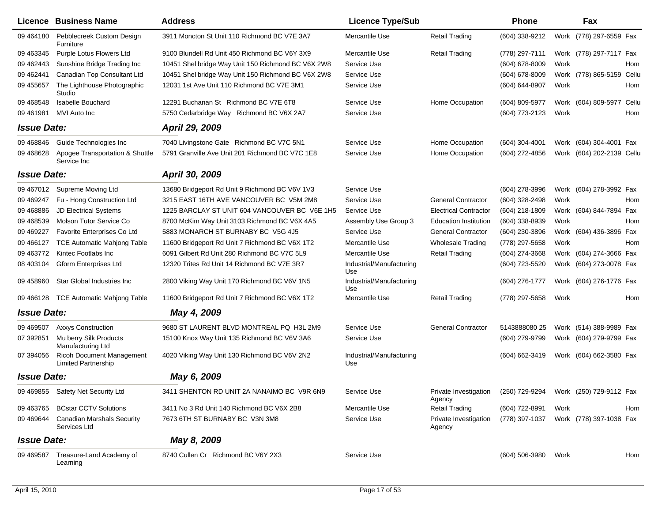|                    | <b>Licence Business Name</b>                                   | <b>Address</b>                                     | <b>Licence Type/Sub</b>         |                                 | <b>Phone</b>     |      | Fax                                    |  |
|--------------------|----------------------------------------------------------------|----------------------------------------------------|---------------------------------|---------------------------------|------------------|------|----------------------------------------|--|
| 09 464180          | Pebblecreek Custom Design<br>Furniture                         | 3911 Moncton St Unit 110 Richmond BC V7E 3A7       | Mercantile Use                  | <b>Retail Trading</b>           | (604) 338-9212   |      | Work (778) 297-6559 Fax                |  |
| 09 463345          | Purple Lotus Flowers Ltd                                       | 9100 Blundell Rd Unit 450 Richmond BC V6Y 3X9      | Mercantile Use                  | <b>Retail Trading</b>           | (778) 297-7111   |      | Work (778) 297-7117 Fax                |  |
| 09 462443          | Sunshine Bridge Trading Inc                                    | 10451 Shel bridge Way Unit 150 Richmond BC V6X 2W8 | Service Use                     |                                 | (604) 678-8009   | Work | Hom                                    |  |
| 09 462441          | Canadian Top Consultant Ltd                                    | 10451 Shel bridge Way Unit 150 Richmond BC V6X 2W8 | Service Use                     |                                 | $(604)$ 678-8009 |      | Work (778) 865-5159 Cellu              |  |
| 09 455657          | The Lighthouse Photographic<br>Studio                          | 12031 1st Ave Unit 110 Richmond BC V7E 3M1         | Service Use                     |                                 | (604) 644-8907   | Work | Hom                                    |  |
| 09 468548          | <b>Isabelle Bouchard</b>                                       | 12291 Buchanan St Richmond BC V7E 6T8              | Service Use                     | Home Occupation                 | (604) 809-5977   |      | Work (604) 809-5977 Cellu              |  |
| 09 461 981         | MVI Auto Inc                                                   | 5750 Cedarbridge Way Richmond BC V6X 2A7           | Service Use                     |                                 | (604) 773-2123   | Work | Hom                                    |  |
| <b>Issue Date:</b> |                                                                | April 29, 2009                                     |                                 |                                 |                  |      |                                        |  |
| 09 468846          | Guide Technologies Inc                                         | 7040 Livingstone Gate Richmond BC V7C 5N1          | Service Use                     | Home Occupation                 | $(604)$ 304-4001 |      | Work (604) 304-4001 Fax                |  |
| 09 468628          | Apogee Transportation & Shuttle<br>Service Inc                 | 5791 Granville Ave Unit 201 Richmond BC V7C 1E8    | Service Use                     | Home Occupation                 | (604) 272-4856   |      | Work (604) 202-2139 Cellu              |  |
| <b>Issue Date:</b> |                                                                | April 30, 2009                                     |                                 |                                 |                  |      |                                        |  |
| 09 467012          | Supreme Moving Ltd                                             | 13680 Bridgeport Rd Unit 9 Richmond BC V6V 1V3     | Service Use                     |                                 | (604) 278-3996   |      | Work (604) 278-3992 Fax                |  |
| 09 469 247         | Fu - Hong Construction Ltd                                     | 3215 EAST 16TH AVE VANCOUVER BC V5M 2M8            | Service Use                     | <b>General Contractor</b>       | (604) 328-2498   | Work | Hom                                    |  |
| 09 468886          | <b>JD Electrical Systems</b>                                   | 1225 BARCLAY ST UNIT 604 VANCOUVER BC V6E 1H5      | Service Use                     | <b>Electrical Contractor</b>    | (604) 218-1809   |      | Work (604) 844-7894 Fax                |  |
| 09 468539          | Molson Tutor Service Co                                        | 8700 McKim Way Unit 3103 Richmond BC V6X 4A5       | Assembly Use Group 3            | <b>Education Institution</b>    | (604) 338-8939   | Work | Hom                                    |  |
| 09 469227          | Favorite Enterprises Co Ltd                                    | 5883 MONARCH ST BURNABY BC V5G 4J5                 | Service Use                     | <b>General Contractor</b>       | (604) 230-3896   |      | Work (604) 436-3896 Fax                |  |
| 09 466127          | <b>TCE Automatic Mahjong Table</b>                             | 11600 Bridgeport Rd Unit 7 Richmond BC V6X 1T2     | Mercantile Use                  | <b>Wholesale Trading</b>        | (778) 297-5658   | Work | Hom                                    |  |
| 09 463772          | Kintec Footlabs Inc.                                           | 6091 Gilbert Rd Unit 280 Richmond BC V7C 5L9       | Mercantile Use                  | <b>Retail Trading</b>           | (604) 274-3668   |      | Work (604) 274-3666 Fax                |  |
| 08 403104          | <b>Gform Enterprises Ltd</b>                                   | 12320 Trites Rd Unit 14 Richmond BC V7E 3R7        | Industrial/Manufacturing<br>Use |                                 | (604) 723-5520   |      | Work (604) 273-0078 Fax                |  |
| 09 458960          | Star Global Industries Inc                                     | 2800 Viking Way Unit 170 Richmond BC V6V 1N5       | Industrial/Manufacturing<br>Use |                                 | (604) 276-1777   |      | Work (604) 276-1776 Fax                |  |
| 09 466128          | TCE Automatic Mahjong Table                                    | 11600 Bridgeport Rd Unit 7 Richmond BC V6X 1T2     | Mercantile Use                  | <b>Retail Trading</b>           | (778) 297-5658   | Work | Hom                                    |  |
| <b>Issue Date:</b> |                                                                | May 4, 2009                                        |                                 |                                 |                  |      |                                        |  |
| 09 469507          | <b>Axxys Construction</b>                                      | 9680 ST LAURENT BLVD MONTREAL PQ H3L 2M9           | Service Use                     | <b>General Contractor</b>       | 5143888080 25    |      | Work (514) 388-9989 Fax                |  |
| 07 392851          | Mu berry Silk Products<br>Manufacturing Ltd                    | 15100 Knox Way Unit 135 Richmond BC V6V 3A6        | Service Use                     |                                 | (604) 279-9799   |      | Work (604) 279-9799 Fax                |  |
| 07 394056          | <b>Ricoh Document Management</b><br><b>Limited Partnership</b> | 4020 Viking Way Unit 130 Richmond BC V6V 2N2       | Industrial/Manufacturing<br>Use |                                 | (604) 662-3419   |      | Work (604) 662-3580 Fax                |  |
| <b>Issue Date:</b> |                                                                | May 6, 2009                                        |                                 |                                 |                  |      |                                        |  |
|                    | 09 469855 Safety Net Security Ltd                              | 3411 SHENTON RD UNIT 2A NANAIMO BC V9R 6N9         | Service Use                     | Private Investigation<br>Agency |                  |      | (250) 729-9294 Work (250) 729-9112 Fax |  |
| 09 463765          | <b>BCstar CCTV Solutions</b>                                   | 3411 No 3 Rd Unit 140 Richmond BC V6X 2B8          | Mercantile Use                  | <b>Retail Trading</b>           | (604) 722-8991   | Work | Hom                                    |  |
| 09 469 644         | <b>Canadian Marshals Security</b><br>Services Ltd              | 7673 6TH ST BURNABY BC V3N 3M8                     | Service Use                     | Private Investigation<br>Agency | (778) 397-1037   |      | Work (778) 397-1038 Fax                |  |
| <b>Issue Date:</b> |                                                                | May 8, 2009                                        |                                 |                                 |                  |      |                                        |  |
| 09 469587          | Treasure-Land Academy of<br>Learning                           | 8740 Cullen Cr Richmond BC V6Y 2X3                 | Service Use                     |                                 | (604) 506-3980   | Work | Hom                                    |  |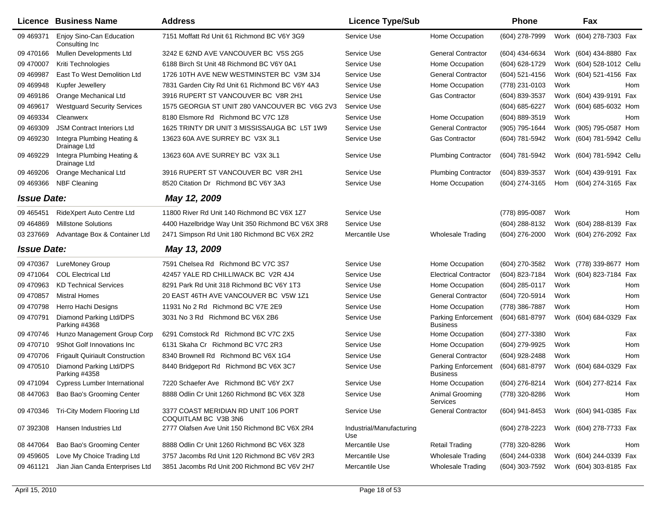| Licence            | <b>Business Name</b>                        | <b>Address</b>                                               | <b>Licence Type/Sub</b>         |                                               | <b>Phone</b>   |      | Fax                       |     |
|--------------------|---------------------------------------------|--------------------------------------------------------------|---------------------------------|-----------------------------------------------|----------------|------|---------------------------|-----|
| 09 469371          | Enjoy Sino-Can Education<br>Consulting Inc. | 7151 Moffatt Rd Unit 61 Richmond BC V6Y 3G9                  | Service Use                     | Home Occupation                               | (604) 278-7999 |      | Work (604) 278-7303 Fax   |     |
| 09 470166          | Mullen Developments Ltd                     | 3242 E 62ND AVE VANCOUVER BC V5S 2G5                         | Service Use                     | <b>General Contractor</b>                     | (604) 434-6634 |      | Work (604) 434-8880 Fax   |     |
| 09 470007          | Kriti Technologies                          | 6188 Birch St Unit 48 Richmond BC V6Y 0A1                    | Service Use                     | Home Occupation                               | (604) 628-1729 |      | Work (604) 528-1012 Cellu |     |
| 09 469 987         | East To West Demolition Ltd                 | 1726 10TH AVE NEW WESTMINSTER BC V3M 3J4                     | Service Use                     | <b>General Contractor</b>                     | (604) 521-4156 |      | Work (604) 521-4156 Fax   |     |
| 09 469948          | Kupfer Jewellery                            | 7831 Garden City Rd Unit 61 Richmond BC V6Y 4A3              | Service Use                     | Home Occupation                               | (778) 231-0103 | Work |                           | Hom |
| 09 469186          | Orange Mechanical Ltd                       | 3916 RUPERT ST VANCOUVER BC V8R 2H1                          | Service Use                     | Gas Contractor                                | (604) 839-3537 |      | Work (604) 439-9191 Fax   |     |
| 09 469 617         | <b>Westguard Security Services</b>          | 1575 GEORGIA ST UNIT 280 VANCOUVER BC V6G 2V3                | Service Use                     |                                               | (604) 685-6227 |      | Work (604) 685-6032 Hom   |     |
| 09 469334          | Cleanwerx                                   | 8180 Elsmore Rd Richmond BC V7C 1Z8                          | Service Use                     | Home Occupation                               | (604) 889-3519 | Work |                           | Hom |
| 09 469309          | <b>JSM Contract Interiors Ltd</b>           | 1625 TRINTY DR UNIT 3 MISSISSAUGA BC L5T 1W9                 | Service Use                     | <b>General Contractor</b>                     | (905) 795-1644 |      | Work (905) 795-0587 Hom   |     |
| 09 469230          | Integra Plumbing Heating &<br>Drainage Ltd  | 13623 60A AVE SURREY BC V3X 3L1                              | Service Use                     | <b>Gas Contractor</b>                         | (604) 781-5942 |      | Work (604) 781-5942 Cellu |     |
| 09 469229          | Integra Plumbing Heating &<br>Drainage Ltd  | 13623 60A AVE SURREY BC V3X 3L1                              | Service Use                     | <b>Plumbing Contractor</b>                    | (604) 781-5942 |      | Work (604) 781-5942 Cellu |     |
| 09 469 206         | Orange Mechanical Ltd                       | 3916 RUPERT ST VANCOUVER BC V8R 2H1                          | Service Use                     | <b>Plumbing Contractor</b>                    | (604) 839-3537 |      | Work (604) 439-9191 Fax   |     |
| 09 469366          | <b>NBF Cleaning</b>                         | 8520 Citation Dr Richmond BC V6Y 3A3                         | Service Use                     | Home Occupation                               | (604) 274-3165 | Hom  | (604) 274-3165 Fax        |     |
| <b>Issue Date:</b> |                                             | May 12, 2009                                                 |                                 |                                               |                |      |                           |     |
| 09 465451          | RideXpert Auto Centre Ltd                   | 11800 River Rd Unit 140 Richmond BC V6X 1Z7                  | Service Use                     |                                               | (778) 895-0087 | Work |                           | Hom |
| 09 46 48 69        | <b>Millstone Solutions</b>                  | 4400 Hazelbridge Way Unit 350 Richmond BC V6X 3R8            | Service Use                     |                                               | (604) 288-8132 |      | Work (604) 288-8139 Fax   |     |
| 03 237669          | Advantage Box & Container Ltd               | 2471 Simpson Rd Unit 180 Richmond BC V6X 2R2                 | Mercantile Use                  | <b>Wholesale Trading</b>                      | (604) 276-2000 |      | Work (604) 276-2092 Fax   |     |
| <b>Issue Date:</b> |                                             | May 13, 2009                                                 |                                 |                                               |                |      |                           |     |
| 09 470367          | <b>LureMoney Group</b>                      | 7591 Chelsea Rd Richmond BC V7C 3S7                          | Service Use                     | Home Occupation                               | (604) 270-3582 |      | Work (778) 339-8677 Hom   |     |
| 09 471064          | <b>COL Electrical Ltd</b>                   | 42457 YALE RD CHILLIWACK BC V2R 4J4                          | Service Use                     | <b>Electrical Contractor</b>                  | (604) 823-7184 |      | Work (604) 823-7184 Fax   |     |
| 09 470963          | <b>KD Technical Services</b>                | 8291 Park Rd Unit 318 Richmond BC V6Y 1T3                    | Service Use                     | Home Occupation                               | (604) 285-0117 | Work |                           | Hom |
| 09 470 857         | <b>Mistral Homes</b>                        | 20 EAST 46TH AVE VANCOUVER BC V5W 1Z1                        | Service Use                     | <b>General Contractor</b>                     | (604) 720-5914 | Work |                           | Hom |
| 09 470798          | Herro Hachi Designs                         | 11931 No 2 Rd Richmond BC V7E 2E9                            | Service Use                     | Home Occupation                               | (778) 386-7887 | Work |                           | Hom |
| 09 470791          | Diamond Parking Ltd/DPS<br>Parking #4368    | 3031 No 3 Rd Richmond BC V6X 2B6                             | Service Use                     | <b>Parking Enforcement</b><br><b>Business</b> | (604) 681-8797 |      | Work (604) 684-0329 Fax   |     |
| 09 470746          | Hunzo Management Group Corp                 | 6291 Comstock Rd Richmond BC V7C 2X5                         | Service Use                     | Home Occupation                               | (604) 277-3380 | Work |                           | Fax |
| 09 470710          | 9Shot Golf Innovations Inc                  | 6131 Skaha Cr Richmond BC V7C 2R3                            | Service Use                     | Home Occupation                               | (604) 279-9925 | Work |                           | Hom |
| 09 470706          | <b>Frigault Quiriault Construction</b>      | 8340 Brownell Rd Richmond BC V6X 1G4                         | Service Use                     | <b>General Contractor</b>                     | (604) 928-2488 | Work |                           | Hom |
| 09 470 510         | Diamond Parking Ltd/DPS<br>Parking #4358    | 8440 Bridgeport Rd Richmond BC V6X 3C7                       | Service Use                     | <b>Parking Enforcement</b><br><b>Business</b> | (604) 681-8797 |      | Work (604) 684-0329 Fax   |     |
| 09 471094          | Cypress Lumber International                | 7220 Schaefer Ave Richmond BC V6Y 2X7                        | Service Use                     | Home Occupation                               | (604) 276-8214 |      | Work (604) 277-8214 Fax   |     |
| 08 447063          | Bao Bao's Grooming Center                   | 8888 Odlin Cr Unit 1260 Richmond BC V6X 3Z8                  | Service Use                     | Animal Grooming<br>Services                   | (778) 320-8286 | Work |                           | Hom |
| 09 470346          | Tri-City Modern Flooring Ltd                | 3377 COAST MERIDIAN RD UNIT 106 PORT<br>COQUITLAM BC V3B 3N6 | Service Use                     | <b>General Contractor</b>                     | (604) 941-8453 |      | Work (604) 941-0385 Fax   |     |
| 07 392308          | Hansen Industries Ltd                       | 2777 Olafsen Ave Unit 150 Richmond BC V6X 2R4                | Industrial/Manufacturing<br>Use |                                               | (604) 278-2223 |      | Work (604) 278-7733 Fax   |     |
| 08 447064          | Bao Bao's Grooming Center                   | 8888 Odlin Cr Unit 1260 Richmond BC V6X 3Z8                  | Mercantile Use                  | <b>Retail Trading</b>                         | (778) 320-8286 | Work |                           | Hom |
| 09 459 605         | Love My Choice Trading Ltd                  | 3757 Jacombs Rd Unit 120 Richmond BC V6V 2R3                 | Mercantile Use                  | <b>Wholesale Trading</b>                      | (604) 244-0338 |      | Work (604) 244-0339 Fax   |     |
| 09 461121          | Jian Jian Canda Enterprises Ltd             | 3851 Jacombs Rd Unit 200 Richmond BC V6V 2H7                 | Mercantile Use                  | <b>Wholesale Trading</b>                      | (604) 303-7592 |      | Work (604) 303-8185 Fax   |     |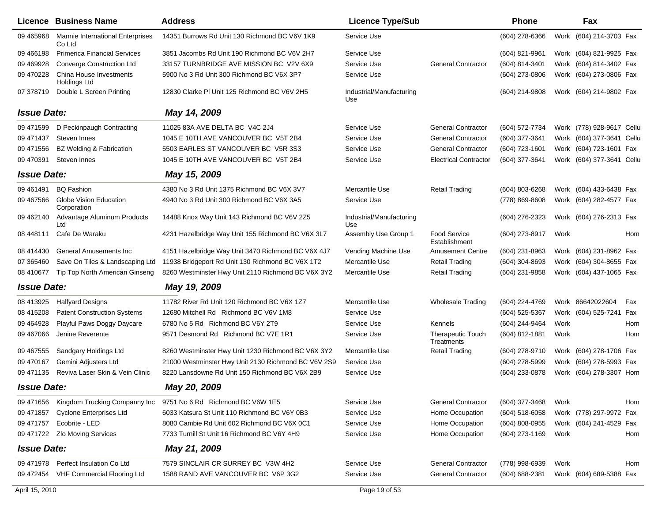|                    | Licence Business Name                             | <b>Address</b>                                      | <b>Licence Type/Sub</b>         |                                        | <b>Phone</b>       |      | Fax                       |     |
|--------------------|---------------------------------------------------|-----------------------------------------------------|---------------------------------|----------------------------------------|--------------------|------|---------------------------|-----|
| 09 465968          | <b>Mannie International Enterprises</b><br>Co Ltd | 14351 Burrows Rd Unit 130 Richmond BC V6V 1K9       | Service Use                     |                                        | (604) 278-6366     |      | Work (604) 214-3703 Fax   |     |
| 09 466198          | <b>Primerica Financial Services</b>               | 3851 Jacombs Rd Unit 190 Richmond BC V6V 2H7        | Service Use                     |                                        | (604) 821-9961     |      | Work (604) 821-9925 Fax   |     |
| 09 469928          | <b>Converge Construction Ltd</b>                  | 33157 TURNBRIDGE AVE MISSION BC V2V 6X9             | Service Use                     | <b>General Contractor</b>              | (604) 814-3401     |      | Work (604) 814-3402 Fax   |     |
| 09 470 228         | China House Investments<br>Holdings Ltd           | 5900 No 3 Rd Unit 300 Richmond BC V6X 3P7           | Service Use                     |                                        | (604) 273-0806     |      | Work (604) 273-0806 Fax   |     |
| 07 378719          | Double L Screen Printing                          | 12830 Clarke PI Unit 125 Richmond BC V6V 2H5        | Industrial/Manufacturing<br>Use |                                        | (604) 214-9808     |      | Work (604) 214-9802 Fax   |     |
| <b>Issue Date:</b> |                                                   | May 14, 2009                                        |                                 |                                        |                    |      |                           |     |
| 09 471599          | D Peckinpaugh Contracting                         | 11025 83A AVE DELTA BC V4C 2J4                      | Service Use                     | <b>General Contractor</b>              | (604) 572-7734     |      | Work (778) 928-9617 Cellu |     |
| 09 471 437         | Steven Innes                                      | 1045 E 10TH AVE VANCOUVER BC V5T 2B4                | Service Use                     | <b>General Contractor</b>              | (604) 377-3641     |      | Work (604) 377-3641 Cellu |     |
| 09 471556          | <b>BZ Welding &amp; Fabrication</b>               | 5503 EARLES ST VANCOUVER BC V5R 3S3                 | Service Use                     | <b>General Contractor</b>              | (604) 723-1601     |      | Work (604) 723-1601 Fax   |     |
| 09 470391          | Steven Innes                                      | 1045 E 10TH AVE VANCOUVER BC V5T 2B4                | Service Use                     | <b>Electrical Contractor</b>           | (604) 377-3641     |      | Work (604) 377-3641 Cellu |     |
| <b>Issue Date:</b> |                                                   | May 15, 2009                                        |                                 |                                        |                    |      |                           |     |
| 09 461 491         | <b>BQ Fashion</b>                                 | 4380 No 3 Rd Unit 1375 Richmond BC V6X 3V7          | Mercantile Use                  | <b>Retail Trading</b>                  | (604) 803-6268     |      | Work (604) 433-6438 Fax   |     |
| 09 467566          | Globe Vision Education<br>Corporation             | 4940 No 3 Rd Unit 300 Richmond BC V6X 3A5           | Service Use                     |                                        | (778) 869-8608     |      | Work (604) 282-4577 Fax   |     |
| 09 462140          | Advantage Aluminum Products<br>Ltd                | 14488 Knox Way Unit 143 Richmond BC V6V 2Z5         | Industrial/Manufacturing<br>Use |                                        | $(604)$ 276-2323   |      | Work (604) 276-2313 Fax   |     |
| 08 448111          | Cafe De Waraku                                    | 4231 Hazelbridge Way Unit 155 Richmond BC V6X 3L7   | Assembly Use Group 1            | <b>Food Service</b><br>Establishment   | (604) 273-8917     | Work |                           | Hom |
| 08 414430          | General Amusements Inc                            | 4151 Hazelbridge Way Unit 3470 Richmond BC V6X 4J7  | Vending Machine Use             | <b>Amusement Centre</b>                | (604) 231-8963     |      | Work (604) 231-8962 Fax   |     |
| 07 365460          | Save On Tiles & Landscaping Ltd                   | 11938 Bridgeport Rd Unit 130 Richmond BC V6X 1T2    | Mercantile Use                  | <b>Retail Trading</b>                  | (604) 304-8693     |      | Work (604) 304-8655 Fax   |     |
| 08 410 677         | Tip Top North American Ginseng                    | 8260 Westminster Hwy Unit 2110 Richmond BC V6X 3Y2  | Mercantile Use                  | <b>Retail Trading</b>                  | (604) 231-9858     |      | Work (604) 437-1065 Fax   |     |
| <b>Issue Date:</b> |                                                   | May 19, 2009                                        |                                 |                                        |                    |      |                           |     |
| 08 413925          | <b>Halfyard Designs</b>                           | 11782 River Rd Unit 120 Richmond BC V6X 1Z7         | Mercantile Use                  | <b>Wholesale Trading</b>               | (604) 224-4769     |      | Work 86642022604          | Fax |
| 08 415208          | <b>Patent Construction Systems</b>                | 12680 Mitchell Rd Richmond BC V6V 1M8               | Service Use                     |                                        | (604) 525-5367     |      | Work (604) 525-7241 Fax   |     |
| 09 464928          | Playful Paws Doggy Daycare                        | 6780 No 5 Rd Richmond BC V6Y 2T9                    | Service Use                     | <b>Kennels</b>                         | (604) 244-9464     | Work |                           | Hom |
| 09 467066          | Jenine Reverente                                  | 9571 Desmond Rd Richmond BC V7E 1R1                 | Service Use                     | <b>Therapeutic Touch</b><br>Treatments | (604) 812-1881     | Work |                           | Hom |
| 09 467555          | Sandgary Holdings Ltd                             | 8260 Westminster Hwy Unit 1230 Richmond BC V6X 3Y2  | Mercantile Use                  | <b>Retail Trading</b>                  | (604) 278-9710     |      | Work (604) 278-1706 Fax   |     |
| 09 470167          | Gemini Adjusters Ltd                              | 21000 Westminster Hwy Unit 2130 Richmond BC V6V 2S9 | Service Use                     |                                        | (604) 278-5999     |      | Work (604) 278-5993 Fax   |     |
| 09 471135          | Reviva Laser Skin & Vein Clinic                   | 8220 Lansdowne Rd Unit 150 Richmond BC V6X 2B9      | Service Use                     |                                        | (604) 233-0878     |      | Work (604) 278-3307 Hom   |     |
| <b>Issue Date:</b> |                                                   | May 20, 2009                                        |                                 |                                        |                    |      |                           |     |
| 09 471656          | Kingdom Trucking Companny Inc                     | 9751 No 6 Rd Richmond BC V6W 1E5                    | Service Use                     | <b>General Contractor</b>              | (604) 377-3468     | Work |                           | Hom |
| 09 471857          | <b>Cyclone Enterprises Ltd</b>                    | 6033 Katsura St Unit 110 Richmond BC V6Y 0B3        | Service Use                     | Home Occupation                        | $(604)$ 518-6058   |      | Work (778) 297-9972 Fax   |     |
| 09 471757          | Ecobrite - LED                                    | 8080 Cambie Rd Unit 602 Richmond BC V6X 0C1         | Service Use                     | Home Occupation                        | (604) 808-0955     |      | Work (604) 241-4529 Fax   |     |
| 09 471722          | <b>Zlo Moving Services</b>                        | 7733 Turnill St Unit 16 Richmond BC V6Y 4H9         | Service Use                     | Home Occupation                        | (604) 273-1169     | Work |                           | Hom |
| <b>Issue Date:</b> |                                                   | May 21, 2009                                        |                                 |                                        |                    |      |                           |     |
| 09 471 978         | Perfect Insulation Co Ltd                         | 7579 SINCLAIR CR SURREY BC V3W 4H2                  | Service Use                     | <b>General Contractor</b>              | (778) 998-6939     | Work |                           | Hom |
| 09 472454          | VHF Commercial Flooring Ltd                       | 1588 RAND AVE VANCOUVER BC V6P 3G2                  | Service Use                     | <b>General Contractor</b>              | $(604) 688 - 2381$ |      | Work (604) 689-5388 Fax   |     |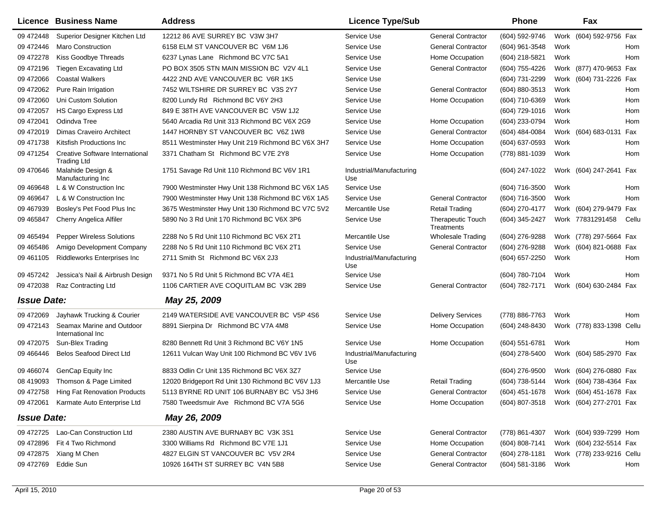|                    | Licence Business Name                                        | <b>Address</b>                                    | <b>Licence Type/Sub</b>         |                                        | <b>Phone</b>     |      | Fax                       |       |
|--------------------|--------------------------------------------------------------|---------------------------------------------------|---------------------------------|----------------------------------------|------------------|------|---------------------------|-------|
| 09 472448          | Superior Designer Kitchen Ltd                                | 12212 86 AVE SURREY BC V3W 3H7                    | Service Use                     | <b>General Contractor</b>              | (604) 592-9746   |      | Work (604) 592-9756 Fax   |       |
| 09 472446          | <b>Maro Construction</b>                                     | 6158 ELM ST VANCOUVER BC V6M 1J6                  | Service Use                     | <b>General Contractor</b>              | (604) 961-3548   | Work |                           | Hom   |
| 09 472278          | Kiss Goodbye Threads                                         | 6237 Lynas Lane Richmond BC V7C 5A1               | Service Use                     | Home Occupation                        | (604) 218-5821   | Work |                           | Hom   |
| 09 472196          | <b>Tiegen Excavating Ltd</b>                                 | PO BOX 3505 STN MAIN MISSION BC V2V 4L1           | Service Use                     | <b>General Contractor</b>              | (604) 755-4226   |      | Work (877) 470-9653 Fax   |       |
| 09 472066          | <b>Coastal Walkers</b>                                       | 4422 2ND AVE VANCOUVER BC V6R 1K5                 | Service Use                     |                                        | (604) 731-2299   |      | Work (604) 731-2226 Fax   |       |
| 09 472062          | Pure Rain Irrigation                                         | 7452 WILTSHIRE DR SURREY BC V3S 2Y7               | Service Use                     | <b>General Contractor</b>              | (604) 880-3513   | Work |                           | Hom   |
| 09 472060          | Uni Custom Solution                                          | 8200 Lundy Rd Richmond BC V6Y 2H3                 | Service Use                     | Home Occupation                        | (604) 710-6369   | Work |                           | Hom   |
| 09 472057          | <b>HS Cargo Express Ltd</b>                                  | 849 E 38TH AVE VANCOUVER BC V5W 1J2               | Service Use                     |                                        | (604) 729-1016   | Work |                           | Hom   |
| 09 47 2041         | Odindva Tree                                                 | 5640 Arcadia Rd Unit 313 Richmond BC V6X 2G9      | Service Use                     | Home Occupation                        | (604) 233-0794   | Work |                           | Hom   |
| 09 47 2019         | <b>Dimas Craveiro Architect</b>                              | 1447 HORNBY ST VANCOUVER BC V6Z 1W8               | Service Use                     | <b>General Contractor</b>              | (604) 484-0084   |      | Work (604) 683-0131 Fax   |       |
| 09 471738          | Kitsfish Productions Inc                                     | 8511 Westminster Hwy Unit 219 Richmond BC V6X 3H7 | Service Use                     | Home Occupation                        | (604) 637-0593   | Work |                           | Hom   |
| 09 471254          | <b>Creative Software International</b><br><b>Trading Ltd</b> | 3371 Chatham St Richmond BC V7E 2Y8               | Service Use                     | Home Occupation                        | (778) 881-1039   | Work |                           | Hom   |
| 09 470 646         | Malahide Design &<br>Manufacturing Inc                       | 1751 Savage Rd Unit 110 Richmond BC V6V 1R1       | Industrial/Manufacturing<br>Use |                                        | (604) 247-1022   |      | Work (604) 247-2641 Fax   |       |
| 09 469 648         | L & W Construction Inc                                       | 7900 Westminster Hwy Unit 138 Richmond BC V6X 1A5 | Service Use                     |                                        | (604) 716-3500   | Work |                           | Hom   |
| 09 46 9647         | L & W Construction Inc                                       | 7900 Westminster Hwy Unit 138 Richmond BC V6X 1A5 | Service Use                     | <b>General Contractor</b>              | (604) 716-3500   | Work |                           | Hom   |
| 09 467939          | Bosley's Pet Food Plus Inc                                   | 3675 Westminster Hwy Unit 130 Richmond BC V7C 5V2 | <b>Mercantile Use</b>           | <b>Retail Trading</b>                  | (604) 270-4177   |      | Work (604) 279-9479 Fax   |       |
| 09 465847          | Cherry Angelica Alfiler                                      | 5890 No 3 Rd Unit 170 Richmond BC V6X 3P6         | Service Use                     | <b>Therapeutic Touch</b><br>Treatments | (604) 345-2427   |      | Work 77831291458          | Cellu |
| 09 465494          | <b>Pepper Wireless Solutions</b>                             | 2288 No 5 Rd Unit 110 Richmond BC V6X 2T1         | Mercantile Use                  | <b>Wholesale Trading</b>               | (604) 276-9288   |      | Work (778) 297-5664 Fax   |       |
| 09 465486          | Amigo Development Company                                    | 2288 No 5 Rd Unit 110 Richmond BC V6X 2T1         | Service Use                     | <b>General Contractor</b>              | (604) 276-9288   |      | Work (604) 821-0688 Fax   |       |
| 09 461105          | Riddleworks Enterprises Inc                                  | 2711 Smith St Richmond BC V6X 2J3                 | Industrial/Manufacturing<br>Use |                                        | (604) 657-2250   | Work |                           | Hom   |
| 09 457242          | Jessica's Nail & Airbrush Design                             | 9371 No 5 Rd Unit 5 Richmond BC V7A 4E1           | Service Use                     |                                        | (604) 780-7104   | Work |                           | Hom   |
| 09 472038          | Raz Contracting Ltd                                          | 1106 CARTIER AVE COQUITLAM BC V3K 2B9             | Service Use                     | <b>General Contractor</b>              | (604) 782-7171   |      | Work (604) 630-2484 Fax   |       |
| <b>Issue Date:</b> |                                                              | May 25, 2009                                      |                                 |                                        |                  |      |                           |       |
| 09 472069          | Jayhawk Trucking & Courier                                   | 2149 WATERSIDE AVE VANCOUVER BC V5P 4S6           | Service Use                     | <b>Delivery Services</b>               | (778) 886-7763   | Work |                           | Hom   |
| 09 472143          | Seamax Marine and Outdoor<br>International Inc               | 8891 Sierpina Dr Richmond BC V7A 4M8              | Service Use                     | Home Occupation                        | (604) 248-8430   |      | Work (778) 833-1398 Cellu |       |
| 09 472075          | Sun-Blex Trading                                             | 8280 Bennett Rd Unit 3 Richmond BC V6Y 1N5        | Service Use                     | Home Occupation                        | (604) 551-6781   | Work |                           | Hom   |
| 09 46 6446         | <b>Belos Seafood Direct Ltd</b>                              | 12611 Vulcan Way Unit 100 Richmond BC V6V 1V6     | Industrial/Manufacturing<br>Use |                                        | (604) 278-5400   |      | Work (604) 585-2970 Fax   |       |
| 09 46 6074         | GenCap Equity Inc                                            | 8833 Odlin Cr Unit 135 Richmond BC V6X 3Z7        | Service Use                     |                                        | (604) 276-9500   |      | Work (604) 276-0880 Fax   |       |
| 08 419093          | Thomson & Page Limited                                       | 12020 Bridgeport Rd Unit 130 Richmond BC V6V 1J3  | Mercantile Use                  | <b>Retail Trading</b>                  | (604) 738-5144   |      | Work (604) 738-4364 Fax   |       |
|                    | 09 472758 Hing Fat Renovation Products                       | 5113 BYRNE RD UNIT 106 BURNABY BC V5J 3H6         | Service Use                     | <b>General Contractor</b>              | $(604)$ 451-1678 |      | Work (604) 451-1678 Fax   |       |
| 09 472061          | Karmate Auto Enterprise Ltd                                  | 7580 Tweedsmuir Ave Richmond BC V7A 5G6           | Service Use                     | Home Occupation                        | (604) 807-3518   |      | Work (604) 277-2701 Fax   |       |
| <b>Issue Date:</b> |                                                              | May 26, 2009                                      |                                 |                                        |                  |      |                           |       |
| 09 472725          | Lao-Can Construction Ltd                                     | 2380 AUSTIN AVE BURNABY BC V3K 3S1                | Service Use                     | <b>General Contractor</b>              | (778) 861-4307   |      | Work (604) 939-7299 Hom   |       |
| 09 472896          | Fit 4 Two Richmond                                           | 3300 Williams Rd Richmond BC V7E 1J1              | Service Use                     | Home Occupation                        | $(604)$ 808-7141 |      | Work (604) 232-5514 Fax   |       |
|                    | 09 472875 Xiang M Chen                                       | 4827 ELGIN ST VANCOUVER BC V5V 2R4                | Service Use                     | <b>General Contractor</b>              | $(604)$ 278-1181 |      | Work (778) 233-9216 Cellu |       |
|                    | 09 472769 Eddie Sun                                          | 10926 164TH ST SURREY BC V4N 5B8                  | Service Use                     | General Contractor                     | (604) 581-3186   | Work |                           | Hom   |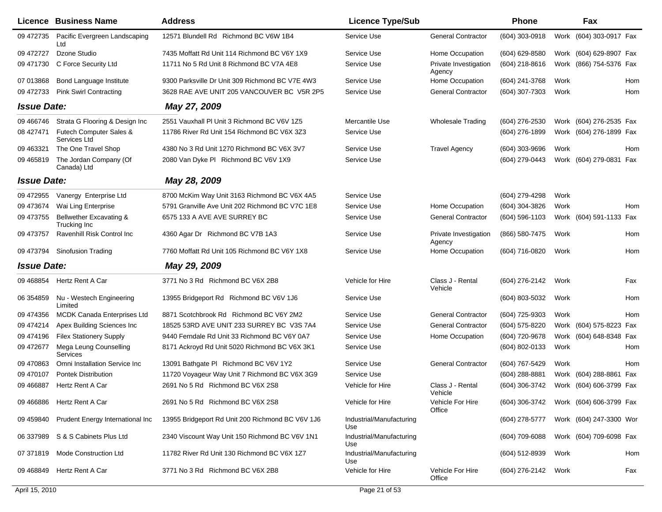|                    | <b>Licence Business Name</b>                      | <b>Address</b>                                   | <b>Licence Type/Sub</b>         |                                 | <b>Phone</b>     |      | Fax                     |     |
|--------------------|---------------------------------------------------|--------------------------------------------------|---------------------------------|---------------------------------|------------------|------|-------------------------|-----|
| 09 472735          | Pacific Evergreen Landscaping<br>Ltd              | 12571 Blundell Rd Richmond BC V6W 1B4            | Service Use                     | <b>General Contractor</b>       | (604) 303-0918   |      | Work (604) 303-0917 Fax |     |
| 09 472727          | Dzone Studio                                      | 7435 Moffatt Rd Unit 114 Richmond BC V6Y 1X9     | Service Use                     | Home Occupation                 | (604) 629-8580   |      | Work (604) 629-8907 Fax |     |
| 09 471730          | C Force Security Ltd                              | 11711 No 5 Rd Unit 8 Richmond BC V7A 4E8         | Service Use                     | Private Investigation<br>Agency | (604) 218-8616   |      | Work (866) 754-5376 Fax |     |
| 07 013868          | Bond Language Institute                           | 9300 Parksville Dr Unit 309 Richmond BC V7E 4W3  | Service Use                     | Home Occupation                 | (604) 241-3768   | Work |                         | Hom |
| 09 472733          | <b>Pink Swirl Contracting</b>                     | 3628 RAE AVE UNIT 205 VANCOUVER BC V5R 2P5       | Service Use                     | <b>General Contractor</b>       | (604) 307-7303   | Work |                         | Hom |
| <b>Issue Date:</b> |                                                   | May 27, 2009                                     |                                 |                                 |                  |      |                         |     |
| 09 466746          | Strata G Flooring & Design Inc                    | 2551 Vauxhall PI Unit 3 Richmond BC V6V 1Z5      | Mercantile Use                  | <b>Wholesale Trading</b>        | (604) 276-2530   |      | Work (604) 276-2535 Fax |     |
|                    | 08 427471 Futech Computer Sales &<br>Services Ltd | 11786 River Rd Unit 154 Richmond BC V6X 3Z3      | Service Use                     |                                 | (604) 276-1899   |      | Work (604) 276-1899 Fax |     |
| 09 463321          | The One Travel Shop                               | 4380 No 3 Rd Unit 1270 Richmond BC V6X 3V7       | Service Use                     | <b>Travel Agency</b>            | (604) 303-9696   | Work |                         | Hom |
| 09 465819          | The Jordan Company (Of<br>Canada) Ltd             | 2080 Van Dyke PI Richmond BC V6V 1X9             | Service Use                     |                                 | (604) 279-0443   |      | Work (604) 279-0831 Fax |     |
| <b>Issue Date:</b> |                                                   | May 28, 2009                                     |                                 |                                 |                  |      |                         |     |
| 09 472955          | Vanergy Enterprise Ltd                            | 8700 McKim Way Unit 3163 Richmond BC V6X 4A5     | Service Use                     |                                 | (604) 279-4298   | Work |                         |     |
| 09 473674          | Wai Ling Enterprise                               | 5791 Granville Ave Unit 202 Richmond BC V7C 1E8  | Service Use                     | Home Occupation                 | (604) 304-3826   | Work |                         | Hom |
| 09 473755          | Bellwether Excavating &<br>Trucking Inc           | 6575 133 A AVE AVE SURREY BC                     | Service Use                     | <b>General Contractor</b>       | (604) 596-1103   |      | Work (604) 591-1133 Fax |     |
| 09 473757          | Ravenhill Risk Control Inc                        | 4360 Agar Dr Richmond BC V7B 1A3                 | Service Use                     | Private Investigation<br>Agency | (866) 580-7475   | Work |                         | Hom |
| 09 473794          | <b>Sinofusion Trading</b>                         | 7760 Moffatt Rd Unit 105 Richmond BC V6Y 1X8     | Service Use                     | Home Occupation                 | (604) 716-0820   | Work |                         | Hom |
| <b>Issue Date:</b> |                                                   | May 29, 2009                                     |                                 |                                 |                  |      |                         |     |
|                    | 09 468854 Hertz Rent A Car                        | 3771 No 3 Rd Richmond BC V6X 2B8                 | Vehicle for Hire                | Class J - Rental<br>Vehicle     | (604) 276-2142   | Work |                         | Fax |
| 06 354859          | Nu - Westech Engineering<br>Limited               | 13955 Bridgeport Rd Richmond BC V6V 1J6          | Service Use                     |                                 | (604) 803-5032   | Work |                         | Hom |
| 09 474356          | <b>MCDK Canada Enterprises Ltd</b>                | 8871 Scotchbrook Rd Richmond BC V6Y 2M2          | Service Use                     | <b>General Contractor</b>       | (604) 725-9303   | Work |                         | Hom |
| 09 474214          | Apex Building Sciences Inc                        | 18525 53RD AVE UNIT 233 SURREY BC V3S 7A4        | Service Use                     | <b>General Contractor</b>       | (604) 575-8220   |      | Work (604) 575-8223 Fax |     |
| 09 474196          | <b>Filex Stationery Supply</b>                    | 9440 Ferndale Rd Unit 33 Richmond BC V6Y 0A7     | Service Use                     | Home Occupation                 | (604) 720-9678   |      | Work (604) 648-8348 Fax |     |
| 09 47 2677         | Mega Leung Counselling<br>Services                | 8171 Ackroyd Rd Unit 5020 Richmond BC V6X 3K1    | Service Use                     |                                 | (604) 802-0133   | Work |                         | Hom |
| 09 470 863         | Omni Installation Service Inc                     | 13091 Bathgate PI Richmond BC V6V 1Y2            | Service Use                     | <b>General Contractor</b>       | (604) 767-5429   | Work |                         | Hom |
| 09 470107          | <b>Pontek Distribution</b>                        | 11720 Voyageur Way Unit 7 Richmond BC V6X 3G9    | Service Use                     |                                 | (604) 288-8881   | Work | (604) 288-8861          | Fax |
| 09 46 6887         | <b>Hertz Rent A Car</b>                           | 2691 No 5 Rd Richmond BC V6X 2S8                 | Vehicle for Hire                | Class J - Rental<br>Vehicle     | (604) 306-3742   |      | Work (604) 606-3799 Fax |     |
| 09 466886          | Hertz Rent A Car                                  | 2691 No 5 Rd Richmond BC V6X 2S8                 | Vehicle for Hire                | Vehicle For Hire<br>Office      | (604) 306-3742   |      | Work (604) 606-3799 Fax |     |
| 09 459840          | Prudent Energy International Inc                  | 13955 Bridgeport Rd Unit 200 Richmond BC V6V 1J6 | Industrial/Manufacturing<br>Use |                                 | (604) 278-5777   |      | Work (604) 247-3300 Wor |     |
| 06 337989          | S & S Cabinets Plus Ltd                           | 2340 Viscount Way Unit 150 Richmond BC V6V 1N1   | Industrial/Manufacturing<br>Use |                                 | $(604)$ 709-6088 |      | Work (604) 709-6098 Fax |     |
| 07 371819          | <b>Mode Construction Ltd</b>                      | 11782 River Rd Unit 130 Richmond BC V6X 1Z7      | Industrial/Manufacturing<br>Use |                                 | (604) 512-8939   | Work |                         | Hom |
| 09 468849          | Hertz Rent A Car                                  | 3771 No 3 Rd Richmond BC V6X 2B8                 | Vehicle for Hire                | Vehicle For Hire<br>Office      | (604) 276-2142   | Work |                         | Fax |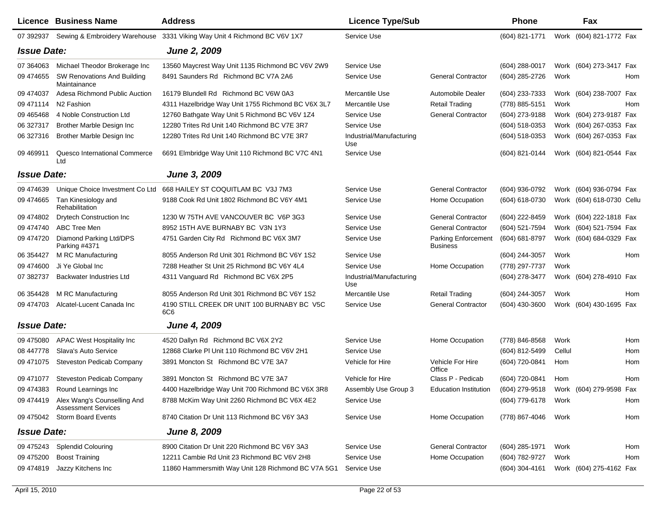|                    | <b>Licence Business Name</b>                                        | <b>Address</b>                                     | <b>Licence Type/Sub</b>         |                                               | <b>Phone</b>   |        | Fax                       |     |
|--------------------|---------------------------------------------------------------------|----------------------------------------------------|---------------------------------|-----------------------------------------------|----------------|--------|---------------------------|-----|
| 07 392937          | Sewing & Embroidery Warehouse                                       | 3331 Viking Way Unit 4 Richmond BC V6V 1X7         | Service Use                     |                                               | (604) 821-1771 |        | Work (604) 821-1772 Fax   |     |
| <b>Issue Date:</b> |                                                                     | <b>June 2, 2009</b>                                |                                 |                                               |                |        |                           |     |
| 07 364063          | Michael Theodor Brokerage Inc                                       | 13560 Maycrest Way Unit 1135 Richmond BC V6V 2W9   | Service Use                     |                                               | (604) 288-0017 |        | Work (604) 273-3417 Fax   |     |
| 09 474655          | SW Renovations And Building<br>Maintainance                         | 8491 Saunders Rd Richmond BC V7A 2A6               | Service Use                     | <b>General Contractor</b>                     | (604) 285-2726 | Work   |                           | Hom |
| 09 474037          | Adesa Richmond Public Auction                                       | 16179 Blundell Rd Richmond BC V6W 0A3              | Mercantile Use                  | Automobile Dealer                             | (604) 233-7333 |        | Work (604) 238-7007 Fax   |     |
| 09 471114          | N <sub>2</sub> Fashion                                              | 4311 Hazelbridge Way Unit 1755 Richmond BC V6X 3L7 | Mercantile Use                  | <b>Retail Trading</b>                         | (778) 885-5151 | Work   |                           | Hom |
| 09 465468          | 4 Noble Construction Ltd                                            | 12760 Bathgate Way Unit 5 Richmond BC V6V 1Z4      | Service Use                     | <b>General Contractor</b>                     | (604) 273-9188 |        | Work (604) 273-9187 Fax   |     |
| 06 327317          | Brother Marble Design Inc                                           | 12280 Trites Rd Unit 140 Richmond BC V7E 3R7       | Service Use                     |                                               | (604) 518-0353 |        | Work (604) 267-0353 Fax   |     |
| 06 327316          | Brother Marble Design Inc                                           | 12280 Trites Rd Unit 140 Richmond BC V7E 3R7       | Industrial/Manufacturing<br>Use |                                               | (604) 518-0353 |        | Work (604) 267-0353 Fax   |     |
| 09 469911          | Quesco International Commerce<br>Ltd                                | 6691 Elmbridge Way Unit 110 Richmond BC V7C 4N1    | Service Use                     |                                               | (604) 821-0144 |        | Work (604) 821-0544 Fax   |     |
| <b>Issue Date:</b> |                                                                     | June 3, 2009                                       |                                 |                                               |                |        |                           |     |
| 09 474639          | Unique Choice Investment Co Ltd                                     | 668 HAILEY ST COQUITLAM BC V3J 7M3                 | Service Use                     | <b>General Contractor</b>                     | (604) 936-0792 |        | Work (604) 936-0794 Fax   |     |
| 09 474665          | Tan Kinesiology and<br>Rehabilitation                               | 9188 Cook Rd Unit 1802 Richmond BC V6Y 4M1         | Service Use                     | Home Occupation                               | (604) 618-0730 |        | Work (604) 618-0730 Cellu |     |
| 09 474802          | <b>Drytech Construction Inc</b>                                     | 1230 W 75TH AVE VANCOUVER BC V6P 3G3               | Service Use                     | <b>General Contractor</b>                     | (604) 222-8459 |        | Work (604) 222-1818 Fax   |     |
| 09 474740          | <b>ABC Tree Men</b>                                                 | 8952 15TH AVE BURNABY BC V3N 1Y3                   | Service Use                     | <b>General Contractor</b>                     | (604) 521-7594 |        | Work (604) 521-7594 Fax   |     |
| 09 474720          | Diamond Parking Ltd/DPS<br>Parking #4371                            | 4751 Garden City Rd Richmond BC V6X 3M7            | Service Use                     | <b>Parking Enforcement</b><br><b>Business</b> | (604) 681-8797 |        | Work (604) 684-0329 Fax   |     |
| 06 354427          | M RC Manufacturing                                                  | 8055 Anderson Rd Unit 301 Richmond BC V6Y 1S2      | Service Use                     |                                               | (604) 244-3057 | Work   |                           | Hom |
| 09 474600          | Ji Ye Global Inc                                                    | 7288 Heather St Unit 25 Richmond BC V6Y 4L4        | Service Use                     | Home Occupation                               | (778) 297-7737 | Work   |                           |     |
| 07 382737          | Backwater Industries Ltd                                            | 4311 Vanguard Rd Richmond BC V6X 2P5               | Industrial/Manufacturing<br>Use |                                               | (604) 278-3477 |        | Work (604) 278-4910 Fax   |     |
| 06 354428          | M RC Manufacturing                                                  | 8055 Anderson Rd Unit 301 Richmond BC V6Y 1S2      | Mercantile Use                  | <b>Retail Trading</b>                         | (604) 244-3057 | Work   |                           | Hom |
| 09 474703          | Alcatel-Lucent Canada Inc                                           | 4190 STILL CREEK DR UNIT 100 BURNABY BC V5C<br>6C6 | Service Use                     | <b>General Contractor</b>                     | (604) 430-3600 |        | Work (604) 430-1695 Fax   |     |
| <b>Issue Date:</b> |                                                                     | <b>June 4, 2009</b>                                |                                 |                                               |                |        |                           |     |
| 09 475080          | <b>APAC West Hospitality Inc</b>                                    | 4520 Dallyn Rd Richmond BC V6X 2Y2                 | Service Use                     | Home Occupation                               | (778) 846-8568 | Work   |                           | Hom |
| 08 447778          | Slava's Auto Service                                                | 12868 Clarke PI Unit 110 Richmond BC V6V 2H1       | Service Use                     |                                               | (604) 812-5499 | Cellul |                           | Hom |
| 09 471075          | Steveston Pedicab Company                                           | 3891 Moncton St Richmond BC V7E 3A7                | Vehicle for Hire                | Vehicle For Hire<br>Office                    | (604) 720-0841 | Hom    |                           | Hom |
| 09 471077          | <b>Steveston Pedicab Company</b>                                    | 3891 Moncton St Richmond BC V7E 3A7                | Vehicle for Hire                | Class P - Pedicab                             | (604) 720-0841 | Hom    |                           | Hom |
|                    | 09 474383 Round Learnings Inc                                       | 4400 Hazelbridge Way Unit 700 Richmond BC V6X 3R8  | Assembly Use Group 3            | Education Institution (604) 279-9518          |                |        | Work (604) 279-9598 Fax   |     |
|                    | 09 474419 Alex Wang's Counselling And<br><b>Assessment Services</b> | 8788 McKim Way Unit 2260 Richmond BC V6X 4E2       | Service Use                     |                                               | (604) 779-6178 | Work   |                           | Hom |
|                    | 09 475042 Storm Board Events                                        | 8740 Citation Dr Unit 113 Richmond BC V6Y 3A3      | Service Use                     | Home Occupation                               | (778) 867-4046 | Work   |                           | Hom |
| <b>Issue Date:</b> |                                                                     | <b>June 8, 2009</b>                                |                                 |                                               |                |        |                           |     |
| 09 475243          | <b>Splendid Colouring</b>                                           | 8900 Citation Dr Unit 220 Richmond BC V6Y 3A3      | Service Use                     | <b>General Contractor</b>                     | (604) 285-1971 | Work   |                           | Hom |
| 09 475200          | <b>Boost Training</b>                                               | 12211 Cambie Rd Unit 23 Richmond BC V6V 2H8        | Service Use                     | Home Occupation                               | (604) 782-9727 | Work   |                           | Hom |
| 09 474819          | Jazzy Kitchens Inc                                                  | 11860 Hammersmith Way Unit 128 Richmond BC V7A 5G1 | Service Use                     |                                               | (604) 304-4161 |        | Work (604) 275-4162 Fax   |     |
|                    |                                                                     |                                                    |                                 |                                               |                |        |                           |     |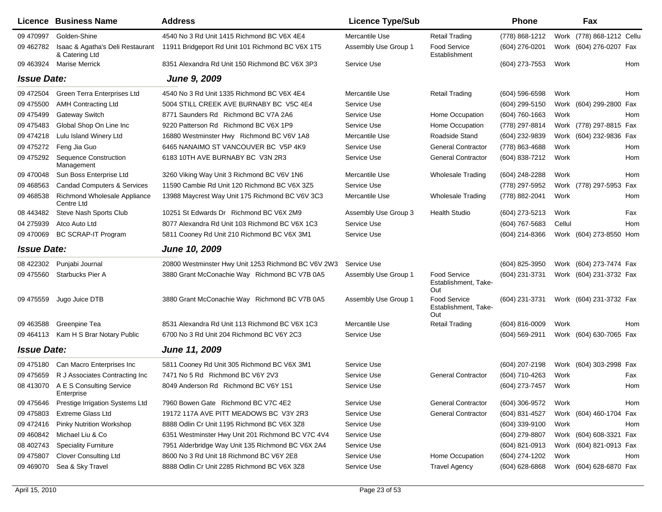|                    | Licence Business Name                              | <b>Address</b>                                      | <b>Licence Type/Sub</b> |                                                    | <b>Phone</b>     |        | Fax                        |            |
|--------------------|----------------------------------------------------|-----------------------------------------------------|-------------------------|----------------------------------------------------|------------------|--------|----------------------------|------------|
| 09 470997          | Golden-Shine                                       | 4540 No 3 Rd Unit 1415 Richmond BC V6X 4E4          | Mercantile Use          | <b>Retail Trading</b>                              | (778) 868-1212   |        | Work (778) 868-1212 Cellu  |            |
| 09 462782          | Isaac & Agatha's Deli Restaurant<br>& Catering Ltd | 11911 Bridgeport Rd Unit 101 Richmond BC V6X 1T5    | Assembly Use Group 1    | Food Service<br>Establishment                      | (604) 276-0201   |        | Work (604) 276-0207 Fax    |            |
| 09 463924          | Marise Merrick                                     | 8351 Alexandra Rd Unit 150 Richmond BC V6X 3P3      | Service Use             |                                                    | (604) 273-7553   | Work   |                            | Hom        |
| <b>Issue Date:</b> |                                                    | <b>June 9, 2009</b>                                 |                         |                                                    |                  |        |                            |            |
| 09 472504          | Green Terra Enterprises Ltd                        | 4540 No 3 Rd Unit 1335 Richmond BC V6X 4E4          | Mercantile Use          | <b>Retail Trading</b>                              | (604) 596-6598   | Work   |                            | Hom        |
| 09 475500          | <b>AMH Contracting Ltd</b>                         | 5004 STILL CREEK AVE BURNABY BC V5C 4E4             | Service Use             |                                                    | (604) 299-5150   |        | Work (604) 299-2800<br>Fax |            |
| 09 475499          | Gateway Switch                                     | 8771 Saunders Rd Richmond BC V7A 2A6                | Service Use             | Home Occupation                                    | (604) 760-1663   | Work   | Hom                        |            |
| 09 475483          | Global Shop On Line Inc                            | 9220 Patterson Rd Richmond BC V6X 1P9               | Service Use             | Home Occupation                                    | (778) 297-8814   |        | Work (778) 297-8815 Fax    |            |
| 09 474218          | Lulu Island Winery Ltd                             | 16880 Westminster Hwy Richmond BC V6V 1A8           | Mercantile Use          | Roadside Stand                                     | (604) 232-9839   |        | Work (604) 232-9836 Fax    |            |
| 09 475272          | Feng Jia Guo                                       | 6465 NANAIMO ST VANCOUVER BC V5P 4K9                | Service Use             | <b>General Contractor</b>                          | (778) 863-4688   | Work   |                            | Hom        |
| 09 475292          | <b>Sequence Construction</b><br>Management         | 6183 10TH AVE BURNABY BC V3N 2R3                    | Service Use             | <b>General Contractor</b>                          | (604) 838-7212   | Work   | Hom                        |            |
| 09 470048          | Sun Boss Enterprise Ltd                            | 3260 Viking Way Unit 3 Richmond BC V6V 1N6          | Mercantile Use          | Wholesale Trading                                  | (604) 248-2288   | Work   | Hom                        |            |
| 09 468563          | <b>Candad Computers &amp; Services</b>             | 11590 Cambie Rd Unit 120 Richmond BC V6X 3Z5        | Service Use             |                                                    | (778) 297-5952   |        | Work (778) 297-5953<br>Fax |            |
| 09 468538          | Richmond Wholesale Appliance<br>Centre Ltd         | 13988 Maycrest Way Unit 175 Richmond BC V6V 3C3     | Mercantile Use          | <b>Wholesale Trading</b>                           | (778) 882-2041   | Work   | Hom                        |            |
| 08 443482          | Steve Nash Sports Club                             | 10251 St Edwards Dr Richmond BC V6X 2M9             | Assembly Use Group 3    | <b>Health Studio</b>                               | (604) 273-5213   | Work   | Fax                        |            |
| 04 275939          | Atco Auto Ltd                                      | 8077 Alexandra Rd Unit 103 Richmond BC V6X 1C3      | Service Use             |                                                    | (604) 767-5683   | Cellul |                            | <b>Hom</b> |
| 09 470069          | <b>BC SCRAP-IT Program</b>                         | 5811 Cooney Rd Unit 210 Richmond BC V6X 3M1         | Service Use             |                                                    | (604) 214-8366   |        | Work (604) 273-8550 Hom    |            |
| <b>Issue Date:</b> |                                                    | June 10, 2009                                       |                         |                                                    |                  |        |                            |            |
| 08 422302          | Punjabi Journal                                    | 20800 Westminster Hwy Unit 1253 Richmond BC V6V 2W3 | Service Use             |                                                    | (604) 825-3950   |        | Work (604) 273-7474 Fax    |            |
| 09 475560          | <b>Starbucks Pier A</b>                            | 3880 Grant McConachie Way Richmond BC V7B 0A5       | Assembly Use Group 1    | <b>Food Service</b><br>Establishment, Take-<br>Out | (604) 231-3731   |        | Work (604) 231-3732 Fax    |            |
| 09 475559          | Jugo Juice DTB                                     | 3880 Grant McConachie Way Richmond BC V7B 0A5       | Assembly Use Group 1    | Food Service<br>Establishment, Take-<br>Out        | (604) 231-3731   |        | Work (604) 231-3732 Fax    |            |
| 09 463588          | Greenpine Tea                                      | 8531 Alexandra Rd Unit 113 Richmond BC V6X 1C3      | Mercantile Use          | <b>Retail Trading</b>                              | $(604)$ 816-0009 | Work   |                            | <b>Hom</b> |
| 09 464113          | Kam H S Brar Notary Public                         | 6700 No 3 Rd Unit 204 Richmond BC V6Y 2C3           | Service Use             |                                                    | (604) 569-2911   |        | Work (604) 630-7065 Fax    |            |
| <b>Issue Date:</b> |                                                    | June 11, 2009                                       |                         |                                                    |                  |        |                            |            |
| 09 475180          | Can Macro Enterprises Inc                          | 5811 Cooney Rd Unit 305 Richmond BC V6X 3M1         | Service Use             |                                                    | (604) 207-2198   |        | Work (604) 303-2998 Fax    |            |
| 09 475 659         | R J Associates Contracting Inc                     | 7471 No 5 Rd Richmond BC V6Y 2V3                    | Service Use             | <b>General Contractor</b>                          | (604) 710-4263   | Work   | Fax                        |            |
|                    | 08 413070 A E S Consulting Service<br>Enterprise   | 8049 Anderson Rd Richmond BC V6Y 1S1                | Service Use             |                                                    | (604) 273-7457   | Work   |                            | Hom        |
| 09 475 646         | Prestige Irrigation Systems Ltd                    | 7960 Bowen Gate Richmond BC V7C 4E2                 | Service Use             | <b>General Contractor</b>                          | (604) 306-9572   | Work   | Hom                        |            |
| 09 475803          | <b>Extreme Glass Ltd</b>                           | 19172 117A AVE PITT MEADOWS BC V3Y 2R3              | Service Use             | General Contractor                                 | (604) 831-4527   |        | Work (604) 460-1704 Fax    |            |
| 09 472416          | Pinky Nutrition Workshop                           | 8888 Odlin Cr Unit 1195 Richmond BC V6X 3Z8         | Service Use             |                                                    | (604) 339-9100   | Work   |                            | Hom        |
| 09 460 842         | Michael Liu & Co                                   | 6351 Westminster Hwy Unit 201 Richmond BC V7C 4V4   | Service Use             |                                                    | (604) 279-8807   |        | Work (604) 608-3321 Fax    |            |
| 08 402743          | <b>Speciality Furniture</b>                        | 7951 Alderbridge Way Unit 135 Richmond BC V6X 2A4   | Service Use             |                                                    | (604) 821-0913   |        | Work (604) 821-0913 Fax    |            |
| 09 475807          | <b>Clover Consulting Ltd</b>                       | 8600 No 3 Rd Unit 18 Richmond BC V6Y 2E8            | Service Use             | Home Occupation                                    | (604) 274-1202   | Work   |                            | Hom        |
| 09 469070          | Sea & Sky Travel                                   | 8888 Odlin Cr Unit 2285 Richmond BC V6X 3Z8         | Service Use             | <b>Travel Agency</b>                               | $(604)$ 628-6868 |        | Work (604) 628-6870 Fax    |            |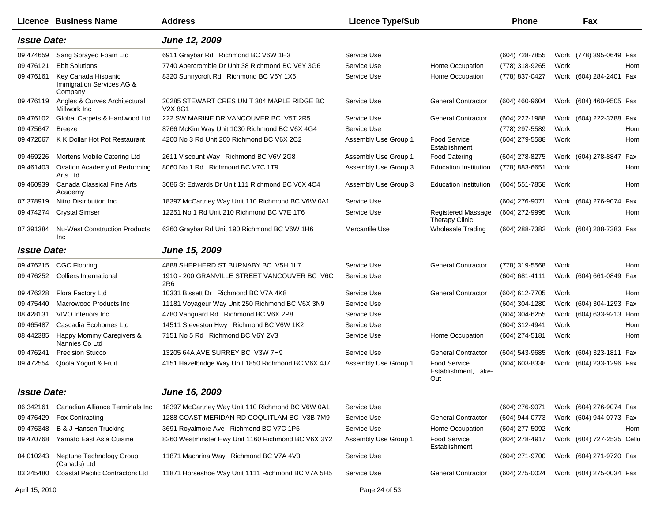|                    | <b>Licence Business Name</b>                                | <b>Address</b>                                                  | <b>Licence Type/Sub</b> |                                             | <b>Phone</b>   |      | Fax                       |     |
|--------------------|-------------------------------------------------------------|-----------------------------------------------------------------|-------------------------|---------------------------------------------|----------------|------|---------------------------|-----|
| <b>Issue Date:</b> |                                                             | June 12, 2009                                                   |                         |                                             |                |      |                           |     |
| 09 474 659         | Sang Sprayed Foam Ltd                                       | 6911 Graybar Rd Richmond BC V6W 1H3                             | Service Use             |                                             | (604) 728-7855 |      | Work (778) 395-0649 Fax   |     |
| 09 47 61 21        | <b>Ebit Solutions</b>                                       | 7740 Abercrombie Dr Unit 38 Richmond BC V6Y 3G6                 | Service Use             | Home Occupation                             | (778) 318-9265 | Work |                           | Hom |
| 09 47 61 61        | Key Canada Hispanic<br>Immigration Services AG &<br>Company | 8320 Sunnycroft Rd Richmond BC V6Y 1X6                          | Service Use             | Home Occupation                             | (778) 837-0427 | Work | (604) 284-2401 Fax        |     |
| 09 476119          | Angles & Curves Architectural<br>Millwork Inc               | 20285 STEWART CRES UNIT 304 MAPLE RIDGE BC<br>V2X 8G1           | Service Use             | <b>General Contractor</b>                   | (604) 460-9604 |      | Work (604) 460-9505 Fax   |     |
| 09 476102          | Global Carpets & Hardwood Ltd                               | 222 SW MARINE DR VANCOUVER BC V5T 2R5                           | Service Use             | <b>General Contractor</b>                   | (604) 222-1988 |      | Work (604) 222-3788 Fax   |     |
| 09 475 647         | <b>Breeze</b>                                               | 8766 McKim Way Unit 1030 Richmond BC V6X 4G4                    | Service Use             |                                             | (778) 297-5589 | Work |                           | Hom |
| 09 472067          | K K Dollar Hot Pot Restaurant                               | 4200 No 3 Rd Unit 200 Richmond BC V6X 2C2                       | Assembly Use Group 1    | <b>Food Service</b><br>Establishment        | (604) 279-5588 | Work |                           | Hom |
| 09 469 226         | Mortens Mobile Catering Ltd                                 | 2611 Viscount Way Richmond BC V6V 2G8                           | Assembly Use Group 1    | <b>Food Catering</b>                        | (604) 278-8275 | Work | (604) 278-8847            | Fax |
| 09 461403          | Ovation Academy of Performing<br>Arts Ltd                   | 8060 No 1 Rd Richmond BC V7C 1T9                                | Assembly Use Group 3    | <b>Education Institution</b>                | (778) 883-6651 | Work |                           | Hom |
| 09 460939          | Canada Classical Fine Arts<br>Academy                       | 3086 St Edwards Dr Unit 111 Richmond BC V6X 4C4                 | Assembly Use Group 3    | <b>Education Institution</b>                | (604) 551-7858 | Work |                           | Hom |
| 07 378919          | Nitro Distribution Inc                                      | 18397 McCartney Way Unit 110 Richmond BC V6W 0A1                | Service Use             |                                             | (604) 276-9071 |      | Work (604) 276-9074       | Fax |
| 09 474274          | <b>Crystal Simser</b>                                       | 12251 No 1 Rd Unit 210 Richmond BC V7E 1T6                      | Service Use             | Registered Massage<br><b>Therapy Clinic</b> | (604) 272-9995 | Work |                           | Hom |
| 07 391384          | <b>Nu-West Construction Products</b><br><b>Inc</b>          | 6260 Graybar Rd Unit 190 Richmond BC V6W 1H6                    | Mercantile Use          | <b>Wholesale Trading</b>                    | (604) 288-7382 |      | Work (604) 288-7383 Fax   |     |
| <b>Issue Date:</b> |                                                             | June 15, 2009                                                   |                         |                                             |                |      |                           |     |
| 09 476215          | <b>CGC Flooring</b>                                         | 4888 SHEPHERD ST BURNABY BC V5H 1L7                             | Service Use             | <b>General Contractor</b>                   | (778) 319-5568 | Work |                           | Hom |
| 09 476252          | <b>Colliers International</b>                               | 1910 - 200 GRANVILLE STREET VANCOUVER BC V6C<br>2R <sub>6</sub> | Service Use             |                                             | (604) 681-4111 |      | Work (604) 661-0849 Fax   |     |
| 09 47 6228         | Flora Factory Ltd                                           | 10331 Bissett Dr Richmond BC V7A 4K8                            | Service Use             | <b>General Contractor</b>                   | (604) 612-7705 | Work |                           | Hom |
| 09 475440          | Macrowood Products Inc                                      | 11181 Voyageur Way Unit 250 Richmond BC V6X 3N9                 | Service Use             |                                             | (604) 304-1280 | Work | (604) 304-1293 Fax        |     |
| 08 428131          | VIVO Interiors Inc                                          | 4780 Vanguard Rd Richmond BC V6X 2P8                            | Service Use             |                                             | (604) 304-6255 |      | Work (604) 633-9213 Hom   |     |
| 09 465487          | Cascadia Ecohomes Ltd                                       | 14511 Steveston Hwy Richmond BC V6W 1K2                         | Service Use             |                                             | (604) 312-4941 | Work |                           | Hom |
| 08 442385          | Happy Mommy Caregivers &<br>Nannies Co Ltd                  | 7151 No 5 Rd Richmond BC V6Y 2V3                                | Service Use             | Home Occupation                             | (604) 274-5181 | Work |                           | Hom |
| 09 47 6241         | <b>Precision Stucco</b>                                     | 13205 64A AVE SURREY BC V3W 7H9                                 | Service Use             | <b>General Contractor</b>                   | (604) 543-9685 | Work | (604) 323-1811 Fax        |     |
| 09 472554          | Qoola Yogurt & Fruit                                        | 4151 Hazelbridge Way Unit 1850 Richmond BC V6X 4J7              | Assembly Use Group 1    | Food Service<br>Establishment, Take-<br>Out | (604) 603-8338 |      | Work (604) 233-1296 Fax   |     |
| <b>Issue Date:</b> |                                                             | June 16, 2009                                                   |                         |                                             |                |      |                           |     |
| 06 342161          | Canadian Alliance Terminals Inc                             | 18397 McCartney Way Unit 110 Richmond BC V6W 0A1                | Service Use             |                                             | (604) 276-9071 |      | Work (604) 276-9074 Fax   |     |
| 09 47 64 29        | Fox Contracting                                             | 1288 COAST MERIDAN RD COQUITLAM BC V3B 7M9                      | Service Use             | <b>General Contractor</b>                   | (604) 944-0773 |      | Work (604) 944-0773 Fax   |     |
| 09 47 6348         | B & J Hansen Trucking                                       | 3691 Royalmore Ave Richmond BC V7C 1P5                          | Service Use             | Home Occupation                             | (604) 277-5092 | Work |                           | Hom |
| 09 470768          | Yamato East Asia Cuisine                                    | 8260 Westminster Hwy Unit 1160 Richmond BC V6X 3Y2              | Assembly Use Group 1    | <b>Food Service</b><br>Establishment        | (604) 278-4917 |      | Work (604) 727-2535 Cellu |     |
| 04 010243          | Neptune Technology Group<br>(Canada) Ltd                    | 11871 Machrina Way Richmond BC V7A 4V3                          | Service Use             |                                             | (604) 271-9700 |      | Work (604) 271-9720 Fax   |     |
| 03 245480          | <b>Coastal Pacific Contractors Ltd</b>                      | 11871 Horseshoe Way Unit 1111 Richmond BC V7A 5H5               | Service Use             | <b>General Contractor</b>                   | (604) 275-0024 |      | Work (604) 275-0034 Fax   |     |
| April 15, 2010     |                                                             |                                                                 | Page 24 of 53           |                                             |                |      |                           |     |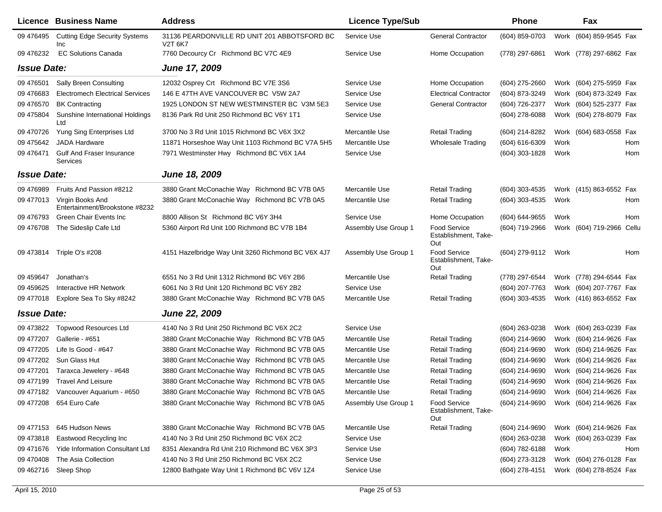|                    | <b>Licence Business Name</b>                       | <b>Address</b>                                                       | <b>Licence Type/Sub</b> |                                                    | Phone          |      | Fax                          |
|--------------------|----------------------------------------------------|----------------------------------------------------------------------|-------------------------|----------------------------------------------------|----------------|------|------------------------------|
| 09 47 64 95        | <b>Cutting Edge Security Systems</b><br>Inc        | 31136 PEARDONVILLE RD UNIT 201 ABBOTSFORD BC<br>V <sub>2</sub> T 6K7 | Service Use             | <b>General Contractor</b>                          | (604) 859-0703 |      | Work (604) 859-9545 Fax      |
| 09 47 6232         | <b>EC Solutions Canada</b>                         | 7760 Decourcy Cr Richmond BC V7C 4E9                                 | Service Use             | Home Occupation                                    | (778) 297-6861 |      | Work (778) 297-6862 Fax      |
| <b>Issue Date:</b> |                                                    | <b>June 17, 2009</b>                                                 |                         |                                                    |                |      |                              |
| 09 476501          | <b>Sally Breen Consulting</b>                      | 12032 Osprey Crt Richmond BC V7E 3S6                                 | Service Use             | Home Occupation                                    | (604) 275-2660 |      | Work (604) 275-5959 Fax      |
| 09 47 6683         | <b>Electromech Electrical Services</b>             | 146 E 47TH AVE VANCOUVER BC V5W 2A7                                  | Service Use             | <b>Electrical Contractor</b>                       | (604) 873-3249 |      | Work (604) 873-3249 Fax      |
| 09 47 6570         | <b>BK Contracting</b>                              | 1925 LONDON ST NEW WESTMINSTER BC V3M 5E3                            | Service Use             | <b>General Contractor</b>                          | (604) 726-2377 |      | Work (604) 525-2377 Fax      |
| 09 475804          | Sunshine International Holdings<br>Ltd             | 8136 Park Rd Unit 250 Richmond BC V6Y 1T1                            | Service Use             |                                                    | (604) 278-6088 |      | Work (604) 278-8079 Fax      |
| 09 470726          | Yung Sing Enterprises Ltd                          | 3700 No 3 Rd Unit 1015 Richmond BC V6X 3X2                           | Mercantile Use          | <b>Retail Trading</b>                              | (604) 214-8282 |      | Work (604) 683-0558 Fax      |
| 09 475 642         | <b>JADA Hardware</b>                               | 11871 Horseshoe Way Unit 1103 Richmond BC V7A 5H5                    | Mercantile Use          | <b>Wholesale Trading</b>                           | (604) 616-6309 | Work | Hom                          |
| 09 47 6471         | Gulf And Fraser Insurance<br>Services              | 7971 Westminster Hwy Richmond BC V6X 1A4                             | Service Use             |                                                    | (604) 303-1828 | Work | Hom                          |
| <b>Issue Date:</b> |                                                    | June 18, 2009                                                        |                         |                                                    |                |      |                              |
| 09 476989          | Fruits And Passion #8212                           | 3880 Grant McConachie Way Richmond BC V7B 0A5                        | Mercantile Use          | <b>Retail Trading</b>                              | (604) 303-4535 |      | Work (415) 863-6552 Fax      |
| 09 477013          | Virgin Books And<br>Entertainment/Brookstone #8232 | 3880 Grant McConachie Way Richmond BC V7B 0A5                        | Mercantile Use          | Retail Trading                                     | (604) 303-4535 | Work | Hom                          |
| 09 476793          | Green Chair Events Inc                             | 8800 Allison St Richmond BC V6Y 3H4                                  | Service Use             | Home Occupation                                    | (604) 644-9655 | Work | <b>Hom</b>                   |
| 09 476708          | The Sideslip Cafe Ltd                              | 5360 Airport Rd Unit 100 Richmond BC V7B 1B4                         | Assembly Use Group 1    | <b>Food Service</b><br>Establishment, Take-<br>Out | (604) 719-2966 |      | Work (604) 719-2966<br>Cellu |
| 09 473814          | Triple O's #208                                    | 4151 Hazelbridge Way Unit 3260 Richmond BC V6X 4J7                   | Assembly Use Group 1    | <b>Food Service</b><br>Establishment, Take-<br>Out | (604) 279-9112 | Work | Hom                          |
| 09 459 647         | Jonathan's                                         | 6551 No 3 Rd Unit 1312 Richmond BC V6Y 2B6                           | Mercantile Use          | <b>Retail Trading</b>                              | (778) 297-6544 |      | Work (778) 294-6544 Fax      |
| 09 459 625         | Interactive HR Network                             | 6061 No 3 Rd Unit 120 Richmond BC V6Y 2B2                            | Service Use             |                                                    | (604) 207-7763 |      | Work (604) 207-7767 Fax      |
| 09 477018          | Explore Sea To Sky #8242                           | 3880 Grant McConachie Way Richmond BC V7B 0A5                        | Mercantile Use          | <b>Retail Trading</b>                              | (604) 303-4535 |      | Work (416) 863-6552 Fax      |
| <b>Issue Date:</b> |                                                    | <b>June 22, 2009</b>                                                 |                         |                                                    |                |      |                              |
| 09 473822          | <b>Topwood Resources Ltd</b>                       | 4140 No 3 Rd Unit 250 Richmond BC V6X 2C2                            | Service Use             |                                                    | (604) 263-0238 |      | Work (604) 263-0239 Fax      |
| 09 477207          | Gallerie - #651                                    | 3880 Grant McConachie Way Richmond BC V7B 0A5                        | Mercantile Use          | <b>Retail Trading</b>                              | (604) 214-9690 |      | Work (604) 214-9626 Fax      |
| 09 477205          | Life Is Good - #647                                | 3880 Grant McConachie Way Richmond BC V7B 0A5                        | Mercantile Use          | <b>Retail Trading</b>                              | (604) 214-9690 |      | Work (604) 214-9626 Fax      |
| 09 477202          | Sun Glass Hut                                      | 3880 Grant McConachie Way Richmond BC V7B 0A5                        | Mercantile Use          | <b>Retail Trading</b>                              | (604) 214-9690 |      | Work (604) 214-9626 Fax      |
| 09 477201          | Taraxca Jewelery - #648                            | 3880 Grant McConachie Way Richmond BC V7B 0A5                        | Mercantile Use          | <b>Retail Trading</b>                              | (604) 214-9690 |      | Work (604) 214-9626 Fax      |
| 09 477199          | <b>Travel And Leisure</b>                          | 3880 Grant McConachie Way Richmond BC V7B 0A5                        | Mercantile Use          | <b>Retail Trading</b>                              | (604) 214-9690 |      | Work (604) 214-9626 Fax      |
|                    | 09 477182 Vancouver Aquarium - #650                | 3880 Grant McConachie Way Richmond BC V7B 0A5                        | Mercantile Use          | Retail Trading                                     | (604) 214-9690 |      | Work (604) 214-9626 Fax      |
|                    | 09 477208 654 Euro Cafe                            | 3880 Grant McConachie Way Richmond BC V7B 0A5                        | Assembly Use Group 1    | <b>Food Service</b><br>Establishment, Take-<br>Out | (604) 214-9690 |      | Work (604) 214-9626 Fax      |
| 09 477153          | 645 Hudson News                                    | 3880 Grant McConachie Way Richmond BC V7B 0A5                        | Mercantile Use          | <b>Retail Trading</b>                              | (604) 214-9690 |      | Work (604) 214-9626 Fax      |
| 09 473818          | Eastwood Recycling Inc                             | 4140 No 3 Rd Unit 250 Richmond BC V6X 2C2                            | Service Use             |                                                    | (604) 263-0238 |      | Work (604) 263-0239 Fax      |
| 09 471 676         | <b>Yide Information Consultant Ltd</b>             | 8351 Alexandra Rd Unit 210 Richmond BC V6X 3P3                       | Service Use             |                                                    | (604) 782-6188 | Work | Hom                          |
| 09 470 408         | The Asia Collection                                | 4140 No 3 Rd Unit 250 Richmond BC V6X 2C2                            | Service Use             |                                                    | (604) 273-3128 |      | Work (604) 276-0128 Fax      |
| 09 462716          | Sleep Shop                                         | 12800 Bathgate Way Unit 1 Richmond BC V6V 1Z4                        | Service Use             |                                                    | (604) 278-4151 |      | Work (604) 278-8524 Fax      |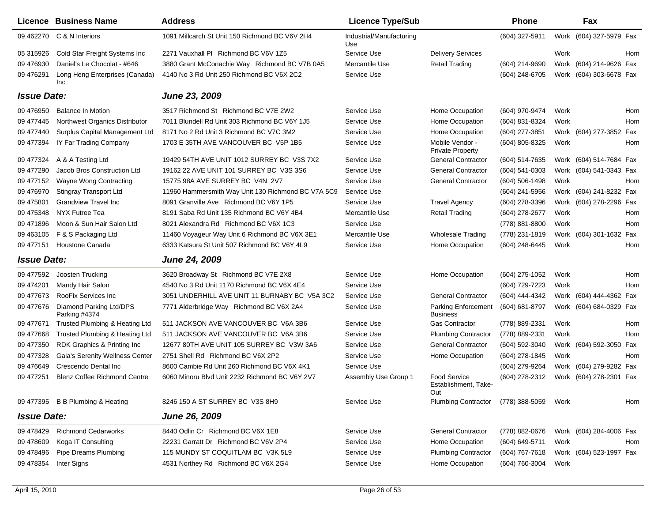|                    | <b>Licence Business Name</b>             | <b>Address</b>                                     | <b>Licence Type/Sub</b>         |                                               | <b>Phone</b>   |      | Fax                     |     |
|--------------------|------------------------------------------|----------------------------------------------------|---------------------------------|-----------------------------------------------|----------------|------|-------------------------|-----|
| 09 462270          | C & N Interiors                          | 1091 Millcarch St Unit 150 Richmond BC V6V 2H4     | Industrial/Manufacturing<br>Use |                                               | (604) 327-5911 |      | Work (604) 327-5979 Fax |     |
| 05 315926          | Cold Star Freight Systems Inc            | 2271 Vauxhall PI Richmond BC V6V 1Z5               | Service Use                     | <b>Delivery Services</b>                      |                | Work |                         | Hom |
| 09 476930          | Daniel's Le Chocolat - #646              | 3880 Grant McConachie Way Richmond BC V7B 0A5      | Mercantile Use                  | <b>Retail Trading</b>                         | (604) 214-9690 |      | Work (604) 214-9626 Fax |     |
| 09 476291          | Long Heng Enterprises (Canada)<br>Inc    | 4140 No 3 Rd Unit 250 Richmond BC V6X 2C2          | Service Use                     |                                               | (604) 248-6705 |      | Work (604) 303-6678 Fax |     |
| <b>Issue Date:</b> |                                          | June 23, 2009                                      |                                 |                                               |                |      |                         |     |
| 09 47 69 50        | <b>Balance In Motion</b>                 | 3517 Richmond St Richmond BC V7E 2W2               | Service Use                     | Home Occupation                               | (604) 970-9474 | Work |                         | Hom |
| 09 477445          | Northwest Organics Distributor           | 7011 Blundell Rd Unit 303 Richmond BC V6Y 1J5      | Service Use                     | Home Occupation                               | (604) 831-8324 | Work |                         | Hom |
| 09 477440          | Surplus Capital Management Ltd           | 8171 No 2 Rd Unit 3 Richmond BC V7C 3M2            | Service Use                     | Home Occupation                               | (604) 277-3851 |      | Work (604) 277-3852 Fax |     |
| 09 477394          | IY Far Trading Company                   | 1703 E 35TH AVE VANCOUVER BC V5P 1B5               | Service Use                     | Mobile Vendor -<br><b>Private Property</b>    | (604) 805-8325 | Work |                         | Hom |
| 09 477324          | A & A Testing Ltd                        | 19429 54TH AVE UNIT 1012 SURREY BC V3S 7X2         | Service Use                     | <b>General Contractor</b>                     | (604) 514-7635 |      | Work (604) 514-7684 Fax |     |
| 09 477290          | Jacob Bros Construction Ltd              | 19162 22 AVE UNIT 101 SURREY BC V3S 3S6            | Service Use                     | <b>General Contractor</b>                     | (604) 541-0303 |      | Work (604) 541-0343 Fax |     |
| 09 477152          | Wayne Wong Contracting                   | 15775 98A AVE SURREY BC V4N 2V7                    | Service Use                     | <b>General Contractor</b>                     | (604) 506-1498 | Work |                         | Hom |
| 09 476970          | <b>Stingray Transport Ltd</b>            | 11960 Hammersmith Way Unit 130 Richmond BC V7A 5C9 | Service Use                     |                                               | (604) 241-5956 |      | Work (604) 241-8232 Fax |     |
| 09 475801          | <b>Grandview Travel Inc</b>              | 8091 Granville Ave Richmond BC V6Y 1P5             | Service Use                     | <b>Travel Agency</b>                          | (604) 278-3396 |      | Work (604) 278-2296 Fax |     |
| 09 475348          | NYX Futree Tea                           | 8191 Saba Rd Unit 135 Richmond BC V6Y 4B4          | Mercantile Use                  | <b>Retail Trading</b>                         | (604) 278-2677 | Work |                         | Hom |
| 09 471896          | Moon & Sun Hair Salon Ltd                | 8021 Alexandra Rd Richmond BC V6X 1C3              | Service Use                     |                                               | (778) 881-8800 | Work |                         | Hom |
| 09 463105          | F & S Packaging Ltd                      | 11460 Voyageur Way Unit 6 Richmond BC V6X 3E1      | Mercantile Use                  | <b>Wholesale Trading</b>                      | (778) 231-1819 |      | Work (604) 301-1632 Fax |     |
| 09 477151          | Houstone Canada                          | 6333 Katsura St Unit 507 Richmond BC V6Y 4L9       | Service Use                     | Home Occupation                               | (604) 248-6445 | Work |                         | Hom |
| <b>Issue Date:</b> |                                          | June 24, 2009                                      |                                 |                                               |                |      |                         |     |
| 09 477592          | Joosten Trucking                         | 3620 Broadway St Richmond BC V7E 2X8               | Service Use                     | Home Occupation                               | (604) 275-1052 | Work |                         | Hom |
| 09 474 201         | Mandy Hair Salon                         | 4540 No 3 Rd Unit 1170 Richmond BC V6X 4E4         | Service Use                     |                                               | (604) 729-7223 | Work |                         | Hom |
| 09 477673          | RooFix Services Inc                      | 3051 UNDERHILL AVE UNIT 11 BURNABY BC V5A 3C2      | Service Use                     | <b>General Contractor</b>                     | (604) 444-4342 |      | Work (604) 444-4362 Fax |     |
| 09 477676          | Diamond Parking Ltd/DPS<br>Parking #4374 | 7771 Alderbridge Way Richmond BC V6X 2A4           | Service Use                     | <b>Parking Enforcement</b><br><b>Business</b> | (604) 681-8797 |      | Work (604) 684-0329 Fax |     |
| 09 477671          | Trusted Plumbing & Heating Ltd           | 511 JACKSON AVE VANCOUVER BC V6A 3B6               | Service Use                     | Gas Contractor                                | (778) 889-2331 | Work |                         | Hom |
| 09 477668          | Trusted Plumbing & Heating Ltd           | 511 JACKSON AVE VANCOUVER BC V6A 3B6               | Service Use                     | <b>Plumbing Contractor</b>                    | (778) 889-2331 | Work |                         | Hom |
| 09 477350          | RDK Graphics & Printing Inc.             | 12677 80TH AVE UNIT 105 SURREY BC V3W 3A6          | Service Use                     | <b>General Contractor</b>                     | (604) 592-3040 |      | Work (604) 592-3050 Fax |     |
| 09 477328          | Gaia's Serenity Wellness Center          | 2751 Shell Rd Richmond BC V6X 2P2                  | Service Use                     | Home Occupation                               | (604) 278-1845 | Work |                         | Hom |
| 09 47 6649         | Crescendo Dental Inc                     | 8600 Cambie Rd Unit 260 Richmond BC V6X 4K1        | Service Use                     |                                               | (604) 279-9264 |      | Work (604) 279-9282 Fax |     |
| 09 477251          | <b>Blenz Coffee Richmond Centre</b>      | 6060 Minoru Blvd Unit 2232 Richmond BC V6Y 2V7     | Assembly Use Group 1            | Food Service<br>Establishment, Take-<br>Out   | (604) 278-2312 |      | Work (604) 278-2301 Fax |     |
|                    | 09 477395 B B Plumbing & Heating         | 8246 150 A ST SURREY BC V3S 8H9                    | Service Use                     | <b>Plumbing Contractor</b>                    | (778) 388-5059 | Work |                         | Hom |
| <b>Issue Date:</b> |                                          | June 26, 2009                                      |                                 |                                               |                |      |                         |     |
| 09 478429          | <b>Richmond Cedarworks</b>               | 8440 Odlin Cr Richmond BC V6X 1E8                  | Service Use                     | <b>General Contractor</b>                     | (778) 882-0676 |      | Work (604) 284-4006 Fax |     |
| 09 478609          | Koga IT Consulting                       | 22231 Garratt Dr Richmond BC V6V 2P4               | Service Use                     | Home Occupation                               | (604) 649-5711 | Work |                         | Hom |
| 09 478496          | Pipe Dreams Plumbing                     | 115 MUNDY ST COQUITLAM BC V3K 5L9                  | Service Use                     | <b>Plumbing Contractor</b>                    | (604) 767-7618 |      | Work (604) 523-1997 Fax |     |
| 09 478354          | Inter Signs                              | 4531 Northey Rd Richmond BC V6X 2G4                | Service Use                     | Home Occupation                               | (604) 760-3004 | Work |                         |     |
|                    |                                          |                                                    |                                 |                                               |                |      |                         |     |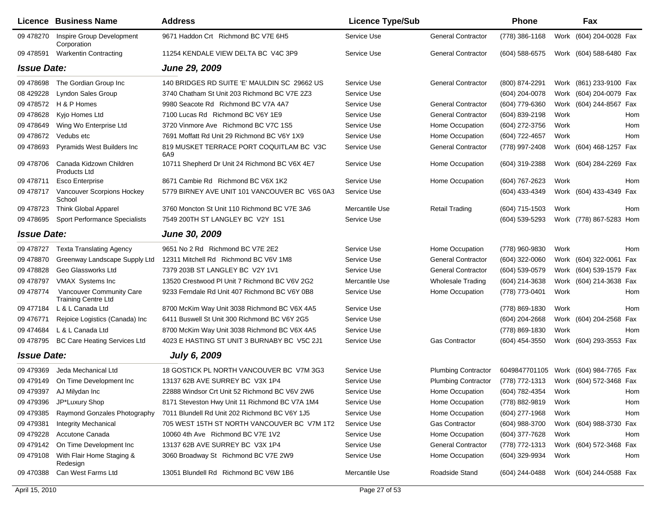|                    | <b>Licence Business Name</b>                           | <b>Address</b>                                  | <b>Licence Type/Sub</b> |                            | Phone                                  |      | Fax                     |     |
|--------------------|--------------------------------------------------------|-------------------------------------------------|-------------------------|----------------------------|----------------------------------------|------|-------------------------|-----|
| 09 478270          | Inspire Group Development<br>Corporation               | 9671 Haddon Crt Richmond BC V7E 6H5             | Service Use             | <b>General Contractor</b>  | (778) 386-1168                         |      | Work (604) 204-0028 Fax |     |
| 09 478591          | <b>Warkentin Contracting</b>                           | 11254 KENDALE VIEW DELTA BC V4C 3P9             | Service Use             | <b>General Contractor</b>  | (604) 588-6575                         |      | Work (604) 588-6480 Fax |     |
| <b>Issue Date:</b> |                                                        | June 29, 2009                                   |                         |                            |                                        |      |                         |     |
| 09 478698          | The Gordian Group Inc                                  | 140 BRIDGES RD SUITE 'E' MAULDIN SC 29662 US    | Service Use             | <b>General Contractor</b>  | (800) 874-2291                         |      | Work (861) 233-9100 Fax |     |
| 08 429228          | <b>Lyndon Sales Group</b>                              | 3740 Chatham St Unit 203 Richmond BC V7E 2Z3    | Service Use             |                            | (604) 204-0078                         |      | Work (604) 204-0079 Fax |     |
| 09 478572          | H & P Homes                                            | 9980 Seacote Rd Richmond BC V7A 4A7             | Service Use             | <b>General Contractor</b>  | (604) 779-6360                         |      | Work (604) 244-8567 Fax |     |
| 09 478628          | Kyjo Homes Ltd                                         | 7100 Lucas Rd Richmond BC V6Y 1E9               | Service Use             | <b>General Contractor</b>  | (604) 839-2198                         | Work |                         | Hom |
| 09 478 649         | Wing Wo Enterprise Ltd                                 | 3720 Vinmore Ave Richmond BC V7C 1S5            | Service Use             | Home Occupation            | (604) 272-3756                         | Work |                         | Hom |
| 09 478 672         | Vedubs etc                                             | 7691 Moffatt Rd Unit 29 Richmond BC V6Y 1X9     | Service Use             | Home Occupation            | (604) 722-4657                         | Work |                         | Hom |
| 09 478693          | Pyramids West Builders Inc                             | 819 MUSKET TERRACE PORT COQUITLAM BC V3C<br>6A9 | Service Use             | <b>General Contractor</b>  | (778) 997-2408                         |      | Work (604) 468-1257 Fax |     |
| 09 478706          | Canada Kidzown Children<br>Products Ltd                | 10711 Shepherd Dr Unit 24 Richmond BC V6X 4E7   | Service Use             | Home Occupation            | (604) 319-2388                         |      | Work (604) 284-2269 Fax |     |
| 09 478711          | <b>Esco Enterprise</b>                                 | 8671 Cambie Rd Richmond BC V6X 1K2              | Service Use             | Home Occupation            | (604) 767-2623                         | Work |                         | Hom |
| 09 478717          | Vancouver Scorpions Hockey<br>School                   | 5779 BIRNEY AVE UNIT 101 VANCOUVER BC V6S 0A3   | Service Use             |                            | (604) 433-4349                         |      | Work (604) 433-4349 Fax |     |
| 09 478723          | <b>Think Global Apparel</b>                            | 3760 Moncton St Unit 110 Richmond BC V7E 3A6    | Mercantile Use          | <b>Retail Trading</b>      | (604) 715-1503                         | Work |                         | Hom |
| 09 478695          | Sport Performance Specialists                          | 7549 200TH ST LANGLEY BC V2Y 1S1                | Service Use             |                            | (604) 539-5293                         |      | Work (778) 867-5283 Hom |     |
| <b>Issue Date:</b> |                                                        | <b>June 30, 2009</b>                            |                         |                            |                                        |      |                         |     |
| 09 478727          | <b>Texta Translating Agency</b>                        | 9651 No 2 Rd Richmond BC V7E 2E2                | Service Use             | Home Occupation            | (778) 960-9830                         | Work |                         | Hom |
| 09 478870          | Greenway Landscape Supply Ltd                          | 12311 Mitchell Rd Richmond BC V6V 1M8           | Service Use             | <b>General Contractor</b>  | (604) 322-0060                         |      | Work (604) 322-0061 Fax |     |
| 09 478828          | Geo Glassworks Ltd                                     | 7379 203B ST LANGLEY BC V2Y 1V1                 | Service Use             | <b>General Contractor</b>  | $(604)$ 539-0579                       |      | Work (604) 539-1579 Fax |     |
| 09 478797          | VMAX Systems Inc                                       | 13520 Crestwood PI Unit 7 Richmond BC V6V 2G2   | Mercantile Use          | <b>Wholesale Trading</b>   | (604) 214-3638                         |      | Work (604) 214-3638 Fax |     |
| 09 478774          | Vancouver Community Care<br><b>Training Centre Ltd</b> | 9233 Ferndale Rd Unit 407 Richmond BC V6Y 0B8   | Service Use             | Home Occupation            | (778) 773-0401                         | Work |                         | Hom |
| 09 477184          | L & L Canada Ltd                                       | 8700 McKim Way Unit 3038 Richmond BC V6X 4A5    | Service Use             |                            | (778) 869-1830                         | Work |                         | Hom |
| 09 47 6771         | Rejoice Logistics (Canada) Inc                         | 6411 Buswell St Unit 300 Richmond BC V6Y 2G5    | Service Use             |                            | (604) 204-2668                         |      | Work (604) 204-2568 Fax |     |
| 09 474 684         | L & L Canada Ltd                                       | 8700 McKim Way Unit 3038 Richmond BC V6X 4A5    | Service Use             |                            | (778) 869-1830                         | Work |                         | Hom |
| 09 478795          | <b>BC Care Heating Services Ltd</b>                    | 4023 E HASTING ST UNIT 3 BURNABY BC V5C 2J1     | Service Use             | <b>Gas Contractor</b>      | (604) 454-3550                         |      | Work (604) 293-3553 Fax |     |
| <b>Issue Date:</b> |                                                        | <b>July 6, 2009</b>                             |                         |                            |                                        |      |                         |     |
| 09 479369          | Jeda Mechanical Ltd                                    | 18 GOSTICK PL NORTH VANCOUVER BC V7M 3G3        | Service Use             | <b>Plumbing Contractor</b> | 6049847701105 Work (604) 984-7765 Fax  |      |                         |     |
|                    | 09 479149 On Time Development Inc                      | 13137 62B AVE SURREY BC V3X 1P4                 | Service Use             | <b>Plumbing Contractor</b> | (778) 772-1313 Work (604) 572-3468 Fax |      |                         |     |
| 09 479397          | AJ Milydan Inc                                         | 22888 Windsor Crt Unit 52 Richmond BC V6V 2W6   | Service Use             | Home Occupation            | (604) 782-4354 Work                    |      |                         | Hom |
| 09 479396          | JP*Luxury Shop                                         | 8171 Steveston Hwy Unit 11 Richmond BC V7A 1M4  | Service Use             | Home Occupation            | (778) 882-9819                         | Work |                         | Hom |
| 09 479385          | Raymond Gonzales Photography                           | 7011 Blundell Rd Unit 202 Richmond BC V6Y 1J5   | Service Use             | Home Occupation            | (604) 277-1968                         | Work |                         | Hom |
| 09 479381          | <b>Integrity Mechanical</b>                            | 705 WEST 15TH ST NORTH VANCOUVER BC V7M 1T2     | Service Use             | Gas Contractor             | (604) 988-3700                         |      | Work (604) 988-3730 Fax |     |
| 09 479228          | Accutone Canada                                        | 10060 4th Ave Richmond BC V7E 1V2               | Service Use             | Home Occupation            | (604) 377-7628                         | Work |                         | Hom |
| 09 479142          | On Time Development Inc                                | 13137 62B AVE SURREY BC V3X 1P4                 | Service Use             | <b>General Contractor</b>  | (778) 772-1313                         |      | Work (604) 572-3468 Fax |     |
| 09 479108          | With Flair Home Staging &<br>Redesign                  | 3060 Broadway St Richmond BC V7E 2W9            | Service Use             | Home Occupation            | (604) 329-9934                         | Work |                         | Hom |
| 09 470388          | Can West Farms Ltd                                     | 13051 Blundell Rd Richmond BC V6W 1B6           | Mercantile Use          | Roadside Stand             | (604) 244-0488                         |      | Work (604) 244-0588 Fax |     |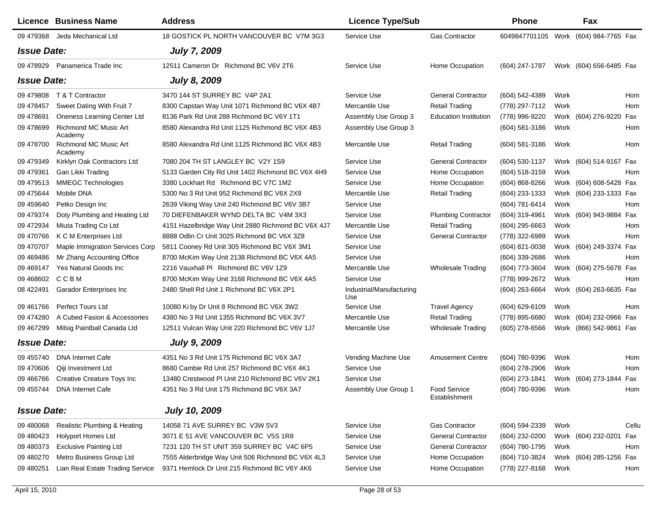|                           | Licence Business Name                   | <b>Address</b>                                     | <b>Licence Type/Sub</b>         |                               | <b>Phone</b>                          |      | Fax                     |       |
|---------------------------|-----------------------------------------|----------------------------------------------------|---------------------------------|-------------------------------|---------------------------------------|------|-------------------------|-------|
|                           | 09 479368 Jeda Mechanical Ltd           | 18 GOSTICK PL NORTH VANCOUVER BC V7M 3G3           | Service Use                     | <b>Gas Contractor</b>         | 6049847701105 Work (604) 984-7765 Fax |      |                         |       |
| <i><b>Issue Date:</b></i> |                                         | <b>July 7, 2009</b>                                |                                 |                               |                                       |      |                         |       |
|                           | 09 478929  Panamerica Trade Inc         | 12511 Cameron Dr Richmond BC V6V 2T6               | Service Use                     | Home Occupation               | (604) 247-1787                        |      | Work (604) 656-6485 Fax |       |
| <b>Issue Date:</b>        |                                         | <b>July 8, 2009</b>                                |                                 |                               |                                       |      |                         |       |
| 09 479808                 | T & T Contractor                        | 3470 144 ST SURREY BC V4P 2A1                      | Service Use                     | <b>General Contractor</b>     | (604) 542-4389                        | Work |                         | Hom   |
| 09 478457                 | Sweet Dating With Fruit 7               | 8300 Capstan Way Unit 1071 Richmond BC V6X 4B7     | Mercantile Use                  | <b>Retail Trading</b>         | (778) 297-7112                        | Work |                         | Hom   |
| 09 478691                 | Oneness Learning Center Ltd             | 8136 Park Rd Unit 288 Richmond BC V6Y 1T1          | Assembly Use Group 3            | <b>Education Institution</b>  | (778) 996-9220                        |      | Work (604) 276-9220     | Fax   |
| 09 478699                 | <b>Richmond MC Music Art</b><br>Academy | 8580 Alexandra Rd Unit 1125 Richmond BC V6X 4B3    | Assembly Use Group 3            |                               | $(604)$ 581-3186                      | Work |                         | Hom   |
| 09 478700                 | Richmond MC Music Art<br>Academy        | 8580 Alexandra Rd Unit 1125 Richmond BC V6X 4B3    | Mercantile Use                  | Retail Trading                | $(604)$ 581-3186                      | Work |                         | Hom   |
| 09 479349                 | Kirklyn Oak Contractors Ltd             | 7080 204 TH ST LANGLEY BC V2Y 1S9                  | Service Use                     | <b>General Contractor</b>     | (604) 530-1137                        |      | Work (604) 514-9167 Fax |       |
| 09 479361                 | Gan Likki Trading                       | 5133 Garden City Rd Unit 1402 Richmond BC V6X 4H9  | Service Use                     | Home Occupation               | $(604)$ 518-3159                      | Work |                         | Hom   |
| 09 479513                 | <b>MMEGC Technologies</b>               | 3380 Lockhart Rd Richmond BC V7C 1M2               | Service Use                     | Home Occupation               | $(604) 868 - 8266$                    |      | Work (604) 608-5428 Fax |       |
| 09 475644                 | Mobile DNA                              | 5300 No 3 Rd Unit 952 Richmond BC V6X 2X9          | Mercantile Use                  | <b>Retail Trading</b>         | $(604)$ 233-1333                      |      | Work (604) 233-1333 Fax |       |
| 09 459640                 | Petko Design Inc                        | 2639 Viking Way Unit 240 Richmond BC V6V 3B7       | Service Use                     |                               | (604) 781-6414                        | Work |                         | Hom   |
| 09 479374                 | Doty Plumbing and Heating Ltd           | 70 DIEFENBAKER WYND DELTA BC V4M 3X3               | Service Use                     | <b>Plumbing Contractor</b>    | (604) 319-4961                        |      | Work (604) 943-9884 Fax |       |
| 09 472934                 | Miuta Trading Co Ltd                    | 4151 Hazelbridge Way Unit 2880 Richmond BC V6X 4J7 | Mercantile Use                  | <b>Retail Trading</b>         | $(604)$ 295-6663                      | Work |                         | Hom   |
| 09 470766                 | K C M Enterprises Ltd                   | 8888 Odlin Cr Unit 3025 Richmond BC V6X 3Z8        | Service Use                     | <b>General Contractor</b>     | (778) 322-6989                        | Work |                         | Hom   |
| 09 470707                 | Maple Immigration Services Corp         | 5811 Cooney Rd Unit 305 Richmond BC V6X 3M1        | Service Use                     |                               | (604) 821-0038                        |      | Work (604) 249-3374 Fax |       |
| 09 469486                 | Mr Zhang Accounting Office              | 8700 McKim Way Unit 2138 Richmond BC V6X 4A5       | Service Use                     |                               | (604) 339-2686                        | Work |                         | Hom   |
| 09 469147                 | Yes Natural Goods Inc                   | 2216 Vauxhall PI Richmond BC V6V 1Z9               | Mercantile Use                  | <b>Wholesale Trading</b>      | (604) 773-3604                        |      | Work (604) 275-5678 Fax |       |
| 09 468602                 | <b>CCBM</b>                             | 8700 McKim Way Unit 3168 Richmond BC V6X 4A5       | Service Use                     |                               | (778) 999-2672                        | Work |                         | Hom   |
| 08 422491                 | Garador Enterprises Inc                 | 2480 Shell Rd Unit 1 Richmond BC V6X 2P1           | Industrial/Manufacturing<br>Use |                               | (604) 263-6664                        |      | Work (604) 263-6635 Fax |       |
| 09 461766                 | <b>Perfect Tours Ltd</b>                | 10080 Ki by Dr Unit 8 Richmond BC V6X 3W2          | Service Use                     | <b>Travel Agency</b>          | $(604) 629 - 6109$                    | Work |                         | Hom   |
| 09 474280                 | A Cubed Fasion & Accessories            | 4380 No 3 Rd Unit 1355 Richmond BC V6X 3V7         | Mercantile Use                  | <b>Retail Trading</b>         | (778) 895-6680                        |      | Work (604) 232-0966 Fax |       |
| 09 467299                 | Milsig Paintball Canada Ltd             | 12511 Vulcan Way Unit 220 Richmond BC V6V 1J7      | Mercantile Use                  | <b>Wholesale Trading</b>      | $(605)$ 278-6566                      |      | Work (866) 542-9861 Fax |       |
| <b>Issue Date:</b>        |                                         | <b>July 9, 2009</b>                                |                                 |                               |                                       |      |                         |       |
| 09 455740                 | <b>DNA Internet Cafe</b>                | 4351 No 3 Rd Unit 175 Richmond BC V6X 3A7          | Vending Machine Use             | <b>Amusement Centre</b>       | (604) 780-9396                        | Work |                         | Hom   |
| 09 470606                 | Qiji Investment Ltd                     | 8680 Cambie Rd Unit 257 Richmond BC V6X 4K1        | Service Use                     |                               | (604) 278-2906                        | Work |                         | Hom   |
| 09 466766                 | <b>Creative Creature Toys Inc</b>       | 13480 Crestwood PI Unit 210 Richmond BC V6V 2K1    | Service Use                     |                               | (604) 273-1841                        |      | Work (604) 273-1844 Fax |       |
|                           | 09 455744 DNA Internet Cafe             | 4351 No 3 Rd Unit 175 Richmond BC V6X 3A7          | Assembly Use Group 1            | Food Service<br>Establishment | (604) 780-9396 Work                   |      |                         | Hom   |
| <b>Issue Date:</b>        |                                         | <b>July 10, 2009</b>                               |                                 |                               |                                       |      |                         |       |
| 09 480068                 | Realistic Plumbing & Heating            | 14058 71 AVE SURREY BC V3W 5V3                     | Service Use                     | <b>Gas Contractor</b>         | (604) 594-2339                        | Work |                         | Cellu |
| 09 480423                 | Holyport Homes Ltd                      | 3071 E 51 AVE VANCOUVER BC V5S 1R8                 | Service Use                     | <b>General Contractor</b>     | (604) 232-0200                        |      | Work (604) 232-0201 Fax |       |
| 09 480373                 | <b>Exclusive Painting Ltd</b>           | 7231 120 TH ST UNIT 359 SURREY BC V4C 6P5          | Service Use                     | <b>General Contractor</b>     | (604) 780-1795                        | Work |                         | Hom   |
| 09 480270                 | Metro Business Group Ltd                | 7555 Alderbridge Way Unit 506 Richmond BC V6X 4L3  | Service Use                     | Home Occupation               | (604) 710-3824                        |      | Work (604) 285-1256 Fax |       |
| 09 480251                 | Lian Real Estate Trading Service        | 9371 Hemlock Dr Unit 215 Richmond BC V6Y 4K6       | Service Use                     | Home Occupation               | (778) 227-8168                        | Work |                         | Hom   |
|                           |                                         |                                                    |                                 |                               |                                       |      |                         |       |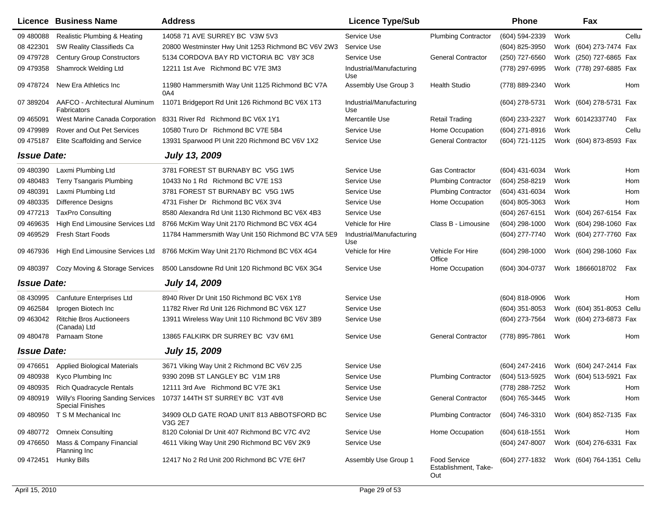|                    | <b>Licence Business Name</b>                                           | <b>Address</b>                                         | <b>Licence Type/Sub</b>         |                                                    | <b>Phone</b>     |      | Fax                       |       |
|--------------------|------------------------------------------------------------------------|--------------------------------------------------------|---------------------------------|----------------------------------------------------|------------------|------|---------------------------|-------|
| 09 480088          | Realistic Plumbing & Heating                                           | 14058 71 AVE SURREY BC V3W 5V3                         | Service Use                     | <b>Plumbing Contractor</b>                         | (604) 594-2339   | Work |                           | Cellu |
| 08 422301          | SW Reality Classifieds Ca                                              | 20800 Westminster Hwy Unit 1253 Richmond BC V6V 2W3    | Service Use                     |                                                    | (604) 825-3950   |      | Work (604) 273-7474 Fax   |       |
| 09 479728          | <b>Century Group Constructors</b>                                      | 5134 CORDOVA BAY RD VICTORIA BC V8Y 3C8                | Service Use                     | <b>General Contractor</b>                          | (250) 727-6560   |      | Work (250) 727-6865 Fax   |       |
| 09 479358          | Shamrock Welding Ltd                                                   | 12211 1st Ave Richmond BC V7E 3M3                      | Industrial/Manufacturing<br>Use |                                                    | (778) 297-6995   |      | Work (778) 297-6885 Fax   |       |
| 09 478724          | New Era Athletics Inc                                                  | 11980 Hammersmith Way Unit 1125 Richmond BC V7A<br>0A4 | Assembly Use Group 3            | <b>Health Studio</b>                               | (778) 889-2340   | Work |                           | Hom   |
| 07 389204          | AAFCO - Architectural Aluminum<br>Fabricators                          | 11071 Bridgeport Rd Unit 126 Richmond BC V6X 1T3       | Industrial/Manufacturing<br>Use |                                                    | (604) 278-5731   |      | Work (604) 278-5731 Fax   |       |
| 09 465091          | West Marine Canada Corporation                                         | 8331 River Rd Richmond BC V6X 1Y1                      | Mercantile Use                  | <b>Retail Trading</b>                              | (604) 233-2327   |      | Work 60142337740          | Fax   |
| 09 479989          | Rover and Out Pet Services                                             | 10580 Truro Dr Richmond BC V7E 5B4                     | Service Use                     | Home Occupation                                    | (604) 271-8916   | Work |                           | Cellu |
| 09 475187          | Elite Scaffolding and Service                                          | 13931 Sparwood PI Unit 220 Richmond BC V6V 1X2         | Service Use                     | <b>General Contractor</b>                          | (604) 721-1125   |      | Work (604) 873-8593 Fax   |       |
| <b>Issue Date:</b> |                                                                        | <b>July 13, 2009</b>                                   |                                 |                                                    |                  |      |                           |       |
| 09 480390          | Laxmi Plumbing Ltd                                                     | 3781 FOREST ST BURNABY BC V5G 1W5                      | Service Use                     | <b>Gas Contractor</b>                              | (604) 431-6034   | Work |                           | Hom   |
| 09 480 483         | <b>Terry Tsangaris Plumbing</b>                                        | 10433 No 1 Rd Richmond BC V7E 1S3                      | Service Use                     | <b>Plumbing Contractor</b>                         | (604) 258-8219   | Work |                           | Hom   |
| 09 480391          | Laxmi Plumbing Ltd                                                     | 3781 FOREST ST BURNABY BC V5G 1W5                      | Service Use                     | <b>Plumbing Contractor</b>                         | (604) 431-6034   | Work |                           | Hom   |
| 09 480335          | <b>Difference Designs</b>                                              | 4731 Fisher Dr Richmond BC V6X 3V4                     | Service Use                     | Home Occupation                                    | (604) 805-3063   | Work |                           | Hom   |
| 09 477213          | <b>TaxPro Consulting</b>                                               | 8580 Alexandra Rd Unit 1130 Richmond BC V6X 4B3        | Service Use                     |                                                    | (604) 267-6151   |      | Work (604) 267-6154 Fax   |       |
| 09 469 635         | High End Limousine Services Ltd                                        | 8766 McKim Way Unit 2170 Richmond BC V6X 4G4           | Vehicle for Hire                | Class B - Limousine                                | $(604)$ 298-1000 |      | Work (604) 298-1060 Fax   |       |
| 09 469529          | Fresh Start Foods                                                      | 11784 Hammersmith Way Unit 150 Richmond BC V7A 5E9     | Industrial/Manufacturing<br>Use |                                                    | (604) 277-7740   |      | Work (604) 277-7760 Fax   |       |
| 09 467936          | High End Limousine Services Ltd                                        | 8766 McKim Way Unit 2170 Richmond BC V6X 4G4           | Vehicle for Hire                | Vehicle For Hire<br>Office                         | $(604)$ 298-1000 |      | Work (604) 298-1060 Fax   |       |
| 09 480397          | Cozy Moving & Storage Services                                         | 8500 Lansdowne Rd Unit 120 Richmond BC V6X 3G4         | Service Use                     | Home Occupation                                    | (604) 304-0737   |      | Work 18666018702 Fax      |       |
| <b>Issue Date:</b> |                                                                        | <b>July 14, 2009</b>                                   |                                 |                                                    |                  |      |                           |       |
| 08 430995          | <b>Canfuture Enterprises Ltd</b>                                       | 8940 River Dr Unit 150 Richmond BC V6X 1Y8             | Service Use                     |                                                    | (604) 818-0906   | Work |                           | Hom   |
| 09 462584          | Iprogen Biotech Inc                                                    | 11782 River Rd Unit 126 Richmond BC V6X 1Z7            | Service Use                     |                                                    | $(604)$ 351-8053 |      | Work (604) 351-8053 Cellu |       |
| 09 463042          | <b>Ritchie Bros Auctioneers</b><br>(Canada) Ltd                        | 13911 Wireless Way Unit 110 Richmond BC V6V 3B9        | Service Use                     |                                                    | (604) 273-7564   |      | Work (604) 273-6873 Fax   |       |
| 09 480478          | Parnaam Stone                                                          | 13865 FALKIRK DR SURREY BC V3V 6M1                     | Service Use                     | <b>General Contractor</b>                          | (778) 895-7861   | Work |                           | Hom   |
| <b>Issue Date:</b> |                                                                        | <b>July 15, 2009</b>                                   |                                 |                                                    |                  |      |                           |       |
| 09 47 6651         | <b>Applied Biological Materials</b>                                    | 3671 Viking Way Unit 2 Richmond BC V6V 2J5             | Service Use                     |                                                    | (604) 247-2416   |      | Work (604) 247-2414 Fax   |       |
| 09 480938          | Kyco Plumbing Inc                                                      | 9390 209B ST LANGLEY BC V1M 1R8                        | Service Use                     | <b>Plumbing Contractor</b>                         | (604) 513-5925   |      | Work (604) 513-5921 Fax   |       |
|                    | 09 480935 Rich Quadracycle Rentals                                     | 12111 3rd Ave Richmond BC V7E 3K1                      | Service Use                     |                                                    | (778) 288-7252   | Work |                           | Hom   |
|                    | 09 480919 Willy's Flooring Sanding Services<br><b>Special Finishes</b> | 10737 144TH ST SURREY BC V3T 4V8                       | Service Use                     | <b>General Contractor</b>                          | (604) 765-3445   | Work |                           | Hom   |
|                    | 09 480950 TSM Mechanical Inc                                           | 34909 OLD GATE ROAD UNIT 813 ABBOTSFORD BC<br>V3G 2E7  | Service Use                     | <b>Plumbing Contractor</b>                         | (604) 746-3310   |      | Work (604) 852-7135 Fax   |       |
| 09 480772          | <b>Omneix Consulting</b>                                               | 8120 Colonial Dr Unit 407 Richmond BC V7C 4V2          | Service Use                     | Home Occupation                                    | $(604)$ 618-1551 | Work |                           | Hom   |
| 09 476650          | Mass & Company Financial<br>Planning Inc                               | 4611 Viking Way Unit 290 Richmond BC V6V 2K9           | Service Use                     |                                                    | (604) 247-8007   |      | Work (604) 276-6331 Fax   |       |
| 09 472451          | Hunky Bills                                                            | 12417 No 2 Rd Unit 200 Richmond BC V7E 6H7             | Assembly Use Group 1            | <b>Food Service</b><br>Establishment, Take-<br>Out | (604) 277-1832   |      | Work (604) 764-1351 Cellu |       |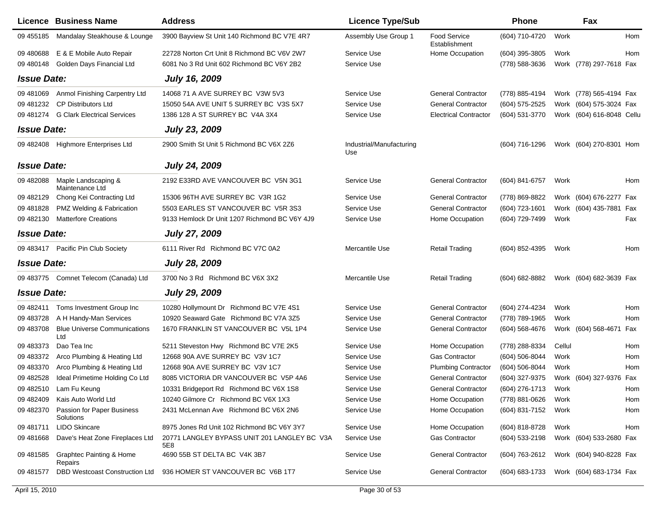|                    | <b>Licence Business Name</b>                   | <b>Address</b>                                      | <b>Licence Type/Sub</b>         |                               | Phone          |        | Fax                       |     |
|--------------------|------------------------------------------------|-----------------------------------------------------|---------------------------------|-------------------------------|----------------|--------|---------------------------|-----|
| 09 455185          | Mandalay Steakhouse & Lounge                   | 3900 Bayview St Unit 140 Richmond BC V7E 4R7        | Assembly Use Group 1            | Food Service<br>Establishment | (604) 710-4720 | Work   |                           | Hom |
| 09 480 688         | E & E Mobile Auto Repair                       | 22728 Norton Crt Unit 8 Richmond BC V6V 2W7         | Service Use                     | Home Occupation               | (604) 395-3805 | Work   |                           | Hom |
| 09 480148          | Golden Days Financial Ltd                      | 6081 No 3 Rd Unit 602 Richmond BC V6Y 2B2           | Service Use                     |                               | (778) 588-3636 |        | Work (778) 297-7618 Fax   |     |
| <b>Issue Date:</b> |                                                | <b>July 16, 2009</b>                                |                                 |                               |                |        |                           |     |
| 09 48 10 69        | Anmol Finishing Carpentry Ltd                  | 14068 71 A AVE SURREY BC V3W 5V3                    | Service Use                     | <b>General Contractor</b>     | (778) 885-4194 |        | Work (778) 565-4194 Fax   |     |
| 09 481232          | <b>CP Distributors Ltd</b>                     | 15050 54A AVE UNIT 5 SURREY BC V3S 5X7              | Service Use                     | <b>General Contractor</b>     | (604) 575-2525 |        | Work (604) 575-3024 Fax   |     |
| 09 481274          | <b>G Clark Electrical Services</b>             | 1386 128 A ST SURREY BC V4A 3X4                     | Service Use                     | <b>Electrical Contractor</b>  | (604) 531-3770 |        | Work (604) 616-8048 Cellu |     |
| <b>Issue Date:</b> |                                                | July 23, 2009                                       |                                 |                               |                |        |                           |     |
|                    | 09 482408 Highmore Enterprises Ltd             | 2900 Smith St Unit 5 Richmond BC V6X 2Z6            | Industrial/Manufacturing<br>Use |                               | (604) 716-1296 |        | Work (604) 270-8301 Hom   |     |
| <b>Issue Date:</b> |                                                | <b>July 24, 2009</b>                                |                                 |                               |                |        |                           |     |
| 09 482088          | Maple Landscaping &<br>Maintenance Ltd         | 2192 E33RD AVE VANCOUVER BC V5N 3G1                 | Service Use                     | <b>General Contractor</b>     | (604) 841-6757 | Work   |                           | Hom |
| 09 482129          | Chong Kei Contracting Ltd                      | 15306 96TH AVE SURREY BC V3R 1G2                    | Service Use                     | <b>General Contractor</b>     | (778) 869-8822 |        | Work (604) 676-2277 Fax   |     |
| 09 481828          | PMZ Welding & Fabrication                      | 5503 EARLES ST VANCOUVER BC V5R 3S3                 | Service Use                     | <b>General Contractor</b>     | (604) 723-1601 |        | Work (604) 435-7881 Fax   |     |
| 09 482130          | <b>Matterfore Creations</b>                    | 9133 Hemlock Dr Unit 1207 Richmond BC V6Y 4J9       | Service Use                     | Home Occupation               | (604) 729-7499 | Work   |                           | Fax |
| <b>Issue Date:</b> |                                                | <b>July 27, 2009</b>                                |                                 |                               |                |        |                           |     |
|                    | 09 483417 Pacific Pin Club Society             | 6111 River Rd Richmond BC V7C 0A2                   | Mercantile Use                  | <b>Retail Trading</b>         | (604) 852-4395 | Work   |                           | Hom |
| <b>Issue Date:</b> |                                                | <b>July 28, 2009</b>                                |                                 |                               |                |        |                           |     |
|                    | 09 483775 Comnet Telecom (Canada) Ltd          | 3700 No 3 Rd Richmond BC V6X 3X2                    | Mercantile Use                  | <b>Retail Trading</b>         | (604) 682-8882 |        | Work (604) 682-3639 Fax   |     |
| <b>Issue Date:</b> |                                                | <b>July 29, 2009</b>                                |                                 |                               |                |        |                           |     |
| 09 482411          | Toms Investment Group Inc                      | 10280 Hollymount Dr Richmond BC V7E 4S1             | Service Use                     | <b>General Contractor</b>     | (604) 274-4234 | Work   |                           | Hom |
| 09 483728          | A H Handy-Man Services                         | 10920 Seaward Gate Richmond BC V7A 3Z5              | Service Use                     | <b>General Contractor</b>     | (778) 789-1965 | Work   |                           | Hom |
| 09 483708          | <b>Blue Universe Communications</b><br>Ltd     | 1670 FRANKLIN ST VANCOUVER BC V5L 1P4               | Service Use                     | <b>General Contractor</b>     | (604) 568-4676 |        | Work (604) 568-4671 Fax   |     |
| 09 483373          | Dao Tea Inc                                    | 5211 Steveston Hwy Richmond BC V7E 2K5              | Service Use                     | Home Occupation               | (778) 288-8334 | Cellul |                           | Hom |
| 09 483372          | Arco Plumbing & Heating Ltd                    | 12668 90A AVE SURREY BC V3V 1C7                     | Service Use                     | <b>Gas Contractor</b>         | (604) 506-8044 | Work   |                           | Hom |
| 09 483370          | Arco Plumbing & Heating Ltd                    | 12668 90A AVE SURREY BC V3V 1C7                     | Service Use                     | <b>Plumbing Contractor</b>    | (604) 506-8044 | Work   |                           | Hom |
| 09 482528          | Ideal Primetime Holding Co Ltd                 | 8085 VICTORIA DR VANCOUVER BC V5P 4A6               | Service Use                     | <b>General Contractor</b>     | (604) 327-9375 |        | Work (604) 327-9376 Fax   |     |
|                    | 09 482510 Lam Fu Keung                         | 10331 Bridgeport Rd Richmond BC V6X 1S8             | Service Use                     | <b>General Contractor</b>     | (604) 276-1713 | Work   |                           | Hom |
| 09 482409          | Kais Auto World Ltd                            | 10240 Gilmore Cr Richmond BC V6X 1X3                | Service Use                     | Home Occupation               | (778) 881-0626 | Work   |                           | Hom |
| 09 482370          | Passion for Paper Business<br>Solutions        | 2431 McLennan Ave Richmond BC V6X 2N6               | Service Use                     | Home Occupation               | (604) 831-7152 | Work   |                           | Hom |
| 09 481711          | <b>LIDO Skincare</b>                           | 8975 Jones Rd Unit 102 Richmond BC V6Y 3Y7          | Service Use                     | Home Occupation               | (604) 818-8728 | Work   |                           | Hom |
| 09 48 1668         | Dave's Heat Zone Fireplaces Ltd                | 20771 LANGLEY BYPASS UNIT 201 LANGLEY BC V3A<br>5E8 | Service Use                     | Gas Contractor                | (604) 533-2198 |        | Work (604) 533-2680 Fax   |     |
| 09 481585          | <b>Graphtec Painting &amp; Home</b><br>Repairs | 4690 55B ST DELTA BC V4K 3B7                        | Service Use                     | <b>General Contractor</b>     | (604) 763-2612 |        | Work (604) 940-8228 Fax   |     |
| 09 481577          | <b>DBD Westcoast Construction Ltd</b>          | 936 HOMER ST VANCOUVER BC V6B 1T7                   | Service Use                     | <b>General Contractor</b>     | (604) 683-1733 |        | Work (604) 683-1734 Fax   |     |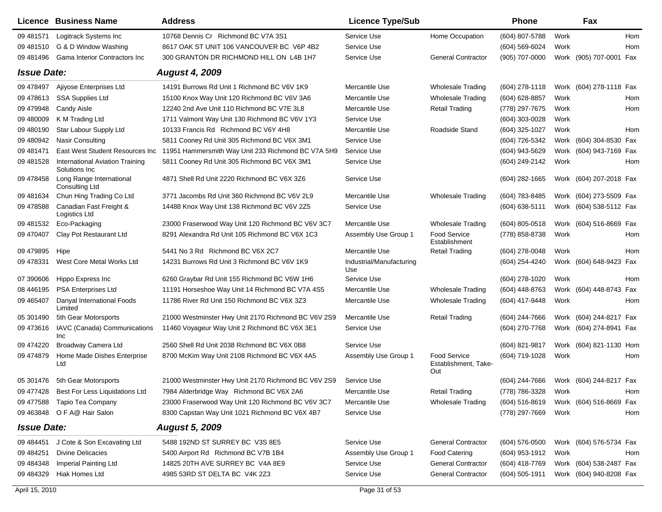|                    | <b>Licence Business Name</b>                            | <b>Address</b>                                      | <b>Licence Type/Sub</b>         |                                                    | <b>Phone</b>     |      | Fax                     |            |
|--------------------|---------------------------------------------------------|-----------------------------------------------------|---------------------------------|----------------------------------------------------|------------------|------|-------------------------|------------|
| 09 48 1571         | Logitrack Systems Inc                                   | 10768 Dennis Cr Richmond BC V7A 3S1                 | Service Use                     | Home Occupation                                    | (604) 807-5788   | Work |                         | <b>Hom</b> |
| 09 481510          | G & D Window Washing                                    | 8617 OAK ST UNIT 106 VANCOUVER BC V6P 4B2           | Service Use                     |                                                    | (604) 569-6024   | Work |                         | Hom        |
| 09 481496          | <b>Gama Interior Contractors Inc.</b>                   | 300 GRANTON DR RICHMOND HILL ON L4B 1H7             | Service Use                     | <b>General Contractor</b>                          | (905) 707-0000   |      | Work (905) 707-0001 Fax |            |
| <b>Issue Date:</b> |                                                         | <b>August 4, 2009</b>                               |                                 |                                                    |                  |      |                         |            |
| 09 478497          | Ajiyose Enterprises Ltd                                 | 14191 Burrows Rd Unit 1 Richmond BC V6V 1K9         | Mercantile Use                  | <b>Wholesale Trading</b>                           | $(604)$ 278-1118 |      | Work (604) 278-1118 Fax |            |
| 09 478 613         | <b>SSA Supplies Ltd</b>                                 | 15100 Knox Way Unit 120 Richmond BC V6V 3A6         | Mercantile Use                  | <b>Wholesale Trading</b>                           | (604) 628-8857   | Work |                         | Hom        |
| 09 479948          | <b>Candy Aisle</b>                                      | 12240 2nd Ave Unit 110 Richmond BC V7E 3L8          | Mercantile Use                  | <b>Retail Trading</b>                              | (778) 297-7675   | Work |                         | Hom        |
| 09 480009          | K M Trading Ltd                                         | 1711 Valmont Way Unit 130 Richmond BC V6V 1Y3       | Service Use                     |                                                    | (604) 303-0028   | Work |                         |            |
| 09 480190          | Star Labour Supply Ltd                                  | 10133 Francis Rd Richmond BC V6Y 4H8                | Mercantile Use                  | Roadside Stand                                     | (604) 325-1027   | Work |                         | Hom        |
| 09 480 942         | Nasir Consulting                                        | 5811 Cooney Rd Unit 305 Richmond BC V6X 3M1         | Service Use                     |                                                    | (604) 726-5342   |      | Work (604) 304-8530 Fax |            |
| 09 481471          | East West Student Resources Inc                         | 11951 Hammersmith Way Unit 233 Richmond BC V7A 5H9  | Service Use                     |                                                    | (604) 943-5629   |      | Work (604) 943-7169 Fax |            |
| 09 48 15 28        | <b>International Aviation Training</b><br>Solutions Inc | 5811 Cooney Rd Unit 305 Richmond BC V6X 3M1         | Service Use                     |                                                    | (604) 249-2142   | Work |                         | Hom        |
| 09 478458          | Long Range International<br><b>Consulting Ltd</b>       | 4871 Shell Rd Unit 2220 Richmond BC V6X 3Z6         | Service Use                     |                                                    | (604) 282-1665   |      | Work (604) 207-2018 Fax |            |
| 09 48 16 34        | Chun Hing Trading Co Ltd                                | 3771 Jacombs Rd Unit 360 Richmond BC V6V 2L9        | Mercantile Use                  | <b>Wholesale Trading</b>                           | (604) 783-8485   |      | Work (604) 273-5509 Fax |            |
| 09 478588          | Canadian Fast Freight &<br>Logistics Ltd                | 14488 Knox Way Unit 138 Richmond BC V6V 2Z5         | Service Use                     |                                                    | (604) 638-5111   |      | Work (604) 538-5112 Fax |            |
| 09 48 1532         | Eco-Packaging                                           | 23000 Fraserwood Way Unit 120 Richmond BC V6V 3C7   | Mercantile Use                  | <b>Wholesale Trading</b>                           | $(604)$ 805-0518 |      | Work (604) 516-8669 Fax |            |
| 09 470 407         | Clay Pot Restaurant Ltd                                 | 8291 Alexandra Rd Unit 105 Richmond BC V6X 1C3      | Assembly Use Group 1            | <b>Food Service</b><br>Establishment               | (778) 858-8738   | Work |                         | Hom        |
| 09 479895          | Hipe                                                    | 5441 No 3 Rd Richmond BC V6X 2C7                    | Mercantile Use                  | <b>Retail Trading</b>                              | (604) 278-0048   | Work |                         | Hom        |
| 09 478331          | West Core Metal Works Ltd                               | 14231 Burrows Rd Unit 3 Richmond BC V6V 1K9         | Industrial/Manufacturing<br>Use |                                                    | (604) 254-4240   |      | Work (604) 648-9423 Fax |            |
| 07 390606          | Hippo Express Inc                                       | 6260 Graybar Rd Unit 155 Richmond BC V6W 1H6        | Service Use                     |                                                    | (604) 278-1020   | Work |                         | Hom        |
| 08 44 6195         | <b>PSA Enterprises Ltd</b>                              | 11191 Horseshoe Way Unit 14 Richmond BC V7A 4S5     | Mercantile Use                  | <b>Wholesale Trading</b>                           | (604) 448-8763   |      | Work (604) 448-8743 Fax |            |
| 09 465407          | Danyal International Foods<br>Limited                   | 11786 River Rd Unit 150 Richmond BC V6X 3Z3         | Mercantile Use                  | <b>Wholesale Trading</b>                           | (604) 417-9448   | Work |                         | Hom        |
| 05 301490          | 5th Gear Motorsports                                    | 21000 Westminster Hwy Unit 2170 Richmond BC V6V 2S9 | Mercantile Use                  | <b>Retail Trading</b>                              | (604) 244-7666   | Work | (604) 244-8217 Fax      |            |
| 09 473616          | IAVC (Canada) Communications<br>Inc                     | 11460 Voyageur Way Unit 2 Richmond BC V6X 3E1       | Service Use                     |                                                    | (604) 270-7768   |      | Work (604) 274-8941 Fax |            |
| 09 474220          | Broadway Camera Ltd                                     | 2560 Shell Rd Unit 2038 Richmond BC V6X 0B8         | Service Use                     |                                                    | (604) 821-9817   |      | Work (604) 821-1130 Hom |            |
| 09 474879          | Home Made Dishes Enterprise<br>Ltd                      | 8700 McKim Way Unit 2108 Richmond BC V6X 4A5        | Assembly Use Group 1            | <b>Food Service</b><br>Establishment, Take-<br>Out | (604) 719-1028   | Work |                         | Hom        |
| 05 301476          | 5th Gear Motorsports                                    | 21000 Westminster Hwy Unit 2170 Richmond BC V6V 2S9 | Service Use                     |                                                    | (604) 244-7666   |      | Work (604) 244-8217 Fax |            |
| 09 477428          | Best For Less Liquidations Ltd                          | 7984 Alderbridge Way Richmond BC V6X 2A6            | Mercantile Use                  | <b>Retail Trading</b>                              | (778) 786-3328   | Work |                         | Hom        |
| 09 477588          | Tapio Tea Company                                       | 23000 Fraserwood Way Unit 120 Richmond BC V6V 3C7   | Mercantile Use                  | <b>Wholesale Trading</b>                           | $(604)$ 516-8619 |      | Work (604) 516-8669 Fax |            |
| 09 463848          | O F A@ Hair Salon                                       | 8300 Capstan Way Unit 1021 Richmond BC V6X 4B7      | Service Use                     |                                                    | (778) 297-7669   | Work |                         | Hom        |
| <b>Issue Date:</b> |                                                         | <b>August 5, 2009</b>                               |                                 |                                                    |                  |      |                         |            |
| 09 484451          | J Cote & Son Excavating Ltd                             | 5488 192ND ST SURREY BC V3S 8E5                     | Service Use                     | <b>General Contractor</b>                          | $(604)$ 576-0500 |      | Work (604) 576-5734 Fax |            |
| 09 48 4251         | <b>Divine Delicacies</b>                                | 5400 Airport Rd Richmond BC V7B 1B4                 | Assembly Use Group 1            | <b>Food Catering</b>                               | (604) 953-1912   | Work |                         | Hom        |
| 09 484348          | Imperial Painting Ltd                                   | 14825 20TH AVE SURREY BC V4A 8E9                    | Service Use                     | <b>General Contractor</b>                          | (604) 418-7769   |      | Work (604) 538-2487 Fax |            |
| 09 484329          | Hiak Homes Ltd                                          | 4985 53RD ST DELTA BC V4K 2Z3                       | Service Use                     | <b>General Contractor</b>                          | $(604)$ 505-1911 |      | Work (604) 940-8208 Fax |            |
| April 15, 2010     |                                                         |                                                     | Page 31 of 53                   |                                                    |                  |      |                         |            |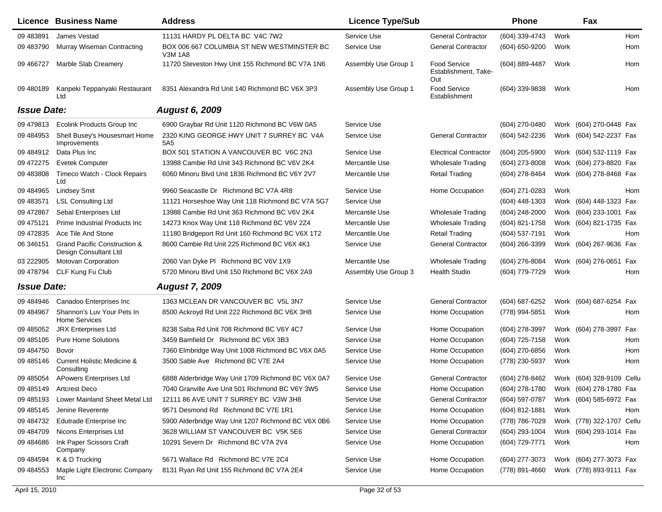|                    | Licence Business Name                                 | <b>Address</b>                                               | <b>Licence Type/Sub</b> |                                                    | Phone            |      | Fax                       |     |
|--------------------|-------------------------------------------------------|--------------------------------------------------------------|-------------------------|----------------------------------------------------|------------------|------|---------------------------|-----|
| 09 483891          | James Vestad                                          | 11131 HARDY PL DELTA BC V4C 7W2                              | Service Use             | <b>General Contractor</b>                          | (604) 339-4743   | Work |                           | Hom |
| 09 483790          | <b>Murray Wiseman Contracting</b>                     | BOX 006 667 COLUMBIA ST NEW WESTMINSTER BC<br><b>V3M 1A8</b> | Service Use             | <b>General Contractor</b>                          | (604) 650-9200   | Work |                           | Hom |
| 09 46 6727         | Marble Slab Creamery                                  | 11720 Steveston Hwy Unit 155 Richmond BC V7A 1N6             | Assembly Use Group 1    | <b>Food Service</b><br>Establishment, Take-<br>Out | (604) 889-4487   | Work |                           | Hom |
| 09 480189          | Kanpeki Teppanyaki Restaurant<br>Ltd                  | 8351 Alexandra Rd Unit 140 Richmond BC V6X 3P3               | Assembly Use Group 1    | Food Service<br>Establishment                      | (604) 339-9838   | Work |                           | Hom |
| <b>Issue Date:</b> |                                                       | <b>August 6, 2009</b>                                        |                         |                                                    |                  |      |                           |     |
| 09 479 813         | <b>Ecolink Products Group Inc</b>                     | 6900 Graybar Rd Unit 1120 Richmond BC V6W 0A5                | Service Use             |                                                    | (604) 270-0480   |      | Work (604) 270-0448 Fax   |     |
| 09 484953          | Shell Busey's Housesmart Home<br>Improvements         | 2320 KING GEORGE HWY UNIT 7 SURREY BC V4A<br>5A <sub>5</sub> | Service Use             | <b>General Contractor</b>                          | (604) 542-2236   |      | Work (604) 542-2237 Fax   |     |
| 09 484912          | Data Plus Inc                                         | BOX 501 STATION A VANCOUVER BC V6C 2N3                       | Service Use             | <b>Electrical Contractor</b>                       | (604) 205-5900   |      | Work (604) 532-1119 Fax   |     |
| 09 472275          | <b>Evetek Computer</b>                                | 13988 Cambie Rd Unit 343 Richmond BC V6V 2K4                 | Mercantile Use          | <b>Wholesale Trading</b>                           | (604) 273-8008   |      | Work (604) 273-8820 Fax   |     |
| 09 483808          | Timeco Watch - Clock Repairs<br>Ltd                   | 6060 Minoru Blvd Unit 1836 Richmond BC V6Y 2V7               | Mercantile Use          | <b>Retail Trading</b>                              | (604) 278-8464   |      | Work (604) 278-8468 Fax   |     |
| 09 484965          | <b>Lindsey Smit</b>                                   | 9960 Seacastle Dr Richmond BC V7A 4R8                        | Service Use             | Home Occupation                                    | (604) 271-0283   | Work |                           | Hom |
| 09 483571          | <b>LSL Consulting Ltd</b>                             | 11121 Horseshoe Way Unit 118 Richmond BC V7A 5G7             | Service Use             |                                                    | (604) 448-1303   |      | Work (604) 448-1323 Fax   |     |
| 09 472867          | Sebal Enterprises Ltd                                 | 13988 Cambie Rd Unit 363 Richmond BC V6V 2K4                 | Mercantile Use          | <b>Wholesale Trading</b>                           | (604) 248-2000   |      | Work (604) 233-1001 Fax   |     |
| 09 475121          | Prime Industrial Products Inc.                        | 14273 Knox Way Unit 118 Richmond BC V6V 2Z4                  | Mercantile Use          | <b>Wholesale Trading</b>                           | (604) 821-1758   |      | Work (604) 821-1735 Fax   |     |
| 09 47 28 35        | Ace Tile And Stone                                    | 11180 Bridgeport Rd Unit 160 Richmond BC V6X 1T2             | Mercantile Use          | <b>Retail Trading</b>                              | (604) 537-7191   | Work |                           | Hom |
| 06 34 6151         | Grand Pacific Construction &<br>Design Consultant Ltd | 8600 Cambie Rd Unit 225 Richmond BC V6X 4K1                  | Service Use             | <b>General Contractor</b>                          | (604) 266-3399   |      | Work (604) 267-9636 Fax   |     |
| 03 222905          | Motovan Corporation                                   | 2060 Van Dyke PI Richmond BC V6V 1X9                         | Mercantile Use          | <b>Wholesale Trading</b>                           | (604) 276-8084   |      | Work (604) 276-0651 Fax   |     |
| 09 478794          | CLF Kung Fu Club                                      | 5720 Minoru Blvd Unit 150 Richmond BC V6X 2A9                | Assembly Use Group 3    | <b>Health Studio</b>                               | (604) 779-7729   | Work |                           | Hom |
| <b>Issue Date:</b> |                                                       | <b>August 7, 2009</b>                                        |                         |                                                    |                  |      |                           |     |
| 09 484946          | Canadoo Enterprises Inc                               | 1363 MCLEAN DR VANCOUVER BC V5L 3N7                          | Service Use             | <b>General Contractor</b>                          | (604) 687-6252   |      | Work (604) 687-6254 Fax   |     |
| 09 484967          | Shannon's Luv Your Pets In<br><b>Home Services</b>    | 8500 Ackroyd Rd Unit 222 Richmond BC V6X 3H8                 | Service Use             | Home Occupation                                    | (778) 994-5851   | Work |                           | Hom |
| 09 485052          | <b>JRX Enterprises Ltd</b>                            | 8238 Saba Rd Unit 708 Richmond BC V6Y 4C7                    | Service Use             | Home Occupation                                    | (604) 278-3997   |      | Work (604) 278-3997 Fax   |     |
| 09 485105          | <b>Pure Home Solutions</b>                            | 3459 Bamfield Dr Richmond BC V6X 3B3                         | Service Use             | Home Occupation                                    | (604) 725-7158   | Work |                           | Hom |
| 09 48 4750         | Bovor                                                 | 7360 Elmbridge Way Unit 1008 Richmond BC V6X 0A5             | Service Use             | Home Occupation                                    | (604) 270-6856   | Work |                           | Hom |
| 09 48 5146         | <b>Current Holistic Medicine &amp;</b><br>Consulting  | 3500 Sable Ave Richmond BC V7E 2A4                           | Service Use             | Home Occupation                                    | (778) 230-5937   | Work |                           | Hom |
| 09 485054          | <b>APowers Enterprises Ltd</b>                        | 6888 Alderbridge Way Unit 1709 Richmond BC V6X 0A7           | Service Use             | <b>General Contractor</b>                          | (604) 278-8462   |      | Work (604) 328-9109 Cellu |     |
|                    | 09 485149 Artcrest Deco                               | 7040 Granville Ave Unit 501 Richmond BC V6Y 3W5              | Service Use             | Home Occupation                                    | (604) 278-1780   |      | Work (604) 278-1780 Fax   |     |
| 09 485193          | Lower Mainland Sheet Metal Ltd                        | 12111 86 AVE UNIT 7 SURREY BC V3W 3H8                        | Service Use             | <b>General Contractor</b>                          | (604) 597-0787   |      | Work (604) 585-6972 Fax   |     |
| 09 485145          | Jenine Reverente                                      | 9571 Desmond Rd Richmond BC V7E 1R1                          | Service Use             | Home Occupation                                    | $(604)$ 812-1881 | Work |                           | Hom |
| 09 484732          | Edutrade Enterprise Inc                               | 5900 Alderbridge Way Unit 1207 Richmond BC V6X 0B6           | Service Use             | Home Occupation                                    | (778) 786-7029   |      | Work (778) 322-1707 Cellu |     |
| 09 48 470 9        | Nicons Enterprises Ltd                                | 3628 WILLIAM ST VANCOUVER BC V5K 5E6                         | Service Use             | <b>General Contractor</b>                          | (604) 293-1004   |      | Work (604) 293-1014 Fax   |     |
| 09 484686          | Ink Paper Scissors Craft<br>Company                   | 10291 Severn Dr Richmond BC V7A 2V4                          | Service Use             | Home Occupation                                    | (604) 729-7771   | Work |                           | Hom |
| 09 48 45 94        | K & D Trucking                                        | 5671 Wallace Rd Richmond BC V7E 2C4                          | Service Use             | Home Occupation                                    | (604) 277-3073   |      | Work (604) 277-3073 Fax   |     |
| 09 48 4553         | Maple Light Electronic Company<br>Inc                 | 8131 Ryan Rd Unit 155 Richmond BC V7A 2E4                    | Service Use             | Home Occupation                                    | (778) 891-4660   |      | Work (778) 893-9111 Fax   |     |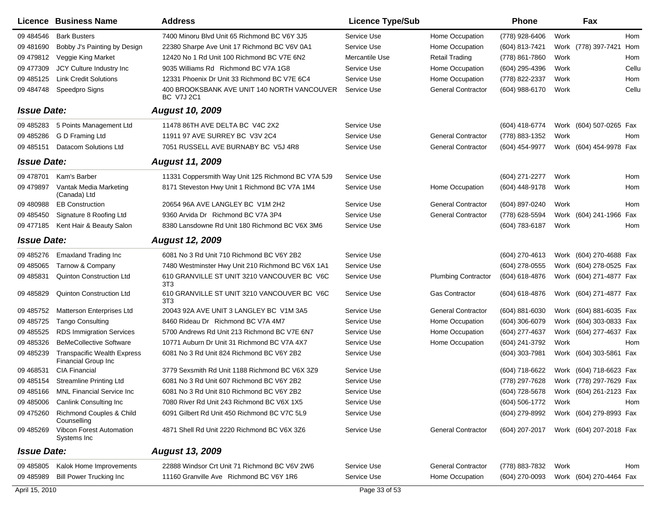|                    | Licence Business Name                                     | <b>Address</b>                                                   | <b>Licence Type/Sub</b> |                            | <b>Phone</b>     |      | Fax                     |            |
|--------------------|-----------------------------------------------------------|------------------------------------------------------------------|-------------------------|----------------------------|------------------|------|-------------------------|------------|
| 09 484546          | <b>Bark Busters</b>                                       | 7400 Minoru Blvd Unit 65 Richmond BC V6Y 3J5                     | Service Use             | Home Occupation            | (778) 928-6406   | Work |                         | <b>Hom</b> |
| 09 481690          | Bobby J's Painting by Design                              | 22380 Sharpe Ave Unit 17 Richmond BC V6V 0A1                     | Service Use             | Home Occupation            | (604) 813-7421   | Work | (778) 397-7421          | Hom        |
| 09 479812          | Veggie King Market                                        | 12420 No 1 Rd Unit 100 Richmond BC V7E 6N2                       | Mercantile Use          | <b>Retail Trading</b>      | (778) 861-7860   | Work |                         | Hom        |
| 09 477309          | JCY Culture Industry Inc                                  | 9035 Williams Rd Richmond BC V7A 1G8                             | Service Use             | Home Occupation            | (604) 295-4396   | Work |                         | Cellu      |
| 09 48 5125         | <b>Link Credit Solutions</b>                              | 12331 Phoenix Dr Unit 33 Richmond BC V7E 6C4                     | Service Use             | Home Occupation            | (778) 822-2337   | Work |                         | Hom        |
| 09 484748          | Speedpro Signs                                            | 400 BROOKSBANK AVE UNIT 140 NORTH VANCOUVER<br><b>BC V7J 2C1</b> | Service Use             | <b>General Contractor</b>  | (604) 988-6170   | Work |                         | Cellu      |
| <b>Issue Date:</b> |                                                           | <b>August 10, 2009</b>                                           |                         |                            |                  |      |                         |            |
| 09 485283          | 5 Points Management Ltd                                   | 11478 86TH AVE DELTA BC V4C 2X2                                  | Service Use             |                            | (604) 418-6774   |      | Work (604) 507-0265 Fax |            |
| 09 485286          | G D Framing Ltd                                           | 11911 97 AVE SURREY BC V3V 2C4                                   | Service Use             | <b>General Contractor</b>  | (778) 883-1352   | Work |                         | Hom        |
| 09 485151          | Datacom Solutions Ltd                                     | 7051 RUSSELL AVE BURNABY BC V5J 4R8                              | Service Use             | <b>General Contractor</b>  | (604) 454-9977   |      | Work (604) 454-9978 Fax |            |
| <b>Issue Date:</b> |                                                           | <b>August 11, 2009</b>                                           |                         |                            |                  |      |                         |            |
| 09 478701          | Kam's Barber                                              | 11331 Coppersmith Way Unit 125 Richmond BC V7A 5J9               | Service Use             |                            | (604) 271-2277   | Work |                         | Hom        |
| 09 479897          | Vantak Media Marketing<br>(Canada) Ltd                    | 8171 Steveston Hwy Unit 1 Richmond BC V7A 1M4                    | Service Use             | Home Occupation            | (604) 448-9178   | Work |                         | Hom        |
| 09 480 988         | <b>EB Construction</b>                                    | 20654 96A AVE LANGLEY BC V1M 2H2                                 | Service Use             | <b>General Contractor</b>  | (604) 897-0240   | Work |                         | Hom        |
| 09 48 5450         | Signature 8 Roofing Ltd                                   | 9360 Arvida Dr Richmond BC V7A 3P4                               | Service Use             | <b>General Contractor</b>  | (778) 628-5594   |      | Work (604) 241-1966     | Fax        |
| 09 477185          | Kent Hair & Beauty Salon                                  | 8380 Lansdowne Rd Unit 180 Richmond BC V6X 3M6                   | Service Use             |                            | (604) 783-6187   | Work |                         | Hom        |
| <b>Issue Date:</b> |                                                           | <b>August 12, 2009</b>                                           |                         |                            |                  |      |                         |            |
| 09 485276          | <b>Emaxland Trading Inc</b>                               | 6081 No 3 Rd Unit 710 Richmond BC V6Y 2B2                        | Service Use             |                            | (604) 270-4613   |      | Work (604) 270-4688 Fax |            |
| 09 485065          | Tarnow & Company                                          | 7480 Westminster Hwy Unit 210 Richmond BC V6X 1A1                | Service Use             |                            | (604) 278-0555   |      | Work (604) 278-0525 Fax |            |
| 09 485831          | Quinton Construction Ltd                                  | 610 GRANVILLE ST UNIT 3210 VANCOUVER BC V6C<br>3T <sub>3</sub>   | Service Use             | <b>Plumbing Contractor</b> | (604) 618-4876   |      | Work (604) 271-4877 Fax |            |
| 09 48 58 29        | Quinton Construction Ltd                                  | 610 GRANVILLE ST UNIT 3210 VANCOUVER BC V6C<br>3T <sub>3</sub>   | Service Use             | <b>Gas Contractor</b>      | (604) 618-4876   |      | Work (604) 271-4877 Fax |            |
| 09 485752          | Matterson Enterprises Ltd                                 | 20043 92A AVE UNIT 3 LANGLEY BC V1M 3A5                          | Service Use             | <b>General Contractor</b>  | (604) 881-6030   |      | Work (604) 881-6035 Fax |            |
| 09 485725          | <b>Tango Consulting</b>                                   | 8460 Rideau Dr Richmond BC V7A 4M7                               | Service Use             | Home Occupation            | $(604)$ 306-6079 |      | Work (604) 303-0833 Fax |            |
| 09 485525          | <b>RDS Immigration Services</b>                           | 5700 Andrews Rd Unit 213 Richmond BC V7E 6N7                     | Service Use             | Home Occupation            | (604) 277-4637   |      | Work (604) 277-4637 Fax |            |
| 09 485326          | <b>BeMeCollective Software</b>                            | 10771 Auburn Dr Unit 31 Richmond BC V7A 4X7                      | Service Use             | Home Occupation            | (604) 241-3792   | Work |                         | Hom        |
| 09 485239          | <b>Transpacific Wealth Express</b><br>Financial Group Inc | 6081 No 3 Rd Unit 824 Richmond BC V6Y 2B2                        | Service Use             |                            | (604) 303-7981   |      | Work (604) 303-5861 Fax |            |
| 09 468531          | <b>CIA Financial</b>                                      | 3779 Sexsmith Rd Unit 1188 Richmond BC V6X 3Z9                   | Service Use             |                            | (604) 718-6622   |      | Work (604) 718-6623 Fax |            |
| 09 485154          | <b>Streamline Printing Ltd</b>                            | 6081 No 3 Rd Unit 607 Richmond BC V6Y 2B2                        | Service Use             |                            | (778) 297-7628   |      | Work (778) 297-7629 Fax |            |
| 09 485166          | MNL Financial Service Inc                                 | 6081 No 3 Rd Unit 810 Richmond BC V6Y 2B2                        | Service Use             |                            | (604) 728-5678   |      | Work (604) 261-2123 Fax |            |
| 09 485006          | <b>Canlink Consulting Inc</b>                             | 7080 River Rd Unit 243 Richmond BC V6X 1X5                       | Service Use             |                            | (604) 506-1772   | Work |                         | Hom        |
| 09 475260          | Richmond Couples & Child<br>Counselling                   | 6091 Gilbert Rd Unit 450 Richmond BC V7C 5L9                     | Service Use             |                            | (604) 279-8992   |      | Work (604) 279-8993 Fax |            |
| 09 485269          | <b>Vibcon Forest Automation</b><br>Systems Inc            | 4871 Shell Rd Unit 2220 Richmond BC V6X 3Z6                      | Service Use             | <b>General Contractor</b>  | (604) 207-2017   |      | Work (604) 207-2018 Fax |            |
| <b>Issue Date:</b> |                                                           | <b>August 13, 2009</b>                                           |                         |                            |                  |      |                         |            |
| 09 485805          | Kalok Home Improvements                                   | 22888 Windsor Crt Unit 71 Richmond BC V6V 2W6                    | Service Use             | <b>General Contractor</b>  | (778) 883-7832   | Work |                         | Hom        |
| 09 485989          | <b>Bill Power Trucking Inc</b>                            | 11160 Granville Ave Richmond BC V6Y 1R6                          | Service Use             | Home Occupation            | (604) 270-0093   |      | Work (604) 270-4464 Fax |            |
| April 15, 2010     |                                                           |                                                                  | Page 33 of 53           |                            |                  |      |                         |            |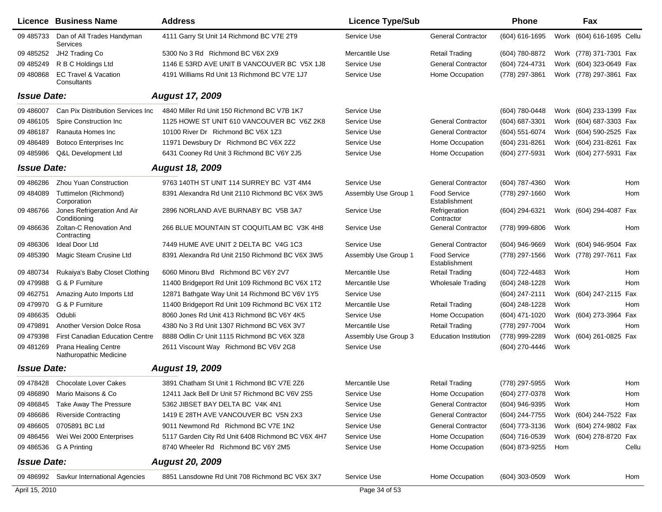|                    | Licence Business Name                                 | <b>Address</b>                                    | <b>Licence Type/Sub</b> |                                      | <b>Phone</b>   | Fax                          |            |
|--------------------|-------------------------------------------------------|---------------------------------------------------|-------------------------|--------------------------------------|----------------|------------------------------|------------|
| 09 485733          | Dan of All Trades Handyman<br>Services                | 4111 Garry St Unit 14 Richmond BC V7E 2T9         | Service Use             | <b>General Contractor</b>            | (604) 616-1695 | (604) 616-1695 Cellu<br>Work |            |
| 09 485252          | JH2 Trading Co                                        | 5300 No 3 Rd Richmond BC V6X 2X9                  | Mercantile Use          | <b>Retail Trading</b>                | (604) 780-8872 | Work (778) 371-7301 Fax      |            |
| 09 485249          | R B C Holdings Ltd                                    | 1146 E 53RD AVE UNIT B VANCOUVER BC V5X 1J8       | Service Use             | <b>General Contractor</b>            | (604) 724-4731 | Work (604) 323-0649 Fax      |            |
| 09 480 868         | <b>EC Travel &amp; Vacation</b><br>Consultants        | 4191 Williams Rd Unit 13 Richmond BC V7E 1J7      | Service Use             | Home Occupation                      | (778) 297-3861 | Work (778) 297-3861 Fax      |            |
| <b>Issue Date:</b> |                                                       | <b>August 17, 2009</b>                            |                         |                                      |                |                              |            |
| 09 48 6007         | Can Pix Distribution Services Inc                     | 4840 Miller Rd Unit 150 Richmond BC V7B 1K7       | Service Use             |                                      | (604) 780-0448 | Work (604) 233-1399 Fax      |            |
| 09 48 610 5        | Spire Construction Inc.                               | 1125 HOWE ST UNIT 610 VANCOUVER BC V6Z 2K8        | Service Use             | <b>General Contractor</b>            | (604) 687-3301 | (604) 687-3303 Fax<br>Work   |            |
| 09 48 6187         | Ranauta Homes Inc                                     | 10100 River Dr Richmond BC V6X 1Z3                | Service Use             | <b>General Contractor</b>            | (604) 551-6074 | (604) 590-2525 Fax<br>Work   |            |
| 09 48 6489         | <b>Botoco Enterprises Inc</b>                         | 11971 Dewsbury Dr Richmond BC V6X 2Z2             | Service Use             | Home Occupation                      | (604) 231-8261 | (604) 231-8261 Fax<br>Work   |            |
| 09 485986          | Q&L Development Ltd                                   | 6431 Cooney Rd Unit 3 Richmond BC V6Y 2J5         | Service Use             | Home Occupation                      | (604) 277-5931 | Work<br>(604) 277-5931 Fax   |            |
| <b>Issue Date:</b> |                                                       | <b>August 18, 2009</b>                            |                         |                                      |                |                              |            |
| 09 48 628 6        | Zhou Yuan Construction                                | 9763 140TH ST UNIT 114 SURREY BC V3T 4M4          | Service Use             | <b>General Contractor</b>            | (604) 787-4360 | Work                         | Hom        |
| 09 484089          | Tuttimelon (Richmond)<br>Corporation                  | 8391 Alexandra Rd Unit 2110 Richmond BC V6X 3W5   | Assembly Use Group 1    | <b>Food Service</b><br>Establishment | (778) 297-1660 | Work                         | Hom        |
| 09 48 6766         | Jones Refrigeration And Air<br>Conditioning           | 2896 NORLAND AVE BURNABY BC V5B 3A7               | Service Use             | Refrigeration<br>Contractor          | (604) 294-6321 | Work (604) 294-4087 Fax      |            |
| 09 48 6636         | Zoltan-C Renovation And<br>Contracting                | 266 BLUE MOUNTAIN ST COQUITLAM BC V3K 4H8         | Service Use             | <b>General Contractor</b>            | (778) 999-6806 | Work                         | Hom        |
| 09 48 630 6        | Ideal Door Ltd                                        | 7449 HUME AVE UNIT 2 DELTA BC V4G 1C3             | Service Use             | <b>General Contractor</b>            | (604) 946-9669 | (604) 946-9504 Fax<br>Work   |            |
| 09 485390          | Magic Steam Crusine Ltd                               | 8391 Alexandra Rd Unit 2150 Richmond BC V6X 3W5   | Assembly Use Group 1    | <b>Food Service</b><br>Establishment | (778) 297-1566 | Work (778) 297-7611 Fax      |            |
| 09 480734          | Rukaiya's Baby Closet Clothing                        | 6060 Minoru Blvd Richmond BC V6Y 2V7              | Mercantile Use          | Retail Trading                       | (604) 722-4483 | Work                         | <b>Hom</b> |
| 09 479988          | G & P Furniture                                       | 11400 Bridgeport Rd Unit 109 Richmond BC V6X 1T2  | Mercantile Use          | <b>Wholesale Trading</b>             | (604) 248-1228 | Work                         | Hom        |
| 09 462751          | Amazing Auto Imports Ltd                              | 12871 Bathgate Way Unit 14 Richmond BC V6V 1Y5    | Service Use             |                                      | (604) 247-2111 | Work (604) 247-2115 Fax      |            |
| 09 479970          | G & P Furniture                                       | 11400 Bridgeport Rd Unit 109 Richmond BC V6X 1T2  | Mercantile Use          | <b>Retail Trading</b>                | (604) 248-1228 | Work                         | Hom        |
| 09 48 6635         | Odubli                                                | 8060 Jones Rd Unit 413 Richmond BC V6Y 4K5        | Service Use             | Home Occupation                      | (604) 471-1020 | (604) 273-3964 Fax<br>Work   |            |
| 09 479891          | Another Version Dolce Rosa                            | 4380 No 3 Rd Unit 1307 Richmond BC V6X 3V7        | Mercantile Use          | <b>Retail Trading</b>                | (778) 297-7004 | Work                         | Hom        |
| 09 479398          | <b>First Canadian Education Centre</b>                | 8888 Odlin Cr Unit 1115 Richmond BC V6X 3Z8       | Assembly Use Group 3    | <b>Education Institution</b>         | (778) 999-2289 | (604) 261-0825 Fax<br>Work   |            |
| 09 481269          | <b>Prana Healing Centre</b><br>Nathuropathic Medicine | 2611 Viscount Way Richmond BC V6V 2G8             | Service Use             |                                      | (604) 270-4446 | Work                         |            |
| <b>Issue Date:</b> |                                                       | <b>August 19, 2009</b>                            |                         |                                      |                |                              |            |
|                    | 09 478428 Chocolate Lover Cakes                       | 3891 Chatham St Unit 1 Richmond BC V7E 2Z6        | Mercantile Use          | <b>Retail Trading</b>                | (778) 297-5955 | Work                         | Hom        |
|                    | 09 486890 Mario Maisons & Co                          | 12411 Jack Bell Dr Unit 57 Richmond BC V6V 2S5    | Service Use             | Home Occupation                      | (604) 277-0378 | Work                         | Hom        |
| 09 48 6845         | Take Away The Pressure                                | 5362 JIBSET BAY DELTA BC V4K 4N1                  | Service Use             | <b>General Contractor</b>            | (604) 946-9395 | Work                         | Hom        |
| 09 48 6686         | <b>Riverside Contracting</b>                          | 1419 E 28TH AVE VANCOUVER BC V5N 2X3              | Service Use             | <b>General Contractor</b>            | (604) 244-7755 | Work (604) 244-7522 Fax      |            |
| 09 48 6605         | 0705891 BC Ltd                                        | 9011 Newmond Rd Richmond BC V7E 1N2               | Service Use             | General Contractor                   | (604) 773-3136 | Work (604) 274-9802 Fax      |            |
| 09 48 645 6        | Wei Wei 2000 Enterprises                              | 5117 Garden City Rd Unit 6408 Richmond BC V6X 4H7 | Service Use             | Home Occupation                      | (604) 716-0539 | Work (604) 278-8720 Fax      |            |
|                    | 09 486536 G A Printing                                | 8740 Wheeler Rd Richmond BC V6Y 2M5               | Service Use             | Home Occupation                      | (604) 873-9255 | Hom                          | Cellu      |
| <b>Issue Date:</b> |                                                       | <b>August 20, 2009</b>                            |                         |                                      |                |                              |            |
|                    | 09 486992 Savkur International Agencies               | 8851 Lansdowne Rd Unit 708 Richmond BC V6X 3X7    | Service Use             | Home Occupation                      | (604) 303-0509 | Work                         | Hom        |
| April 15, 2010     |                                                       |                                                   | Page 34 of 53           |                                      |                |                              |            |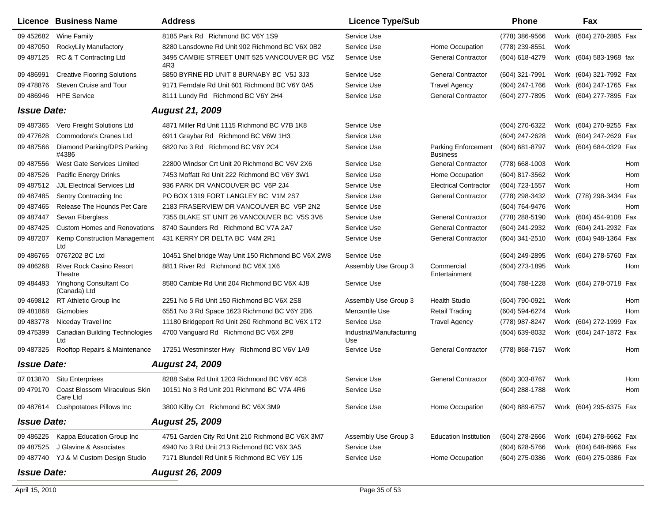|                    | Licence Business Name                               | <b>Address</b>                                      | <b>Licence Type/Sub</b>         |                                               | <b>Phone</b>        |      | Fax                     |     |
|--------------------|-----------------------------------------------------|-----------------------------------------------------|---------------------------------|-----------------------------------------------|---------------------|------|-------------------------|-----|
| 09 45 268 2        | <b>Wine Family</b>                                  | 8185 Park Rd Richmond BC V6Y 1S9                    | Service Use                     |                                               | (778) 386-9566      |      | Work (604) 270-2885 Fax |     |
| 09 487050          | RockyLily Manufactory                               | 8280 Lansdowne Rd Unit 902 Richmond BC V6X 0B2      | Service Use                     | Home Occupation                               | (778) 239-8551      | Work |                         |     |
| 09 487125          | RC & T Contracting Ltd                              | 3495 CAMBIE STREET UNIT 525 VANCOUVER BC V5Z<br>4R3 | Service Use                     | <b>General Contractor</b>                     | (604) 618-4279      |      | Work (604) 583-1968 fax |     |
| 09 48 6991         | <b>Creative Flooring Solutions</b>                  | 5850 BYRNE RD UNIT 8 BURNABY BC V5J 3J3             | Service Use                     | <b>General Contractor</b>                     | (604) 321-7991      |      | Work (604) 321-7992 Fax |     |
| 09 478876          | Steven Cruise and Tour                              | 9171 Ferndale Rd Unit 601 Richmond BC V6Y 0A5       | Service Use                     | <b>Travel Agency</b>                          | (604) 247-1766      |      | Work (604) 247-1765 Fax |     |
| 09 48 6946         | <b>HPE Service</b>                                  | 8111 Lundy Rd Richmond BC V6Y 2H4                   | Service Use                     | <b>General Contractor</b>                     | (604) 277-7895      |      | Work (604) 277-7895 Fax |     |
| <b>Issue Date:</b> |                                                     | <b>August 21, 2009</b>                              |                                 |                                               |                     |      |                         |     |
| 09 487365          | Vero Freight Solutions Ltd                          | 4871 Miller Rd Unit 1115 Richmond BC V7B 1K8        | Service Use                     |                                               | (604) 270-6322      |      | Work (604) 270-9255 Fax |     |
| 09 477628          | Commodore's Cranes Ltd                              | 6911 Graybar Rd Richmond BC V6W 1H3                 | Service Use                     |                                               | (604) 247-2628      |      | Work (604) 247-2629 Fax |     |
| 09 487566          | Diamond Parking/DPS Parking<br>#4386                | 6820 No 3 Rd Richmond BC V6Y 2C4                    | Service Use                     | <b>Parking Enforcement</b><br><b>Business</b> | (604) 681-8797      |      | Work (604) 684-0329 Fax |     |
| 09 487556          | West Gate Services Limited                          | 22800 Windsor Crt Unit 20 Richmond BC V6V 2X6       | Service Use                     | <b>General Contractor</b>                     | (778) 668-1003      | Work |                         | Hom |
| 09 487526          | <b>Pacific Energy Drinks</b>                        | 7453 Moffatt Rd Unit 222 Richmond BC V6Y 3W1        | Service Use                     | Home Occupation                               | (604) 817-3562      | Work |                         | Hom |
| 09 487512          | <b>JJL Electrical Services Ltd</b>                  | 936 PARK DR VANCOUVER BC V6P 2J4                    | Service Use                     | <b>Electrical Contractor</b>                  | (604) 723-1557      | Work |                         | Hom |
| 09 487485          | Sentry Contracting Inc                              | PO BOX 1319 FORT LANGLEY BC V1M 2S7                 | Service Use                     | <b>General Contractor</b>                     | (778) 298-3432      |      | Work (778) 298-3434     | Fax |
| 09 487465          | <b>Release The Hounds Pet Care</b>                  | 2183 FRASERVIEW DR VANCOUVER BC V5P 2N2             | Service Use                     |                                               | (604) 764-9476      | Work |                         | Hom |
| 09 487447          | Sevan Fiberglass                                    | 7355 BLAKE ST UNIT 26 VANCOUVER BC V5S 3V6          | Service Use                     | <b>General Contractor</b>                     | (778) 288-5190      |      | Work (604) 454-9108 Fax |     |
| 09 487425          | <b>Custom Homes and Renovations</b>                 | 8740 Saunders Rd Richmond BC V7A 2A7                | Service Use                     | <b>General Contractor</b>                     | (604) 241-2932      |      | Work (604) 241-2932 Fax |     |
| 09 487207          | Kemp Construction Management<br>Ltd                 | 431 KERRY DR DELTA BC V4M 2R1                       | Service Use                     | <b>General Contractor</b>                     | (604) 341-2510      |      | Work (604) 948-1364 Fax |     |
| 09 48 6765         | 0767202 BC Ltd                                      | 10451 Shel bridge Way Unit 150 Richmond BC V6X 2W8  | Service Use                     |                                               | (604) 249-2895      |      | Work (604) 278-5760 Fax |     |
| 09 48 6268         | <b>River Rock Casino Resort</b><br>Theatre          | 8811 River Rd Richmond BC V6X 1X6                   | Assembly Use Group 3            | Commercial<br>Entertainment                   | (604) 273-1895      | Work |                         | Hom |
| 09 484493          | Yinghong Consultant Co<br>(Canada) Ltd              | 8580 Cambie Rd Unit 204 Richmond BC V6X 4J8         | Service Use                     |                                               | (604) 788-1228      |      | Work (604) 278-0718 Fax |     |
| 09 469812          | RT Athletic Group Inc                               | 2251 No 5 Rd Unit 150 Richmond BC V6X 2S8           | Assembly Use Group 3            | <b>Health Studio</b>                          | (604) 790-0921      | Work |                         | Hom |
| 09 481868          | Gizmobies                                           | 6551 No 3 Rd Space 1623 Richmond BC V6Y 2B6         | Mercantile Use                  | <b>Retail Trading</b>                         | (604) 594-6274      | Work |                         | Hom |
| 09 483778          | Niceday Travel Inc                                  | 11180 Bridgeport Rd Unit 260 Richmond BC V6X 1T2    | Service Use                     | <b>Travel Agency</b>                          | (778) 987-8247      |      | Work (604) 272-1999 Fax |     |
| 09 475399          | <b>Canadian Building Technologies</b><br>Ltd        | 4700 Vanguard Rd Richmond BC V6X 2P8                | Industrial/Manufacturing<br>Use |                                               | (604) 639-8032      |      | Work (604) 247-1872 Fax |     |
| 09 487325          | Rooftop Repairs & Maintenance                       | 17251 Westminster Hwy Richmond BC V6V 1A9           | Service Use                     | <b>General Contractor</b>                     | (778) 868-7157      | Work |                         | Hom |
| <b>Issue Date:</b> |                                                     | <b>August 24, 2009</b>                              |                                 |                                               |                     |      |                         |     |
|                    | 07 013870 Situ Enterprises                          | 8288 Saba Rd Unit 1203 Richmond BC V6Y 4C8          | Service Use                     | <b>General Contractor</b>                     | (604) 303-8767      | Work |                         | Hom |
|                    | 09 479170 Coast Blossom Miraculous Skin<br>Care Ltd | 10151 No 3 Rd Unit 201 Richmond BC V7A 4R6          | Service Use                     |                                               | (604) 288-1788 Work |      |                         | Hom |
|                    | 09 487614 Cushpotatoes Pillows Inc                  | 3800 Kilby Crt Richmond BC V6X 3M9                  | Service Use                     | Home Occupation                               | (604) 889-6757      |      | Work (604) 295-6375 Fax |     |
| <b>Issue Date:</b> |                                                     | <b>August 25, 2009</b>                              |                                 |                                               |                     |      |                         |     |
| 09 486225          | Kappa Education Group Inc                           | 4751 Garden City Rd Unit 210 Richmond BC V6X 3M7    | Assembly Use Group 3            | <b>Education Institution</b>                  | $(604)$ 278-2666    |      | Work (604) 278-6662 Fax |     |
| 09 487525          | J Glavine & Associates                              | 4940 No 3 Rd Unit 213 Richmond BC V6X 3A5           | Service Use                     |                                               | (604) 628-5766      |      | Work (604) 648-8966 Fax |     |
|                    | 09 487740 YJ & M Custom Design Studio               | 7171 Blundell Rd Unit 5 Richmond BC V6Y 1J5         | Service Use                     | Home Occupation                               | (604) 275-0386      |      | Work (604) 275-0386 Fax |     |
| <b>Issue Date:</b> |                                                     | <b>August 26, 2009</b>                              |                                 |                                               |                     |      |                         |     |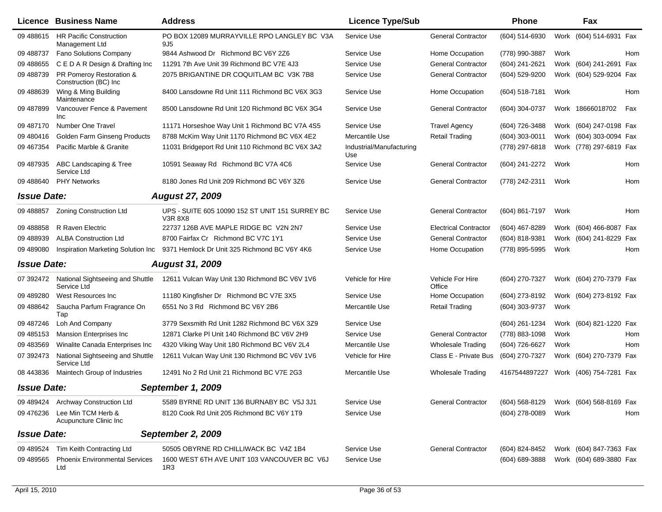|                    | <b>Licence Business Name</b>                      | <b>Address</b>                                                    | <b>Licence Type/Sub</b>         |                              | <b>Phone</b>   |      | Fax                     |     |
|--------------------|---------------------------------------------------|-------------------------------------------------------------------|---------------------------------|------------------------------|----------------|------|-------------------------|-----|
| 09 488615          | <b>HR Pacific Construction</b><br>Management Ltd  | PO BOX 12089 MURRAYVILLE RPO LANGLEY BC V3A<br>9J <sub>5</sub>    | Service Use                     | <b>General Contractor</b>    | (604) 514-6930 |      | Work (604) 514-6931 Fax |     |
| 09 488737          | <b>Fano Solutions Company</b>                     | 9844 Ashwood Dr Richmond BC V6Y 2Z6                               | Service Use                     | Home Occupation              | (778) 990-3887 | Work |                         | Hom |
| 09 488655          | C E D A R Design & Drafting Inc                   | 11291 7th Ave Unit 39 Richmond BC V7E 4J3                         | Service Use                     | <b>General Contractor</b>    | (604) 241-2621 |      | Work (604) 241-2691 Fax |     |
| 09 488739          | PR Pomeroy Restoration &<br>Construction (BC) Inc | 2075 BRIGANTINE DR COQUITLAM BC V3K 7B8                           | Service Use                     | <b>General Contractor</b>    | (604) 529-9200 |      | Work (604) 529-9204 Fax |     |
| 09 488639          | Wing & Ming Building<br>Maintenance               | 8400 Lansdowne Rd Unit 111 Richmond BC V6X 3G3                    | Service Use                     | Home Occupation              | (604) 518-7181 | Work |                         | Hom |
| 09 487899          | Vancouver Fence & Pavement<br>Inc                 | 8500 Lansdowne Rd Unit 120 Richmond BC V6X 3G4                    | Service Use                     | <b>General Contractor</b>    | (604) 304-0737 |      | Work 18666018702        | Fax |
| 09 487170          | Number One Travel                                 | 11171 Horseshoe Way Unit 1 Richmond BC V7A 4S5                    | Service Use                     | <b>Travel Agency</b>         | (604) 726-3488 |      | Work (604) 247-0198 Fax |     |
| 09 480416          | Golden Farm Ginseng Products                      | 8788 McKim Way Unit 1170 Richmond BC V6X 4E2                      | Mercantile Use                  | <b>Retail Trading</b>        | (604) 303-0011 |      | Work (604) 303-0094 Fax |     |
| 09 467354          | Pacific Marble & Granite                          | 11031 Bridgeport Rd Unit 110 Richmond BC V6X 3A2                  | Industrial/Manufacturing<br>Use |                              | (778) 297-6818 |      | Work (778) 297-6819 Fax |     |
| 09 487935          | ABC Landscaping & Tree<br>Service Ltd             | 10591 Seaway Rd Richmond BC V7A 4C6                               | Service Use                     | <b>General Contractor</b>    | (604) 241-2272 | Work |                         | Hom |
| 09 488640          | <b>PHY Networks</b>                               | 8180 Jones Rd Unit 209 Richmond BC V6Y 3Z6                        | Service Use                     | <b>General Contractor</b>    | (778) 242-2311 | Work |                         | Hom |
| <b>Issue Date:</b> |                                                   | <b>August 27, 2009</b>                                            |                                 |                              |                |      |                         |     |
| 09 488857          | Zoning Construction Ltd                           | UPS - SUITE 605 10090 152 ST UNIT 151 SURREY BC<br><b>V3R 8X8</b> | Service Use                     | <b>General Contractor</b>    | (604) 861-7197 | Work |                         | Hom |
| 09 488858          | R Raven Electric                                  | 22737 126B AVE MAPLE RIDGE BC V2N 2N7                             | Service Use                     | <b>Electrical Contractor</b> | (604) 467-8289 |      | Work (604) 466-8087 Fax |     |
| 09 488939          | <b>ALBA Construction Ltd</b>                      | 8700 Fairfax Cr Richmond BC V7C 1Y1                               | Service Use                     | <b>General Contractor</b>    | (604) 818-9381 |      | Work (604) 241-8229 Fax |     |
| 09 489080          | Inspiration Marketing Solution Inc                | 9371 Hemlock Dr Unit 325 Richmond BC V6Y 4K6                      | Service Use                     | Home Occupation              | (778) 895-5995 | Work |                         | Hom |
| <b>Issue Date:</b> |                                                   | <b>August 31, 2009</b>                                            |                                 |                              |                |      |                         |     |
| 07 392472          | National Sightseeing and Shuttle<br>Service Ltd   | 12611 Vulcan Way Unit 130 Richmond BC V6V 1V6                     | Vehicle for Hire                | Vehicle For Hire<br>Office   | (604) 270-7327 |      | Work (604) 270-7379 Fax |     |
| 09 489280          | West Resources Inc.                               | 11180 Kingfisher Dr Richmond BC V7E 3X5                           | Service Use                     | Home Occupation              | (604) 273-8192 |      | Work (604) 273-8192 Fax |     |
| 09 488642          | Saucha Parfum Fragrance On<br>Tap                 | 6551 No 3 Rd Richmond BC V6Y 2B6                                  | Mercantile Use                  | <b>Retail Trading</b>        | (604) 303-9737 | Work |                         |     |
| 09 487246          | Loh And Company                                   | 3779 Sexsmith Rd Unit 1282 Richmond BC V6X 3Z9                    | Service Use                     |                              | (604) 261-1234 |      | Work (604) 821-1220 Fax |     |
| 09 48 51 53        | Mansion Enterprises Inc                           | 12871 Clarke PI Unit 140 Richmond BC V6V 2H9                      | Service Use                     | <b>General Contractor</b>    | (778) 883-1098 | Work |                         | Hom |
| 09 483569          | Winalite Canada Enterprises Inc                   | 4320 Viking Way Unit 180 Richmond BC V6V 2L4                      | Mercantile Use                  | <b>Wholesale Trading</b>     | (604) 726-6627 | Work |                         | Hom |
| 07 392473          | National Sightseeing and Shuttle<br>Service Ltd   | 12611 Vulcan Way Unit 130 Richmond BC V6V 1V6                     | Vehicle for Hire                | Class E - Private Bus        | (604) 270-7327 |      | Work (604) 270-7379 Fax |     |
| 08 443836          | Maintech Group of Industries                      | 12491 No 2 Rd Unit 21 Richmond BC V7E 2G3                         | Mercantile Use                  | <b>Wholesale Trading</b>     | 4167544897227  |      | Work (406) 754-7281 Fax |     |
| <b>Issue Date:</b> |                                                   | September 1, 2009                                                 |                                 |                              |                |      |                         |     |
| 09 489424          | Archway Construction Ltd                          | 5589 BYRNE RD UNIT 136 BURNABY BC V5J 3J1                         | Service Use                     | <b>General Contractor</b>    | (604) 568-8129 |      | Work (604) 568-8169 Fax |     |
| 09 476236          | Lee Min TCM Herb &<br>Acupuncture Clinic Inc.     | 8120 Cook Rd Unit 205 Richmond BC V6Y 1T9                         | Service Use                     |                              | (604) 278-0089 | Work |                         | Hom |
| <b>Issue Date:</b> |                                                   | September 2, 2009                                                 |                                 |                              |                |      |                         |     |
| 09 489524          | Tim Keith Contracting Ltd                         | 50505 OBYRNE RD CHILLIWACK BC V4Z 1B4                             | Service Use                     | <b>General Contractor</b>    | (604) 824-8452 |      | Work (604) 847-7363 Fax |     |
| 09 489565          | <b>Phoenix Environmental Services</b><br>Ltd      | 1600 WEST 6TH AVE UNIT 103 VANCOUVER BC V6J<br>1R3                | Service Use                     |                              | (604) 689-3888 |      | Work (604) 689-3880 Fax |     |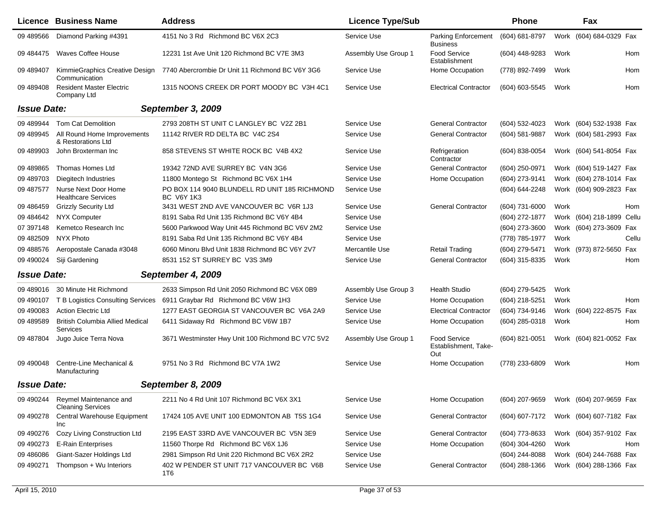|                    | Licence Business Name                              | <b>Address</b>                                                     | <b>Licence Type/Sub</b> |                                                    | <b>Phone</b>   |      | Fax                       |       |
|--------------------|----------------------------------------------------|--------------------------------------------------------------------|-------------------------|----------------------------------------------------|----------------|------|---------------------------|-------|
| 09 489566          | Diamond Parking #4391                              | 4151 No 3 Rd Richmond BC V6X 2C3                                   | Service Use             | Parking Enforcement<br>Business                    | (604) 681-8797 | Work | (604) 684-0329 Fax        |       |
| 09 484475          | <b>Waves Coffee House</b>                          | 12231 1st Ave Unit 120 Richmond BC V7E 3M3                         | Assembly Use Group 1    | Food Service<br>Establishment                      | (604) 448-9283 | Work |                           | Hom   |
| 09 489407          | KimmieGraphics Creative Design<br>Communication    | 7740 Abercrombie Dr Unit 11 Richmond BC V6Y 3G6                    | Service Use             | Home Occupation                                    | (778) 892-7499 | Work |                           | Hom   |
| 09 489408          | <b>Resident Master Electric</b><br>Company Ltd     | 1315 NOONS CREEK DR PORT MOODY BC V3H 4C1                          | Service Use             | <b>Electrical Contractor</b>                       | (604) 603-5545 | Work |                           | Hom   |
| <b>Issue Date:</b> |                                                    | September 3, 2009                                                  |                         |                                                    |                |      |                           |       |
| 09 489944          | <b>Tom Cat Demolition</b>                          | 2793 208TH ST UNIT C LANGLEY BC V2Z 2B1                            | Service Use             | <b>General Contractor</b>                          | (604) 532-4023 |      | Work (604) 532-1938 Fax   |       |
| 09 489945          | All Round Home Improvements<br>& Restorations Ltd  | 11142 RIVER RD DELTA BC V4C 2S4                                    | Service Use             | <b>General Contractor</b>                          | (604) 581-9887 |      | Work (604) 581-2993 Fax   |       |
| 09 489903          | John Broxterman Inc                                | 858 STEVENS ST WHITE ROCK BC V4B 4X2                               | Service Use             | Refrigeration<br>Contractor                        | (604) 838-0054 |      | Work (604) 541-8054 Fax   |       |
| 09 489865          | Thomas Homes Ltd                                   | 19342 72ND AVE SURREY BC V4N 3G6                                   | Service Use             | <b>General Contractor</b>                          | (604) 250-0971 |      | Work (604) 519-1427 Fax   |       |
| 09 489703          | <b>Diegitech Industries</b>                        | 11800 Montego St Richmond BC V6X 1H4                               | Service Use             | Home Occupation                                    | (604) 273-9141 |      | Work (604) 278-1014 Fax   |       |
| 09 487577          | Nurse Next Door Home<br><b>Healthcare Services</b> | PO BOX 114 9040 BLUNDELL RD UNIT 185 RICHMOND<br><b>BC V6Y 1K3</b> | Service Use             |                                                    | (604) 644-2248 |      | Work (604) 909-2823 Fax   |       |
| 09 48 6459         | <b>Grizzly Security Ltd</b>                        | 3431 WEST 2ND AVE VANCOUVER BC V6R 1J3                             | Service Use             | <b>General Contractor</b>                          | (604) 731-6000 | Work |                           | Hom   |
| 09 484642          | <b>NYX Computer</b>                                | 8191 Saba Rd Unit 135 Richmond BC V6Y 4B4                          | Service Use             |                                                    | (604) 272-1877 |      | Work (604) 218-1899 Cellu |       |
| 07 397148          | Kemetco Research Inc                               | 5600 Parkwood Way Unit 445 Richmond BC V6V 2M2                     | Service Use             |                                                    | (604) 273-3600 |      | Work (604) 273-3609 Fax   |       |
| 09 482509          | <b>NYX Photo</b>                                   | 8191 Saba Rd Unit 135 Richmond BC V6Y 4B4                          | Service Use             |                                                    | (778) 785-1977 | Work |                           | Cellu |
| 09 488576          | Aeropostale Canada #3048                           | 6060 Minoru Blvd Unit 1838 Richmond BC V6Y 2V7                     | Mercantile Use          | <b>Retail Trading</b>                              | (604) 279-5471 |      | Work (973) 872-5650 Fax   |       |
| 09 490024          | Siji Gardening                                     | 8531 152 ST SURREY BC V3S 3M9                                      | Service Use             | <b>General Contractor</b>                          | (604) 315-8335 | Work |                           | Hom   |
| <b>Issue Date:</b> |                                                    | September 4, 2009                                                  |                         |                                                    |                |      |                           |       |
| 09 489016          | 30 Minute Hit Richmond                             | 2633 Simpson Rd Unit 2050 Richmond BC V6X 0B9                      | Assembly Use Group 3    | <b>Health Studio</b>                               | (604) 279-5425 | Work |                           |       |
| 09 490107          | T B Logistics Consulting Services                  | 6911 Graybar Rd Richmond BC V6W 1H3                                | Service Use             | Home Occupation                                    | (604) 218-5251 | Work |                           | Hom   |
| 09 490083          | <b>Action Electric Ltd</b>                         | 1277 EAST GEORGIA ST VANCOUVER BC V6A 2A9                          | Service Use             | <b>Electrical Contractor</b>                       | (604) 734-9146 |      | Work (604) 222-8575 Fax   |       |
| 09 48 9589         | <b>British Columbia Allied Medical</b><br>Services | 6411 Sidaway Rd Richmond BC V6W 1B7                                | Service Use             | Home Occupation                                    | (604) 285-0318 | Work |                           | Hom   |
| 09 487804          | Jugo Juice Terra Nova                              | 3671 Westminster Hwy Unit 100 Richmond BC V7C 5V2                  | Assembly Use Group 1    | <b>Food Service</b><br>Establishment. Take-<br>Out | (604) 821-0051 |      | Work (604) 821-0052 Fax   |       |
| 09 490048          | Centre-Line Mechanical &<br>Manufacturing          | 9751 No 3 Rd Richmond BC V7A 1W2                                   | Service Use             | Home Occupation                                    | (778) 233-6809 | Work |                           | Hom   |
| <b>Issue Date:</b> |                                                    | September 8, 2009                                                  |                         |                                                    |                |      |                           |       |
| 09 490244          | Reymel Maintenance and<br><b>Cleaning Services</b> | 2211 No 4 Rd Unit 107 Richmond BC V6X 3X1                          | Service Use             | Home Occupation                                    | (604) 207-9659 |      | Work (604) 207-9659 Fax   |       |
| 09 490278          | Central Warehouse Equipment<br>Inc                 | 17424 105 AVE UNIT 100 EDMONTON AB T5S 1G4                         | Service Use             | <b>General Contractor</b>                          | (604) 607-7172 |      | Work (604) 607-7182 Fax   |       |
| 09 490276          | Cozy Living Construction Ltd                       | 2195 EAST 33RD AVE VANCOUVER BC V5N 3E9                            | Service Use             | <b>General Contractor</b>                          | (604) 773-8633 |      | Work (604) 357-9102 Fax   |       |
| 09 49 0273         | E-Rain Enterprises                                 | 11560 Thorpe Rd Richmond BC V6X 1J6                                | Service Use             | Home Occupation                                    | (604) 304-4260 | Work |                           | Hom   |
| 09 48 608 6        | Giant-Sazer Holdings Ltd                           | 2981 Simpson Rd Unit 220 Richmond BC V6X 2R2                       | Service Use             |                                                    | (604) 244-8088 |      | Work (604) 244-7688 Fax   |       |
| 09 490271          | Thompson + Wu Interiors                            | 402 W PENDER ST UNIT 717 VANCOUVER BC V6B<br>1T6                   | Service Use             | <b>General Contractor</b>                          | (604) 288-1366 |      | Work (604) 288-1366 Fax   |       |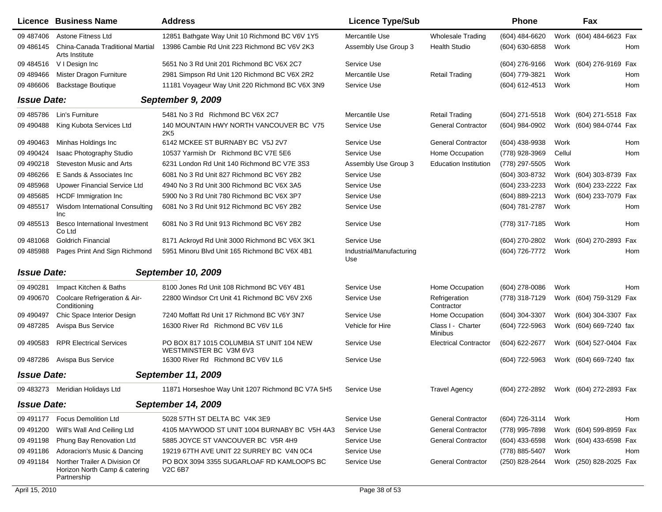|                    | <b>Licence Business Name</b>                                                  | <b>Address</b>                                                     | <b>Licence Type/Sub</b>         |                              | Phone                                  |        | Fax                     |     |
|--------------------|-------------------------------------------------------------------------------|--------------------------------------------------------------------|---------------------------------|------------------------------|----------------------------------------|--------|-------------------------|-----|
| 09 487406          | Astone Fitness Ltd                                                            | 12851 Bathgate Way Unit 10 Richmond BC V6V 1Y5                     | Mercantile Use                  | <b>Wholesale Trading</b>     | (604) 484-6620                         |        | Work (604) 484-6623 Fax |     |
| 09 48 6145         | China-Canada Traditional Martial<br>Arts Institute                            | 13986 Cambie Rd Unit 223 Richmond BC V6V 2K3                       | Assembly Use Group 3            | <b>Health Studio</b>         | (604) 630-6858                         | Work   |                         | Hom |
| 09 484516          | V I Design Inc                                                                | 5651 No 3 Rd Unit 201 Richmond BC V6X 2C7                          | Service Use                     |                              | (604) 276-9166                         |        | Work (604) 276-9169 Fax |     |
| 09 489 466         | Mister Dragon Furniture                                                       | 2981 Simpson Rd Unit 120 Richmond BC V6X 2R2                       | Mercantile Use                  | <b>Retail Trading</b>        | (604) 779-3821                         | Work   |                         | Hom |
| 09 48 6606         | <b>Backstage Boutique</b>                                                     | 11181 Voyageur Way Unit 220 Richmond BC V6X 3N9                    | Service Use                     |                              | (604) 612-4513                         | Work   |                         | Hom |
| <b>Issue Date:</b> |                                                                               | September 9, 2009                                                  |                                 |                              |                                        |        |                         |     |
| 09 485786          | Lin's Furniture                                                               | 5481 No 3 Rd Richmond BC V6X 2C7                                   | Mercantile Use                  | <b>Retail Trading</b>        | (604) 271-5518                         |        | Work (604) 271-5518 Fax |     |
| 09 49 0488         | King Kubota Services Ltd                                                      | 140 MOUNTAIN HWY NORTH VANCOUVER BC V75<br>2K5                     | Service Use                     | <b>General Contractor</b>    | (604) 984-0902                         |        | Work (604) 984-0744 Fax |     |
| 09 490463          | Minhas Holdings Inc                                                           | 6142 MCKEE ST BURNABY BC V5J 2V7                                   | Service Use                     | <b>General Contractor</b>    | (604) 438-9938                         | Work   |                         | Hom |
| 09 490 424         | Isaac Photography Studio                                                      | 10537 Yarmish Dr Richmond BC V7E 5E6                               | Service Use                     | Home Occupation              | (778) 928-3969                         | Cellul |                         | Hom |
| 09 490218          | <b>Steveston Music and Arts</b>                                               | 6231 London Rd Unit 140 Richmond BC V7E 3S3                        | Assembly Use Group 3            | <b>Education Institution</b> | (778) 297-5505                         | Work   |                         |     |
| 09 48 6266         | E Sands & Associates Inc                                                      | 6081 No 3 Rd Unit 827 Richmond BC V6Y 2B2                          | Service Use                     |                              | (604) 303-8732                         |        | Work (604) 303-8739 Fax |     |
| 09 485968          | Upower Financial Service Ltd                                                  | 4940 No 3 Rd Unit 300 Richmond BC V6X 3A5                          | Service Use                     |                              | (604) 233-2233                         |        | Work (604) 233-2222 Fax |     |
| 09 485685          | <b>HCDF</b> Immigration Inc                                                   | 5900 No 3 Rd Unit 780 Richmond BC V6X 3P7                          | Service Use                     |                              | (604) 889-2213                         |        | Work (604) 233-7079 Fax |     |
| 09 48 5517         | Wisdom International Consulting<br><b>Inc</b>                                 | 6081 No 3 Rd Unit 912 Richmond BC V6Y 2B2                          | Service Use                     |                              | (604) 781-2787                         | Work   |                         | Hom |
| 09 48 5513         | Besco International Investment<br>Co Ltd                                      | 6081 No 3 Rd Unit 913 Richmond BC V6Y 2B2                          | Service Use                     |                              | (778) 317-7185                         | Work   |                         | Hom |
| 09 481068          | <b>Goldrich Financial</b>                                                     | 8171 Ackroyd Rd Unit 3000 Richmond BC V6X 3K1                      | Service Use                     |                              | (604) 270-2802                         |        | Work (604) 270-2893 Fax |     |
| 09 485988          | Pages Print And Sign Richmond                                                 | 5951 Minoru Blvd Unit 165 Richmond BC V6X 4B1                      | Industrial/Manufacturing<br>Use |                              | (604) 726-7772                         | Work   |                         | Hom |
| <b>Issue Date:</b> |                                                                               | September 10, 2009                                                 |                                 |                              |                                        |        |                         |     |
| 09 490281          | Impact Kitchen & Baths                                                        | 8100 Jones Rd Unit 108 Richmond BC V6Y 4B1                         | Service Use                     | Home Occupation              | (604) 278-0086                         | Work   |                         | Hom |
| 09 490670          | Coolcare Refrigeration & Air-<br>Conditioning                                 | 22800 Windsor Crt Unit 41 Richmond BC V6V 2X6                      | Service Use                     | Refrigeration<br>Contractor  | (778) 318-7129                         |        | Work (604) 759-3129 Fax |     |
| 09 490497          | Chic Space Interior Design                                                    | 7240 Moffatt Rd Unit 17 Richmond BC V6Y 3N7                        | Service Use                     | Home Occupation              | (604) 304-3307                         |        | Work (604) 304-3307 Fax |     |
| 09 487285          | Avispa Bus Service                                                            | 16300 River Rd Richmond BC V6V 1L6                                 | Vehicle for Hire                | Class I - Charter<br>Minibus | (604) 722-5963                         |        | Work (604) 669-7240 fax |     |
| 09 490583          | <b>RPR Electrical Services</b>                                                | PO BOX 817 1015 COLUMBIA ST UNIT 104 NEW<br>WESTMINSTER BC V3M 6V3 | Service Use                     | <b>Electrical Contractor</b> | (604) 622-2677                         |        | Work (604) 527-0404 Fax |     |
|                    | 09 487286 Avispa Bus Service                                                  | 16300 River Rd Richmond BC V6V 1L6                                 | Service Use                     |                              | (604) 722-5963                         |        | Work (604) 669-7240 fax |     |
| <b>Issue Date:</b> |                                                                               | September 11, 2009                                                 |                                 |                              |                                        |        |                         |     |
|                    | 09 483273 Meridian Holidays Ltd                                               | 11871 Horseshoe Way Unit 1207 Richmond BC V7A 5H5                  | Service Use                     | <b>Travel Agency</b>         | (604) 272-2892 Work (604) 272-2893 Fax |        |                         |     |
| <b>Issue Date:</b> |                                                                               | <b>September 14, 2009</b>                                          |                                 |                              |                                        |        |                         |     |
| 09 491177          | Focus Demolition Ltd                                                          | 5028 57TH ST DELTA BC V4K 3E9                                      | Service Use                     | <b>General Contractor</b>    | (604) 726-3114                         | Work   |                         | Hom |
| 09 491200          | Will's Wall And Ceiling Ltd                                                   | 4105 MAYWOOD ST UNIT 1004 BURNABY BC V5H 4A3                       | Service Use                     | <b>General Contractor</b>    | (778) 995-7898                         |        | Work (604) 599-8959 Fax |     |
| 09 491198          | Phung Bay Renovation Ltd                                                      | 5885 JOYCE ST VANCOUVER BC V5R 4H9                                 | Service Use                     | <b>General Contractor</b>    | (604) 433-6598                         |        | Work (604) 433-6598 Fax |     |
| 09 491186          | Adoracion's Music & Dancing                                                   | 19219 67TH AVE UNIT 22 SURREY BC V4N 0C4                           | Service Use                     |                              | (778) 885-5407                         | Work   |                         | Hom |
| 09 491184          | Norther Trailer A Division Of<br>Horizon North Camp & catering<br>Partnership | PO BOX 3094 3355 SUGARLOAF RD KAMLOOPS BC<br>V <sub>2</sub> C 6B7  | Service Use                     | <b>General Contractor</b>    | (250) 828-2644                         |        | Work (250) 828-2025 Fax |     |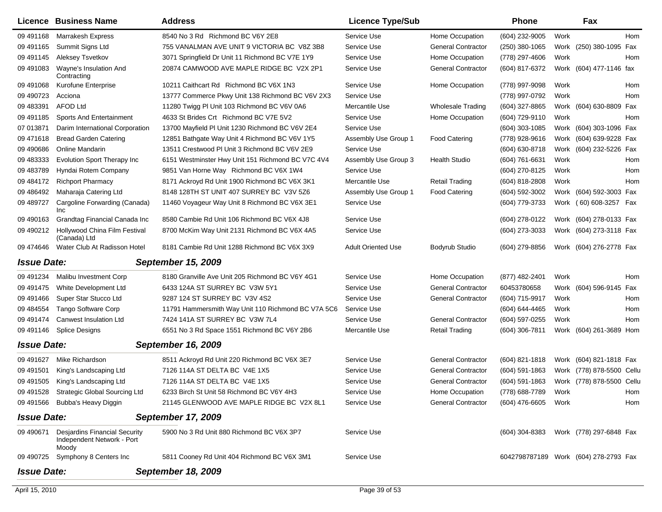|                    | <b>Licence Business Name</b>                                                | <b>Address</b>                                     | <b>Licence Type/Sub</b>   |                           | <b>Phone</b>   |      | Fax                                   |
|--------------------|-----------------------------------------------------------------------------|----------------------------------------------------|---------------------------|---------------------------|----------------|------|---------------------------------------|
| 09 491168          | <b>Marrakesh Express</b>                                                    | 8540 No 3 Rd Richmond BC V6Y 2E8                   | Service Use               | Home Occupation           | (604) 232-9005 | Work | <b>Hom</b>                            |
| 09 491165          | Summit Signs Ltd                                                            | 755 VANALMAN AVE UNIT 9 VICTORIA BC V8Z 3B8        | Service Use               | <b>General Contractor</b> | (250) 380-1065 |      | Work (250) 380-1095 Fax               |
| 09 491145          | Aleksey Tsvetkov                                                            | 3071 Springfield Dr Unit 11 Richmond BC V7E 1Y9    | Service Use               | Home Occupation           | (778) 297-4606 | Work | Hom                                   |
| 09 491083          | Wayne's Insulation And<br>Contracting                                       | 20874 CAMWOOD AVE MAPLE RIDGE BC V2X 2P1           | Service Use               | <b>General Contractor</b> | (604) 817-6372 |      | Work (604) 477-1146 fax               |
| 09 491068          | Kurofune Enterprise                                                         | 10211 Caithcart Rd Richmond BC V6X 1N3             | Service Use               | Home Occupation           | (778) 997-9098 | Work | Hom                                   |
| 09 49 0723         | Acciona                                                                     | 13777 Commerce Pkwy Unit 138 Richmond BC V6V 2X3   | Service Use               |                           | (778) 997-0792 | Work | <b>Hom</b>                            |
| 09 483391          | <b>AFOD Ltd</b>                                                             | 11280 Twigg PI Unit 103 Richmond BC V6V 0A6        | Mercantile Use            | <b>Wholesale Trading</b>  | (604) 327-8865 |      | Work (604) 630-8809 Fax               |
| 09 491185          | Sports And Entertainment                                                    | 4633 St Brides Crt Richmond BC V7E 5V2             | Service Use               | Home Occupation           | (604) 729-9110 | Work | Hom                                   |
| 07 013871          | Darim International Corporation                                             | 13700 Mayfield PI Unit 1230 Richmond BC V6V 2E4    | Service Use               |                           | (604) 303-1085 |      | Work (604) 303-1096 Fax               |
| 09 471 618         | <b>Bread Garden Catering</b>                                                | 12851 Bathgate Way Unit 4 Richmond BC V6V 1Y5      | Assembly Use Group 1      | <b>Food Catering</b>      | (778) 928-9616 |      | Work (604) 639-9228 Fax               |
| 09 490 686         | <b>Online Mandarin</b>                                                      | 13511 Crestwood PI Unit 3 Richmond BC V6V 2E9      | Service Use               |                           | (604) 630-8718 |      | Work (604) 232-5226<br>Fax            |
| 09 483333          | <b>Evolution Sport Therapy Inc</b>                                          | 6151 Westminster Hwy Unit 151 Richmond BC V7C 4V4  | Assembly Use Group 3      | Health Studio             | (604) 761-6631 | Work | Hom                                   |
| 09 483789          | Hyndai Rotem Company                                                        | 9851 Van Horne Way Richmond BC V6X 1W4             | Service Use               |                           | (604) 270-8125 | Work | Hom                                   |
| 09 484172          | <b>Richport Pharmacy</b>                                                    | 8171 Ackroyd Rd Unit 1900 Richmond BC V6X 3K1      | Mercantile Use            | <b>Retail Trading</b>     | (604) 818-2808 | Work | <b>Hom</b>                            |
| 09 48 64 92        | Maharaja Catering Ltd                                                       | 8148 128TH ST UNIT 407 SURREY BC V3V 5Z6           | Assembly Use Group 1      | <b>Food Catering</b>      | (604) 592-3002 |      | Work (604) 592-3003 Fax               |
| 09 489727          | Cargoline Forwarding (Canada)<br>Inc                                        | 11460 Voyageur Way Unit 8 Richmond BC V6X 3E1      | Service Use               |                           | (604) 779-3733 |      | Work (60) 608-3257 Fax                |
| 09 49 0163         | Grandtag Financial Canada Inc                                               | 8580 Cambie Rd Unit 106 Richmond BC V6X 4J8        | Service Use               |                           | (604) 278-0122 |      | Work (604) 278-0133 Fax               |
| 09 49 0212         | Hollywood China Film Festival<br>(Canada) Ltd                               | 8700 McKim Way Unit 2131 Richmond BC V6X 4A5       | Service Use               |                           | (604) 273-3033 |      | Work (604) 273-3118 Fax               |
| 09 474 646         | Water Club At Radisson Hotel                                                | 8181 Cambie Rd Unit 1288 Richmond BC V6X 3X9       | <b>Adult Oriented Use</b> | Bodyrub Studio            | (604) 279-8856 |      | Work (604) 276-2778 Fax               |
| <b>Issue Date:</b> |                                                                             | <b>September 15, 2009</b>                          |                           |                           |                |      |                                       |
| 09 491234          | Malibu Investment Corp                                                      | 8180 Granville Ave Unit 205 Richmond BC V6Y 4G1    | Service Use               | Home Occupation           | (877) 482-2401 | Work | Hom                                   |
| 09 49 1475         | White Development Ltd                                                       | 6433 124A ST SURREY BC V3W 5Y1                     | Service Use               | <b>General Contractor</b> | 60453780658    |      | Work (604) 596-9145<br>Fax            |
| 09 491466          | Super Star Stucco Ltd                                                       | 9287 124 ST SURREY BC V3V 4S2                      | Service Use               | <b>General Contractor</b> | (604) 715-9917 | Work | Hom                                   |
| 09 484554          | Tango Software Corp                                                         | 11791 Hammersmith Way Unit 110 Richmond BC V7A 5C6 | Service Use               |                           | (604) 644-4465 | Work | Hom                                   |
| 09 49 1474         | <b>Canwest Insulation Ltd</b>                                               | 7424 141A ST SURREY BC V3W 7L4                     | Service Use               | <b>General Contractor</b> | (604) 597-0255 | Work | <b>Hom</b>                            |
| 09 491146          | <b>Splice Designs</b>                                                       | 6551 No 3 Rd Space 1551 Richmond BC V6Y 2B6        | Mercantile Use            | <b>Retail Trading</b>     | (604) 306-7811 |      | Work (604) 261-3689 Hom               |
| <b>Issue Date:</b> |                                                                             | September 16, 2009                                 |                           |                           |                |      |                                       |
| 09 491627          | Mike Richardson                                                             | 8511 Ackroyd Rd Unit 220 Richmond BC V6X 3E7       | Service Use               | <b>General Contractor</b> | (604) 821-1818 |      | Work (604) 821-1818 Fax               |
| 09 491501          | King's Landscaping Ltd                                                      | 7126 114A ST DELTA BC V4E 1X5                      | Service Use               | <b>General Contractor</b> | (604) 591-1863 |      | Work (778) 878-5500 Cellu             |
| 09 49 1505         | King's Landscaping Ltd                                                      | 7126 114A ST DELTA BC V4E 1X5                      | Service Use               | <b>General Contractor</b> | (604) 591-1863 |      | Work (778) 878-5500 Cellu             |
|                    | 09 491528 Strategic Global Sourcing Ltd                                     | 6233 Birch St Unit 58 Richmond BC V6Y 4H3          | Service Use               | Home Occupation           | (778) 688-7789 | Work | Hom                                   |
|                    | 09 491566 Bubba's Heavy Diggin                                              | 21145 GLENWOOD AVE MAPLE RIDGE BC V2X 8L1          | Service Use               | <b>General Contractor</b> | (604) 476-6605 | Work | Hom                                   |
| <b>Issue Date:</b> |                                                                             | <b>September 17, 2009</b>                          |                           |                           |                |      |                                       |
| 09 490671          | <b>Desjardins Financial Security</b><br>Independent Network - Port<br>Moody | 5900 No 3 Rd Unit 880 Richmond BC V6X 3P7          | Service Use               |                           | (604) 304-8383 |      | Work (778) 297-6848 Fax               |
| 09 490725          | Symphony 8 Centers Inc                                                      | 5811 Cooney Rd Unit 404 Richmond BC V6X 3M1        | Service Use               |                           |                |      | 6042798787189 Work (604) 278-2793 Fax |
| <b>Issue Date:</b> |                                                                             | September 18, 2009                                 |                           |                           |                |      |                                       |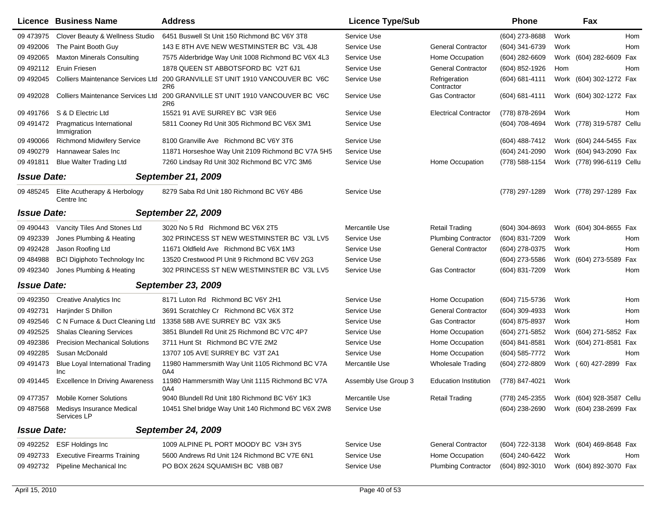|                    | Licence Business Name                          | <b>Address</b>                                                                       | <b>Licence Type/Sub</b> |                              | <b>Phone</b>   |      | Fax                       |     |
|--------------------|------------------------------------------------|--------------------------------------------------------------------------------------|-------------------------|------------------------------|----------------|------|---------------------------|-----|
| 09 473975          | Clover Beauty & Wellness Studio                | 6451 Buswell St Unit 150 Richmond BC V6Y 3T8                                         | Service Use             |                              | (604) 273-8688 | Work |                           | Hom |
| 09 49 2006         | The Paint Booth Guy                            | 143 E 8TH AVE NEW WESTMINSTER BC V3L 4J8                                             | Service Use             | <b>General Contractor</b>    | (604) 341-6739 | Work |                           | Hom |
| 09 49 2065         | <b>Maxton Minerals Consulting</b>              | 7575 Alderbridge Way Unit 1008 Richmond BC V6X 4L3                                   | Service Use             | Home Occupation              | (604) 282-6609 |      | Work (604) 282-6609 Fax   |     |
| 09 49 2112         | Eruin Friesen                                  | 1878 QUEEN ST ABBOTSFORD BC V2T 6J1                                                  | Service Use             | <b>General Contractor</b>    | (604) 852-1926 | Hom  |                           | Hom |
| 09 49 2045         |                                                | Colliers Maintenance Services Ltd 200 GRANVILLE ST UNIT 1910 VANCOUVER BC V6C<br>2R6 | Service Use             | Refrigeration<br>Contractor  | (604) 681-4111 |      | Work (604) 302-1272 Fax   |     |
| 09 49 20 28        | Colliers Maintenance Services Ltd              | 200 GRANVILLE ST UNIT 1910 VANCOUVER BC V6C<br>2R6                                   | Service Use             | <b>Gas Contractor</b>        | (604) 681-4111 |      | Work (604) 302-1272 Fax   |     |
| 09 491766          | S & D Electric Ltd                             | 15521 91 AVE SURREY BC V3R 9E6                                                       | Service Use             | <b>Electrical Contractor</b> | (778) 878-2694 | Work |                           | Hom |
| 09 49 1472         | Pragmaticus International<br>Immigration       | 5811 Cooney Rd Unit 305 Richmond BC V6X 3M1                                          | Service Use             |                              | (604) 708-4694 |      | Work (778) 319-5787 Cellu |     |
| 09 490066          | <b>Richmond Midwifery Service</b>              | 8100 Granville Ave Richmond BC V6Y 3T6                                               | Service Use             |                              | (604) 488-7412 |      | Work (604) 244-5455 Fax   |     |
| 09 490279          | Hannawear Sales Inc                            | 11871 Horseshoe Way Unit 2109 Richmond BC V7A 5H5                                    | Service Use             |                              | (604) 241-2090 |      | Work (604) 943-2090 Fax   |     |
| 09 491811          | <b>Blue Walter Trading Ltd</b>                 | 7260 Lindsay Rd Unit 302 Richmond BC V7C 3M6                                         | Service Use             | Home Occupation              | (778) 588-1154 |      | Work (778) 996-6119 Cellu |     |
| <b>Issue Date:</b> |                                                | <b>September 21, 2009</b>                                                            |                         |                              |                |      |                           |     |
| 09 485245          | Elite Acutherapy & Herbology<br>Centre Inc     | 8279 Saba Rd Unit 180 Richmond BC V6Y 4B6                                            | Service Use             |                              | (778) 297-1289 |      | Work (778) 297-1289 Fax   |     |
| <b>Issue Date:</b> |                                                | <b>September 22, 2009</b>                                                            |                         |                              |                |      |                           |     |
| 09 490 443         | Vancity Tiles And Stones Ltd                   | 3020 No 5 Rd Richmond BC V6X 2T5                                                     | Mercantile Use          | <b>Retail Trading</b>        | (604) 304-8693 |      | Work (604) 304-8655 Fax   |     |
| 09 492339          | Jones Plumbing & Heating                       | 302 PRINCESS ST NEW WESTMINSTER BC V3L LV5                                           | Service Use             | <b>Plumbing Contractor</b>   | (604) 831-7209 | Work |                           | Hom |
| 09 49 24 28        | Jason Roofing Ltd                              | 11671 Oldfield Ave Richmond BC V6X 1M3                                               | Service Use             | <b>General Contractor</b>    | (604) 278-0375 | Work |                           | Hom |
| 09 484988          | <b>BCI Digiphoto Technology Inc</b>            | 13520 Crestwood PI Unit 9 Richmond BC V6V 2G3                                        | Service Use             |                              | (604) 273-5586 |      | Work (604) 273-5589 Fax   |     |
| 09 492340          | Jones Plumbing & Heating                       | 302 PRINCESS ST NEW WESTMINSTER BC V3L LV5                                           | Service Use             | <b>Gas Contractor</b>        | (604) 831-7209 | Work |                           | Hom |
| <b>Issue Date:</b> |                                                | <b>September 23, 2009</b>                                                            |                         |                              |                |      |                           |     |
| 09 492350          | <b>Creative Analytics Inc</b>                  | 8171 Luton Rd Richmond BC V6Y 2H1                                                    | Service Use             | Home Occupation              | (604) 715-5736 | Work |                           | Hom |
| 09 49 2731         | Harjinder S Dhillon                            | 3691 Scratchley Cr Richmond BC V6X 3T2                                               | Service Use             | <b>General Contractor</b>    | (604) 309-4933 | Work |                           | Hom |
| 09 49 2546         | C N Furnace & Duct Cleaning Ltd                | 13358 58B AVE SURREY BC V3X 3K5                                                      | Service Use             | <b>Gas Contractor</b>        | (604) 875-8937 | Work |                           | Hom |
| 09 49 25 25        | <b>Shalas Cleaning Services</b>                | 3851 Blundell Rd Unit 25 Richmond BC V7C 4P7                                         | Service Use             | Home Occupation              | (604) 271-5852 |      | Work (604) 271-5852 Fax   |     |
| 09 492386          | <b>Precision Mechanical Solutions</b>          | 3711 Hunt St Richmond BC V7E 2M2                                                     | Service Use             | Home Occupation              | (604) 841-8581 |      | Work (604) 271-8581 Fax   |     |
| 09 49 2285         | Susan McDonald                                 | 13707 105 AVE SURREY BC V3T 2A1                                                      | Service Use             | Home Occupation              | (604) 585-7772 | Work |                           | Hom |
| 09 49 14 73        | <b>Blue Loyal International Trading</b><br>Inc | 11980 Hammersmith Way Unit 1105 Richmond BC V7A<br>0A4                               | Mercantile Use          | <b>Wholesale Trading</b>     | (604) 272-8809 |      | Work (60) 427-2899        | Fax |
| 09 491445          | <b>Excellence In Driving Awareness</b>         | 11980 Hammersmith Way Unit 1115 Richmond BC V7A<br>0A4                               | Assembly Use Group 3    | <b>Education Institution</b> | (778) 847-4021 | Work |                           |     |
| 09 477357          | <b>Mobile Korner Solutions</b>                 | 9040 Blundell Rd Unit 180 Richmond BC V6Y 1K3                                        | Mercantile Use          | <b>Retail Trading</b>        | (778) 245-2355 |      | Work (604) 928-3587 Cellu |     |
| 09 487568          | Medisys Insurance Medical<br>Services LP       | 10451 Shel bridge Way Unit 140 Richmond BC V6X 2W8                                   | Service Use             |                              | (604) 238-2690 |      | Work (604) 238-2699 Fax   |     |
| <b>Issue Date:</b> |                                                | <b>September 24, 2009</b>                                                            |                         |                              |                |      |                           |     |
| 09 492252          | <b>ESF Holdings Inc</b>                        | 1009 ALPINE PL PORT MOODY BC V3H 3Y5                                                 | Service Use             | <b>General Contractor</b>    | (604) 722-3138 |      | Work (604) 469-8648 Fax   |     |
| 09 49 2733         | <b>Executive Firearms Training</b>             | 5600 Andrews Rd Unit 124 Richmond BC V7E 6N1                                         | Service Use             | Home Occupation              | (604) 240-6422 | Work |                           | Hom |
| 09 492732          | Pipeline Mechanical Inc                        | PO BOX 2624 SQUAMISH BC V8B 0B7                                                      | Service Use             | <b>Plumbing Contractor</b>   | (604) 892-3010 |      | Work (604) 892-3070 Fax   |     |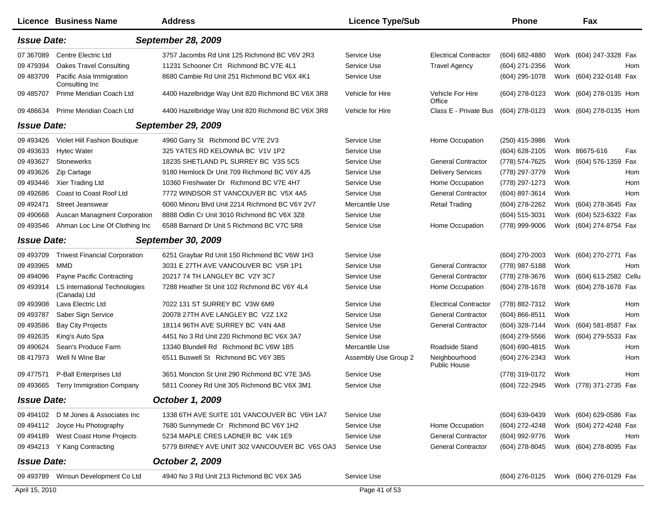|                    | Licence Business Name                         | <b>Address</b>                                    | <b>Licence Type/Sub</b> |                                      | <b>Phone</b>                           |      | Fax                     |            |
|--------------------|-----------------------------------------------|---------------------------------------------------|-------------------------|--------------------------------------|----------------------------------------|------|-------------------------|------------|
| <b>Issue Date:</b> |                                               | <b>September 28, 2009</b>                         |                         |                                      |                                        |      |                         |            |
| 07 367089          | <b>Centre Electric Ltd</b>                    | 3757 Jacombs Rd Unit 125 Richmond BC V6V 2R3      | Service Use             | <b>Electrical Contractor</b>         | $(604) 682 - 4880$                     |      | Work (604) 247-3328 Fax |            |
| 09 479394          | <b>Oakes Travel Consulting</b>                | 11231 Schooner Crt Richmond BC V7E 4L1            | Service Use             | <b>Travel Agency</b>                 | (604) 271-2356                         | Work |                         | <b>Hom</b> |
| 09 483709          | Pacific Asia Immigration<br>Consulting Inc.   | 8680 Cambie Rd Unit 251 Richmond BC V6X 4K1       | Service Use             |                                      | (604) 295-1078                         |      | Work (604) 232-0148 Fax |            |
| 09 485707          | Prime Meridian Coach Ltd                      | 4400 Hazelbridge Way Unit 820 Richmond BC V6X 3R8 | Vehicle for Hire        | Vehicle For Hire<br>Office           | (604) 278-0123                         |      | Work (604) 278-0135 Hom |            |
| 09 486634          | Prime Meridian Coach Ltd                      | 4400 Hazelbridge Way Unit 820 Richmond BC V6X 3R8 | Vehicle for Hire        | Class E - Private Bus                | (604) 278-0123                         |      | Work (604) 278-0135 Hom |            |
| <b>Issue Date:</b> |                                               | <b>September 29, 2009</b>                         |                         |                                      |                                        |      |                         |            |
| 09 493426          | Violet Hill Fashion Boutique                  | 4960 Garry St Richmond BC V7E 2V3                 | Service Use             | Home Occupation                      | (250) 415-3986                         | Work |                         |            |
| 09 493633          | <b>Hytec Water</b>                            | 325 YATES RD KELOWNA BC V1V 1P2                   | Service Use             |                                      | (604) 628-2105                         |      | Work 86675-616          | Fax        |
| 09 493627          | <b>Stonewerks</b>                             | 18235 SHETLAND PL SURREY BC V3S 5C5               | Service Use             | <b>General Contractor</b>            | (778) 574-7625                         | Work | (604) 576-1359 Fax      |            |
| 09 493626          | Zip Cartage                                   | 9180 Hemlock Dr Unit 709 Richmond BC V6Y 4J5      | Service Use             | <b>Delivery Services</b>             | (778) 297-3779                         | Work |                         | Hom        |
| 09 493446          | Xier Trading Ltd                              | 10360 Freshwater Dr Richmond BC V7E 4H7           | Service Use             | Home Occupation                      | (778) 297-1273                         | Work |                         | Hom        |
| 09 49 2686         | Coast to Coast Roof Ltd                       | 7772 WINDSOR ST VANCOUVER BC V5X 4A5              | Service Use             | <b>General Contractor</b>            | (604) 897-3614                         | Work |                         | <b>Hom</b> |
| 09 492471          | <b>Street Jeanswear</b>                       | 6060 Minoru Blvd Unit 2214 Richmond BC V6Y 2V7    | Mercantile Use          | <b>Retail Trading</b>                | (604) 278-2262                         | Work | (604) 278-3645 Fax      |            |
| 09 490 668         | Auscan Managment Corporation                  | 8888 Odlin Cr Unit 3010 Richmond BC V6X 3Z8       | Service Use             |                                      | (604) 515-3031                         | Work | (604) 523-6322 Fax      |            |
| 09 493546          | Ahman Loc Line Of Clothing Inc                | 6588 Barnard Dr Unit 5 Richmond BC V7C 5R8        | Service Use             | Home Occupation                      | (778) 999-9006                         | Work | (604) 274-8754 Fax      |            |
| <b>Issue Date:</b> |                                               | <b>September 30, 2009</b>                         |                         |                                      |                                        |      |                         |            |
| 09 493709          | <b>Triwest Financial Corporation</b>          | 6251 Graybar Rd Unit 150 Richmond BC V6W 1H3      | Service Use             |                                      | (604) 270-2003                         |      | Work (604) 270-2771 Fax |            |
| 09 493965          | <b>MMD</b>                                    | 3031 E 27TH AVE VANCOUVER BC V5R 1P1              | Service Use             | <b>General Contractor</b>            | (778) 987-5188                         | Work |                         | Hom        |
| 09 494096          | <b>Payne Pacific Contracting</b>              | 20217 74 TH LANGLEY BC V2Y 3C7                    | Service Use             | <b>General Contractor</b>            | (778) 278-3676                         | Work | (604) 613-2582 Cellu    |            |
| 09 493914          | LS International Technologies<br>(Canada) Ltd | 7288 Heather St Unit 102 Richmond BC V6Y 4L4      | Service Use             | Home Occupation                      | $(604)$ 278-1678                       |      | Work (604) 278-1678 Fax |            |
| 09 493908          | Lava Electric Ltd                             | 7022 131 ST SURREY BC V3W 6M9                     | Service Use             | <b>Electrical Contractor</b>         | (778) 882-7312                         | Work |                         | Hom        |
| 09 493787          | Saber Sign Service                            | 20078 27TH AVE LANGLEY BC V2Z 1X2                 | Service Use             | <b>General Contractor</b>            | $(604) 866 - 8511$                     | Work |                         | Hom        |
| 09 493586          | <b>Bay City Projects</b>                      | 18114 96TH AVE SURREY BC V4N 4A8                  | Service Use             | <b>General Contractor</b>            | (604) 328-7144                         | Work | (604) 581-8587 Fax      |            |
| 09 49 2635         | King's Auto Spa                               | 4451 No 3 Rd Unit 220 Richmond BC V6X 3A7         | Service Use             |                                      | (604) 279-5566                         | Work | (604) 279-5533 Fax      |            |
| 09 490624          | Sean's Produce Farm                           | 13340 Blundell Rd Richmond BC V6W 1B5             | Mercantile Use          | Roadside Stand                       | (604) 690-4815                         | Work |                         | Hom        |
| 08 417973          | Well N Wine Bar                               | 6511 Buswell St Richmond BC V6Y 3B5               | Assembly Use Group 2    | Neighbourhood<br><b>Public House</b> | (604) 276-2343                         | Work |                         | Hom        |
| 09 477571          | P-Ball Enterprises Ltd                        | 3651 Moncton St Unit 290 Richmond BC V7E 3A5      | Service Use             |                                      | (778) 319-0172                         | Work |                         | Hom        |
|                    | 09 493665 Terry Immigration Company           | 5811 Cooney Rd Unit 305 Richmond BC V6X 3M1       | Service Use             |                                      | (604) 722-2945 Work (778) 371-2735 Fax |      |                         |            |
| <b>Issue Date:</b> |                                               | October 1, 2009                                   |                         |                                      |                                        |      |                         |            |
|                    | 09 494102 D M Jones & Associates Inc          | 1338 6TH AVE SUITE 101 VANCOUVER BC V6H 1A7       | Service Use             |                                      | (604) 639-0439                         |      | Work (604) 629-0586 Fax |            |
|                    | 09 494112 Joyce Hu Photography                | 7680 Sunnymede Cr Richmond BC V6Y 1H2             | Service Use             | Home Occupation                      | (604) 272-4248                         |      | Work (604) 272-4248 Fax |            |
|                    | 09 494189 West Coast Home Projects            | 5234 MAPLE CRES LADNER BC V4K 1E9                 | Service Use             | <b>General Contractor</b>            | (604) 992-9776                         | Work |                         | Hom        |
|                    | 09 494213 Y Kang Contracting                  | 5779 BIRNEY AVE UNIT 302 VANCOUVER BC V6S OA3     | Service Use             | <b>General Contractor</b>            | (604) 278-8045                         |      | Work (604) 278-8095 Fax |            |
| <b>Issue Date:</b> |                                               | October 2, 2009                                   |                         |                                      |                                        |      |                         |            |
|                    | 09 493789 Winsun Development Co Ltd           | 4940 No 3 Rd Unit 213 Richmond BC V6X 3A5         | Service Use             |                                      | (604) 276-0125                         |      | Work (604) 276-0129 Fax |            |
| April 15, 2010     |                                               |                                                   | Page 41 of 53           |                                      |                                        |      |                         |            |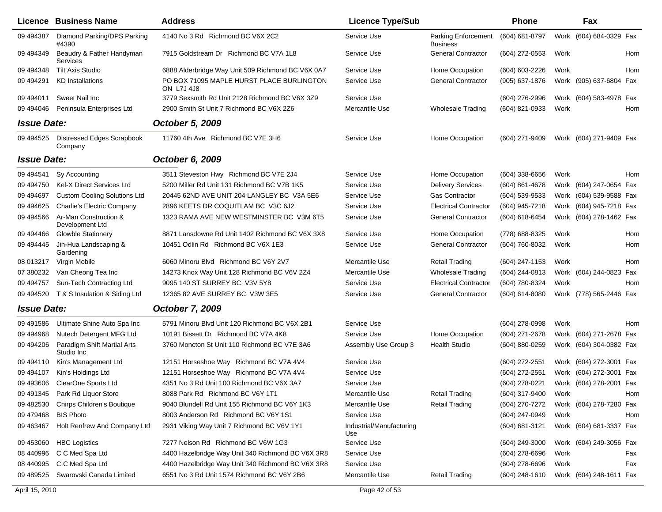|                    | <b>Licence Business Name</b>                 | <b>Address</b>                                                 | <b>Licence Type/Sub</b>         |                                               | <b>Phone</b>     |      | Fax                     |            |
|--------------------|----------------------------------------------|----------------------------------------------------------------|---------------------------------|-----------------------------------------------|------------------|------|-------------------------|------------|
| 09 49 4387         | Diamond Parking/DPS Parking<br>#4390         | 4140 No 3 Rd Richmond BC V6X 2C2                               | Service Use                     | <b>Parking Enforcement</b><br><b>Business</b> | (604) 681-8797   | Work | (604) 684-0329 Fax      |            |
| 09 494349          | Beaudry & Father Handyman<br>Services        | 7915 Goldstream Dr Richmond BC V7A 1L8                         | Service Use                     | <b>General Contractor</b>                     | (604) 272-0553   | Work |                         | Hom        |
| 09 494348          | <b>Tilt Axis Studio</b>                      | 6888 Alderbridge Way Unit 509 Richmond BC V6X 0A7              | Service Use                     | Home Occupation                               | (604) 603-2226   | Work |                         | Hom        |
| 09 49 4291         | <b>KD</b> Installations                      | PO BOX 71095 MAPLE HURST PLACE BURLINGTON<br><b>ON L7J 4J8</b> | Service Use                     | <b>General Contractor</b>                     | (905) 637-1876   |      | Work (905) 637-6804 Fax |            |
| 09 494011          | Sweet Nail Inc                               | 3779 Sexsmith Rd Unit 2128 Richmond BC V6X 3Z9                 | Service Use                     |                                               | (604) 276-2996   |      | Work (604) 583-4978 Fax |            |
| 09 494046          | Peninsula Enterprises Ltd                    | 2900 Smith St Unit 7 Richmond BC V6X 2Z6                       | Mercantile Use                  | <b>Wholesale Trading</b>                      | (604) 821-0933   | Work |                         | Hom        |
| <b>Issue Date:</b> |                                              | October 5, 2009                                                |                                 |                                               |                  |      |                         |            |
| 09 49 45 25        | <b>Distressed Edges Scrapbook</b><br>Company | 11760 4th Ave Richmond BC V7E 3H6                              | Service Use                     | Home Occupation                               | (604) 271-9409   |      | Work (604) 271-9409 Fax |            |
| <b>Issue Date:</b> |                                              | October 6, 2009                                                |                                 |                                               |                  |      |                         |            |
| 09 49 4541         | Sy Accounting                                | 3511 Steveston Hwy Richmond BC V7E 2J4                         | Service Use                     | Home Occupation                               | $(604)$ 338-6656 | Work |                         | <b>Hom</b> |
| 09 49 4750         | <b>Kel-X Direct Services Ltd</b>             | 5200 Miller Rd Unit 131 Richmond BC V7B 1K5                    | Service Use                     | <b>Delivery Services</b>                      | (604) 861-4678   |      | Work (604) 247-0654 Fax |            |
| 09 49 4697         | <b>Custom Cooling Solutions Ltd</b>          | 20445 62ND AVE UNIT 204 LANGLEY BC V3A 5E6                     | Service Use                     | <b>Gas Contractor</b>                         | (604) 539-9533   |      | Work (604) 539-9588 Fax |            |
| 09 49 46 25        | <b>Charlie's Electric Company</b>            | 2896 KEETS DR COQUITLAM BC V3C 6J2                             | Service Use                     | <b>Electrical Contractor</b>                  | (604) 945-7218   |      | Work (604) 945-7218 Fax |            |
| 09 49 4566         | Ar-Man Construction &<br>Development Ltd     | 1323 RAMA AVE NEW WESTMINSTER BC V3M 6T5                       | Service Use                     | <b>General Contractor</b>                     | (604) 618-6454   |      | Work (604) 278-1462 Fax |            |
| 09 49 4466         | <b>Glowble Stationery</b>                    | 8871 Lansdowne Rd Unit 1402 Richmond BC V6X 3X8                | Service Use                     | Home Occupation                               | (778) 688-8325   | Work |                         | Hom        |
| 09 494445          | Jin-Hua Landscaping &<br>Gardening           | 10451 Odlin Rd Richmond BC V6X 1E3                             | Service Use                     | <b>General Contractor</b>                     | (604) 760-8032   | Work |                         | Hom        |
| 08 013217          | Virgin Mobile                                | 6060 Minoru Blvd Richmond BC V6Y 2V7                           | Mercantile Use                  | <b>Retail Trading</b>                         | (604) 247-1153   | Work |                         | <b>Hom</b> |
| 07 380232          | Van Cheong Tea Inc                           | 14273 Knox Way Unit 128 Richmond BC V6V 2Z4                    | Mercantile Use                  | <b>Wholesale Trading</b>                      | (604) 244-0813   |      | Work (604) 244-0823     | Fax        |
| 09 49 4757         | Sun-Tech Contracting Ltd                     | 9095 140 ST SURREY BC V3V 5Y8                                  | Service Use                     | <b>Electrical Contractor</b>                  | (604) 780-8324   | Work |                         | Hom        |
| 09 494520          | T & S Insulation & Siding Ltd                | 12365 82 AVE SURREY BC V3W 3E5                                 | Service Use                     | <b>General Contractor</b>                     | (604) 614-8080   |      | Work (778) 565-2446 Fax |            |
| <b>Issue Date:</b> |                                              | October 7, 2009                                                |                                 |                                               |                  |      |                         |            |
| 09 49 1586         | Ultimate Shine Auto Spa Inc                  | 5791 Minoru Blvd Unit 120 Richmond BC V6X 2B1                  | Service Use                     |                                               | (604) 278-0998   | Work |                         | Hom        |
| 09 49 4968         | Nutech Detergent MFG Ltd                     | 10191 Bissett Dr Richmond BC V7A 4K8                           | Service Use                     | Home Occupation                               | (604) 271-2678   |      | Work (604) 271-2678 Fax |            |
| 09 494206          | Paradigm Shift Martial Arts<br>Studio Inc    | 3760 Moncton St Unit 110 Richmond BC V7E 3A6                   | Assembly Use Group 3            | <b>Health Studio</b>                          | (604) 880-0259   |      | Work (604) 304-0382 Fax |            |
| 09 494110          | Kin's Management Ltd                         | 12151 Horseshoe Way Richmond BC V7A 4V4                        | Service Use                     |                                               | (604) 272-2551   |      | Work (604) 272-3001 Fax |            |
| 09 49 4107         | Kin's Holdings Ltd                           | 12151 Horseshoe Way Richmond BC V7A 4V4                        | Service Use                     |                                               | (604) 272-2551   |      | Work (604) 272-3001 Fax |            |
| 09 493606          | ClearOne Sports Ltd                          | 4351 No 3 Rd Unit 100 Richmond BC V6X 3A7                      | Service Use                     |                                               | (604) 278-0221   |      | Work (604) 278-2001 Fax |            |
| 09 491345          | Park Rd Liquor Store                         | 8088 Park Rd Richmond BC V6Y 1T1                               | Mercantile Use                  | <b>Retail Trading</b>                         | (604) 317-9400   | Work |                         | Hom        |
| 09 482530          | Chirps Children's Boutique                   | 9040 Blundell Rd Unit 155 Richmond BC V6Y 1K3                  | Mercantile Use                  | <b>Retail Trading</b>                         | (604) 270-7272   |      | Work (604) 278-7280 Fax |            |
| 09 479 468         | <b>BIS Photo</b>                             | 8003 Anderson Rd Richmond BC V6Y 1S1                           | Service Use                     |                                               | (604) 247-0949   | Work |                         | Hom        |
| 09 463467          | Holt Renfrew And Company Ltd                 | 2931 Viking Way Unit 7 Richmond BC V6V 1Y1                     | Industrial/Manufacturing<br>Use |                                               | (604) 681-3121   |      | Work (604) 681-3337 Fax |            |
| 09 453060          | <b>HBC Logistics</b>                         | 7277 Nelson Rd Richmond BC V6W 1G3                             | Service Use                     |                                               | (604) 249-3000   |      | Work (604) 249-3056 Fax |            |
| 08 440996          | C C Med Spa Ltd                              | 4400 Hazelbridge Way Unit 340 Richmond BC V6X 3R8              | Service Use                     |                                               | $(604)$ 278-6696 | Work |                         | Fax        |
| 08 440995          | C C Med Spa Ltd                              | 4400 Hazelbridge Way Unit 340 Richmond BC V6X 3R8              | Service Use                     |                                               | (604) 278-6696   | Work |                         | Fax        |
| 09 489525          | Swarovski Canada Limited                     | 6551 No 3 Rd Unit 1574 Richmond BC V6Y 2B6                     | Mercantile Use                  | <b>Retail Trading</b>                         | (604) 248-1610   |      | Work (604) 248-1611 Fax |            |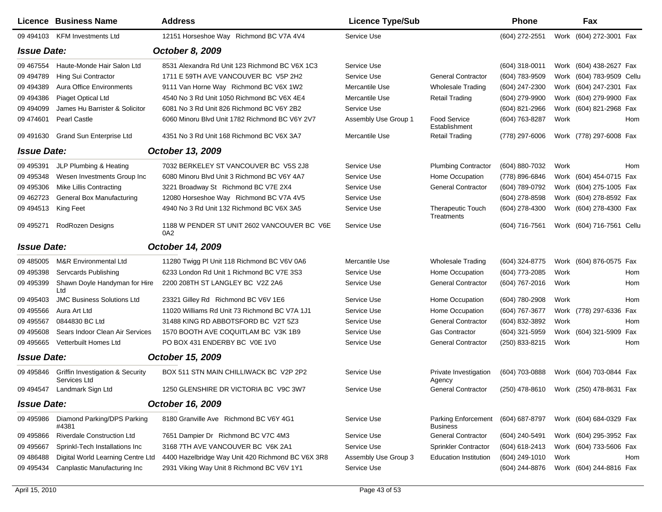|                    | <b>Licence Business Name</b>                                | <b>Address</b>                                     | <b>Licence Type/Sub</b> |                                                       | Phone                                  |      | Fax                       |     |
|--------------------|-------------------------------------------------------------|----------------------------------------------------|-------------------------|-------------------------------------------------------|----------------------------------------|------|---------------------------|-----|
|                    | 09 494103 KFM Investments Ltd                               | 12151 Horseshoe Way Richmond BC V7A 4V4            | Service Use             |                                                       | (604) 272-2551                         |      | Work (604) 272-3001 Fax   |     |
| <b>Issue Date:</b> |                                                             | October 8, 2009                                    |                         |                                                       |                                        |      |                           |     |
| 09 467554          | Haute-Monde Hair Salon Ltd                                  | 8531 Alexandra Rd Unit 123 Richmond BC V6X 1C3     | Service Use             |                                                       | $(604)$ 318-0011                       |      | Work (604) 438-2627 Fax   |     |
| 09 49 4789         | Hing Sui Contractor                                         | 1711 E 59TH AVE VANCOUVER BC V5P 2H2               | Service Use             | <b>General Contractor</b>                             | (604) 783-9509                         |      | Work (604) 783-9509 Cellu |     |
| 09 49 4389         | <b>Aura Office Environments</b>                             | 9111 Van Horne Way Richmond BC V6X 1W2             | Mercantile Use          | <b>Wholesale Trading</b>                              | (604) 247-2300                         |      | Work (604) 247-2301 Fax   |     |
| 09 49 4386         | Piaget Optical Ltd                                          | 4540 No 3 Rd Unit 1050 Richmond BC V6X 4E4         | Mercantile Use          | <b>Retail Trading</b>                                 | (604) 279-9900                         |      | Work (604) 279-9900 Fax   |     |
| 09 49 40 99        | James Hu Barrister & Solicitor                              | 6081 No 3 Rd Unit 826 Richmond BC V6Y 2B2          | Service Use             |                                                       | (604) 821-2966                         |      | Work (604) 821-2968 Fax   |     |
| 09 474601          | Pearl Castle                                                | 6060 Minoru Blvd Unit 1782 Richmond BC V6Y 2V7     | Assembly Use Group 1    | <b>Food Service</b><br>Establishment                  | (604) 763-8287                         | Work |                           | Hom |
| 09 491630          | <b>Grand Sun Enterprise Ltd</b>                             | 4351 No 3 Rd Unit 168 Richmond BC V6X 3A7          | Mercantile Use          | <b>Retail Trading</b>                                 | (778) 297-6006                         |      | Work (778) 297-6008 Fax   |     |
| <b>Issue Date:</b> |                                                             | October 13, 2009                                   |                         |                                                       |                                        |      |                           |     |
| 09 49 5391         | JLP Plumbing & Heating                                      | 7032 BERKELEY ST VANCOUVER BC V5S 2J8              | Service Use             | <b>Plumbing Contractor</b>                            | (604) 880-7032                         | Work |                           | Hom |
| 09 49 5348         | Wesen Investments Group Inc                                 | 6080 Minoru Blvd Unit 3 Richmond BC V6Y 4A7        | Service Use             | Home Occupation                                       | (778) 896-6846                         |      | Work (604) 454-0715 Fax   |     |
| 09 495306          | Mike Lillis Contracting                                     | 3221 Broadway St Richmond BC V7E 2X4               | Service Use             | <b>General Contractor</b>                             | (604) 789-0792                         |      | Work (604) 275-1005 Fax   |     |
| 09 462723          | General Box Manufacturing                                   | 12080 Horseshoe Way Richmond BC V7A 4V5            | Service Use             |                                                       | (604) 278-8598                         |      | Work (604) 278-8592 Fax   |     |
| 09 49 4513         | King Feet                                                   | 4940 No 3 Rd Unit 132 Richmond BC V6X 3A5          | Service Use             | <b>Therapeutic Touch</b><br>Treatments                | (604) 278-4300                         |      | Work (604) 278-4300 Fax   |     |
| 09 49 5271         | RodRozen Designs                                            | 1188 W PENDER ST UNIT 2602 VANCOUVER BC V6E<br>0A2 | Service Use             |                                                       | (604) 716-7561                         |      | Work (604) 716-7561 Cellu |     |
| <b>Issue Date:</b> |                                                             | October 14, 2009                                   |                         |                                                       |                                        |      |                           |     |
| 09 485005          | <b>M&amp;R</b> Environmental Ltd                            | 11280 Twigg PI Unit 118 Richmond BC V6V 0A6        | Mercantile Use          | <b>Wholesale Trading</b>                              | (604) 324-8775                         |      | Work (604) 876-0575 Fax   |     |
| 09 495398          | <b>Servcards Publishing</b>                                 | 6233 London Rd Unit 1 Richmond BC V7E 3S3          | Service Use             | Home Occupation                                       | (604) 773-2085                         | Work |                           | Hom |
| 09 495399          | Shawn Doyle Handyman for Hire<br>Ltd                        | 2200 208TH ST LANGLEY BC V2Z 2A6                   | Service Use             | <b>General Contractor</b>                             | (604) 767-2016                         | Work |                           | Hom |
| 09 49 540 3        | <b>JMC Business Solutions Ltd</b>                           | 23321 Gilley Rd Richmond BC V6V 1E6                | Service Use             | Home Occupation                                       | (604) 780-2908                         | Work |                           | Hom |
| 09 495566          | Aura Art Ltd                                                | 11020 Williams Rd Unit 73 Richmond BC V7A 1J1      | Service Use             | Home Occupation                                       | (604) 767-3677                         |      | Work (778) 297-6336 Fax   |     |
| 09 49 5567         | 0844830 BC Ltd                                              | 31488 KING RD ABBOTSFORD BC V2T 5Z3                | Service Use             | <b>General Contractor</b>                             | (604) 832-3892                         | Work |                           | Hom |
| 09 49 5608         | Sears Indoor Clean Air Services                             | 1570 BOOTH AVE COQUITLAM BC V3K 1B9                | Service Use             | <b>Gas Contractor</b>                                 | (604) 321-5959                         |      | Work (604) 321-5909 Fax   |     |
| 09 49 5665         | Vetterbuilt Homes Ltd                                       | PO BOX 431 ENDERBY BC V0E 1V0                      | Service Use             | <b>General Contractor</b>                             | (250) 833-8215                         | Work |                           | Hom |
| <b>Issue Date:</b> |                                                             | October 15, 2009                                   |                         |                                                       |                                        |      |                           |     |
| 09 495846          | <b>Griffin Investigation &amp; Security</b><br>Services Ltd | BOX 511 STN MAIN CHILLIWACK BC V2P 2P2             | Service Use             | Private Investigation<br>Agency                       | (604) 703-0888                         |      | Work (604) 703-0844 Fax   |     |
|                    | 09 494547 Landmark Sign Ltd                                 | 1250 GLENSHIRE DR VICTORIA BC V9C 3W7              | Service Use             | <b>General Contractor</b>                             | (250) 478-8610 Work (250) 478-8631 Fax |      |                           |     |
| <b>Issue Date:</b> |                                                             | October 16, 2009                                   |                         |                                                       |                                        |      |                           |     |
| 09 495986          | Diamond Parking/DPS Parking<br>#4381                        | 8180 Granville Ave Richmond BC V6Y 4G1             | Service Use             | Parking Enforcement (604) 687-8797<br><b>Business</b> |                                        |      | Work (604) 684-0329 Fax   |     |
| 09 495866          | <b>Riverdale Construction Ltd</b>                           | 7651 Dampier Dr Richmond BC V7C 4M3                | Service Use             | <b>General Contractor</b>                             | (604) 240-5491                         |      | Work (604) 295-3952 Fax   |     |
| 09 49 5667         | Sprinkl-Tech Installations Inc                              | 3168 7TH AVE VANCOUVER BC V6K 2A1                  | Service Use             | Sprinkler Contractor                                  | (604) 618-2413                         |      | Work (604) 733-5606 Fax   |     |
| 09 48 6488         | Digital World Learning Centre Ltd                           | 4400 Hazelbridge Way Unit 420 Richmond BC V6X 3R8  | Assembly Use Group 3    | <b>Education Institution</b>                          | (604) 249-1010                         | Work |                           | Hom |
| 09 49 5434         | Canplastic Manufacturing Inc                                | 2931 Viking Way Unit 8 Richmond BC V6V 1Y1         | Service Use             |                                                       | (604) 244-8876                         |      | Work (604) 244-8816 Fax   |     |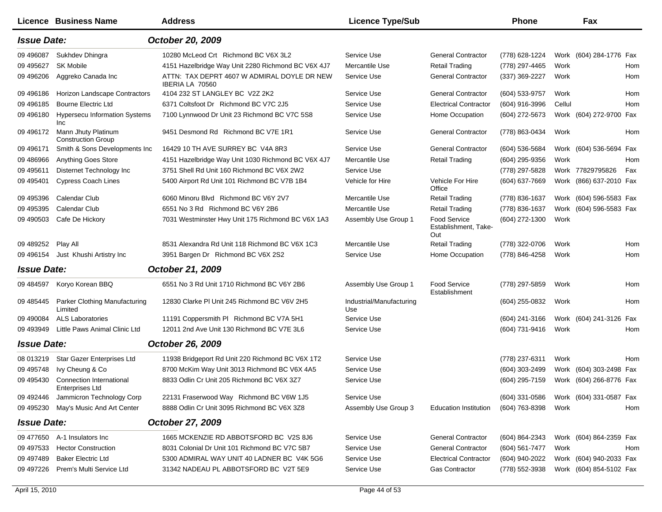|                    | Licence Business Name                              | <b>Address</b>                                                 | <b>Licence Type/Sub</b>         |                                             | <b>Phone</b>     |        | Fax                     |     |
|--------------------|----------------------------------------------------|----------------------------------------------------------------|---------------------------------|---------------------------------------------|------------------|--------|-------------------------|-----|
| <b>Issue Date:</b> |                                                    | October 20, 2009                                               |                                 |                                             |                  |        |                         |     |
| 09 49 6087         | Sukhdev Dhingra                                    | 10280 McLeod Crt Richmond BC V6X 3L2                           | Service Use                     | <b>General Contractor</b>                   | (778) 628-1224   |        | Work (604) 284-1776 Fax |     |
| 09 49 5627         | <b>SK Mobile</b>                                   | 4151 Hazelbridge Way Unit 2280 Richmond BC V6X 4J7             | Mercantile Use                  | <b>Retail Trading</b>                       | (778) 297-4465   | Work   |                         | Hom |
| 09 49 620 6        | Aggreko Canada Inc                                 | ATTN: TAX DEPRT 4607 W ADMIRAL DOYLE DR NEW<br>IBERIA LA 70560 | Service Use                     | <b>General Contractor</b>                   | (337) 369-2227   | Work   |                         | Hom |
| 09 49 6186         | Horizon Landscape Contractors                      | 4104 232 ST LANGLEY BC V2Z 2K2                                 | Service Use                     | <b>General Contractor</b>                   | (604) 533-9757   | Work   |                         | Hom |
| 09 49 6185         | <b>Bourne Electric Ltd</b>                         | 6371 Coltsfoot Dr Richmond BC V7C 2J5                          | Service Use                     | <b>Electrical Contractor</b>                | $(604)$ 916-3996 | Cellul |                         | Hom |
| 09 49 6180         | <b>Hypersecu Information Systems</b><br><b>Inc</b> | 7100 Lynnwood Dr Unit 23 Richmond BC V7C 5S8                   | Service Use                     | Home Occupation                             | (604) 272-5673   |        | Work (604) 272-9700 Fax |     |
| 09 496172          | Mann Jhuty Platinum<br><b>Construction Group</b>   | 9451 Desmond Rd Richmond BC V7E 1R1                            | Service Use                     | <b>General Contractor</b>                   | (778) 863-0434   | Work   |                         | Hom |
| 09 49 6171         | Smith & Sons Developments Inc                      | 16429 10 TH AVE SURREY BC V4A 8R3                              | Service Use                     | <b>General Contractor</b>                   | (604) 536-5684   |        | Work (604) 536-5694 Fax |     |
| 09 48 69 66        | Anything Goes Store                                | 4151 Hazelbridge Way Unit 1030 Richmond BC V6X 4J7             | Mercantile Use                  | <b>Retail Trading</b>                       | (604) 295-9356   | Work   |                         | Hom |
| 09 49 5611         | Disternet Technology Inc                           | 3751 Shell Rd Unit 160 Richmond BC V6X 2W2                     | Service Use                     |                                             | (778) 297-5828   |        | Work 77829795826        | Fax |
| 09 49 5401         | <b>Cypress Coach Lines</b>                         | 5400 Airport Rd Unit 101 Richmond BC V7B 1B4                   | Vehicle for Hire                | Vehicle For Hire<br>Office                  | (604) 637-7669   |        | Work (866) 637-2010 Fax |     |
| 09 495396          | Calendar Club                                      | 6060 Minoru Blvd Richmond BC V6Y 2V7                           | Mercantile Use                  | <b>Retail Trading</b>                       | (778) 836-1637   |        | Work (604) 596-5583 Fax |     |
| 09 49 539 5        | Calendar Club                                      | 6551 No 3 Rd Richmond BC V6Y 2B6                               | Mercantile Use                  | <b>Retail Trading</b>                       | (778) 836-1637   |        | Work (604) 596-5583 Fax |     |
| 09 49 0503         | Cafe De Hickory                                    | 7031 Westminster Hwy Unit 175 Richmond BC V6X 1A3              | Assembly Use Group 1            | Food Service<br>Establishment, Take-<br>Out | (604) 272-1300   | Work   |                         |     |
| 09 489252          | Play All                                           | 8531 Alexandra Rd Unit 118 Richmond BC V6X 1C3                 | Mercantile Use                  | <b>Retail Trading</b>                       | (778) 322-0706   | Work   |                         | Hom |
| 09 49 6154         | Just Khushi Artistry Inc                           | 3951 Bargen Dr Richmond BC V6X 2S2                             | Service Use                     | Home Occupation                             | (778) 846-4258   | Work   |                         | Hom |
| <b>Issue Date:</b> |                                                    | October 21, 2009                                               |                                 |                                             |                  |        |                         |     |
| 09 484597          | Koryo Korean BBQ                                   | 6551 No 3 Rd Unit 1710 Richmond BC V6Y 2B6                     | Assembly Use Group 1            | <b>Food Service</b><br>Establishment        | (778) 297-5859   | Work   |                         | Hom |
| 09 485445          | Parker Clothing Manufacturing<br>Limited           | 12830 Clarke PI Unit 245 Richmond BC V6V 2H5                   | Industrial/Manufacturing<br>Use |                                             | (604) 255-0832   | Work   |                         | Hom |
| 09 490084          | <b>ALS Laboratories</b>                            | 11191 Coppersmith PI Richmond BC V7A 5H1                       | Service Use                     |                                             | (604) 241-3166   |        | Work (604) 241-3126 Fax |     |
| 09 493949          | Little Paws Animal Clinic Ltd                      | 12011 2nd Ave Unit 130 Richmond BC V7E 3L6                     | Service Use                     |                                             | (604) 731-9416   | Work   |                         | Hom |
| <b>Issue Date:</b> |                                                    | October 26, 2009                                               |                                 |                                             |                  |        |                         |     |
| 08 013219          | Star Gazer Enterprises Ltd                         | 11938 Bridgeport Rd Unit 220 Richmond BC V6X 1T2               | Service Use                     |                                             | (778) 237-6311   | Work   |                         | Hom |
| 09 49 5748         | Ivy Cheung & Co                                    | 8700 McKim Way Unit 3013 Richmond BC V6X 4A5                   | Service Use                     |                                             | (604) 303-2499   |        | Work (604) 303-2498 Fax |     |
| 09 49 5430         | Connection International<br><b>Enterprises Ltd</b> | 8833 Odlin Cr Unit 205 Richmond BC V6X 3Z7                     | Service Use                     |                                             | (604) 295-7159   |        | Work (604) 266-8776 Fax |     |
| 09 492446          | Jammicron Technology Corp                          | 22131 Fraserwood Way Richmond BC V6W 1J5                       | Service Use                     |                                             | $(604)$ 331-0586 |        | Work (604) 331-0587 Fax |     |
| 09 495230          | May's Music And Art Center                         | 8888 Odlin Cr Unit 3095 Richmond BC V6X 3Z8                    | Assembly Use Group 3            | <b>Education Institution</b>                | (604) 763-8398   | Work   |                         | Hom |
| <b>Issue Date:</b> |                                                    | October 27, 2009                                               |                                 |                                             |                  |        |                         |     |
| 09 477650          | A-1 Insulators Inc                                 | 1665 MCKENZIE RD ABBOTSFORD BC V2S 8J6                         | Service Use                     | <b>General Contractor</b>                   | (604) 864-2343   |        | Work (604) 864-2359 Fax |     |
| 09 497533          | <b>Hector Construction</b>                         | 8031 Colonial Dr Unit 101 Richmond BC V7C 5B7                  | Service Use                     | <b>General Contractor</b>                   | (604) 561-7477   | Work   |                         | Hom |
| 09 497489          | <b>Baker Electric Ltd</b>                          | 5300 ADMIRAL WAY UNIT 40 LADNER BC V4K 5G6                     | Service Use                     | <b>Electrical Contractor</b>                | (604) 940-2022   |        | Work (604) 940-2033 Fax |     |
| 09 497226          | Prem's Multi Service Ltd                           | 31342 NADEAU PL ABBOTSFORD BC V2T 5E9                          | Service Use                     | Gas Contractor                              | (778) 552-3938   |        | Work (604) 854-5102 Fax |     |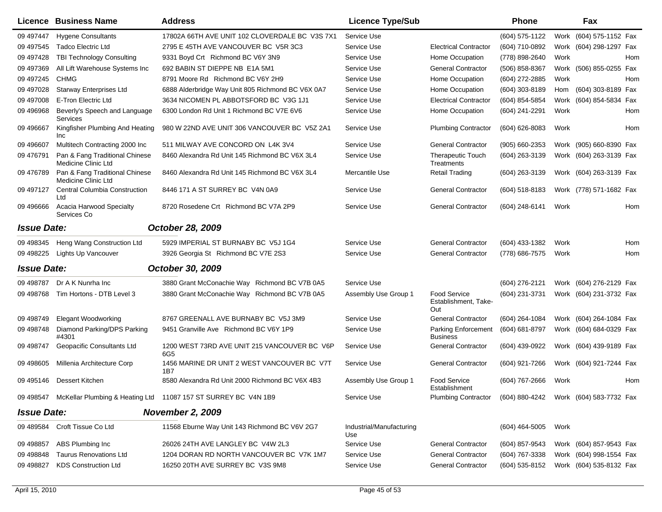|                    | Licence Business Name                                 | <b>Address</b>                                                           | <b>Licence Type/Sub</b>         |                                                    | <b>Phone</b>     |      | Fax                                    |            |
|--------------------|-------------------------------------------------------|--------------------------------------------------------------------------|---------------------------------|----------------------------------------------------|------------------|------|----------------------------------------|------------|
| 09 497447          | <b>Hygene Consultants</b>                             | 17802A 66TH AVE UNIT 102 CLOVERDALE BC V3S 7X1                           | Service Use                     |                                                    | (604) 575-1122   |      | Work (604) 575-1152 Fax                |            |
| 09 497545          | <b>Tadco Electric Ltd</b>                             | 2795 E 45TH AVE VANCOUVER BC V5R 3C3                                     | Service Use                     | <b>Electrical Contractor</b>                       | (604) 710-0892   |      | Work (604) 298-1297 Fax                |            |
| 09 497428          | TBI Technology Consulting                             | 9331 Boyd Crt Richmond BC V6Y 3N9                                        | Service Use                     | Home Occupation                                    | (778) 898-2640   | Work |                                        | Hom        |
| 09 497369          | All Lift Warehouse Systems Inc                        | 692 BABIN ST DIEPPE NB E1A 5M1                                           | Service Use                     | <b>General Contractor</b>                          | (506) 858-8367   |      | Work (506) 855-0255 Fax                |            |
| 09 497245          | <b>CHMG</b>                                           | 8791 Moore Rd Richmond BC V6Y 2H9                                        | Service Use                     | Home Occupation                                    | (604) 272-2885   | Work |                                        | Hom        |
| 09 497028          | <b>Starway Enterprises Ltd</b>                        | 6888 Alderbridge Way Unit 805 Richmond BC V6X 0A7                        | Service Use                     | Home Occupation                                    | (604) 303-8189   | Hom  | (604) 303-8189 Fax                     |            |
| 09 497008          | E-Tron Electric Ltd                                   | 3634 NICOMEN PL ABBOTSFORD BC V3G 1J1                                    | Service Use                     | <b>Electrical Contractor</b>                       | (604) 854-5854   | Work | (604) 854-5834                         | Fax        |
| 09 49 6968         | Beverly's Speech and Language<br>Services             | 6300 London Rd Unit 1 Richmond BC V7E 6V6                                | Service Use                     | Home Occupation                                    | (604) 241-2291   | Work |                                        | Hom        |
| 09 49 6667         | Kingfisher Plumbing And Heating<br>Inc                | 980 W 22ND AVE UNIT 306 VANCOUVER BC V5Z 2A1                             | Service Use                     | <b>Plumbing Contractor</b>                         | (604) 626-8083   | Work |                                        | Hom        |
| 09 49 6607         | Multitech Contracting 2000 Inc                        | 511 MILWAY AVE CONCORD ON L4K 3V4                                        | Service Use                     | <b>General Contractor</b>                          | (905) 660-2353   |      | Work (905) 660-8390 Fax                |            |
| 09 47 6791         | Pan & Fang Traditional Chinese<br>Medicine Clinic Ltd | 8460 Alexandra Rd Unit 145 Richmond BC V6X 3L4                           | Service Use                     | <b>Therapeutic Touch</b><br>Treatments             | (604) 263-3139   |      | Work (604) 263-3139 Fax                |            |
| 09 476789          | Pan & Fang Traditional Chinese<br>Medicine Clinic Ltd | 8460 Alexandra Rd Unit 145 Richmond BC V6X 3L4                           | Mercantile Use                  | <b>Retail Trading</b>                              | (604) 263-3139   |      | Work (604) 263-3139 Fax                |            |
| 09 497127          | <b>Central Columbia Construction</b><br>Ltd           | 8446 171 A ST SURREY BC V4N 0A9                                          | Service Use                     | <b>General Contractor</b>                          | (604) 518-8183   |      | Work (778) 571-1682 Fax                |            |
| 09 49 666          | Acacia Harwood Specialty<br>Services Co               | 8720 Rosedene Crt Richmond BC V7A 2P9                                    | Service Use                     | <b>General Contractor</b>                          | (604) 248-6141   | Work |                                        | Hom        |
| <b>Issue Date:</b> |                                                       | October 28, 2009                                                         |                                 |                                                    |                  |      |                                        |            |
| 09 49 8345         | Heng Wang Construction Ltd                            | 5929 IMPERIAL ST BURNABY BC V5J 1G4                                      | Service Use                     | <b>General Contractor</b>                          | (604) 433-1382   | Work |                                        | <b>Hom</b> |
| 09 49 8225         | <b>Lights Up Vancouver</b>                            | 3926 Georgia St Richmond BC V7E 2S3                                      | Service Use                     | <b>General Contractor</b>                          | (778) 686-7575   | Work |                                        | Hom        |
| <b>Issue Date:</b> |                                                       | October 30, 2009                                                         |                                 |                                                    |                  |      |                                        |            |
| 09 49 8787         | Dr A K Nunrha Inc                                     | 3880 Grant McConachie Way Richmond BC V7B 0A5                            | Service Use                     |                                                    | (604) 276-2121   |      | Work (604) 276-2129 Fax                |            |
| 09 49 8768         | Tim Hortons - DTB Level 3                             | 3880 Grant McConachie Way Richmond BC V7B 0A5                            | Assembly Use Group 1            | <b>Food Service</b><br>Establishment, Take-<br>Out | (604) 231-3731   |      | Work (604) 231-3732 Fax                |            |
| 09 49 8749         | <b>Elegant Woodworking</b>                            | 8767 GREENALL AVE BURNABY BC V5J 3M9                                     | Service Use                     | <b>General Contractor</b>                          | (604) 264-1084   |      | Work (604) 264-1084 Fax                |            |
| 09 49 8748         | Diamond Parking/DPS Parking<br>#4301                  | 9451 Granville Ave Richmond BC V6Y 1P9                                   | Service Use                     | <b>Parking Enforcement</b><br><b>Business</b>      | (604) 681-8797   |      | Work (604) 684-0329 Fax                |            |
| 09 49 8747         | Geopacific Consultants Ltd                            | 1200 WEST 73RD AVE UNIT 215 VANCOUVER BC V6P<br>6G5                      | Service Use                     | <b>General Contractor</b>                          | (604) 439-0922   |      | Work (604) 439-9189 Fax                |            |
| 09 498605          | Millenia Architecture Corp                            | 1456 MARINE DR UNIT 2 WEST VANCOUVER BC V7T<br>1B7                       | Service Use                     | <b>General Contractor</b>                          | (604) 921-7266   |      | Work (604) 921-7244 Fax                |            |
| 09 495146          | Dessert Kitchen                                       | 8580 Alexandra Rd Unit 2000 Richmond BC V6X 4B3                          | Assembly Use Group 1            | <b>Food Service</b><br>Establishment               | (604) 767-2666   | Work |                                        | Hom        |
|                    |                                                       | 09 498547 McKellar Plumbing & Heating Ltd 11087 157 ST SURREY BC V4N 1B9 | Service Use                     | <b>Plumbing Contractor</b>                         |                  |      | (604) 880-4242 Work (604) 583-7732 Fax |            |
| <b>Issue Date:</b> |                                                       | <b>November 2, 2009</b>                                                  |                                 |                                                    |                  |      |                                        |            |
| 09 489584          | Croft Tissue Co Ltd                                   | 11568 Eburne Way Unit 143 Richmond BC V6V 2G7                            | Industrial/Manufacturing<br>Use |                                                    | $(604)$ 464-5005 | Work |                                        |            |
| 09 498857          | ABS Plumbing Inc                                      | 26026 24TH AVE LANGLEY BC V4W 2L3                                        | Service Use                     | <b>General Contractor</b>                          | (604) 857-9543   |      | Work (604) 857-9543 Fax                |            |
| 09 498848          | <b>Taurus Renovations Ltd</b>                         | 1204 DORAN RD NORTH VANCOUVER BC V7K 1M7                                 | Service Use                     | <b>General Contractor</b>                          | (604) 767-3338   |      | Work (604) 998-1554 Fax                |            |
| 09 49 827          | <b>KDS Construction Ltd</b>                           | 16250 20TH AVE SURREY BC V3S 9M8                                         | Service Use                     | <b>General Contractor</b>                          | (604) 535-8152   |      | Work (604) 535-8132 Fax                |            |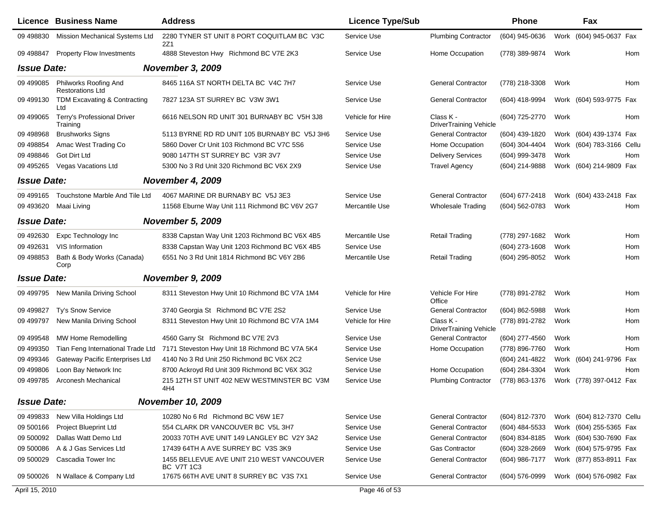|                    | <b>Licence Business Name</b>                     | <b>Address</b>                                                 | <b>Licence Type/Sub</b> |                                            | Phone          |      | Fax                       |     |
|--------------------|--------------------------------------------------|----------------------------------------------------------------|-------------------------|--------------------------------------------|----------------|------|---------------------------|-----|
| 09 498830          | Mission Mechanical Systems Ltd                   | 2280 TYNER ST UNIT 8 PORT COQUITLAM BC V3C<br>2Z1              | Service Use             | <b>Plumbing Contractor</b>                 | (604) 945-0636 |      | Work (604) 945-0637 Fax   |     |
| 09 49 8847         | <b>Property Flow Investments</b>                 | 4888 Steveston Hwy Richmond BC V7E 2K3                         | Service Use             | Home Occupation                            | (778) 389-9874 | Work |                           | Hom |
| <b>Issue Date:</b> |                                                  | <b>November 3, 2009</b>                                        |                         |                                            |                |      |                           |     |
| 09 49 90 85        | Philworks Roofing And<br><b>Restorations Ltd</b> | 8465 116A ST NORTH DELTA BC V4C 7H7                            | Service Use             | <b>General Contractor</b>                  | (778) 218-3308 | Work |                           | Hom |
| 09 499130          | TDM Excavating & Contracting<br>Ltd              | 7827 123A ST SURREY BC V3W 3W1                                 | Service Use             | <b>General Contractor</b>                  | (604) 418-9994 |      | Work (604) 593-9775 Fax   |     |
| 09 499065          | Terry's Professional Driver<br>Training          | 6616 NELSON RD UNIT 301 BURNABY BC V5H 3J8                     | Vehicle for Hire        | Class K -<br>DriverTraining Vehicle        | (604) 725-2770 | Work |                           | Hom |
| 09 498968          | <b>Brushworks Signs</b>                          | 5113 BYRNE RD RD UNIT 105 BURNABY BC V5J 3H6                   | Service Use             | <b>General Contractor</b>                  | (604) 439-1820 |      | Work (604) 439-1374 Fax   |     |
| 09 498854          | Amac West Trading Co                             | 5860 Dover Cr Unit 103 Richmond BC V7C 5S6                     | Service Use             | Home Occupation                            | (604) 304-4404 |      | Work (604) 783-3166 Cellu |     |
| 09 498846          | Got Dirt Ltd                                     | 9080 147TH ST SURREY BC V3R 3V7                                | Service Use             | <b>Delivery Services</b>                   | (604) 999-3478 | Work |                           | Hom |
| 09 49 5265         | Vegas Vacations Ltd                              | 5300 No 3 Rd Unit 320 Richmond BC V6X 2X9                      | Service Use             | <b>Travel Agency</b>                       | (604) 214-9888 |      | Work (604) 214-9809 Fax   |     |
| <b>Issue Date:</b> |                                                  | <b>November 4, 2009</b>                                        |                         |                                            |                |      |                           |     |
| 09 49 9165         | Touchstone Marble And Tile Ltd                   | 4067 MARINE DR BURNABY BC V5J 3E3                              | Service Use             | <b>General Contractor</b>                  | (604) 677-2418 |      | Work (604) 433-2418 Fax   |     |
| 09 493620          | Maai Living                                      | 11568 Eburne Way Unit 111 Richmond BC V6V 2G7                  | <b>Mercantile Use</b>   | <b>Wholesale Trading</b>                   | (604) 562-0783 | Work |                           | Hom |
| <b>Issue Date:</b> |                                                  | <b>November 5, 2009</b>                                        |                         |                                            |                |      |                           |     |
| 09 49 2630         | Expc Technology Inc                              | 8338 Capstan Way Unit 1203 Richmond BC V6X 4B5                 | Mercantile Use          | <b>Retail Trading</b>                      | (778) 297-1682 | Work |                           | Hom |
| 09 49 2631         | VIS Information                                  | 8338 Capstan Way Unit 1203 Richmond BC V6X 4B5                 | Service Use             |                                            | (604) 273-1608 | Work |                           | Hom |
| 09 498853          | Bath & Body Works (Canada)<br>Corp               | 6551 No 3 Rd Unit 1814 Richmond BC V6Y 2B6                     | <b>Mercantile Use</b>   | <b>Retail Trading</b>                      | (604) 295-8052 | Work |                           | Hom |
| <b>Issue Date:</b> |                                                  | <b>November 9, 2009</b>                                        |                         |                                            |                |      |                           |     |
| 09 49 9795         | New Manila Driving School                        | 8311 Steveston Hwy Unit 10 Richmond BC V7A 1M4                 | Vehicle for Hire        | Vehicle For Hire<br>Office                 | (778) 891-2782 | Work |                           | Hom |
| 09 499827          | Ty's Snow Service                                | 3740 Georgia St Richmond BC V7E 2S2                            | Service Use             | <b>General Contractor</b>                  | (604) 862-5988 | Work |                           | Hom |
| 09 49 9797         | New Manila Driving School                        | 8311 Steveston Hwy Unit 10 Richmond BC V7A 1M4                 | Vehicle for Hire        | Class K -<br><b>DriverTraining Vehicle</b> | (778) 891-2782 | Work |                           | Hom |
| 09 49 9548         | MW Home Remodelling                              | 4560 Garry St Richmond BC V7E 2V3                              | Service Use             | <b>General Contractor</b>                  | (604) 277-4560 | Work |                           | Hom |
| 09 499350          | Tian Feng International Trade Ltd                | 7171 Steveston Hwy Unit 18 Richmond BC V7A 5K4                 | Service Use             | Home Occupation                            | (778) 896-7760 | Work |                           | Hom |
| 09 499346          | Gateway Pacific Enterprises Ltd                  | 4140 No 3 Rd Unit 250 Richmond BC V6X 2C2                      | Service Use             |                                            | (604) 241-4822 |      | Work (604) 241-9796 Fax   |     |
| 09 499806          | Loon Bay Network Inc                             | 8700 Ackroyd Rd Unit 309 Richmond BC V6X 3G2                   | Service Use             | Home Occupation                            | (604) 284-3304 | Work |                           | Hom |
| 09 49 9785         | <b>Arconesh Mechanical</b>                       | 215 12TH ST UNIT 402 NEW WESTMINSTER BC V3M<br>4H4             | Service Use             | <b>Plumbing Contractor</b>                 | (778) 863-1376 |      | Work (778) 397-0412 Fax   |     |
| <b>Issue Date:</b> |                                                  | <b>November 10, 2009</b>                                       |                         |                                            |                |      |                           |     |
| 09 499833          | New Villa Holdings Ltd                           | 10280 No 6 Rd Richmond BC V6W 1E7                              | Service Use             | <b>General Contractor</b>                  | (604) 812-7370 |      | Work (604) 812-7370 Cellu |     |
| 09 500166          | Project Blueprint Ltd                            | 554 CLARK DR VANCOUVER BC V5L 3H7                              | Service Use             | <b>General Contractor</b>                  | (604) 484-5533 |      | Work (604) 255-5365 Fax   |     |
| 09 500092          | Dallas Watt Demo Ltd                             | 20033 70TH AVE UNIT 149 LANGLEY BC V2Y 3A2                     | Service Use             | <b>General Contractor</b>                  | (604) 834-8185 |      | Work (604) 530-7690 Fax   |     |
| 09 500086          | A & J Gas Services Ltd                           | 17439 64TH A AVE SURREY BC V3S 3K9                             | Service Use             | Gas Contractor                             | (604) 328-2669 |      | Work (604) 575-9795 Fax   |     |
| 09 500029          | Cascadia Tower Inc                               | 1455 BELLEVUE AVE UNIT 210 WEST VANCOUVER<br><b>BC V7T 1C3</b> | Service Use             | <b>General Contractor</b>                  | (604) 986-7177 |      | Work (877) 853-8911 Fax   |     |
|                    | 09 500026 N Wallace & Company Ltd                | 17675 66TH AVE UNIT 8 SURREY BC V3S 7X1                        | Service Use             | <b>General Contractor</b>                  | (604) 576-0999 |      | Work (604) 576-0982 Fax   |     |
| April 15, 2010     |                                                  |                                                                | Page 46 of 53           |                                            |                |      |                           |     |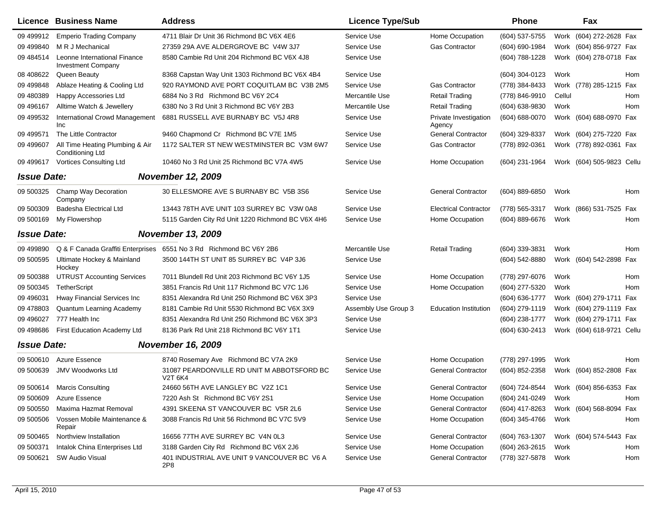|                    | <b>Licence Business Name</b>                               | <b>Address</b>                                                     | <b>Licence Type/Sub</b> |                                 | Phone              |        | Fax                                    |
|--------------------|------------------------------------------------------------|--------------------------------------------------------------------|-------------------------|---------------------------------|--------------------|--------|----------------------------------------|
| 09 499912          | <b>Emperio Trading Company</b>                             | 4711 Blair Dr Unit 36 Richmond BC V6X 4E6                          | Service Use             | Home Occupation                 | (604) 537-5755     |        | Work (604) 272-2628 Fax                |
| 09 499840          | M R J Mechanical                                           | 27359 29A AVE ALDERGROVE BC V4W 3J7                                | Service Use             | <b>Gas Contractor</b>           | $(604) 690 - 1984$ |        | Work (604) 856-9727 Fax                |
| 09 484514          | Leonne International Finance<br><b>Investment Company</b>  | 8580 Cambie Rd Unit 204 Richmond BC V6X 4J8                        | Service Use             |                                 | (604) 788-1228     |        | Work (604) 278-0718 Fax                |
| 08 408622          | Queen Beauty                                               | 8368 Capstan Way Unit 1303 Richmond BC V6X 4B4                     | Service Use             |                                 | (604) 304-0123     | Work   | Hom                                    |
| 09 499848          | Ablaze Heating & Cooling Ltd                               | 920 RAYMOND AVE PORT COQUITLAM BC V3B 2M5                          | Service Use             | <b>Gas Contractor</b>           | (778) 384-8433     |        | Work (778) 285-1215 Fax                |
| 09 480389          | Happy Accessories Ltd                                      | 6884 No 3 Rd Richmond BC V6Y 2C4                                   | Mercantile Use          | <b>Retail Trading</b>           | (778) 846-9910     | Cellul | Hom                                    |
| 09 49 6167         | Alltime Watch & Jewellery                                  | 6380 No 3 Rd Unit 3 Richmond BC V6Y 2B3                            | Mercantile Use          | <b>Retail Trading</b>           | (604) 638-9830     | Work   | Hom                                    |
| 09 49 9532         | <b>International Crowd Management</b><br>Inc               | 6881 RUSSELL AVE BURNABY BC V5J 4R8                                | Service Use             | Private Investigation<br>Agency | (604) 688-0070     |        | Work (604) 688-0970 Fax                |
| 09 49 9571         | The Little Contractor                                      | 9460 Chapmond Cr Richmond BC V7E 1M5                               | Service Use             | <b>General Contractor</b>       | (604) 329-8337     |        | Work (604) 275-7220 Fax                |
| 09 499607          | All Time Heating Plumbing & Air<br><b>Conditioning Ltd</b> | 1172 SALTER ST NEW WESTMINSTER BC V3M 6W7                          | Service Use             | <b>Gas Contractor</b>           | (778) 892-0361     |        | Work (778) 892-0361 Fax                |
| 09 499 617         | Vortices Consulting Ltd                                    | 10460 No 3 Rd Unit 25 Richmond BC V7A 4W5                          | Service Use             | Home Occupation                 | (604) 231-1964     |        | Work (604) 505-9823 Cellu              |
| <b>Issue Date:</b> |                                                            | <b>November 12, 2009</b>                                           |                         |                                 |                    |        |                                        |
| 09 500325          | Champ Way Decoration<br>Company                            | 30 ELLESMORE AVE S BURNABY BC V5B 3S6                              | Service Use             | <b>General Contractor</b>       | (604) 889-6850     | Work   | Hom                                    |
| 09 500309          | Badesha Electrical Ltd                                     | 13443 78TH AVE UNIT 103 SURREY BC V3W 0A8                          | Service Use             | <b>Electrical Contractor</b>    | (778) 565-3317     |        | Work (866) 531-7525 Fax                |
| 09 500169          | My Flowershop                                              | 5115 Garden City Rd Unit 1220 Richmond BC V6X 4H6                  | Service Use             | Home Occupation                 | (604) 889-6676     | Work   | Hom                                    |
| <b>Issue Date:</b> |                                                            | <b>November 13, 2009</b>                                           |                         |                                 |                    |        |                                        |
| 09 499890          |                                                            | Q & F Canada Graffiti Enterprises 6551 No 3 Rd Richmond BC V6Y 2B6 | Mercantile Use          | <b>Retail Trading</b>           | (604) 339-3831     | Work   | Hom                                    |
| 09 500595          | Ultimate Hockey & Mainland<br>Hockey                       | 3500 144TH ST UNIT 85 SURREY BC V4P 3J6                            | Service Use             |                                 | (604) 542-8880     |        | Work (604) 542-2898 Fax                |
| 09 500388          | <b>UTRUST Accounting Services</b>                          | 7011 Blundell Rd Unit 203 Richmond BC V6Y 1J5                      | Service Use             | Home Occupation                 | (778) 297-6076     | Work   | Hom                                    |
| 09 500345          | TetherScript                                               | 3851 Francis Rd Unit 117 Richmond BC V7C 1J6                       | Service Use             | Home Occupation                 | (604) 277-5320     | Work   | Hom                                    |
| 09 49 6031         | Hway Financial Services Inc                                | 8351 Alexandra Rd Unit 250 Richmond BC V6X 3P3                     | Service Use             |                                 | (604) 636-1777     |        | Work (604) 279-1711 Fax                |
| 09 478803          | Quantum Learning Academy                                   | 8181 Cambie Rd Unit 5530 Richmond BC V6X 3X9                       | Assembly Use Group 3    | <b>Education Institution</b>    | (604) 279-1119     |        | Work (604) 279-1119 Fax                |
| 09 49 6027         | 777 Health Inc                                             | 8351 Alexandra Rd Unit 250 Richmond BC V6X 3P3                     | Service Use             |                                 | (604) 238-1777     |        | Work (604) 279-1711 Fax                |
| 09 498686          | First Education Academy Ltd                                | 8136 Park Rd Unit 218 Richmond BC V6Y 1T1                          | Service Use             |                                 | (604) 630-2413     |        | Work (604) 618-9721 Cellu              |
| <b>Issue Date:</b> |                                                            | <b>November 16, 2009</b>                                           |                         |                                 |                    |        |                                        |
| 09 500610          | Azure Essence                                              | 8740 Rosemary Ave Richmond BC V7A 2K9                              | Service Use             | Home Occupation                 | (778) 297-1995     | Work   | Hom                                    |
| 09 500639          | <b>JMV Woodworks Ltd</b>                                   | 31087 PEARDONVILLE RD UNIT M ABBOTSFORD BC<br><b>V2T 6K4</b>       | Service Use             | <b>General Contractor</b>       | (604) 852-2358     |        | Work (604) 852-2808 Fax                |
|                    | 09 500614 Marcis Consulting                                | 24660 56TH AVE LANGLEY BC V2Z 1C1                                  | Service Use             | General Contractor              |                    |        | (604) 724-8544 Work (604) 856-6353 Fax |
| 09 500609          | Azure Essence                                              | 7220 Ash St Richmond BC V6Y 2S1                                    | Service Use             | Home Occupation                 | (604) 241-0249     | Work   | Hom                                    |
| 09 500550          | Maxima Hazmat Removal                                      | 4391 SKEENA ST VANCOUVER BC V5R 2L6                                | Service Use             | <b>General Contractor</b>       | (604) 417-8263     |        | Work (604) 568-8094 Fax                |
| 09 500506          | Vossen Mobile Maintenance &<br>Repair                      | 3088 Francis Rd Unit 56 Richmond BC V7C 5V9                        | Service Use             | Home Occupation                 | (604) 345-4766     | Work   | Hom                                    |
| 09 500465          | Northview Installation                                     | 16656 77TH AVE SURREY BC V4N 0L3                                   | Service Use             | <b>General Contractor</b>       | (604) 763-1307     |        | Work (604) 574-5443 Fax                |
| 09 500371          | Intalok China Enterprises Ltd                              | 3188 Garden City Rd Richmond BC V6X 2J6                            | Service Use             | Home Occupation                 | (604) 263-2615     | Work   | Hom                                    |
| 09 500621          | <b>SW Audio Visual</b>                                     | 401 INDUSTRIAL AVE UNIT 9 VANCOUVER BC V6 A<br>2P8                 | Service Use             | <b>General Contractor</b>       | (778) 327-5878     | Work   | Hom                                    |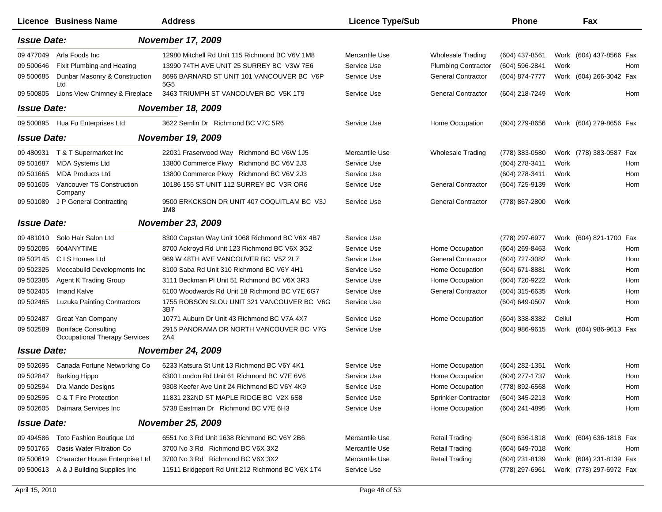|                    | Licence Business Name                                              | <b>Address</b>                                               | <b>Licence Type/Sub</b> |                             | <b>Phone</b>        | Fax                     |     |
|--------------------|--------------------------------------------------------------------|--------------------------------------------------------------|-------------------------|-----------------------------|---------------------|-------------------------|-----|
| <b>Issue Date:</b> |                                                                    | <b>November 17, 2009</b>                                     |                         |                             |                     |                         |     |
| 09 477049          | Arla Foods Inc                                                     | 12980 Mitchell Rd Unit 115 Richmond BC V6V 1M8               | Mercantile Use          | <b>Wholesale Trading</b>    | (604) 437-8561      | Work (604) 437-8566 Fax |     |
| 09 500646          | Fixit Plumbing and Heating                                         | 13990 74TH AVE UNIT 25 SURREY BC V3W 7E6                     | Service Use             | <b>Plumbing Contractor</b>  | (604) 596-2841      | Work                    | Hom |
| 09 500685          | Dunbar Masonry & Construction<br>Ltd                               | 8696 BARNARD ST UNIT 101 VANCOUVER BC V6P<br>5G <sub>5</sub> | Service Use             | <b>General Contractor</b>   | (604) 874-7777      | Work (604) 266-3042 Fax |     |
| 09 500805          | Lions View Chimney & Fireplace                                     | 3463 TRIUMPH ST VANCOUVER BC V5K 1T9                         | Service Use             | <b>General Contractor</b>   | (604) 218-7249      | Work                    | Hom |
| <b>Issue Date:</b> |                                                                    | <b>November 18, 2009</b>                                     |                         |                             |                     |                         |     |
|                    | 09 500895 Hua Fu Enterprises Ltd                                   | 3622 Semlin Dr Richmond BC V7C 5R6                           | Service Use             | Home Occupation             | $(604)$ 279-8656    | Work (604) 279-8656 Fax |     |
| <b>Issue Date:</b> |                                                                    | <b>November 19, 2009</b>                                     |                         |                             |                     |                         |     |
| 09 480931          | T & T Supermarket Inc                                              | 22031 Fraserwood Way Richmond BC V6W 1J5                     | Mercantile Use          | <b>Wholesale Trading</b>    | (778) 383-0580      | Work (778) 383-0587 Fax |     |
| 09 501687          | <b>MDA Systems Ltd</b>                                             | 13800 Commerce Pkwy Richmond BC V6V 2J3                      | Service Use             |                             | (604) 278-3411      | Work                    | Hom |
| 09 501665          | <b>MDA Products Ltd</b>                                            | 13800 Commerce Pkwy Richmond BC V6V 2J3                      | Service Use             |                             | (604) 278-3411      | Work                    | Hom |
| 09 501605          | Vancouver TS Construction<br>Company                               | 10186 155 ST UNIT 112 SURREY BC V3R OR6                      | Service Use             | <b>General Contractor</b>   | (604) 725-9139      | Work                    | Hom |
| 09 501089          | J P General Contracting                                            | 9500 ERKCKSON DR UNIT 407 COQUITLAM BC V3J<br>1M8            | Service Use             | <b>General Contractor</b>   | (778) 867-2800      | Work                    |     |
| <b>Issue Date:</b> |                                                                    | <b>November 23, 2009</b>                                     |                         |                             |                     |                         |     |
| 09 481010          | Solo Hair Salon Ltd                                                | 8300 Capstan Way Unit 1068 Richmond BC V6X 4B7               | Service Use             |                             | (778) 297-6977      | Work (604) 821-1700 Fax |     |
| 09 502085          | 604ANYTIME                                                         | 8700 Ackroyd Rd Unit 123 Richmond BC V6X 3G2                 | Service Use             | Home Occupation             | (604) 269-8463      | Work                    | Hom |
| 09 502145          | C I S Homes Ltd                                                    | 969 W 48TH AVE VANCOUVER BC V5Z 2L7                          | Service Use             | <b>General Contractor</b>   | (604) 727-3082      | Work                    | Hom |
| 09 502325          | Meccabuild Developments Inc                                        | 8100 Saba Rd Unit 310 Richmond BC V6Y 4H1                    | Service Use             | Home Occupation             | (604) 671-8881      | Work                    | Hom |
| 09 502385          | <b>Agent K Trading Group</b>                                       | 3111 Beckman PI Unit 51 Richmond BC V6X 3R3                  | Service Use             | Home Occupation             | (604) 720-9222      | Work                    | Hom |
| 09 502405          | <b>Imand Kalve</b>                                                 | 6100 Woodwards Rd Unit 18 Richmond BC V7E 6G7                | Service Use             | <b>General Contractor</b>   | (604) 315-6635      | Work                    | Hom |
| 09 502465          | <b>Luzuka Painting Contractors</b>                                 | 1755 ROBSON SLOU UNIT 321 VANCOUVER BC V6G<br>3B7            | Service Use             |                             | (604) 649-0507      | Work                    | Hom |
| 09 502487          | <b>Great Yan Company</b>                                           | 10771 Auburn Dr Unit 43 Richmond BC V7A 4X7                  | Service Use             | Home Occupation             | (604) 338-8382      | Cellul                  | Hom |
| 09 502589          | <b>Boniface Consulting</b><br><b>Occupational Therapy Services</b> | 2915 PANORAMA DR NORTH VANCOUVER BC V7G<br>2A4               | Service Use             |                             | (604) 986-9615      | Work (604) 986-9613 Fax |     |
| <b>Issue Date:</b> |                                                                    | <b>November 24, 2009</b>                                     |                         |                             |                     |                         |     |
| 09 502695          | Canada Fortune Networking Co                                       | 6233 Katsura St Unit 13 Richmond BC V6Y 4K1                  | Service Use             | Home Occupation             | (604) 282-1351      | Work                    | Hom |
| 09 502847          | <b>Barking Hippo</b>                                               | 6300 London Rd Unit 61 Richmond BC V7E 6V6                   | Service Use             | Home Occupation             | (604) 277-1737      | Work                    | Hom |
|                    | 09 502594 Dia Mando Designs                                        | 9308 Keefer Ave Unit 24 Richmond BC V6Y 4K9                  | Service Use             | Home Occupation             | (778) 892-6568 Work |                         | Hom |
|                    | 09 502595 C & T Fire Protection                                    | 11831 232ND ST MAPLE RIDGE BC V2X 6S8                        | Service Use             | <b>Sprinkler Contractor</b> | (604) 345-2213      | Work                    | Hom |
|                    | 09 502605 Daimara Services Inc                                     | 5738 Eastman Dr Richmond BC V7E 6H3                          | Service Use             | Home Occupation             | (604) 241-4895 Work |                         | Hom |
| <b>Issue Date:</b> |                                                                    | <b>November 25, 2009</b>                                     |                         |                             |                     |                         |     |
| 09 49 4586         | Toto Fashion Boutique Ltd                                          | 6551 No 3 Rd Unit 1638 Richmond BC V6Y 2B6                   | Mercantile Use          | <b>Retail Trading</b>       | $(604)$ 636-1818    | Work (604) 636-1818 Fax |     |
| 09 501765          | Oasis Water Filtration Co                                          | 3700 No 3 Rd Richmond BC V6X 3X2                             | Mercantile Use          | <b>Retail Trading</b>       | (604) 649-7018      | Work                    | Hom |
| 09 500619          | Character House Enterprise Ltd                                     | 3700 No 3 Rd Richmond BC V6X 3X2                             | Mercantile Use          | <b>Retail Trading</b>       | (604) 231-8139      | Work (604) 231-8139 Fax |     |
| 09 500613          | A & J Building Supplies Inc                                        | 11511 Bridgeport Rd Unit 212 Richmond BC V6X 1T4             | Service Use             |                             | (778) 297-6961      | Work (778) 297-6972 Fax |     |
|                    |                                                                    |                                                              |                         |                             |                     |                         |     |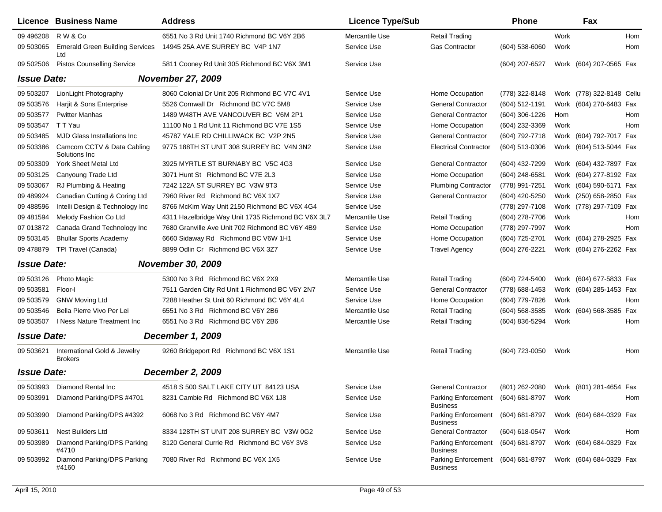|                    | <b>Licence Business Name</b>                   | <b>Address</b>                                     | <b>Licence Type/Sub</b> |                                                       | Phone            |      | Fax                       |     |
|--------------------|------------------------------------------------|----------------------------------------------------|-------------------------|-------------------------------------------------------|------------------|------|---------------------------|-----|
| 09 49 6208         | R W & Co                                       | 6551 No 3 Rd Unit 1740 Richmond BC V6Y 2B6         | Mercantile Use          | <b>Retail Trading</b>                                 |                  | Work |                           | Hom |
| 09 503065          | <b>Emerald Green Building Services</b><br>Ltd  | 14945 25A AVE SURREY BC V4P 1N7                    | Service Use             | <b>Gas Contractor</b>                                 | (604) 538-6060   | Work |                           | Hom |
| 09 502506          | <b>Pistos Counselling Service</b>              | 5811 Cooney Rd Unit 305 Richmond BC V6X 3M1        | Service Use             |                                                       | (604) 207-6527   |      | Work (604) 207-0565 Fax   |     |
| <b>Issue Date:</b> |                                                | <b>November 27, 2009</b>                           |                         |                                                       |                  |      |                           |     |
| 09 503207          | LionLight Photography                          | 8060 Colonial Dr Unit 205 Richmond BC V7C 4V1      | Service Use             | Home Occupation                                       | (778) 322-8148   |      | Work (778) 322-8148 Cellu |     |
| 09 503576          | Harjit & Sons Enterprise                       | 5526 Cornwall Dr Richmond BC V7C 5M8               | Service Use             | <b>General Contractor</b>                             | (604) 512-1191   |      | Work (604) 270-6483 Fax   |     |
| 09 503577          | <b>Pwitter Manhas</b>                          | 1489 W48TH AVE VANCOUVER BC V6M 2P1                | Service Use             | <b>General Contractor</b>                             | $(604)$ 306-1226 | Hom  |                           | Hom |
| 09 503547          | T T Yau                                        | 11100 No 1 Rd Unit 11 Richmond BC V7E 1S5          | Service Use             | Home Occupation                                       | (604) 232-3369   | Work |                           | Hom |
| 09 503485          | <b>MJD Glass Installations Inc.</b>            | 45787 YALE RD CHILLIWACK BC V2P 2N5                | Service Use             | <b>General Contractor</b>                             | (604) 792-7718   |      | Work (604) 792-7017 Fax   |     |
| 09 503386          | Camcom CCTV & Data Cabling<br>Solutions Inc    | 9775 188TH ST UNIT 308 SURREY BC V4N 3N2           | Service Use             | <b>Electrical Contractor</b>                          | (604) 513-0306   |      | Work (604) 513-5044 Fax   |     |
| 09 503309          | York Sheet Metal Ltd                           | 3925 MYRTLE ST BURNABY BC V5C 4G3                  | Service Use             | <b>General Contractor</b>                             | (604) 432-7299   |      | Work (604) 432-7897 Fax   |     |
| 09 503125          | Canyoung Trade Ltd                             | 3071 Hunt St Richmond BC V7E 2L3                   | Service Use             | Home Occupation                                       | (604) 248-6581   |      | Work (604) 277-8192 Fax   |     |
| 09 503067          | RJ Plumbing & Heating                          | 7242 122A ST SURREY BC V3W 9T3                     | Service Use             | <b>Plumbing Contractor</b>                            | (778) 991-7251   |      | Work (604) 590-6171 Fax   |     |
| 09 489924          | Canadian Cutting & Coring Ltd                  | 7960 River Rd Richmond BC V6X 1X7                  | Service Use             | <b>General Contractor</b>                             | (604) 420-5250   |      | Work (250) 658-2850 Fax   |     |
| 09 488596          | Intelli Design & Technology Inc                | 8766 McKim Way Unit 2150 Richmond BC V6X 4G4       | Service Use             |                                                       | (778) 297-7108   |      | Work (778) 297-7109 Fax   |     |
| 09 481594          | Melody Fashion Co Ltd                          | 4311 Hazelbridge Way Unit 1735 Richmond BC V6X 3L7 | Mercantile Use          | <b>Retail Trading</b>                                 | (604) 278-7706   | Work |                           | Hom |
| 07 013872          | Canada Grand Technology Inc                    | 7680 Granville Ave Unit 702 Richmond BC V6Y 4B9    | Service Use             | Home Occupation                                       | (778) 297-7997   | Work |                           | Hom |
| 09 503145          | <b>Bhullar Sports Academy</b>                  | 6660 Sidaway Rd Richmond BC V6W 1H1                | Service Use             | Home Occupation                                       | (604) 725-2701   |      | Work (604) 278-2925 Fax   |     |
| 09 478879          | TPI Travel (Canada)                            | 8899 Odlin Cr Richmond BC V6X 3Z7                  | Service Use             | <b>Travel Agency</b>                                  | (604) 276-2221   |      | Work (604) 276-2262 Fax   |     |
| <b>Issue Date:</b> |                                                | <b>November 30, 2009</b>                           |                         |                                                       |                  |      |                           |     |
| 09 503126          | <b>Photo Magic</b>                             | 5300 No 3 Rd Richmond BC V6X 2X9                   | Mercantile Use          | <b>Retail Trading</b>                                 | (604) 724-5400   |      | Work (604) 677-5833 Fax   |     |
| 09 503581          | Floor-I                                        | 7511 Garden City Rd Unit 1 Richmond BC V6Y 2N7     | Service Use             | <b>General Contractor</b>                             | (778) 688-1453   |      | Work (604) 285-1453 Fax   |     |
| 09 503579          | <b>GNW Moving Ltd</b>                          | 7288 Heather St Unit 60 Richmond BC V6Y 4L4        | Service Use             | Home Occupation                                       | (604) 779-7826   | Work |                           | Hom |
| 09 503546          | Bella Pierre Vivo Per Lei                      | 6551 No 3 Rd Richmond BC V6Y 2B6                   | Mercantile Use          | <b>Retail Trading</b>                                 | $(604)$ 568-3585 |      | Work (604) 568-3585 Fax   |     |
| 09 503507          | I Ness Nature Treatment Inc                    | 6551 No 3 Rd Richmond BC V6Y 2B6                   | Mercantile Use          | <b>Retail Trading</b>                                 | (604) 836-5294   | Work |                           | Hom |
| <b>Issue Date:</b> |                                                | <b>December 1, 2009</b>                            |                         |                                                       |                  |      |                           |     |
| 09 503621          | International Gold & Jewelry<br><b>Brokers</b> | 9260 Bridgeport Rd Richmond BC V6X 1S1             | Mercantile Use          | <b>Retail Trading</b>                                 | (604) 723-0050   | Work |                           | Hom |
| <b>Issue Date:</b> |                                                | <b>December 2, 2009</b>                            |                         |                                                       |                  |      |                           |     |
|                    | 09 503993 Diamond Rental Inc                   | 4518 S 500 SALT LAKE CITY UT 84123 USA             | Service Use             | <b>General Contractor</b>                             | (801) 262-2080   |      | Work (801) 281-4654 Fax   |     |
| 09 503991          | Diamond Parking/DPS #4701                      | 8231 Cambie Rd Richmond BC V6X 1J8                 | Service Use             | Parking Enforcement<br><b>Business</b>                | (604) 681-8797   | Work |                           | Hom |
| 09 503990          | Diamond Parking/DPS #4392                      | 6068 No 3 Rd Richmond BC V6Y 4M7                   | Service Use             | <b>Parking Enforcement</b><br><b>Business</b>         | (604) 681-8797   |      | Work (604) 684-0329 Fax   |     |
| 09 503611          | Nest Builders Ltd                              | 8334 128TH ST UNIT 208 SURREY BC V3W 0G2           | Service Use             | <b>General Contractor</b>                             | (604) 618-0547   | Work |                           | Hom |
| 09 503989          | Diamond Parking/DPS Parking<br>#4710           | 8120 General Currie Rd Richmond BC V6Y 3V8         | Service Use             | <b>Parking Enforcement</b><br>Business                | (604) 681-8797   |      | Work (604) 684-0329 Fax   |     |
| 09 503992          | Diamond Parking/DPS Parking<br>#4160           | 7080 River Rd Richmond BC V6X 1X5                  | Service Use             | Parking Enforcement (604) 681-8797<br><b>Business</b> |                  |      | Work (604) 684-0329 Fax   |     |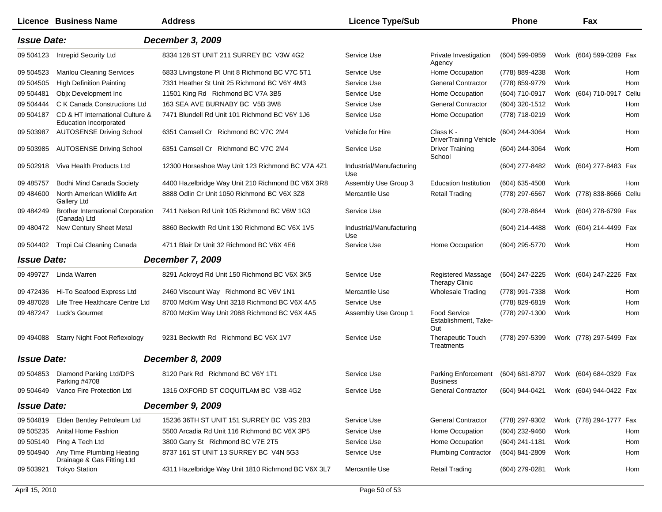|                    | <b>Licence Business Name</b>                                     | <b>Address</b>                                     | <b>Licence Type/Sub</b>         |                                                    | <b>Phone</b>                           |      | Fax                       |     |
|--------------------|------------------------------------------------------------------|----------------------------------------------------|---------------------------------|----------------------------------------------------|----------------------------------------|------|---------------------------|-----|
| <b>Issue Date:</b> |                                                                  | <b>December 3, 2009</b>                            |                                 |                                                    |                                        |      |                           |     |
| 09 504123          | <b>Intrepid Security Ltd</b>                                     | 8334 128 ST UNIT 211 SURREY BC V3W 4G2             | Service Use                     | Private Investigation<br>Agency                    | $(604)$ 599-0959                       |      | Work (604) 599-0289 Fax   |     |
| 09 504523          | <b>Marilou Cleaning Services</b>                                 | 6833 Livingstone PI Unit 8 Richmond BC V7C 5T1     | Service Use                     | Home Occupation                                    | (778) 889-4238                         | Work |                           | Hom |
| 09 504505          | <b>High Definition Painting</b>                                  | 7331 Heather St Unit 25 Richmond BC V6Y 4M3        | Service Use                     | <b>General Contractor</b>                          | (778) 859-9779                         | Work |                           | Hom |
| 09 504481          | Objx Development Inc                                             | 11501 King Rd Richmond BC V7A 3B5                  | Service Use                     | Home Occupation                                    | (604) 710-0917                         |      | Work (604) 710-0917 Cellu |     |
| 09 504444          | C K Canada Constructions Ltd                                     | 163 SEA AVE BURNABY BC V5B 3W8                     | Service Use                     | <b>General Contractor</b>                          | (604) 320-1512                         | Work |                           | Hom |
| 09 504187          | CD & HT International Culture &<br><b>Education Incorporated</b> | 7471 Blundell Rd Unit 101 Richmond BC V6Y 1J6      | Service Use                     | Home Occupation                                    | (778) 718-0219                         | Work |                           | Hom |
| 09 503987          | <b>AUTOSENSE Driving School</b>                                  | 6351 Camsell Cr Richmond BC V7C 2M4                | Vehicle for Hire                | Class K -<br><b>DriverTraining Vehicle</b>         | (604) 244-3064                         | Work |                           | Hom |
| 09 503985          | <b>AUTOSENSE Driving School</b>                                  | 6351 Camsell Cr Richmond BC V7C 2M4                | Service Use                     | <b>Driver Training</b><br>School                   | (604) 244-3064                         | Work |                           | Hom |
| 09 502918          | Viva Health Products Ltd                                         | 12300 Horseshoe Way Unit 123 Richmond BC V7A 4Z1   | Industrial/Manufacturing<br>Use |                                                    | (604) 277-8482                         |      | Work (604) 277-8483 Fax   |     |
| 09 485757          | Bodhi Mind Canada Society                                        | 4400 Hazelbridge Way Unit 210 Richmond BC V6X 3R8  | Assembly Use Group 3            | <b>Education Institution</b>                       | (604) 635-4508                         | Work |                           | Hom |
| 09 484600          | North American Wildlife Art<br>Gallery Ltd                       | 8888 Odlin Cr Unit 1050 Richmond BC V6X 3Z8        | Mercantile Use                  | <b>Retail Trading</b>                              | (778) 297-6567                         |      | Work (778) 838-8666 Cellu |     |
| 09 484249          | <b>Brother International Corporation</b><br>(Canada) Ltd         | 7411 Nelson Rd Unit 105 Richmond BC V6W 1G3        | Service Use                     |                                                    | (604) 278-8644                         |      | Work (604) 278-6799 Fax   |     |
| 09 480472          | New Century Sheet Metal                                          | 8860 Beckwith Rd Unit 130 Richmond BC V6X 1V5      | Industrial/Manufacturing<br>Use |                                                    | (604) 214-4488                         |      | Work (604) 214-4499 Fax   |     |
| 09 504402          | Tropi Cai Cleaning Canada                                        | 4711 Blair Dr Unit 32 Richmond BC V6X 4E6          | Service Use                     | Home Occupation                                    | (604) 295-5770                         | Work |                           | Hom |
| <b>Issue Date:</b> |                                                                  | <b>December 7, 2009</b>                            |                                 |                                                    |                                        |      |                           |     |
| 09 49 9727         | Linda Warren                                                     | 8291 Ackroyd Rd Unit 150 Richmond BC V6X 3K5       | Service Use                     | <b>Registered Massage</b><br><b>Therapy Clinic</b> | (604) 247-2225                         |      | Work (604) 247-2226 Fax   |     |
| 09 472436          | Hi-To Seafood Express Ltd                                        | 2460 Viscount Way Richmond BC V6V 1N1              | Mercantile Use                  | <b>Wholesale Trading</b>                           | (778) 991-7338                         | Work |                           | Hom |
| 09 487028          | Life Tree Healthcare Centre Ltd                                  | 8700 McKim Way Unit 3218 Richmond BC V6X 4A5       | Service Use                     |                                                    | (778) 829-6819                         | Work |                           | Hom |
| 09 487247          | Luck's Gourmet                                                   | 8700 McKim Way Unit 2088 Richmond BC V6X 4A5       | Assembly Use Group 1            | <b>Food Service</b><br>Establishment, Take-<br>Out | (778) 297-1300                         | Work |                           | Hom |
| 09 494088          | <b>Starry Night Foot Reflexology</b>                             | 9231 Beckwith Rd Richmond BC V6X 1V7               | Service Use                     | <b>Therapeutic Touch</b><br>Treatments             | (778) 297-5399                         |      | Work (778) 297-5499 Fax   |     |
| <b>Issue Date:</b> |                                                                  | <b>December 8, 2009</b>                            |                                 |                                                    |                                        |      |                           |     |
| 09 504853          | Diamond Parking Ltd/DPS                                          | 8120 Park Rd Richmond BC V6Y 1T1                   | Service Use                     | Parking Enforcement<br><b>Business</b>             | (604) 681-8797                         |      | Work (604) 684-0329 Fax   |     |
|                    | Parking #4708<br>09 504649 Vanco Fire Protection Ltd             | 1316 OXFORD ST COQUITLAM BC V3B 4G2                | Service Use                     | General Contractor                                 | (604) 944-0421 Work (604) 944-0422 Fax |      |                           |     |
| <b>Issue Date:</b> |                                                                  | <b>December 9, 2009</b>                            |                                 |                                                    |                                        |      |                           |     |
| 09 504819          | Elden Bentley Petroleum Ltd                                      | 15236 36TH ST UNIT 151 SURREY BC V3S 2B3           | Service Use                     | <b>General Contractor</b>                          | (778) 297-9302                         |      | Work (778) 294-1777 Fax   |     |
| 09 50 5235         | Anital Home Fashion                                              | 5500 Arcadia Rd Unit 116 Richmond BC V6X 3P5       | Service Use                     | Home Occupation                                    | (604) 232-9460                         | Work |                           | Hom |
| 09 50 5140         | Ping A Tech Ltd                                                  | 3800 Garry St Richmond BC V7E 2T5                  | Service Use                     | Home Occupation                                    | (604) 241-1181                         | Work |                           | Hom |
| 09 504940          | Any Time Plumbing Heating<br>Drainage & Gas Fitting Ltd          | 8737 161 ST UNIT 13 SURREY BC V4N 5G3              | Service Use                     | <b>Plumbing Contractor</b>                         | (604) 841-2809                         | Work |                           | Hom |
| 09 503921          | <b>Tokyo Station</b>                                             | 4311 Hazelbridge Way Unit 1810 Richmond BC V6X 3L7 | Mercantile Use                  | <b>Retail Trading</b>                              | (604) 279-0281                         | Work |                           | Hom |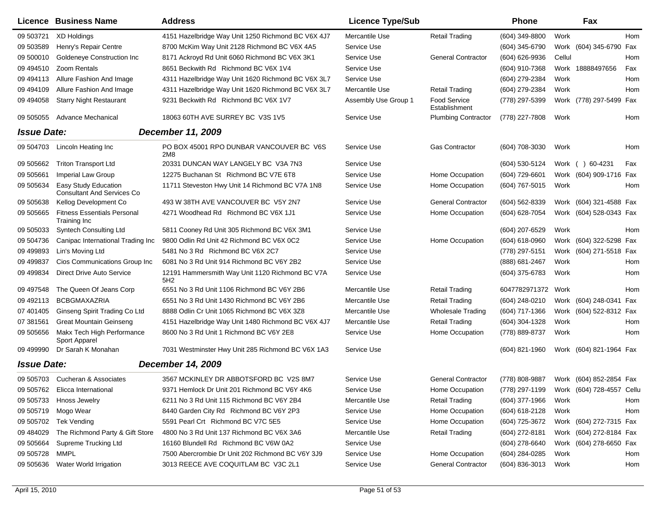|                    | <b>Licence Business Name</b>                              | <b>Address</b>                                                     | <b>Licence Type/Sub</b> |                               | <b>Phone</b>       |        | Fax                       |     |
|--------------------|-----------------------------------------------------------|--------------------------------------------------------------------|-------------------------|-------------------------------|--------------------|--------|---------------------------|-----|
| 09 503721          | <b>XD Holdings</b>                                        | 4151 Hazelbridge Way Unit 1250 Richmond BC V6X 4J7                 | Mercantile Use          | <b>Retail Trading</b>         | (604) 349-8800     | Work   |                           | Hom |
| 09 503589          | Henry's Repair Centre                                     | 8700 McKim Way Unit 2128 Richmond BC V6X 4A5                       | Service Use             |                               | (604) 345-6790     |        | Work (604) 345-6790 Fax   |     |
| 09 500010          | Goldeneye Construction Inc                                | 8171 Ackroyd Rd Unit 6060 Richmond BC V6X 3K1                      | Service Use             | <b>General Contractor</b>     | (604) 626-9936     | Cellul |                           | Hom |
| 09 49 4510         | Zoom Rentals                                              | 8651 Beckwith Rd Richmond BC V6X 1V4                               | Service Use             |                               | (604) 910-7368     |        | Work 18888497656          | Fax |
| 09 49 413          | Allure Fashion And Image                                  | 4311 Hazelbridge Way Unit 1620 Richmond BC V6X 3L7                 | Service Use             |                               | (604) 279-2384     | Work   |                           | Hom |
| 09 49 4109         | Allure Fashion And Image                                  | 4311 Hazelbridge Way Unit 1620 Richmond BC V6X 3L7                 | Mercantile Use          | <b>Retail Trading</b>         | (604) 279-2384     | Work   |                           | Hom |
| 09 49 40 58        | <b>Starry Night Restaurant</b>                            | 9231 Beckwith Rd Richmond BC V6X 1V7                               | Assembly Use Group 1    | Food Service<br>Establishment | (778) 297-5399     |        | Work (778) 297-5499 Fax   |     |
| 09 50 50 55        | <b>Advance Mechanical</b>                                 | 18063 60TH AVE SURREY BC V3S 1V5                                   | Service Use             | <b>Plumbing Contractor</b>    | (778) 227-7808     | Work   |                           | Hom |
| <b>Issue Date:</b> |                                                           | December 11, 2009                                                  |                         |                               |                    |        |                           |     |
| 09 504703          | Lincoln Heating Inc                                       | PO BOX 45001 RPO DUNBAR VANCOUVER BC V6S<br>2M8                    | Service Use             | <b>Gas Contractor</b>         | (604) 708-3030     | Work   |                           | Hom |
| 09 505662          | <b>Triton Transport Ltd</b>                               | 20331 DUNCAN WAY LANGELY BC V3A 7N3                                | Service Use             |                               | (604) 530-5124     |        | Work ( ) 60-4231          | Fax |
| 09 50 5661         | Imperial Law Group                                        | 12275 Buchanan St Richmond BC V7E 6T8                              | Service Use             | Home Occupation               | (604) 729-6601     |        | Work (604) 909-1716 Fax   |     |
| 09 50 5634         | Easy Study Education<br><b>Consultant And Services Co</b> | 11711 Steveston Hwy Unit 14 Richmond BC V7A 1N8                    | Service Use             | Home Occupation               | (604) 767-5015     | Work   |                           | Hom |
| 09 505638          | Kellog Development Co                                     | 493 W 38TH AVE VANCOUVER BC V5Y 2N7                                | Service Use             | <b>General Contractor</b>     | (604) 562-8339     |        | Work (604) 321-4588 Fax   |     |
| 09 50 5665         | <b>Fitness Essentials Personal</b><br>Training Inc        | 4271 Woodhead Rd Richmond BC V6X 1J1                               | Service Use             | Home Occupation               | (604) 628-7054     |        | Work (604) 528-0343 Fax   |     |
| 09 50 5033         | <b>Syntech Consulting Ltd</b>                             | 5811 Cooney Rd Unit 305 Richmond BC V6X 3M1                        | Service Use             |                               | (604) 207-6529     | Work   |                           | Hom |
| 09 504736          | Canipac International Trading Inc                         | 9800 Odlin Rd Unit 42 Richmond BC V6X 0C2                          | Service Use             | Home Occupation               | (604) 618-0960     |        | Work (604) 322-5298 Fax   |     |
| 09 499893          | Lin's Moving Ltd                                          | 5481 No 3 Rd Richmond BC V6X 2C7                                   | Service Use             |                               | (778) 297-5151     |        | Work (604) 271-5518 Fax   |     |
| 09 499837          | Cios Communications Group Inc                             | 6081 No 3 Rd Unit 914 Richmond BC V6Y 2B2                          | Service Use             |                               | (888) 681-2467     | Work   |                           | Hom |
| 09 499834          | Direct Drive Auto Service                                 | 12191 Hammersmith Way Unit 1120 Richmond BC V7A<br>5H <sub>2</sub> | Service Use             |                               | (604) 375-6783     | Work   |                           | Hom |
| 09 497548          | The Queen Of Jeans Corp                                   | 6551 No 3 Rd Unit 1106 Richmond BC V6Y 2B6                         | Mercantile Use          | Retail Trading                | 6047782971372 Work |        |                           | Hom |
| 09 49 2113         | <b>BCBGMAXAZRIA</b>                                       | 6551 No 3 Rd Unit 1430 Richmond BC V6Y 2B6                         | Mercantile Use          | Retail Trading                | (604) 248-0210     |        | Work (604) 248-0341 Fax   |     |
| 07 401405          | Ginseng Spirit Trading Co Ltd                             | 8888 Odlin Cr Unit 1065 Richmond BC V6X 3Z8                        | Mercantile Use          | <b>Wholesale Trading</b>      | (604) 717-1366     |        | Work (604) 522-8312 Fax   |     |
| 07 381561          | <b>Great Mountain Geinseng</b>                            | 4151 Hazelbridge Way Unit 1480 Richmond BC V6X 4J7                 | Mercantile Use          | <b>Retail Trading</b>         | (604) 304-1328     | Work   |                           | Hom |
| 09 505656          | Makx Tech High Performance<br>Sport Apparel               | 8600 No 3 Rd Unit 1 Richmond BC V6Y 2E8                            | Service Use             | Home Occupation               | (778) 889-8737     | Work   |                           | Hom |
| 09 499990          | Dr Sarah K Monahan                                        | 7031 Westminster Hwy Unit 285 Richmond BC V6X 1A3                  | Service Use             |                               | $(604)$ 821-1960   |        | Work (604) 821-1964 Fax   |     |
| <b>Issue Date:</b> |                                                           | <b>December 14, 2009</b>                                           |                         |                               |                    |        |                           |     |
|                    | 09 505703 Cucheran & Associates                           | 3567 MCKINLEY DR ABBOTSFORD BC V2S 8M7                             | Service Use             | <b>General Contractor</b>     | (778) 808-9887     |        | Work (604) 852-2854 Fax   |     |
|                    | 09 505762 Elicca International                            | 9371 Hemlock Dr Unit 201 Richmond BC V6Y 4K6                       | Service Use             | Home Occupation               | (778) 297-1199     |        | Work (604) 728-4557 Cellu |     |
|                    | 09 505733 Hnoss Jewelry                                   | 6211 No 3 Rd Unit 115 Richmond BC V6Y 2B4                          | Mercantile Use          | <b>Retail Trading</b>         | (604) 377-1966     | Work   |                           | Hom |
| 09 50 5719         | Mogo Wear                                                 | 8440 Garden City Rd Richmond BC V6Y 2P3                            | Service Use             | Home Occupation               | (604) 618-2128     | Work   |                           | Hom |
| 09 505702          | Tek Vending                                               | 5591 Pearl Crt Richmond BC V7C 5E5                                 | Service Use             | Home Occupation               | (604) 725-3672     |        | Work (604) 272-7315 Fax   |     |
| 09 484029          | The Richmond Party & Gift Store                           | 4800 No 3 Rd Unit 137 Richmond BC V6X 3A6                          | Mercantile Use          | <b>Retail Trading</b>         | (604) 272-8181     |        | Work (604) 272-8184 Fax   |     |
| 09 505664          | Supreme Trucking Ltd                                      | 16160 Blundell Rd Richmond BC V6W 0A2                              | Service Use             |                               | $(604)$ 278-6640   |        | Work (604) 278-6650 Fax   |     |
| 09 50 5728         | MMPL                                                      | 7500 Abercrombie Dr Unit 202 Richmond BC V6Y 3J9                   | Service Use             | Home Occupation               | (604) 284-0285     | Work   |                           | Hom |
| 09 505636          | Water World Irrigation                                    | 3013 REECE AVE COQUITLAM BC V3C 2L1                                | Service Use             | <b>General Contractor</b>     | (604) 836-3013     | Work   |                           | Hom |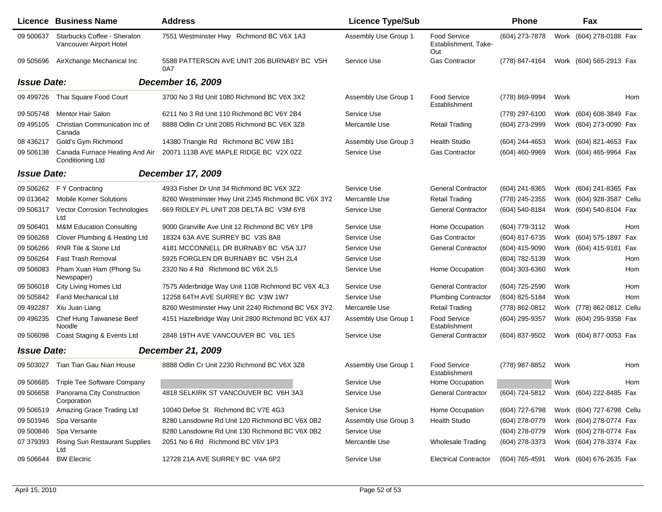|                    | <b>Licence Business Name</b>                              | <b>Address</b>                                     | <b>Licence Type/Sub</b> |                                             | <b>Phone</b>     |      | Fax                       |     |
|--------------------|-----------------------------------------------------------|----------------------------------------------------|-------------------------|---------------------------------------------|------------------|------|---------------------------|-----|
| 09 500637          | Starbucks Coffee - Sheraton<br>Vancouver Airport Hotel    | 7551 Westminster Hwy Richmond BC V6X 1A3           | Assembly Use Group 1    | Food Service<br>Establishment, Take-<br>Out | (604) 273-7878   |      | Work (604) 278-0188 Fax   |     |
| 09 50 569 6        | AirXchange Mechanical Inc                                 | 5588 PATTERSON AVE UNIT 206 BURNABY BC V5H<br>0A7  | Service Use             | Gas Contractor                              | (778) 847-4164   |      | Work (604) 565-2913 Fax   |     |
| <b>Issue Date:</b> |                                                           | <b>December 16, 2009</b>                           |                         |                                             |                  |      |                           |     |
| 09 499726          | Thai Square Food Court                                    | 3700 No 3 Rd Unit 1080 Richmond BC V6X 3X2         | Assembly Use Group 1    | Food Service<br>Establishment               | (778) 869-9994   | Work |                           | Hom |
| 09 50 5748         | <b>Mentor Hair Salon</b>                                  | 6211 No 3 Rd Unit 110 Richmond BC V6Y 2B4          | Service Use             |                                             | (778) 297-6100   |      | Work (604) 608-3849 Fax   |     |
| 09 495105          | Christian Communication Inc of<br>Canada                  | 8888 Odlin Cr Unit 2085 Richmond BC V6X 3Z8        | Mercantile Use          | <b>Retail Trading</b>                       | (604) 273-2999   |      | Work (604) 273-0090 Fax   |     |
| 08 436217          | Gold's Gym Richmond                                       | 14380 Triangle Rd Richmond BC V6W 1B1              | Assembly Use Group 3    | <b>Health Studio</b>                        | (604) 244-4653   |      | Work (604) 821-4653 Fax   |     |
| 09 506138          | Canada Furnace Heating And Air<br><b>Conditioning Ltd</b> | 20071 113B AVE MAPLE RIDGE BC V2X 0Z2              | Service Use             | Gas Contractor                              | (604) 460-9969   |      | Work (604) 465-9964 Fax   |     |
| <b>Issue Date:</b> |                                                           | <b>December 17, 2009</b>                           |                         |                                             |                  |      |                           |     |
| 09 506262          | F Y Contracting                                           | 4933 Fisher Dr Unit 34 Richmond BC V6X 3Z2         | Service Use             | <b>General Contractor</b>                   | (604) 241-8365   |      | Work (604) 241-8365 Fax   |     |
| 09 013642          | <b>Mobile Korner Solutions</b>                            | 8260 Westminster Hwy Unit 2345 Richmond BC V6X 3Y2 | Mercantile Use          | <b>Retail Trading</b>                       | (778) 245-2355   |      | Work (604) 928-3587 Cellu |     |
| 09 506317          | <b>Vector Corrosion Technologies</b><br>Ltd               | 669 RIDLEY PL UNIT 208 DELTA BC V3M 6Y8            | Service Use             | <b>General Contractor</b>                   | (604) 540-8184   |      | Work (604) 540-8104 Fax   |     |
| 09 50 6401         | <b>M&amp;M Education Consulting</b>                       | 9000 Granville Ave Unit 12 Richmond BC V6Y 1P8     | Service Use             | Home Occupation                             | (604) 779-3112   | Work |                           | Hom |
| 09 50 6268         | Clover Plumbing & Heating Ltd                             | 18324 63A AVE SURREY BC V3S 8A8                    | Service Use             | <b>Gas Contractor</b>                       | (604) 817-6735   |      | Work (604) 575-1897 Fax   |     |
| 09 506266          | RNR Tile & Stone Ltd                                      | 4181 MCCONNELL DR BURNABY BC V5A 3J7               | Service Use             | <b>General Contractor</b>                   | (604) 415-9090   |      | Work (604) 415-9181 Fax   |     |
| 09 506264          | <b>Fast Trash Removal</b>                                 | 5925 FORGLEN DR BURNABY BC V5H 2L4                 | Service Use             |                                             | (604) 782-5139   | Work |                           | Hom |
| 09 506083          | Pham Xuan Ham (Phong Su<br>Newspaper)                     | 2320 No 4 Rd Richmond BC V6X 2L5                   | Service Use             | Home Occupation                             | $(604)$ 303-6360 | Work |                           | Hom |
| 09 50 6018         | City Living Homes Ltd                                     | 7575 Alderbridge Way Unit 1108 Richmond BC V6X 4L3 | Service Use             | <b>General Contractor</b>                   | (604) 725-2590   | Work |                           | Hom |
| 09 505842          | <b>Farid Mechanical Ltd</b>                               | 12258 64TH AVE SURREY BC V3W 1W7                   | Service Use             | <b>Plumbing Contractor</b>                  | (604) 825-5184   | Work |                           | Hom |
| 09 49 2287         | Xiu Juan Liang                                            | 8260 Westminster Hwy Unit 2240 Richmond BC V6X 3Y2 | Mercantile Use          | <b>Retail Trading</b>                       | (778) 862-0812   |      | Work (778) 862-0812 Cellu |     |
| 09 49 6235         | Chef Hung Taiwanese Beef<br>Noodle                        | 4151 Hazelbridge Way Unit 2800 Richmond BC V6X 4J7 | Assembly Use Group 1    | Food Service<br>Establishment               | (604) 295-9357   |      | Work (604) 295-9358 Fax   |     |
| 09 50 6098         | Coast Staging & Events Ltd                                | 2848 19TH AVE VANCOUVER BC V6L 1E5                 | Service Use             | <b>General Contractor</b>                   | (604) 837-9502   |      | Work (604) 877-0053 Fax   |     |
| <b>Issue Date:</b> |                                                           | <b>December 21, 2009</b>                           |                         |                                             |                  |      |                           |     |
| 09 503027          | Tian Tian Gau Nian House                                  | 8888 Odlin Cr Unit 2230 Richmond BC V6X 3Z8        | Assembly Use Group 1    | Food Service<br>Establishment               | (778) 987-8852   | Work |                           | Hom |
| 09 506685          | Triple Tee Software Company                               |                                                    | Service Use             | Home Occupation                             |                  | Work |                           | Hom |
| 09 506658          | Panorama City Construction<br>Corporation                 | 4818 SELKIRK ST VANCOUVER BC V6H 3A3               | Service Use             | <b>General Contractor</b>                   | (604) 724-5812   |      | Work (604) 222-8485 Fax   |     |
| 09 50 6519         | Amazing Grace Trading Ltd                                 | 10040 Defoe St Richmond BC V7E 4G3                 | Service Use             | Home Occupation                             | (604) 727-6798   |      | Work (604) 727-6798 Cellu |     |
| 09 501946          | Spa Versante                                              | 8280 Lansdowne Rd Unit 120 Richmond BC V6X 0B2     | Assembly Use Group 3    | <b>Health Studio</b>                        | (604) 278-0779   |      | Work (604) 278-0774 Fax   |     |
| 09 500846          | Spa Versante                                              | 8280 Lansdowne Rd Unit 130 Richmond BC V6X 0B2     | Service Use             |                                             | (604) 278-0779   |      | Work (604) 278-0774 Fax   |     |
| 07 379393          | <b>Rising Sun Restaurant Supplies</b><br>Ltd              | 2051 No 6 Rd Richmond BC V6V 1P3                   | Mercantile Use          | <b>Wholesale Trading</b>                    | (604) 278-3373   |      | Work (604) 278-3374 Fax   |     |
| 09 50 6644         | <b>BW Electric</b>                                        | 12728 21A AVE SURREY BC V4A 6P2                    | Service Use             | <b>Electrical Contractor</b>                | (604) 765-4591   |      | Work (604) 676-2635 Fax   |     |